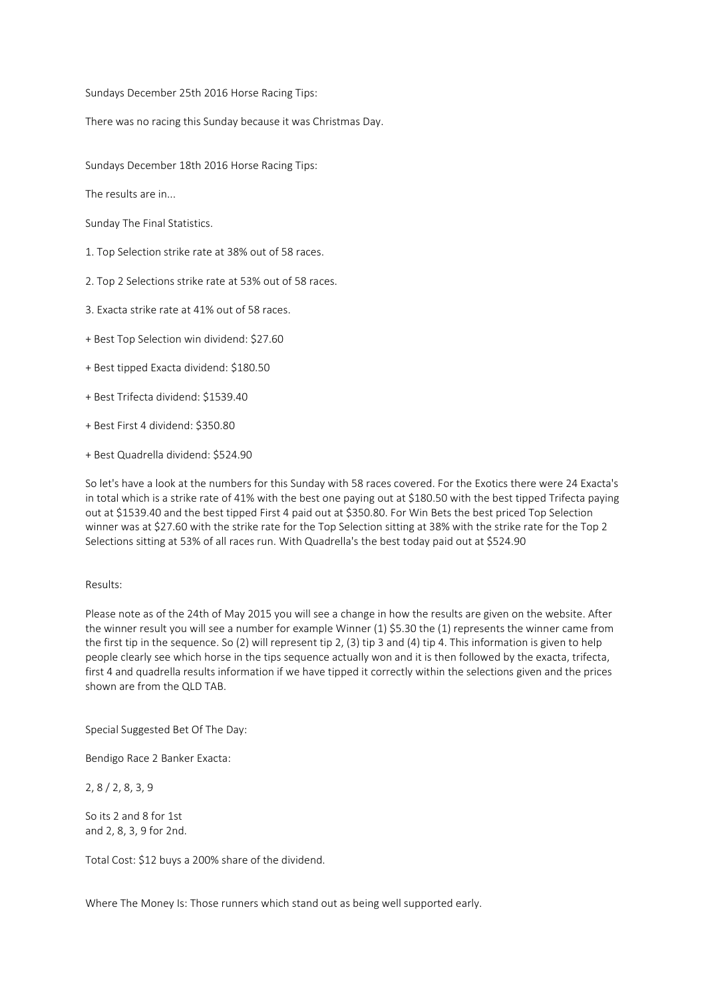Sundays December 25th 2016 Horse Racing Tips:

There was no racing this Sunday because it was Christmas Day.

Sundays December 18th 2016 Horse Racing Tips:

The results are in...

Sunday The Final Statistics.

- 1. Top Selection strike rate at 38% out of 58 races.
- 2. Top 2 Selections strike rate at 53% out of 58 races.
- 3. Exacta strike rate at 41% out of 58 races.
- + Best Top Selection win dividend: \$27.60
- + Best tipped Exacta dividend: \$180.50
- + Best Trifecta dividend: \$1539.40
- + Best First 4 dividend: \$350.80
- + Best Quadrella dividend: \$524.90

So let's have a look at the numbers for this Sunday with 58 races covered. For the Exotics there were 24 Exacta's in total which is a strike rate of 41% with the best one paying out at \$180.50 with the best tipped Trifecta paying out at \$1539.40 and the best tipped First 4 paid out at \$350.80. For Win Bets the best priced Top Selection winner was at \$27.60 with the strike rate for the Top Selection sitting at 38% with the strike rate for the Top 2 Selections sitting at 53% of all races run. With Quadrella's the best today paid out at \$524.90

## Results:

Please note as of the 24th of May 2015 you will see a change in how the results are given on the website. After the winner result you will see a number for example Winner (1) \$5.30 the (1) represents the winner came from the first tip in the sequence. So (2) will represent tip 2, (3) tip 3 and (4) tip 4. This information is given to help people clearly see which horse in the tips sequence actually won and it is then followed by the exacta, trifecta, first 4 and quadrella results information if we have tipped it correctly within the selections given and the prices shown are from the QLD TAB.

Special Suggested Bet Of The Day:

Bendigo Race 2 Banker Exacta:

2, 8 / 2, 8, 3, 9

So its 2 and 8 for 1st and 2, 8, 3, 9 for 2nd.

Total Cost: \$12 buys a 200% share of the dividend.

Where The Money Is: Those runners which stand out as being well supported early.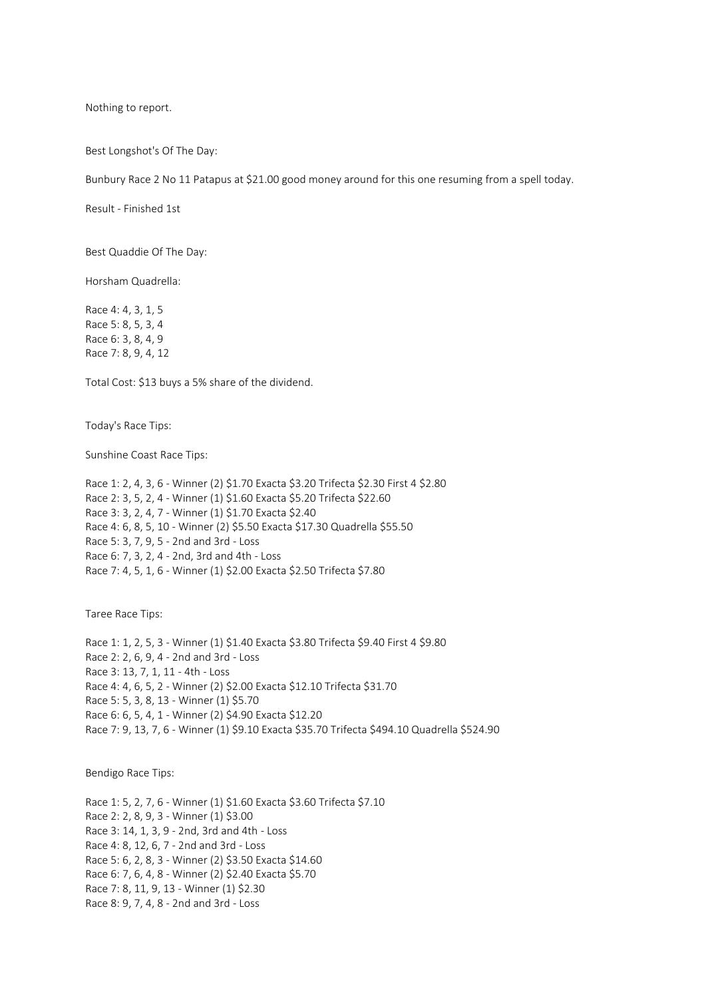Nothing to report.

Best Longshot's Of The Day:

Bunbury Race 2 No 11 Patapus at \$21.00 good money around for this one resuming from a spell today.

Result - Finished 1st

Best Quaddie Of The Day:

Horsham Quadrella:

Race 4: 4, 3, 1, 5 Race 5: 8, 5, 3, 4 Race 6: 3, 8, 4, 9 Race 7: 8, 9, 4, 12

Total Cost: \$13 buys a 5% share of the dividend.

Today's Race Tips:

Sunshine Coast Race Tips:

Race 1: 2, 4, 3, 6 - Winner (2) \$1.70 Exacta \$3.20 Trifecta \$2.30 First 4 \$2.80 Race 2: 3, 5, 2, 4 - Winner (1) \$1.60 Exacta \$5.20 Trifecta \$22.60 Race 3: 3, 2, 4, 7 - Winner (1) \$1.70 Exacta \$2.40 Race 4: 6, 8, 5, 10 - Winner (2) \$5.50 Exacta \$17.30 Quadrella \$55.50 Race 5: 3, 7, 9, 5 - 2nd and 3rd - Loss Race 6: 7, 3, 2, 4 - 2nd, 3rd and 4th - Loss Race 7: 4, 5, 1, 6 - Winner (1) \$2.00 Exacta \$2.50 Trifecta \$7.80

Taree Race Tips:

Race 1: 1, 2, 5, 3 - Winner (1) \$1.40 Exacta \$3.80 Trifecta \$9.40 First 4 \$9.80 Race 2: 2, 6, 9, 4 - 2nd and 3rd - Loss Race 3: 13, 7, 1, 11 - 4th - Loss Race 4: 4, 6, 5, 2 - Winner (2) \$2.00 Exacta \$12.10 Trifecta \$31.70 Race 5: 5, 3, 8, 13 - Winner (1) \$5.70 Race 6: 6, 5, 4, 1 - Winner (2) \$4.90 Exacta \$12.20 Race 7: 9, 13, 7, 6 - Winner (1) \$9.10 Exacta \$35.70 Trifecta \$494.10 Quadrella \$524.90

Bendigo Race Tips:

Race 1: 5, 2, 7, 6 - Winner (1) \$1.60 Exacta \$3.60 Trifecta \$7.10 Race 2: 2, 8, 9, 3 - Winner (1) \$3.00 Race 3: 14, 1, 3, 9 - 2nd, 3rd and 4th - Loss Race 4: 8, 12, 6, 7 - 2nd and 3rd - Loss Race 5: 6, 2, 8, 3 - Winner (2) \$3.50 Exacta \$14.60 Race 6: 7, 6, 4, 8 - Winner (2) \$2.40 Exacta \$5.70 Race 7: 8, 11, 9, 13 - Winner (1) \$2.30 Race 8: 9, 7, 4, 8 - 2nd and 3rd - Loss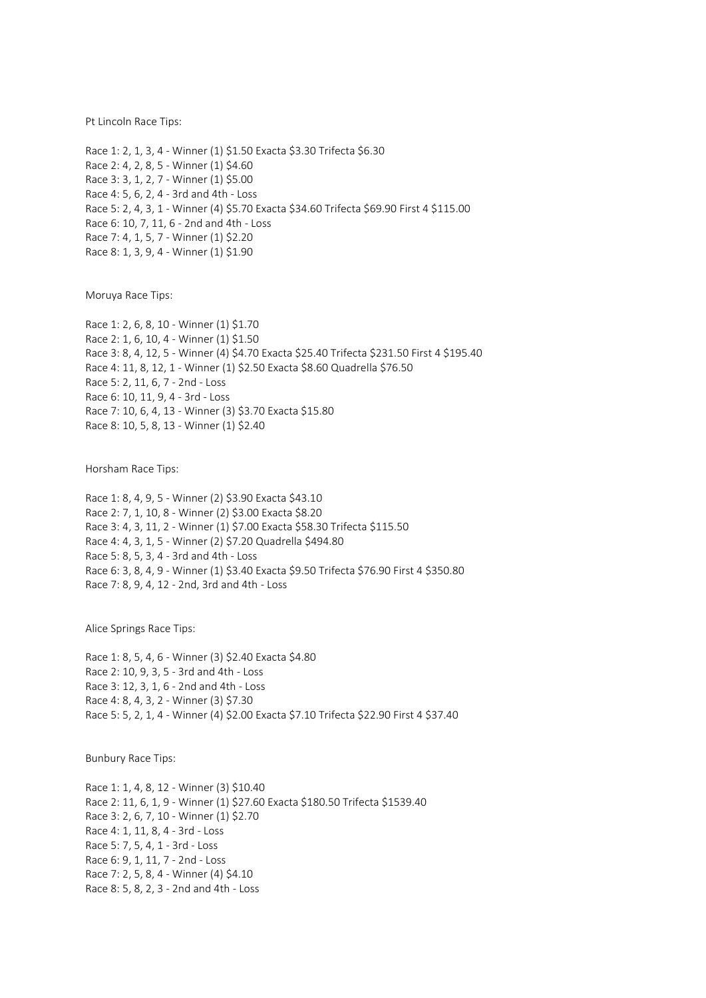Pt Lincoln Race Tips:

Race 1: 2, 1, 3, 4 - Winner (1) \$1.50 Exacta \$3.30 Trifecta \$6.30 Race 2: 4, 2, 8, 5 - Winner (1) \$4.60 Race 3: 3, 1, 2, 7 - Winner (1) \$5.00 Race 4: 5, 6, 2, 4 - 3rd and 4th - Loss Race 5: 2, 4, 3, 1 - Winner (4) \$5.70 Exacta \$34.60 Trifecta \$69.90 First 4 \$115.00 Race 6: 10, 7, 11, 6 - 2nd and 4th - Loss Race 7: 4, 1, 5, 7 - Winner (1) \$2.20 Race 8: 1, 3, 9, 4 - Winner (1) \$1.90

Moruya Race Tips:

Race 1: 2, 6, 8, 10 - Winner (1) \$1.70 Race 2: 1, 6, 10, 4 - Winner (1) \$1.50 Race 3: 8, 4, 12, 5 - Winner (4) \$4.70 Exacta \$25.40 Trifecta \$231.50 First 4 \$195.40 Race 4: 11, 8, 12, 1 - Winner (1) \$2.50 Exacta \$8.60 Quadrella \$76.50 Race 5: 2, 11, 6, 7 - 2nd - Loss Race 6: 10, 11, 9, 4 - 3rd - Loss Race 7: 10, 6, 4, 13 - Winner (3) \$3.70 Exacta \$15.80 Race 8: 10, 5, 8, 13 - Winner (1) \$2.40

Horsham Race Tips:

Race 1: 8, 4, 9, 5 - Winner (2) \$3.90 Exacta \$43.10 Race 2: 7, 1, 10, 8 - Winner (2) \$3.00 Exacta \$8.20 Race 3: 4, 3, 11, 2 - Winner (1) \$7.00 Exacta \$58.30 Trifecta \$115.50 Race 4: 4, 3, 1, 5 - Winner (2) \$7.20 Quadrella \$494.80 Race 5: 8, 5, 3, 4 - 3rd and 4th - Loss Race 6: 3, 8, 4, 9 - Winner (1) \$3.40 Exacta \$9.50 Trifecta \$76.90 First 4 \$350.80 Race 7: 8, 9, 4, 12 - 2nd, 3rd and 4th - Loss

Alice Springs Race Tips:

Race 1: 8, 5, 4, 6 - Winner (3) \$2.40 Exacta \$4.80 Race 2: 10, 9, 3, 5 - 3rd and 4th - Loss Race 3: 12, 3, 1, 6 - 2nd and 4th - Loss Race 4: 8, 4, 3, 2 - Winner (3) \$7.30 Race 5: 5, 2, 1, 4 - Winner (4) \$2.00 Exacta \$7.10 Trifecta \$22.90 First 4 \$37.40

Bunbury Race Tips:

Race 1: 1, 4, 8, 12 - Winner (3) \$10.40 Race 2: 11, 6, 1, 9 - Winner (1) \$27.60 Exacta \$180.50 Trifecta \$1539.40 Race 3: 2, 6, 7, 10 - Winner (1) \$2.70 Race 4: 1, 11, 8, 4 - 3rd - Loss Race 5: 7, 5, 4, 1 - 3rd - Loss Race 6: 9, 1, 11, 7 - 2nd - Loss Race 7: 2, 5, 8, 4 - Winner (4) \$4.10 Race 8: 5, 8, 2, 3 - 2nd and 4th - Loss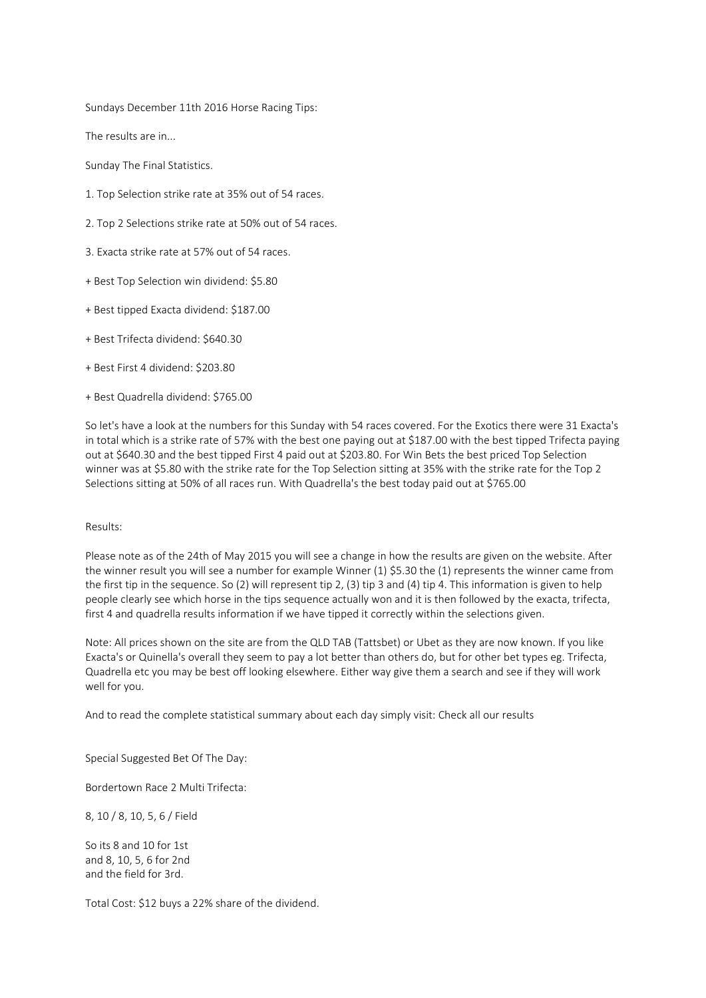Sundays December 11th 2016 Horse Racing Tips:

The results are in...

Sunday The Final Statistics.

- 1. Top Selection strike rate at 35% out of 54 races.
- 2. Top 2 Selections strike rate at 50% out of 54 races.
- 3. Exacta strike rate at 57% out of 54 races.
- + Best Top Selection win dividend: \$5.80
- + Best tipped Exacta dividend: \$187.00
- + Best Trifecta dividend: \$640.30
- + Best First 4 dividend: \$203.80
- + Best Quadrella dividend: \$765.00

So let's have a look at the numbers for this Sunday with 54 races covered. For the Exotics there were 31 Exacta's in total which is a strike rate of 57% with the best one paying out at \$187.00 with the best tipped Trifecta paying out at \$640.30 and the best tipped First 4 paid out at \$203.80. For Win Bets the best priced Top Selection winner was at \$5.80 with the strike rate for the Top Selection sitting at 35% with the strike rate for the Top 2 Selections sitting at 50% of all races run. With Quadrella's the best today paid out at \$765.00

# Results:

Please note as of the 24th of May 2015 you will see a change in how the results are given on the website. After the winner result you will see a number for example Winner (1) \$5.30 the (1) represents the winner came from the first tip in the sequence. So (2) will represent tip 2, (3) tip 3 and (4) tip 4. This information is given to help people clearly see which horse in the tips sequence actually won and it is then followed by the exacta, trifecta, first 4 and quadrella results information if we have tipped it correctly within the selections given.

Note: All prices shown on the site are from the QLD TAB (Tattsbet) or Ubet as they are now known. If you like Exacta's or Quinella's overall they seem to pay a lot better than others do, but for other bet types eg. Trifecta, Quadrella etc you may be best off looking elsewhere. Either way give them a search and see if they will work well for you.

And to read the complete statistical summary about each day simply visit: Check all our results

Special Suggested Bet Of The Day:

Bordertown Race 2 Multi Trifecta:

8, 10 / 8, 10, 5, 6 / Field

So its 8 and 10 for 1st and 8, 10, 5, 6 for 2nd and the field for 3rd.

Total Cost: \$12 buys a 22% share of the dividend.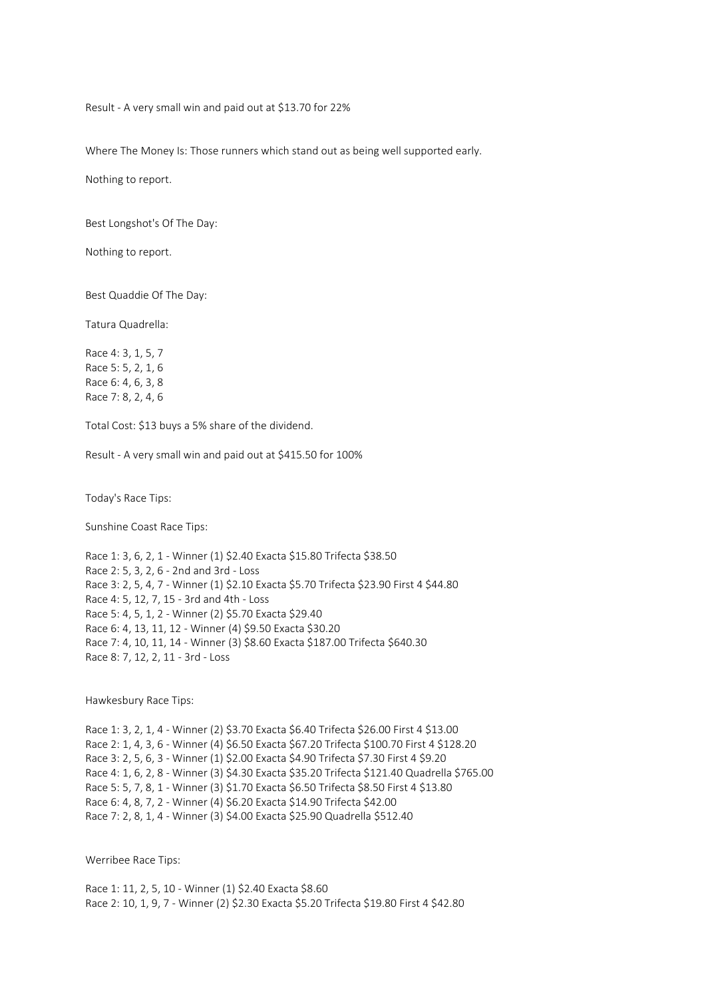Result - A very small win and paid out at \$13.70 for 22%

Where The Money Is: Those runners which stand out as being well supported early.

Nothing to report.

Best Longshot's Of The Day:

Nothing to report.

Best Quaddie Of The Day:

Tatura Quadrella:

Race 4: 3, 1, 5, 7 Race 5: 5, 2, 1, 6 Race 6: 4, 6, 3, 8 Race 7: 8, 2, 4, 6

Total Cost: \$13 buys a 5% share of the dividend.

Result - A very small win and paid out at \$415.50 for 100%

Today's Race Tips:

Sunshine Coast Race Tips:

Race 1: 3, 6, 2, 1 - Winner (1) \$2.40 Exacta \$15.80 Trifecta \$38.50 Race 2: 5, 3, 2, 6 - 2nd and 3rd - Loss Race 3: 2, 5, 4, 7 - Winner (1) \$2.10 Exacta \$5.70 Trifecta \$23.90 First 4 \$44.80 Race 4: 5, 12, 7, 15 - 3rd and 4th - Loss Race 5: 4, 5, 1, 2 - Winner (2) \$5.70 Exacta \$29.40 Race 6: 4, 13, 11, 12 - Winner (4) \$9.50 Exacta \$30.20 Race 7: 4, 10, 11, 14 - Winner (3) \$8.60 Exacta \$187.00 Trifecta \$640.30 Race 8: 7, 12, 2, 11 - 3rd - Loss

Hawkesbury Race Tips:

Race 1: 3, 2, 1, 4 - Winner (2) \$3.70 Exacta \$6.40 Trifecta \$26.00 First 4 \$13.00 Race 2: 1, 4, 3, 6 - Winner (4) \$6.50 Exacta \$67.20 Trifecta \$100.70 First 4 \$128.20 Race 3: 2, 5, 6, 3 - Winner (1) \$2.00 Exacta \$4.90 Trifecta \$7.30 First 4 \$9.20 Race 4: 1, 6, 2, 8 - Winner (3) \$4.30 Exacta \$35.20 Trifecta \$121.40 Quadrella \$765.00 Race 5: 5, 7, 8, 1 - Winner (3) \$1.70 Exacta \$6.50 Trifecta \$8.50 First 4 \$13.80 Race 6: 4, 8, 7, 2 - Winner (4) \$6.20 Exacta \$14.90 Trifecta \$42.00 Race 7: 2, 8, 1, 4 - Winner (3) \$4.00 Exacta \$25.90 Quadrella \$512.40

Werribee Race Tips:

Race 1: 11, 2, 5, 10 - Winner (1) \$2.40 Exacta \$8.60 Race 2: 10, 1, 9, 7 - Winner (2) \$2.30 Exacta \$5.20 Trifecta \$19.80 First 4 \$42.80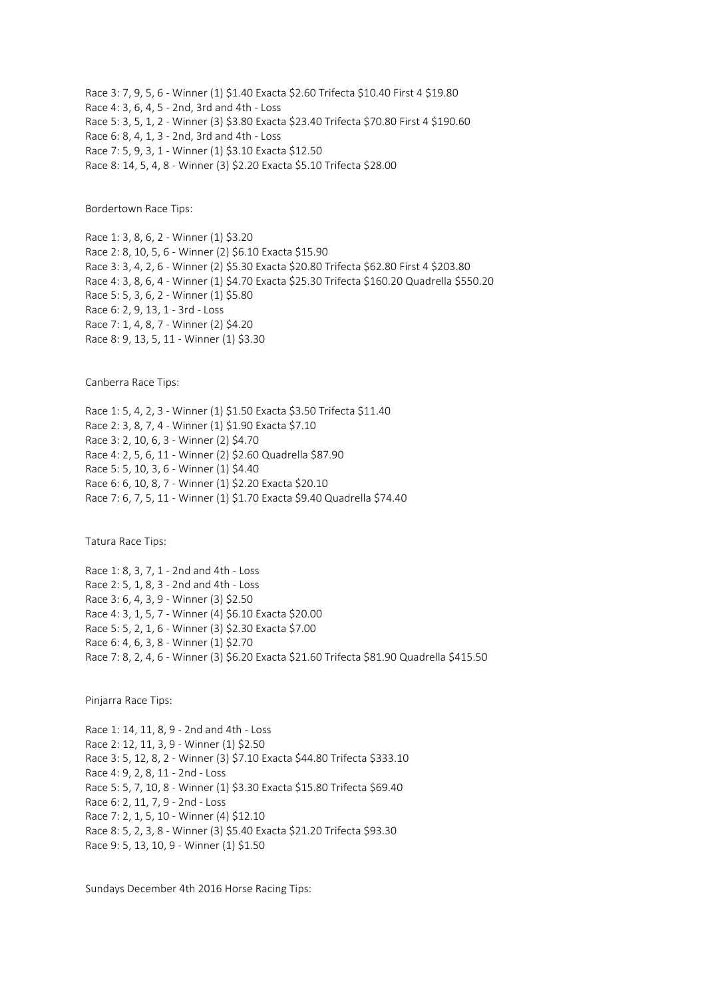Race 3: 7, 9, 5, 6 - Winner (1) \$1.40 Exacta \$2.60 Trifecta \$10.40 First 4 \$19.80 Race 4: 3, 6, 4, 5 - 2nd, 3rd and 4th - Loss Race 5: 3, 5, 1, 2 - Winner (3) \$3.80 Exacta \$23.40 Trifecta \$70.80 First 4 \$190.60 Race 6: 8, 4, 1, 3 - 2nd, 3rd and 4th - Loss Race 7: 5, 9, 3, 1 - Winner (1) \$3.10 Exacta \$12.50 Race 8: 14, 5, 4, 8 - Winner (3) \$2.20 Exacta \$5.10 Trifecta \$28.00

Bordertown Race Tips:

Race 1: 3, 8, 6, 2 - Winner (1) \$3.20 Race 2: 8, 10, 5, 6 - Winner (2) \$6.10 Exacta \$15.90 Race 3: 3, 4, 2, 6 - Winner (2) \$5.30 Exacta \$20.80 Trifecta \$62.80 First 4 \$203.80 Race 4: 3, 8, 6, 4 - Winner (1) \$4.70 Exacta \$25.30 Trifecta \$160.20 Quadrella \$550.20 Race 5: 5, 3, 6, 2 - Winner (1) \$5.80 Race 6: 2, 9, 13, 1 - 3rd - Loss Race 7: 1, 4, 8, 7 - Winner (2) \$4.20 Race 8: 9, 13, 5, 11 - Winner (1) \$3.30

Canberra Race Tips:

Race 1: 5, 4, 2, 3 - Winner (1) \$1.50 Exacta \$3.50 Trifecta \$11.40 Race 2: 3, 8, 7, 4 - Winner (1) \$1.90 Exacta \$7.10 Race 3: 2, 10, 6, 3 - Winner (2) \$4.70 Race 4: 2, 5, 6, 11 - Winner (2) \$2.60 Quadrella \$87.90 Race 5: 5, 10, 3, 6 - Winner (1) \$4.40 Race 6: 6, 10, 8, 7 - Winner (1) \$2.20 Exacta \$20.10 Race 7: 6, 7, 5, 11 - Winner (1) \$1.70 Exacta \$9.40 Quadrella \$74.40

Tatura Race Tips:

Race 1: 8, 3, 7, 1 - 2nd and 4th - Loss Race 2: 5, 1, 8, 3 - 2nd and 4th - Loss Race 3: 6, 4, 3, 9 - Winner (3) \$2.50 Race 4: 3, 1, 5, 7 - Winner (4) \$6.10 Exacta \$20.00 Race 5: 5, 2, 1, 6 - Winner (3) \$2.30 Exacta \$7.00 Race 6: 4, 6, 3, 8 - Winner (1) \$2.70 Race 7: 8, 2, 4, 6 - Winner (3) \$6.20 Exacta \$21.60 Trifecta \$81.90 Quadrella \$415.50

Pinjarra Race Tips:

Race 1: 14, 11, 8, 9 - 2nd and 4th - Loss Race 2: 12, 11, 3, 9 - Winner (1) \$2.50 Race 3: 5, 12, 8, 2 - Winner (3) \$7.10 Exacta \$44.80 Trifecta \$333.10 Race 4: 9, 2, 8, 11 - 2nd - Loss Race 5: 5, 7, 10, 8 - Winner (1) \$3.30 Exacta \$15.80 Trifecta \$69.40 Race 6: 2, 11, 7, 9 - 2nd - Loss Race 7: 2, 1, 5, 10 - Winner (4) \$12.10 Race 8: 5, 2, 3, 8 - Winner (3) \$5.40 Exacta \$21.20 Trifecta \$93.30 Race 9: 5, 13, 10, 9 - Winner (1) \$1.50

Sundays December 4th 2016 Horse Racing Tips: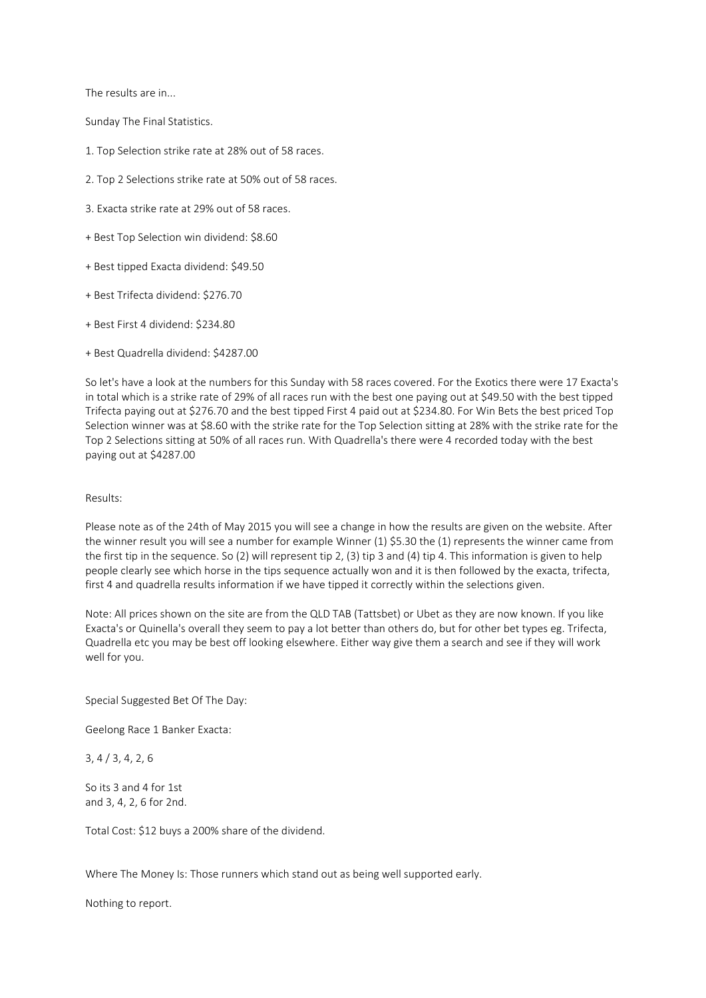The results are in...

Sunday The Final Statistics.

- 1. Top Selection strike rate at 28% out of 58 races.
- 2. Top 2 Selections strike rate at 50% out of 58 races.
- 3. Exacta strike rate at 29% out of 58 races.
- + Best Top Selection win dividend: \$8.60
- + Best tipped Exacta dividend: \$49.50
- + Best Trifecta dividend: \$276.70
- + Best First 4 dividend: \$234.80
- + Best Quadrella dividend: \$4287.00

So let's have a look at the numbers for this Sunday with 58 races covered. For the Exotics there were 17 Exacta's in total which is a strike rate of 29% of all races run with the best one paying out at \$49.50 with the best tipped Trifecta paying out at \$276.70 and the best tipped First 4 paid out at \$234.80. For Win Bets the best priced Top Selection winner was at \$8.60 with the strike rate for the Top Selection sitting at 28% with the strike rate for the Top 2 Selections sitting at 50% of all races run. With Quadrella's there were 4 recorded today with the best paying out at \$4287.00

## Results:

Please note as of the 24th of May 2015 you will see a change in how the results are given on the website. After the winner result you will see a number for example Winner (1) \$5.30 the (1) represents the winner came from the first tip in the sequence. So (2) will represent tip 2, (3) tip 3 and (4) tip 4. This information is given to help people clearly see which horse in the tips sequence actually won and it is then followed by the exacta, trifecta, first 4 and quadrella results information if we have tipped it correctly within the selections given.

Note: All prices shown on the site are from the QLD TAB (Tattsbet) or Ubet as they are now known. If you like Exacta's or Quinella's overall they seem to pay a lot better than others do, but for other bet types eg. Trifecta, Quadrella etc you may be best off looking elsewhere. Either way give them a search and see if they will work well for you.

Special Suggested Bet Of The Day:

Geelong Race 1 Banker Exacta:

3, 4 / 3, 4, 2, 6

So its 3 and 4 for 1st and 3, 4, 2, 6 for 2nd.

Total Cost: \$12 buys a 200% share of the dividend.

Where The Money Is: Those runners which stand out as being well supported early.

Nothing to report.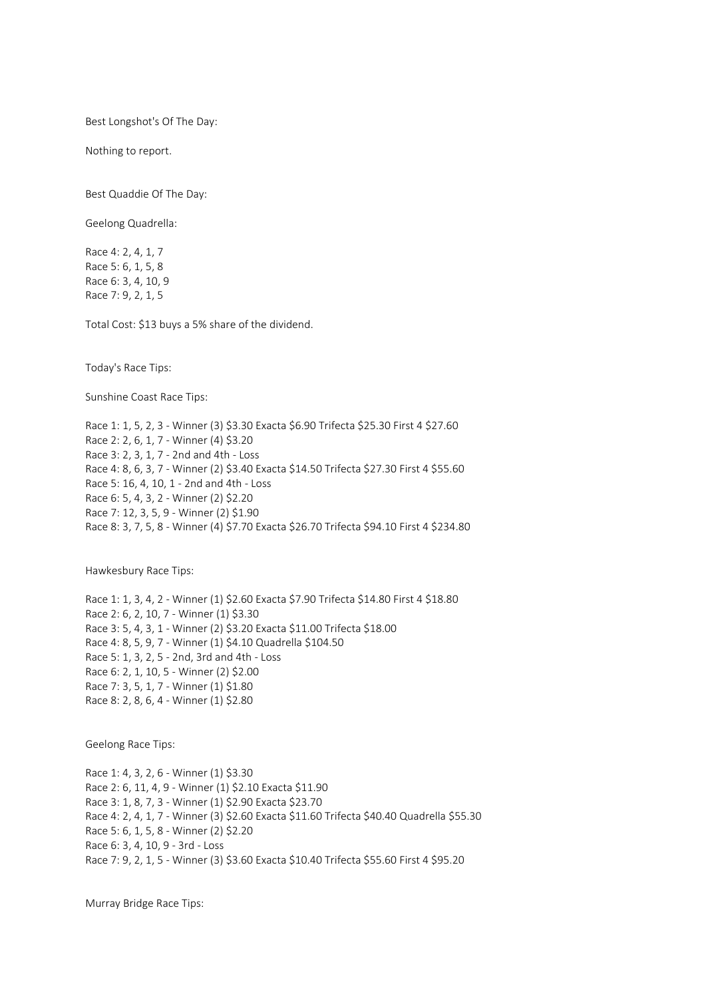Best Longshot's Of The Day:

Nothing to report.

Best Quaddie Of The Day:

Geelong Quadrella:

Race 4: 2, 4, 1, 7 Race 5: 6, 1, 5, 8 Race 6: 3, 4, 10, 9 Race 7: 9, 2, 1, 5

Total Cost: \$13 buys a 5% share of the dividend.

Today's Race Tips:

Sunshine Coast Race Tips:

Race 1: 1, 5, 2, 3 - Winner (3) \$3.30 Exacta \$6.90 Trifecta \$25.30 First 4 \$27.60 Race 2: 2, 6, 1, 7 - Winner (4) \$3.20 Race 3: 2, 3, 1, 7 - 2nd and 4th - Loss Race 4: 8, 6, 3, 7 - Winner (2) \$3.40 Exacta \$14.50 Trifecta \$27.30 First 4 \$55.60 Race 5: 16, 4, 10, 1 - 2nd and 4th - Loss Race 6: 5, 4, 3, 2 - Winner (2) \$2.20 Race 7: 12, 3, 5, 9 - Winner (2) \$1.90 Race 8: 3, 7, 5, 8 - Winner (4) \$7.70 Exacta \$26.70 Trifecta \$94.10 First 4 \$234.80

Hawkesbury Race Tips:

Race 1: 1, 3, 4, 2 - Winner (1) \$2.60 Exacta \$7.90 Trifecta \$14.80 First 4 \$18.80 Race 2: 6, 2, 10, 7 - Winner (1) \$3.30 Race 3: 5, 4, 3, 1 - Winner (2) \$3.20 Exacta \$11.00 Trifecta \$18.00 Race 4: 8, 5, 9, 7 - Winner (1) \$4.10 Quadrella \$104.50 Race 5: 1, 3, 2, 5 - 2nd, 3rd and 4th - Loss Race 6: 2, 1, 10, 5 - Winner (2) \$2.00 Race 7: 3, 5, 1, 7 - Winner (1) \$1.80 Race 8: 2, 8, 6, 4 - Winner (1) \$2.80

Geelong Race Tips:

Race 1: 4, 3, 2, 6 - Winner (1) \$3.30 Race 2: 6, 11, 4, 9 - Winner (1) \$2.10 Exacta \$11.90 Race 3: 1, 8, 7, 3 - Winner (1) \$2.90 Exacta \$23.70 Race 4: 2, 4, 1, 7 - Winner (3) \$2.60 Exacta \$11.60 Trifecta \$40.40 Quadrella \$55.30 Race 5: 6, 1, 5, 8 - Winner (2) \$2.20 Race 6: 3, 4, 10, 9 - 3rd - Loss Race 7: 9, 2, 1, 5 - Winner (3) \$3.60 Exacta \$10.40 Trifecta \$55.60 First 4 \$95.20

Murray Bridge Race Tips: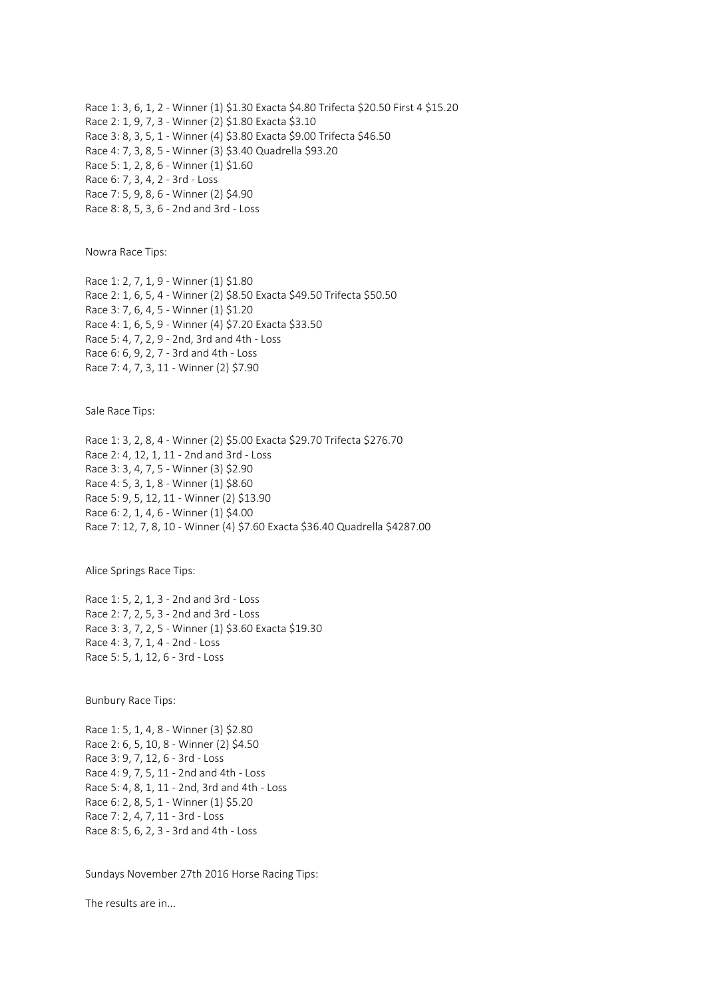Race 1: 3, 6, 1, 2 - Winner (1) \$1.30 Exacta \$4.80 Trifecta \$20.50 First 4 \$15.20 Race 2: 1, 9, 7, 3 - Winner (2) \$1.80 Exacta \$3.10 Race 3: 8, 3, 5, 1 - Winner (4) \$3.80 Exacta \$9.00 Trifecta \$46.50 Race 4: 7, 3, 8, 5 - Winner (3) \$3.40 Quadrella \$93.20 Race 5: 1, 2, 8, 6 - Winner (1) \$1.60 Race 6: 7, 3, 4, 2 - 3rd - Loss Race 7: 5, 9, 8, 6 - Winner (2) \$4.90 Race 8: 8, 5, 3, 6 - 2nd and 3rd - Loss

Nowra Race Tips:

Race 1: 2, 7, 1, 9 - Winner (1) \$1.80 Race 2: 1, 6, 5, 4 - Winner (2) \$8.50 Exacta \$49.50 Trifecta \$50.50 Race 3: 7, 6, 4, 5 - Winner (1) \$1.20 Race 4: 1, 6, 5, 9 - Winner (4) \$7.20 Exacta \$33.50 Race 5: 4, 7, 2, 9 - 2nd, 3rd and 4th - Loss Race 6: 6, 9, 2, 7 - 3rd and 4th - Loss Race 7: 4, 7, 3, 11 - Winner (2) \$7.90

Sale Race Tips:

Race 1: 3, 2, 8, 4 - Winner (2) \$5.00 Exacta \$29.70 Trifecta \$276.70 Race 2: 4, 12, 1, 11 - 2nd and 3rd - Loss Race 3: 3, 4, 7, 5 - Winner (3) \$2.90 Race 4: 5, 3, 1, 8 - Winner (1) \$8.60 Race 5: 9, 5, 12, 11 - Winner (2) \$13.90 Race 6: 2, 1, 4, 6 - Winner (1) \$4.00 Race 7: 12, 7, 8, 10 - Winner (4) \$7.60 Exacta \$36.40 Quadrella \$4287.00

Alice Springs Race Tips:

Race 1: 5, 2, 1, 3 - 2nd and 3rd - Loss Race 2: 7, 2, 5, 3 - 2nd and 3rd - Loss Race 3: 3, 7, 2, 5 - Winner (1) \$3.60 Exacta \$19.30 Race 4: 3, 7, 1, 4 - 2nd - Loss Race 5: 5, 1, 12, 6 - 3rd - Loss

Bunbury Race Tips:

Race 1: 5, 1, 4, 8 - Winner (3) \$2.80 Race 2: 6, 5, 10, 8 - Winner (2) \$4.50 Race 3: 9, 7, 12, 6 - 3rd - Loss Race 4: 9, 7, 5, 11 - 2nd and 4th - Loss Race 5: 4, 8, 1, 11 - 2nd, 3rd and 4th - Loss Race 6: 2, 8, 5, 1 - Winner (1) \$5.20 Race 7: 2, 4, 7, 11 - 3rd - Loss Race 8: 5, 6, 2, 3 - 3rd and 4th - Loss

Sundays November 27th 2016 Horse Racing Tips:

The results are in...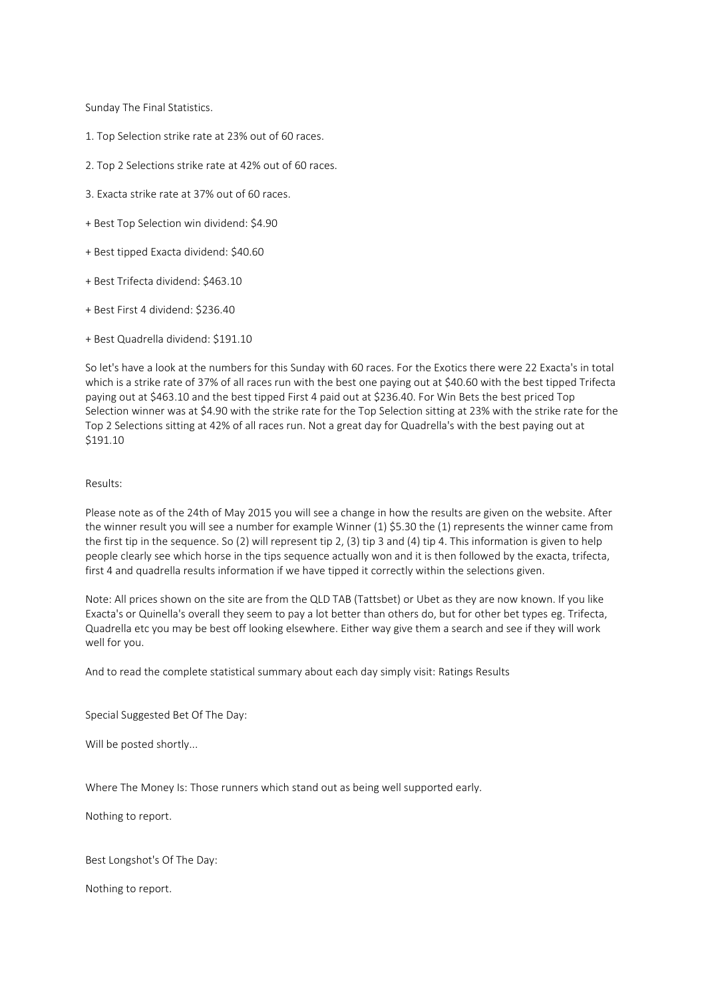Sunday The Final Statistics.

- 1. Top Selection strike rate at 23% out of 60 races.
- 2. Top 2 Selections strike rate at 42% out of 60 races.
- 3. Exacta strike rate at 37% out of 60 races.
- + Best Top Selection win dividend: \$4.90
- + Best tipped Exacta dividend: \$40.60
- + Best Trifecta dividend: \$463.10
- + Best First 4 dividend: \$236.40
- + Best Quadrella dividend: \$191.10

So let's have a look at the numbers for this Sunday with 60 races. For the Exotics there were 22 Exacta's in total which is a strike rate of 37% of all races run with the best one paying out at \$40.60 with the best tipped Trifecta paying out at \$463.10 and the best tipped First 4 paid out at \$236.40. For Win Bets the best priced Top Selection winner was at \$4.90 with the strike rate for the Top Selection sitting at 23% with the strike rate for the Top 2 Selections sitting at 42% of all races run. Not a great day for Quadrella's with the best paying out at \$191.10

## Results:

Please note as of the 24th of May 2015 you will see a change in how the results are given on the website. After the winner result you will see a number for example Winner (1) \$5.30 the (1) represents the winner came from the first tip in the sequence. So (2) will represent tip 2, (3) tip 3 and (4) tip 4. This information is given to help people clearly see which horse in the tips sequence actually won and it is then followed by the exacta, trifecta, first 4 and quadrella results information if we have tipped it correctly within the selections given.

Note: All prices shown on the site are from the QLD TAB (Tattsbet) or Ubet as they are now known. If you like Exacta's or Quinella's overall they seem to pay a lot better than others do, but for other bet types eg. Trifecta, Quadrella etc you may be best off looking elsewhere. Either way give them a search and see if they will work well for you.

And to read the complete statistical summary about each day simply visit: Ratings Results

Special Suggested Bet Of The Day:

Will be posted shortly...

Where The Money Is: Those runners which stand out as being well supported early.

Nothing to report.

Best Longshot's Of The Day:

Nothing to report.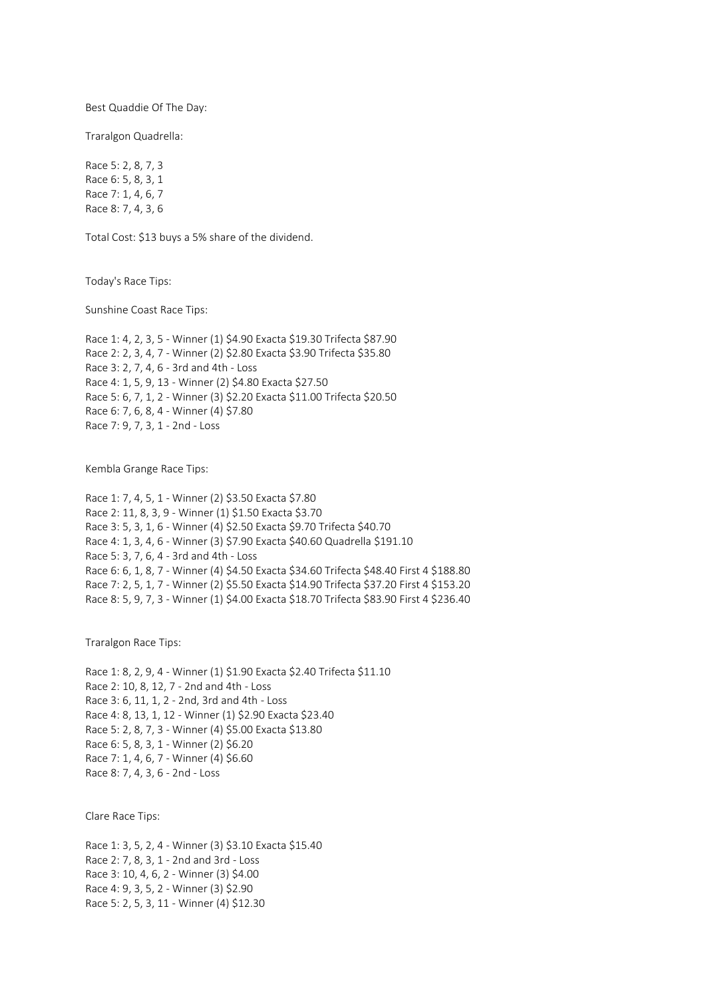Best Quaddie Of The Day:

Traralgon Quadrella:

Race 5: 2, 8, 7, 3 Race 6: 5, 8, 3, 1 Race 7: 1, 4, 6, 7 Race 8: 7, 4, 3, 6

Total Cost: \$13 buys a 5% share of the dividend.

Today's Race Tips:

Sunshine Coast Race Tips:

Race 1: 4, 2, 3, 5 - Winner (1) \$4.90 Exacta \$19.30 Trifecta \$87.90 Race 2: 2, 3, 4, 7 - Winner (2) \$2.80 Exacta \$3.90 Trifecta \$35.80 Race 3: 2, 7, 4, 6 - 3rd and 4th - Loss Race 4: 1, 5, 9, 13 - Winner (2) \$4.80 Exacta \$27.50 Race 5: 6, 7, 1, 2 - Winner (3) \$2.20 Exacta \$11.00 Trifecta \$20.50 Race 6: 7, 6, 8, 4 - Winner (4) \$7.80 Race 7: 9, 7, 3, 1 - 2nd - Loss

Kembla Grange Race Tips:

Race 1: 7, 4, 5, 1 - Winner (2) \$3.50 Exacta \$7.80 Race 2: 11, 8, 3, 9 - Winner (1) \$1.50 Exacta \$3.70 Race 3: 5, 3, 1, 6 - Winner (4) \$2.50 Exacta \$9.70 Trifecta \$40.70 Race 4: 1, 3, 4, 6 - Winner (3) \$7.90 Exacta \$40.60 Quadrella \$191.10 Race 5: 3, 7, 6, 4 - 3rd and 4th - Loss Race 6: 6, 1, 8, 7 - Winner (4) \$4.50 Exacta \$34.60 Trifecta \$48.40 First 4 \$188.80 Race 7: 2, 5, 1, 7 - Winner (2) \$5.50 Exacta \$14.90 Trifecta \$37.20 First 4 \$153.20 Race 8: 5, 9, 7, 3 - Winner (1) \$4.00 Exacta \$18.70 Trifecta \$83.90 First 4 \$236.40

Traralgon Race Tips:

Race 1: 8, 2, 9, 4 - Winner (1) \$1.90 Exacta \$2.40 Trifecta \$11.10 Race 2: 10, 8, 12, 7 - 2nd and 4th - Loss Race 3: 6, 11, 1, 2 - 2nd, 3rd and 4th - Loss Race 4: 8, 13, 1, 12 - Winner (1) \$2.90 Exacta \$23.40 Race 5: 2, 8, 7, 3 - Winner (4) \$5.00 Exacta \$13.80 Race 6: 5, 8, 3, 1 - Winner (2) \$6.20 Race 7: 1, 4, 6, 7 - Winner (4) \$6.60 Race 8: 7, 4, 3, 6 - 2nd - Loss

Clare Race Tips:

Race 1: 3, 5, 2, 4 - Winner (3) \$3.10 Exacta \$15.40 Race 2: 7, 8, 3, 1 - 2nd and 3rd - Loss Race 3: 10, 4, 6, 2 - Winner (3) \$4.00 Race 4: 9, 3, 5, 2 - Winner (3) \$2.90 Race 5: 2, 5, 3, 11 - Winner (4) \$12.30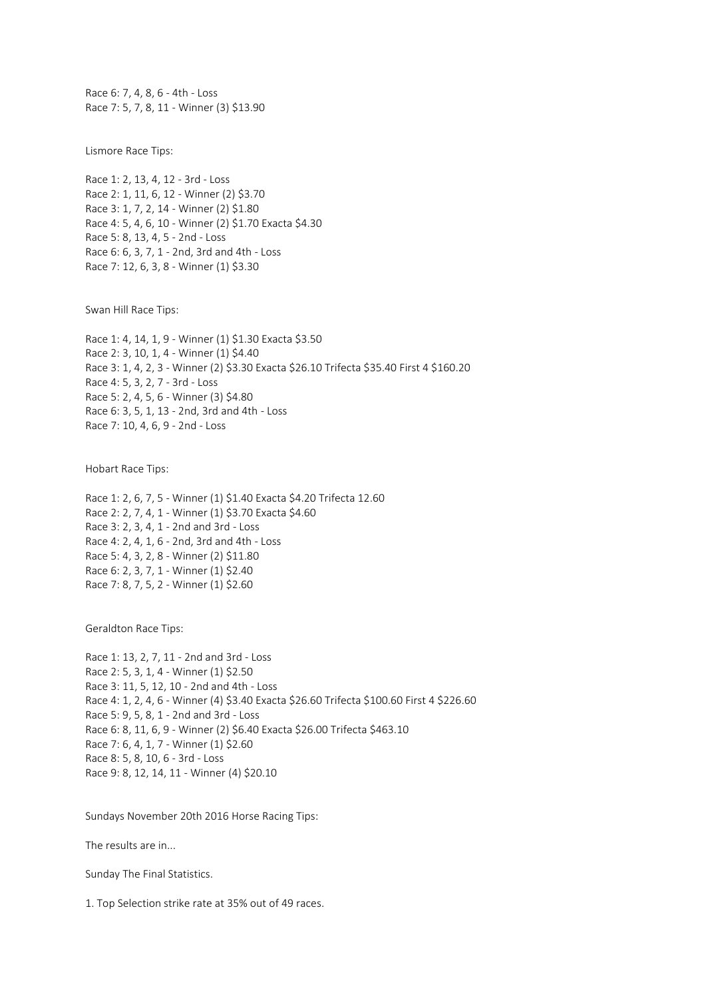Race 6: 7, 4, 8, 6 - 4th - Loss Race 7: 5, 7, 8, 11 - Winner (3) \$13.90

Lismore Race Tips:

Race 1: 2, 13, 4, 12 - 3rd - Loss Race 2: 1, 11, 6, 12 - Winner (2) \$3.70 Race 3: 1, 7, 2, 14 - Winner (2) \$1.80 Race 4: 5, 4, 6, 10 - Winner (2) \$1.70 Exacta \$4.30 Race 5: 8, 13, 4, 5 - 2nd - Loss Race 6: 6, 3, 7, 1 - 2nd, 3rd and 4th - Loss Race 7: 12, 6, 3, 8 - Winner (1) \$3.30

Swan Hill Race Tips:

Race 1: 4, 14, 1, 9 - Winner (1) \$1.30 Exacta \$3.50 Race 2: 3, 10, 1, 4 - Winner (1) \$4.40 Race 3: 1, 4, 2, 3 - Winner (2) \$3.30 Exacta \$26.10 Trifecta \$35.40 First 4 \$160.20 Race 4: 5, 3, 2, 7 - 3rd - Loss Race 5: 2, 4, 5, 6 - Winner (3) \$4.80 Race 6: 3, 5, 1, 13 - 2nd, 3rd and 4th - Loss Race 7: 10, 4, 6, 9 - 2nd - Loss

Hobart Race Tips:

Race 1: 2, 6, 7, 5 - Winner (1) \$1.40 Exacta \$4.20 Trifecta 12.60 Race 2: 2, 7, 4, 1 - Winner (1) \$3.70 Exacta \$4.60 Race 3: 2, 3, 4, 1 - 2nd and 3rd - Loss Race 4: 2, 4, 1, 6 - 2nd, 3rd and 4th - Loss Race 5: 4, 3, 2, 8 - Winner (2) \$11.80 Race 6: 2, 3, 7, 1 - Winner (1) \$2.40 Race 7: 8, 7, 5, 2 - Winner (1) \$2.60

Geraldton Race Tips:

Race 1: 13, 2, 7, 11 - 2nd and 3rd - Loss Race 2: 5, 3, 1, 4 - Winner (1) \$2.50 Race 3: 11, 5, 12, 10 - 2nd and 4th - Loss Race 4: 1, 2, 4, 6 - Winner (4) \$3.40 Exacta \$26.60 Trifecta \$100.60 First 4 \$226.60 Race 5: 9, 5, 8, 1 - 2nd and 3rd - Loss Race 6: 8, 11, 6, 9 - Winner (2) \$6.40 Exacta \$26.00 Trifecta \$463.10 Race 7: 6, 4, 1, 7 - Winner (1) \$2.60 Race 8: 5, 8, 10, 6 - 3rd - Loss Race 9: 8, 12, 14, 11 - Winner (4) \$20.10

Sundays November 20th 2016 Horse Racing Tips:

The results are in...

Sunday The Final Statistics.

1. Top Selection strike rate at 35% out of 49 races.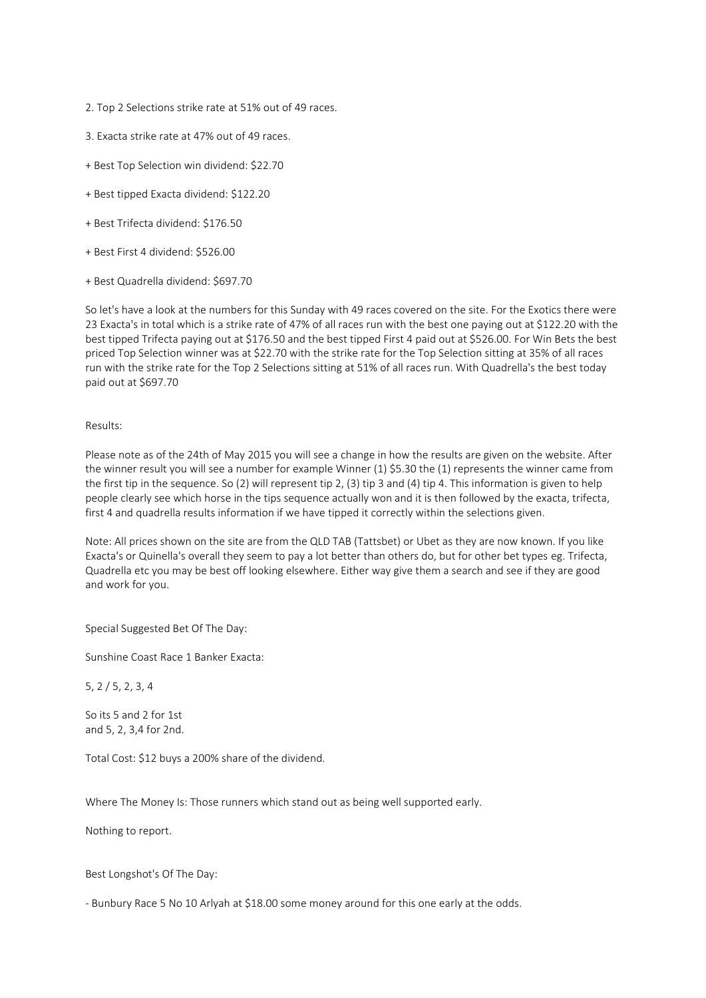- 2. Top 2 Selections strike rate at 51% out of 49 races.
- 3. Exacta strike rate at 47% out of 49 races.
- + Best Top Selection win dividend: \$22.70
- + Best tipped Exacta dividend: \$122.20
- + Best Trifecta dividend: \$176.50
- + Best First 4 dividend: \$526.00
- + Best Quadrella dividend: \$697.70

So let's have a look at the numbers for this Sunday with 49 races covered on the site. For the Exotics there were 23 Exacta's in total which is a strike rate of 47% of all races run with the best one paying out at \$122.20 with the best tipped Trifecta paying out at \$176.50 and the best tipped First 4 paid out at \$526.00. For Win Bets the best priced Top Selection winner was at \$22.70 with the strike rate for the Top Selection sitting at 35% of all races run with the strike rate for the Top 2 Selections sitting at 51% of all races run. With Quadrella's the best today paid out at \$697.70

### Results:

Please note as of the 24th of May 2015 you will see a change in how the results are given on the website. After the winner result you will see a number for example Winner (1) \$5.30 the (1) represents the winner came from the first tip in the sequence. So (2) will represent tip 2, (3) tip 3 and (4) tip 4. This information is given to help people clearly see which horse in the tips sequence actually won and it is then followed by the exacta, trifecta, first 4 and quadrella results information if we have tipped it correctly within the selections given.

Note: All prices shown on the site are from the QLD TAB (Tattsbet) or Ubet as they are now known. If you like Exacta's or Quinella's overall they seem to pay a lot better than others do, but for other bet types eg. Trifecta, Quadrella etc you may be best off looking elsewhere. Either way give them a search and see if they are good and work for you.

Special Suggested Bet Of The Day:

Sunshine Coast Race 1 Banker Exacta:

5, 2 / 5, 2, 3, 4

So its 5 and 2 for 1st and 5, 2, 3,4 for 2nd.

Total Cost: \$12 buys a 200% share of the dividend.

Where The Money Is: Those runners which stand out as being well supported early.

Nothing to report.

Best Longshot's Of The Day:

- Bunbury Race 5 No 10 Arlyah at \$18.00 some money around for this one early at the odds.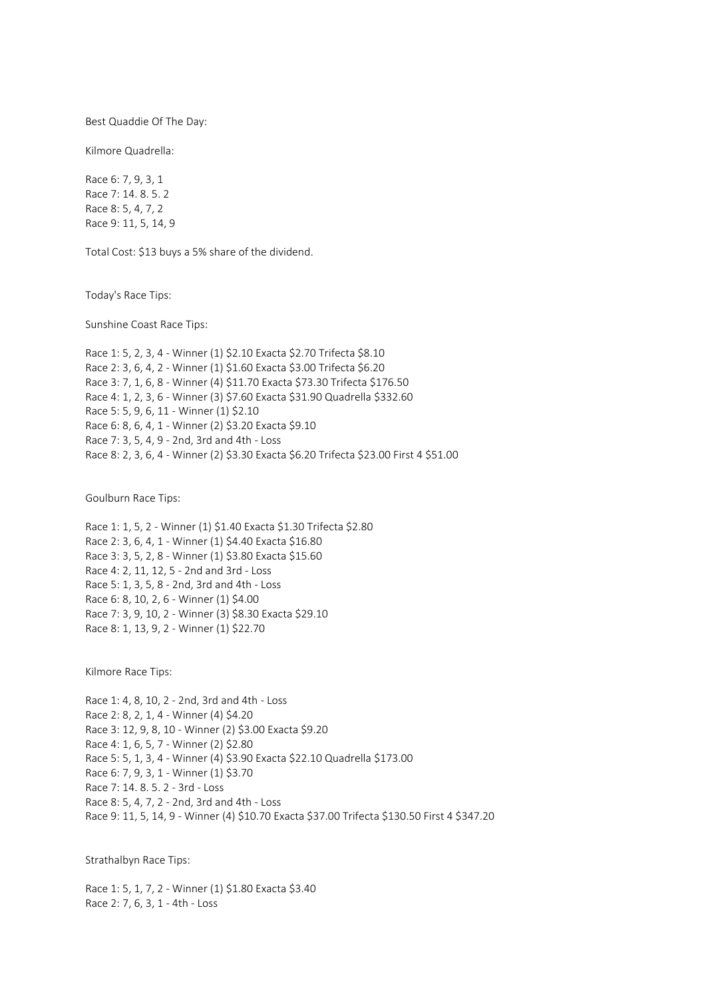Best Quaddie Of The Day:

Kilmore Quadrella:

Race 6: 7, 9, 3, 1 Race 7: 14. 8. 5. 2 Race 8: 5, 4, 7, 2 Race 9: 11, 5, 14, 9

Total Cost: \$13 buys a 5% share of the dividend.

Today's Race Tips:

Sunshine Coast Race Tips:

Race 1: 5, 2, 3, 4 - Winner (1) \$2.10 Exacta \$2.70 Trifecta \$8.10 Race 2: 3, 6, 4, 2 - Winner (1) \$1.60 Exacta \$3.00 Trifecta \$6.20 Race 3: 7, 1, 6, 8 - Winner (4) \$11.70 Exacta \$73.30 Trifecta \$176.50 Race 4: 1, 2, 3, 6 - Winner (3) \$7.60 Exacta \$31.90 Quadrella \$332.60 Race 5: 5, 9, 6, 11 - Winner (1) \$2.10 Race 6: 8, 6, 4, 1 - Winner (2) \$3.20 Exacta \$9.10 Race 7: 3, 5, 4, 9 - 2nd, 3rd and 4th - Loss Race 8: 2, 3, 6, 4 - Winner (2) \$3.30 Exacta \$6.20 Trifecta \$23.00 First 4 \$51.00

Goulburn Race Tips:

Race 1: 1, 5, 2 - Winner (1) \$1.40 Exacta \$1.30 Trifecta \$2.80 Race 2: 3, 6, 4, 1 - Winner (1) \$4.40 Exacta \$16.80 Race 3: 3, 5, 2, 8 - Winner (1) \$3.80 Exacta \$15.60 Race 4: 2, 11, 12, 5 - 2nd and 3rd - Loss Race 5: 1, 3, 5, 8 - 2nd, 3rd and 4th - Loss Race 6: 8, 10, 2, 6 - Winner (1) \$4.00 Race 7: 3, 9, 10, 2 - Winner (3) \$8.30 Exacta \$29.10 Race 8: 1, 13, 9, 2 - Winner (1) \$22.70

Kilmore Race Tips:

Race 1: 4, 8, 10, 2 - 2nd, 3rd and 4th - Loss Race 2: 8, 2, 1, 4 - Winner (4) \$4.20 Race 3: 12, 9, 8, 10 - Winner (2) \$3.00 Exacta \$9.20 Race 4: 1, 6, 5, 7 - Winner (2) \$2.80 Race 5: 5, 1, 3, 4 - Winner (4) \$3.90 Exacta \$22.10 Quadrella \$173.00 Race 6: 7, 9, 3, 1 - Winner (1) \$3.70 Race 7: 14. 8. 5. 2 - 3rd - Loss Race 8: 5, 4, 7, 2 - 2nd, 3rd and 4th - Loss Race 9: 11, 5, 14, 9 - Winner (4) \$10.70 Exacta \$37.00 Trifecta \$130.50 First 4 \$347.20

Strathalbyn Race Tips:

Race 1: 5, 1, 7, 2 - Winner (1) \$1.80 Exacta \$3.40 Race 2: 7, 6, 3, 1 - 4th - Loss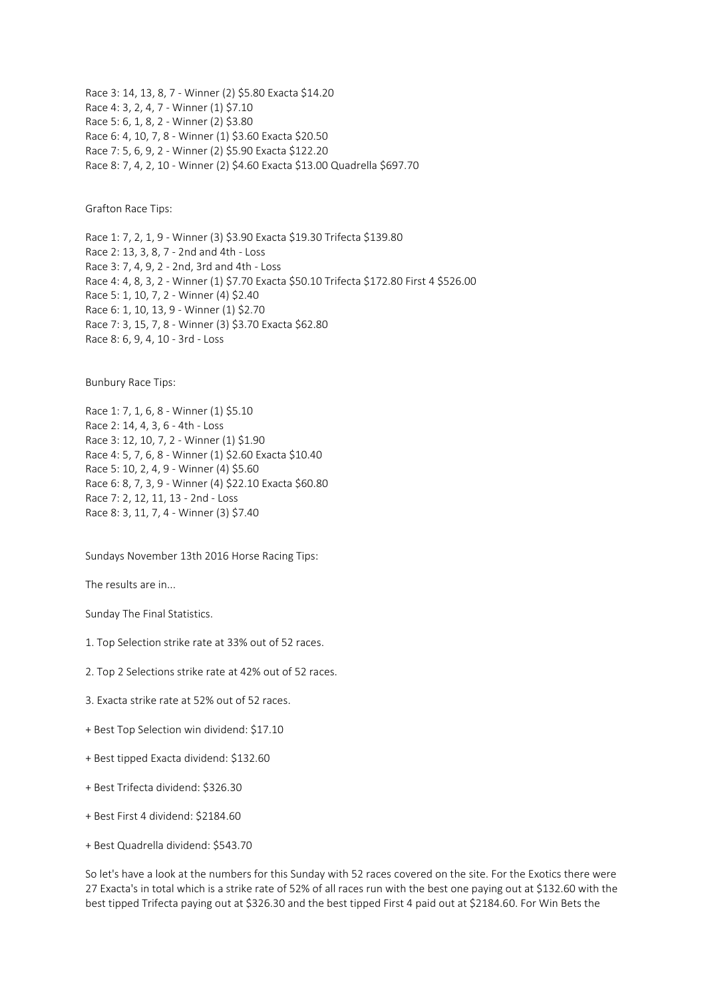Race 3: 14, 13, 8, 7 - Winner (2) \$5.80 Exacta \$14.20 Race 4: 3, 2, 4, 7 - Winner (1) \$7.10 Race 5: 6, 1, 8, 2 - Winner (2) \$3.80 Race 6: 4, 10, 7, 8 - Winner (1) \$3.60 Exacta \$20.50 Race 7: 5, 6, 9, 2 - Winner (2) \$5.90 Exacta \$122.20 Race 8: 7, 4, 2, 10 - Winner (2) \$4.60 Exacta \$13.00 Quadrella \$697.70

Grafton Race Tips:

Race 1: 7, 2, 1, 9 - Winner (3) \$3.90 Exacta \$19.30 Trifecta \$139.80 Race 2: 13, 3, 8, 7 - 2nd and 4th - Loss Race 3: 7, 4, 9, 2 - 2nd, 3rd and 4th - Loss Race 4: 4, 8, 3, 2 - Winner (1) \$7.70 Exacta \$50.10 Trifecta \$172.80 First 4 \$526.00 Race 5: 1, 10, 7, 2 - Winner (4) \$2.40 Race 6: 1, 10, 13, 9 - Winner (1) \$2.70 Race 7: 3, 15, 7, 8 - Winner (3) \$3.70 Exacta \$62.80 Race 8: 6, 9, 4, 10 - 3rd - Loss

Bunbury Race Tips:

Race 1: 7, 1, 6, 8 - Winner (1) \$5.10 Race 2: 14, 4, 3, 6 - 4th - Loss Race 3: 12, 10, 7, 2 - Winner (1) \$1.90 Race 4: 5, 7, 6, 8 - Winner (1) \$2.60 Exacta \$10.40 Race 5: 10, 2, 4, 9 - Winner (4) \$5.60 Race 6: 8, 7, 3, 9 - Winner (4) \$22.10 Exacta \$60.80 Race 7: 2, 12, 11, 13 - 2nd - Loss Race 8: 3, 11, 7, 4 - Winner (3) \$7.40

Sundays November 13th 2016 Horse Racing Tips:

The results are in...

Sunday The Final Statistics.

1. Top Selection strike rate at 33% out of 52 races.

- 2. Top 2 Selections strike rate at 42% out of 52 races.
- 3. Exacta strike rate at 52% out of 52 races.
- + Best Top Selection win dividend: \$17.10
- + Best tipped Exacta dividend: \$132.60
- + Best Trifecta dividend: \$326.30
- + Best First 4 dividend: \$2184.60
- + Best Quadrella dividend: \$543.70

So let's have a look at the numbers for this Sunday with 52 races covered on the site. For the Exotics there were 27 Exacta's in total which is a strike rate of 52% of all races run with the best one paying out at \$132.60 with the best tipped Trifecta paying out at \$326.30 and the best tipped First 4 paid out at \$2184.60. For Win Bets the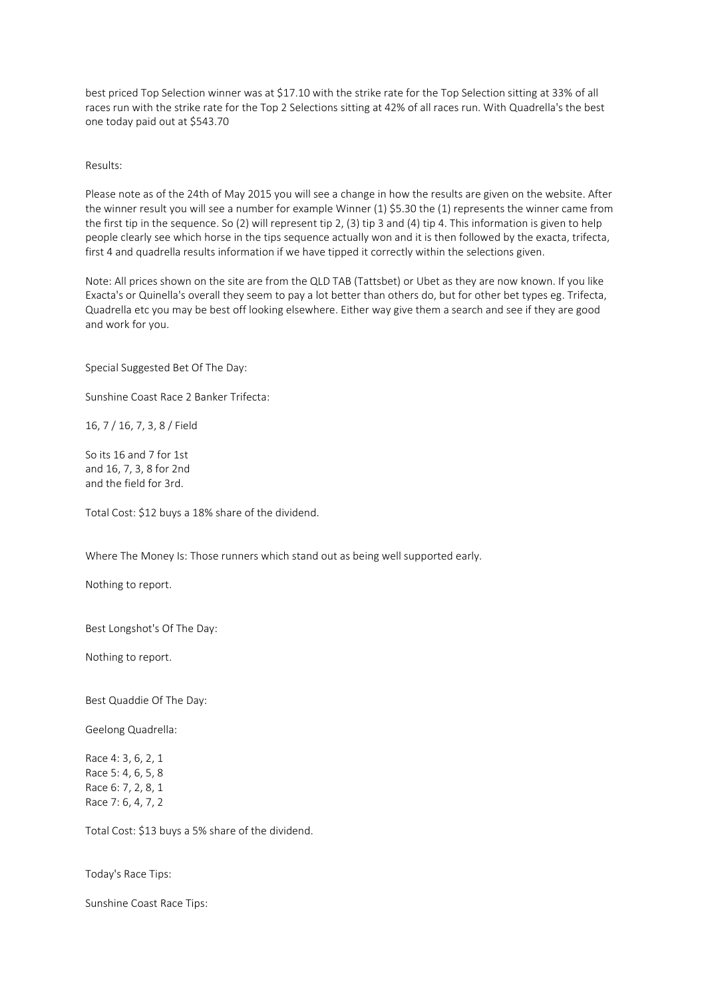best priced Top Selection winner was at \$17.10 with the strike rate for the Top Selection sitting at 33% of all races run with the strike rate for the Top 2 Selections sitting at 42% of all races run. With Quadrella's the best one today paid out at \$543.70

Results:

Please note as of the 24th of May 2015 you will see a change in how the results are given on the website. After the winner result you will see a number for example Winner (1) \$5.30 the (1) represents the winner came from the first tip in the sequence. So (2) will represent tip 2, (3) tip 3 and (4) tip 4. This information is given to help people clearly see which horse in the tips sequence actually won and it is then followed by the exacta, trifecta, first 4 and quadrella results information if we have tipped it correctly within the selections given.

Note: All prices shown on the site are from the QLD TAB (Tattsbet) or Ubet as they are now known. If you like Exacta's or Quinella's overall they seem to pay a lot better than others do, but for other bet types eg. Trifecta, Quadrella etc you may be best off looking elsewhere. Either way give them a search and see if they are good and work for you.

Special Suggested Bet Of The Day:

Sunshine Coast Race 2 Banker Trifecta:

16, 7 / 16, 7, 3, 8 / Field

So its 16 and 7 for 1st and 16, 7, 3, 8 for 2nd and the field for 3rd.

Total Cost: \$12 buys a 18% share of the dividend.

Where The Money Is: Those runners which stand out as being well supported early.

Nothing to report.

Best Longshot's Of The Day:

Nothing to report.

Best Quaddie Of The Day:

Geelong Quadrella:

Race 4: 3, 6, 2, 1 Race 5: 4, 6, 5, 8 Race 6: 7, 2, 8, 1 Race 7: 6, 4, 7, 2

Total Cost: \$13 buys a 5% share of the dividend.

Today's Race Tips:

Sunshine Coast Race Tips: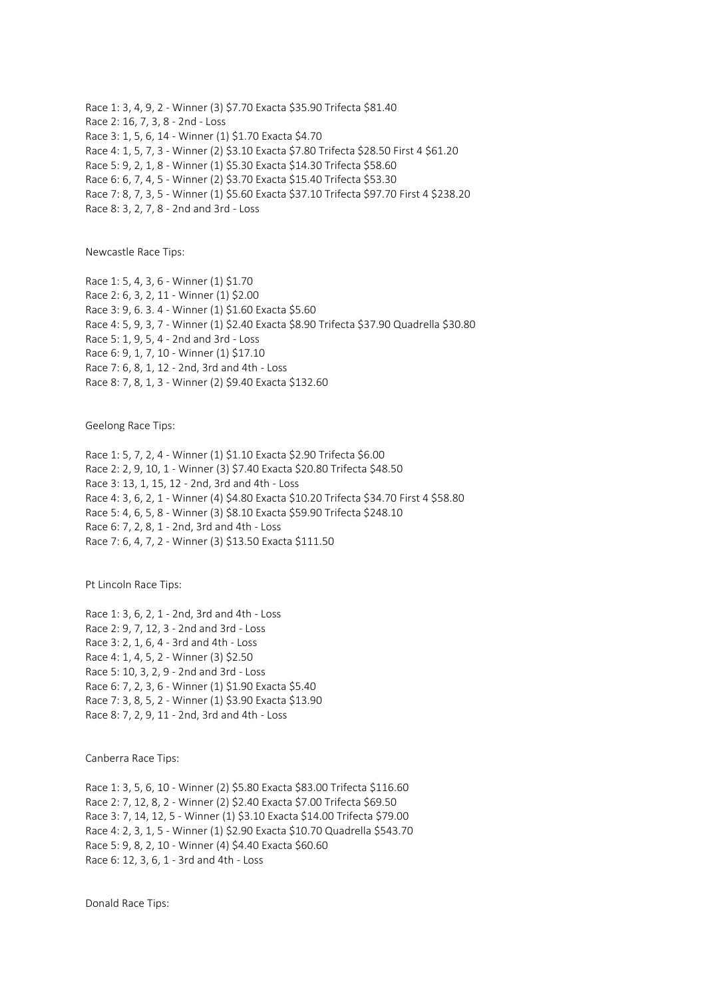Race 1: 3, 4, 9, 2 - Winner (3) \$7.70 Exacta \$35.90 Trifecta \$81.40 Race 2: 16, 7, 3, 8 - 2nd - Loss Race 3: 1, 5, 6, 14 - Winner (1) \$1.70 Exacta \$4.70 Race 4: 1, 5, 7, 3 - Winner (2) \$3.10 Exacta \$7.80 Trifecta \$28.50 First 4 \$61.20 Race 5: 9, 2, 1, 8 - Winner (1) \$5.30 Exacta \$14.30 Trifecta \$58.60 Race 6: 6, 7, 4, 5 - Winner (2) \$3.70 Exacta \$15.40 Trifecta \$53.30 Race 7: 8, 7, 3, 5 - Winner (1) \$5.60 Exacta \$37.10 Trifecta \$97.70 First 4 \$238.20 Race 8: 3, 2, 7, 8 - 2nd and 3rd - Loss

Newcastle Race Tips:

Race 1: 5, 4, 3, 6 - Winner (1) \$1.70 Race 2: 6, 3, 2, 11 - Winner (1) \$2.00 Race 3: 9, 6. 3. 4 - Winner (1) \$1.60 Exacta \$5.60 Race 4: 5, 9, 3, 7 - Winner (1) \$2.40 Exacta \$8.90 Trifecta \$37.90 Quadrella \$30.80 Race 5: 1, 9, 5, 4 - 2nd and 3rd - Loss Race 6: 9, 1, 7, 10 - Winner (1) \$17.10 Race 7: 6, 8, 1, 12 - 2nd, 3rd and 4th - Loss Race 8: 7, 8, 1, 3 - Winner (2) \$9.40 Exacta \$132.60

Geelong Race Tips:

Race 1: 5, 7, 2, 4 - Winner (1) \$1.10 Exacta \$2.90 Trifecta \$6.00 Race 2: 2, 9, 10, 1 - Winner (3) \$7.40 Exacta \$20.80 Trifecta \$48.50 Race 3: 13, 1, 15, 12 - 2nd, 3rd and 4th - Loss Race 4: 3, 6, 2, 1 - Winner (4) \$4.80 Exacta \$10.20 Trifecta \$34.70 First 4 \$58.80 Race 5: 4, 6, 5, 8 - Winner (3) \$8.10 Exacta \$59.90 Trifecta \$248.10 Race 6: 7, 2, 8, 1 - 2nd, 3rd and 4th - Loss Race 7: 6, 4, 7, 2 - Winner (3) \$13.50 Exacta \$111.50

Pt Lincoln Race Tips:

Race 1: 3, 6, 2, 1 - 2nd, 3rd and 4th - Loss Race 2: 9, 7, 12, 3 - 2nd and 3rd - Loss Race 3: 2, 1, 6, 4 - 3rd and 4th - Loss Race 4: 1, 4, 5, 2 - Winner (3) \$2.50 Race 5: 10, 3, 2, 9 - 2nd and 3rd - Loss Race 6: 7, 2, 3, 6 - Winner (1) \$1.90 Exacta \$5.40 Race 7: 3, 8, 5, 2 - Winner (1) \$3.90 Exacta \$13.90 Race 8: 7, 2, 9, 11 - 2nd, 3rd and 4th - Loss

Canberra Race Tips:

Race 1: 3, 5, 6, 10 - Winner (2) \$5.80 Exacta \$83.00 Trifecta \$116.60 Race 2: 7, 12, 8, 2 - Winner (2) \$2.40 Exacta \$7.00 Trifecta \$69.50 Race 3: 7, 14, 12, 5 - Winner (1) \$3.10 Exacta \$14.00 Trifecta \$79.00 Race 4: 2, 3, 1, 5 - Winner (1) \$2.90 Exacta \$10.70 Quadrella \$543.70 Race 5: 9, 8, 2, 10 - Winner (4) \$4.40 Exacta \$60.60 Race 6: 12, 3, 6, 1 - 3rd and 4th - Loss

Donald Race Tips: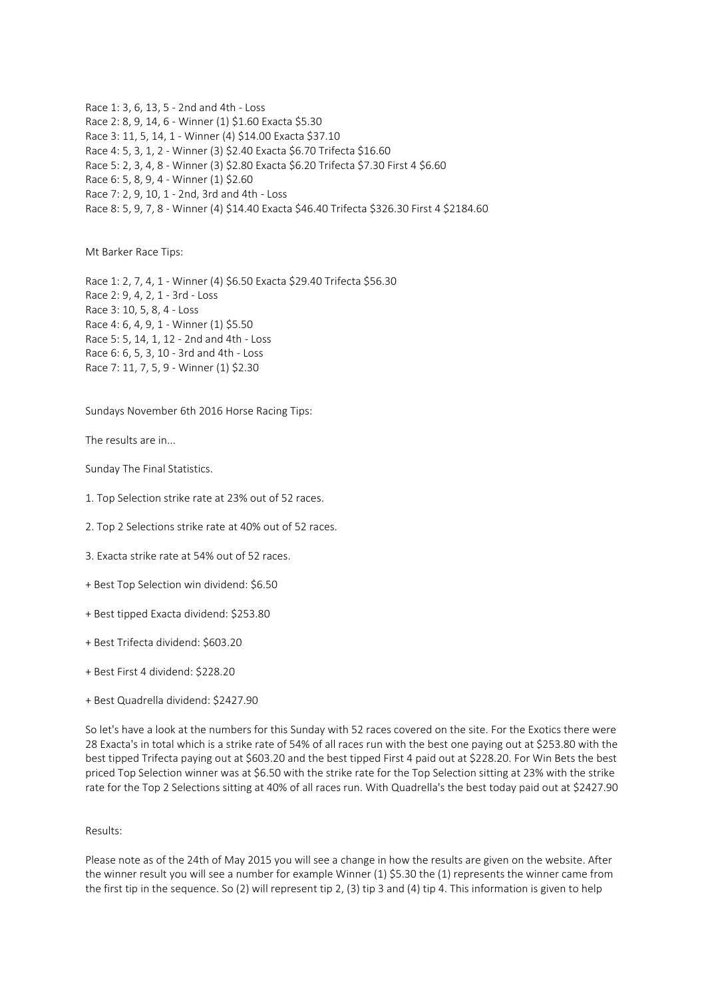Race 1: 3, 6, 13, 5 - 2nd and 4th - Loss Race 2: 8, 9, 14, 6 - Winner (1) \$1.60 Exacta \$5.30 Race 3: 11, 5, 14, 1 - Winner (4) \$14.00 Exacta \$37.10 Race 4: 5, 3, 1, 2 - Winner (3) \$2.40 Exacta \$6.70 Trifecta \$16.60 Race 5: 2, 3, 4, 8 - Winner (3) \$2.80 Exacta \$6.20 Trifecta \$7.30 First 4 \$6.60 Race 6: 5, 8, 9, 4 - Winner (1) \$2.60 Race 7: 2, 9, 10, 1 - 2nd, 3rd and 4th - Loss Race 8: 5, 9, 7, 8 - Winner (4) \$14.40 Exacta \$46.40 Trifecta \$326.30 First 4 \$2184.60

Mt Barker Race Tips:

Race 1: 2, 7, 4, 1 - Winner (4) \$6.50 Exacta \$29.40 Trifecta \$56.30 Race 2: 9, 4, 2, 1 - 3rd - Loss Race 3: 10, 5, 8, 4 - Loss Race 4: 6, 4, 9, 1 - Winner (1) \$5.50 Race 5: 5, 14, 1, 12 - 2nd and 4th - Loss Race 6: 6, 5, 3, 10 - 3rd and 4th - Loss Race 7: 11, 7, 5, 9 - Winner (1) \$2.30

Sundays November 6th 2016 Horse Racing Tips:

The results are in...

Sunday The Final Statistics.

- 1. Top Selection strike rate at 23% out of 52 races.
- 2. Top 2 Selections strike rate at 40% out of 52 races.
- 3. Exacta strike rate at 54% out of 52 races.
- + Best Top Selection win dividend: \$6.50
- + Best tipped Exacta dividend: \$253.80
- + Best Trifecta dividend: \$603.20
- + Best First 4 dividend: \$228.20
- + Best Quadrella dividend: \$2427.90

So let's have a look at the numbers for this Sunday with 52 races covered on the site. For the Exotics there were 28 Exacta's in total which is a strike rate of 54% of all races run with the best one paying out at \$253.80 with the best tipped Trifecta paying out at \$603.20 and the best tipped First 4 paid out at \$228.20. For Win Bets the best priced Top Selection winner was at \$6.50 with the strike rate for the Top Selection sitting at 23% with the strike rate for the Top 2 Selections sitting at 40% of all races run. With Quadrella's the best today paid out at \$2427.90

## Results:

Please note as of the 24th of May 2015 you will see a change in how the results are given on the website. After the winner result you will see a number for example Winner (1) \$5.30 the (1) represents the winner came from the first tip in the sequence. So (2) will represent tip 2, (3) tip 3 and (4) tip 4. This information is given to help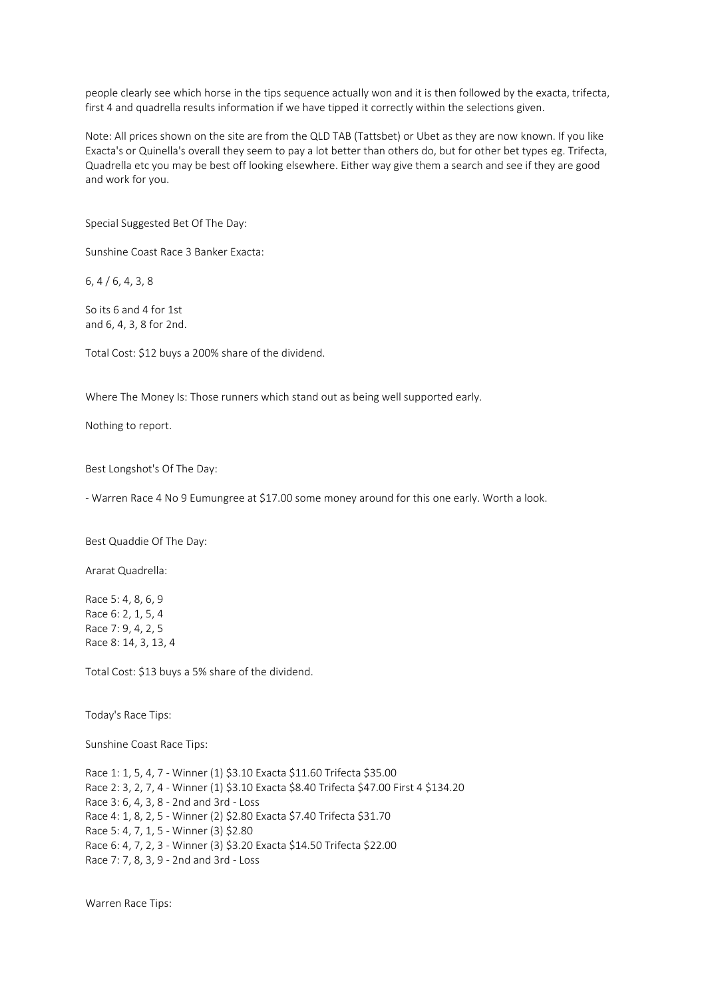people clearly see which horse in the tips sequence actually won and it is then followed by the exacta, trifecta, first 4 and quadrella results information if we have tipped it correctly within the selections given.

Note: All prices shown on the site are from the QLD TAB (Tattsbet) or Ubet as they are now known. If you like Exacta's or Quinella's overall they seem to pay a lot better than others do, but for other bet types eg. Trifecta, Quadrella etc you may be best off looking elsewhere. Either way give them a search and see if they are good and work for you.

Special Suggested Bet Of The Day:

Sunshine Coast Race 3 Banker Exacta:

6, 4 / 6, 4, 3, 8

So its 6 and 4 for 1st and 6, 4, 3, 8 for 2nd.

Total Cost: \$12 buys a 200% share of the dividend.

Where The Money Is: Those runners which stand out as being well supported early.

Nothing to report.

Best Longshot's Of The Day:

- Warren Race 4 No 9 Eumungree at \$17.00 some money around for this one early. Worth a look.

Best Quaddie Of The Day:

Ararat Quadrella:

Race 5: 4, 8, 6, 9 Race 6: 2, 1, 5, 4 Race 7: 9, 4, 2, 5 Race 8: 14, 3, 13, 4

Total Cost: \$13 buys a 5% share of the dividend.

Today's Race Tips:

Sunshine Coast Race Tips:

Race 1: 1, 5, 4, 7 - Winner (1) \$3.10 Exacta \$11.60 Trifecta \$35.00 Race 2: 3, 2, 7, 4 - Winner (1) \$3.10 Exacta \$8.40 Trifecta \$47.00 First 4 \$134.20 Race 3: 6, 4, 3, 8 - 2nd and 3rd - Loss Race 4: 1, 8, 2, 5 - Winner (2) \$2.80 Exacta \$7.40 Trifecta \$31.70 Race 5: 4, 7, 1, 5 - Winner (3) \$2.80 Race 6: 4, 7, 2, 3 - Winner (3) \$3.20 Exacta \$14.50 Trifecta \$22.00 Race 7: 7, 8, 3, 9 - 2nd and 3rd - Loss

Warren Race Tips: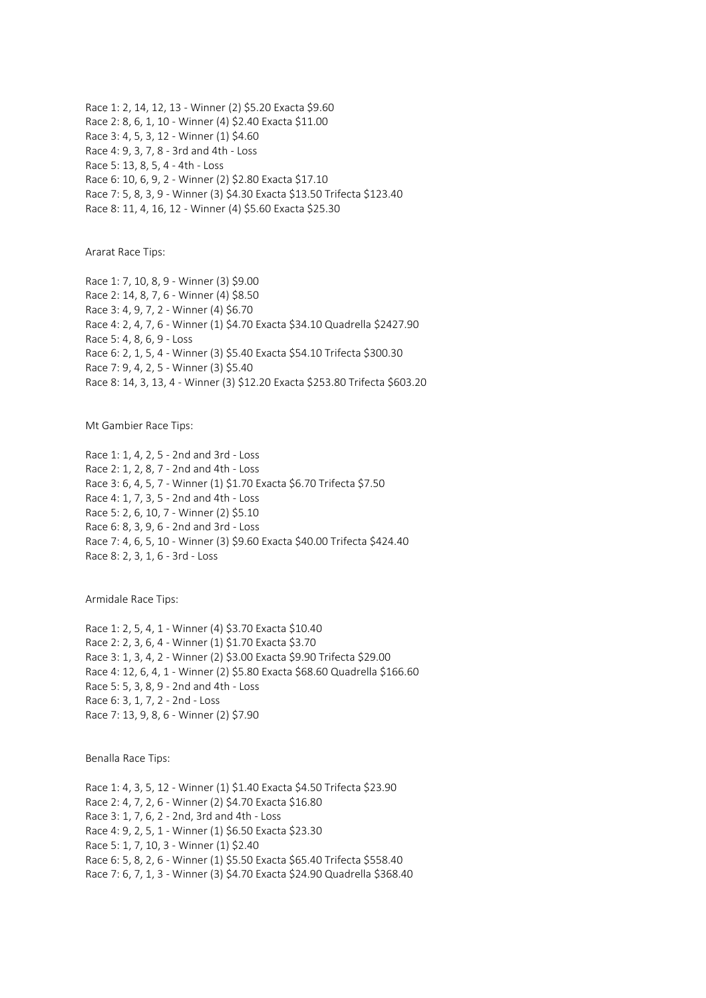Race 1: 2, 14, 12, 13 - Winner (2) \$5.20 Exacta \$9.60 Race 2: 8, 6, 1, 10 - Winner (4) \$2.40 Exacta \$11.00 Race 3: 4, 5, 3, 12 - Winner (1) \$4.60 Race 4: 9, 3, 7, 8 - 3rd and 4th - Loss Race 5: 13, 8, 5, 4 - 4th - Loss Race 6: 10, 6, 9, 2 - Winner (2) \$2.80 Exacta \$17.10 Race 7: 5, 8, 3, 9 - Winner (3) \$4.30 Exacta \$13.50 Trifecta \$123.40 Race 8: 11, 4, 16, 12 - Winner (4) \$5.60 Exacta \$25.30

Ararat Race Tips:

Race 1: 7, 10, 8, 9 - Winner (3) \$9.00 Race 2: 14, 8, 7, 6 - Winner (4) \$8.50 Race 3: 4, 9, 7, 2 - Winner (4) \$6.70 Race 4: 2, 4, 7, 6 - Winner (1) \$4.70 Exacta \$34.10 Quadrella \$2427.90 Race 5: 4, 8, 6, 9 - Loss Race 6: 2, 1, 5, 4 - Winner (3) \$5.40 Exacta \$54.10 Trifecta \$300.30 Race 7: 9, 4, 2, 5 - Winner (3) \$5.40 Race 8: 14, 3, 13, 4 - Winner (3) \$12.20 Exacta \$253.80 Trifecta \$603.20

Mt Gambier Race Tips:

Race 1: 1, 4, 2, 5 - 2nd and 3rd - Loss Race 2: 1, 2, 8, 7 - 2nd and 4th - Loss Race 3: 6, 4, 5, 7 - Winner (1) \$1.70 Exacta \$6.70 Trifecta \$7.50 Race 4: 1, 7, 3, 5 - 2nd and 4th - Loss Race 5: 2, 6, 10, 7 - Winner (2) \$5.10 Race 6: 8, 3, 9, 6 - 2nd and 3rd - Loss Race 7: 4, 6, 5, 10 - Winner (3) \$9.60 Exacta \$40.00 Trifecta \$424.40 Race 8: 2, 3, 1, 6 - 3rd - Loss

Armidale Race Tips:

Race 1: 2, 5, 4, 1 - Winner (4) \$3.70 Exacta \$10.40 Race 2: 2, 3, 6, 4 - Winner (1) \$1.70 Exacta \$3.70 Race 3: 1, 3, 4, 2 - Winner (2) \$3.00 Exacta \$9.90 Trifecta \$29.00 Race 4: 12, 6, 4, 1 - Winner (2) \$5.80 Exacta \$68.60 Quadrella \$166.60 Race 5: 5, 3, 8, 9 - 2nd and 4th - Loss Race 6: 3, 1, 7, 2 - 2nd - Loss Race 7: 13, 9, 8, 6 - Winner (2) \$7.90

Benalla Race Tips:

Race 1: 4, 3, 5, 12 - Winner (1) \$1.40 Exacta \$4.50 Trifecta \$23.90 Race 2: 4, 7, 2, 6 - Winner (2) \$4.70 Exacta \$16.80 Race 3: 1, 7, 6, 2 - 2nd, 3rd and 4th - Loss Race 4: 9, 2, 5, 1 - Winner (1) \$6.50 Exacta \$23.30 Race 5: 1, 7, 10, 3 - Winner (1) \$2.40 Race 6: 5, 8, 2, 6 - Winner (1) \$5.50 Exacta \$65.40 Trifecta \$558.40 Race 7: 6, 7, 1, 3 - Winner (3) \$4.70 Exacta \$24.90 Quadrella \$368.40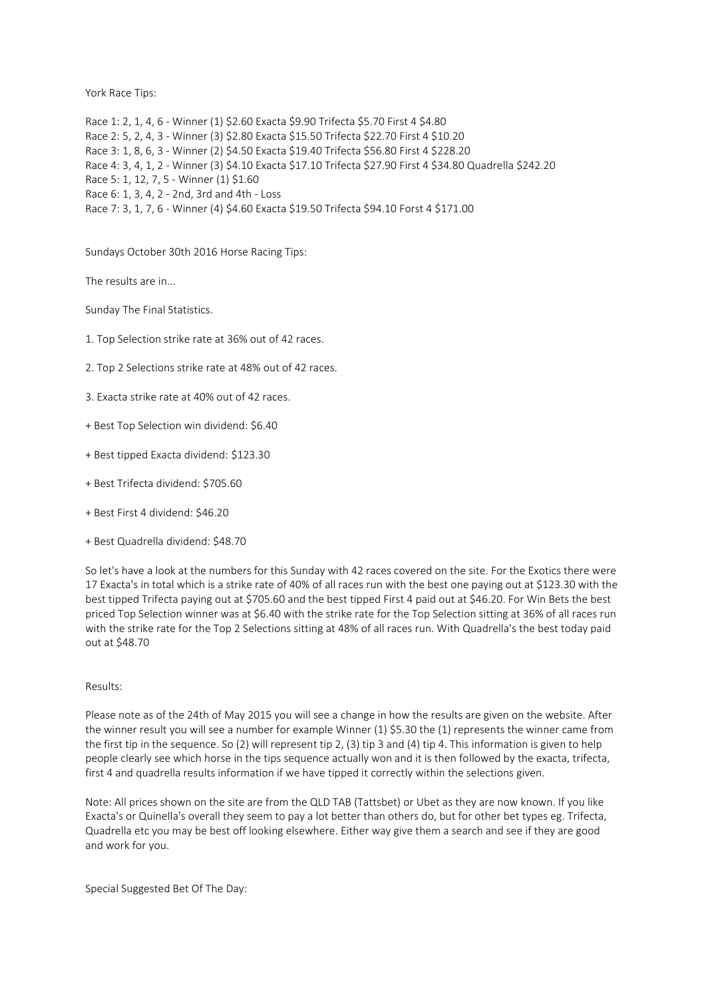York Race Tips:

Race 1: 2, 1, 4, 6 - Winner (1) \$2.60 Exacta \$9.90 Trifecta \$5.70 First 4 \$4.80 Race 2: 5, 2, 4, 3 - Winner (3) \$2.80 Exacta \$15.50 Trifecta \$22.70 First 4 \$10.20 Race 3: 1, 8, 6, 3 - Winner (2) \$4.50 Exacta \$19.40 Trifecta \$56.80 First 4 \$228.20 Race 4: 3, 4, 1, 2 - Winner (3) \$4.10 Exacta \$17.10 Trifecta \$27.90 First 4 \$34.80 Quadrella \$242.20 Race 5: 1, 12, 7, 5 - Winner (1) \$1.60 Race 6: 1, 3, 4, 2 - 2nd, 3rd and 4th - Loss Race 7: 3, 1, 7, 6 - Winner (4) \$4.60 Exacta \$19.50 Trifecta \$94.10 Forst 4 \$171.00

Sundays October 30th 2016 Horse Racing Tips:

The results are in...

Sunday The Final Statistics.

- 1. Top Selection strike rate at 36% out of 42 races.
- 2. Top 2 Selections strike rate at 48% out of 42 races.
- 3. Exacta strike rate at 40% out of 42 races.
- + Best Top Selection win dividend: \$6.40
- + Best tipped Exacta dividend: \$123.30
- + Best Trifecta dividend: \$705.60
- + Best First 4 dividend: \$46.20
- + Best Quadrella dividend: \$48.70

So let's have a look at the numbers for this Sunday with 42 races covered on the site. For the Exotics there were 17 Exacta's in total which is a strike rate of 40% of all races run with the best one paying out at \$123.30 with the best tipped Trifecta paying out at \$705.60 and the best tipped First 4 paid out at \$46.20. For Win Bets the best priced Top Selection winner was at \$6.40 with the strike rate for the Top Selection sitting at 36% of all races run with the strike rate for the Top 2 Selections sitting at 48% of all races run. With Quadrella's the best today paid out at \$48.70

# Results:

Please note as of the 24th of May 2015 you will see a change in how the results are given on the website. After the winner result you will see a number for example Winner (1) \$5.30 the (1) represents the winner came from the first tip in the sequence. So (2) will represent tip 2, (3) tip 3 and (4) tip 4. This information is given to help people clearly see which horse in the tips sequence actually won and it is then followed by the exacta, trifecta, first 4 and quadrella results information if we have tipped it correctly within the selections given.

Note: All prices shown on the site are from the QLD TAB (Tattsbet) or Ubet as they are now known. If you like Exacta's or Quinella's overall they seem to pay a lot better than others do, but for other bet types eg. Trifecta, Quadrella etc you may be best off looking elsewhere. Either way give them a search and see if they are good and work for you.

Special Suggested Bet Of The Day: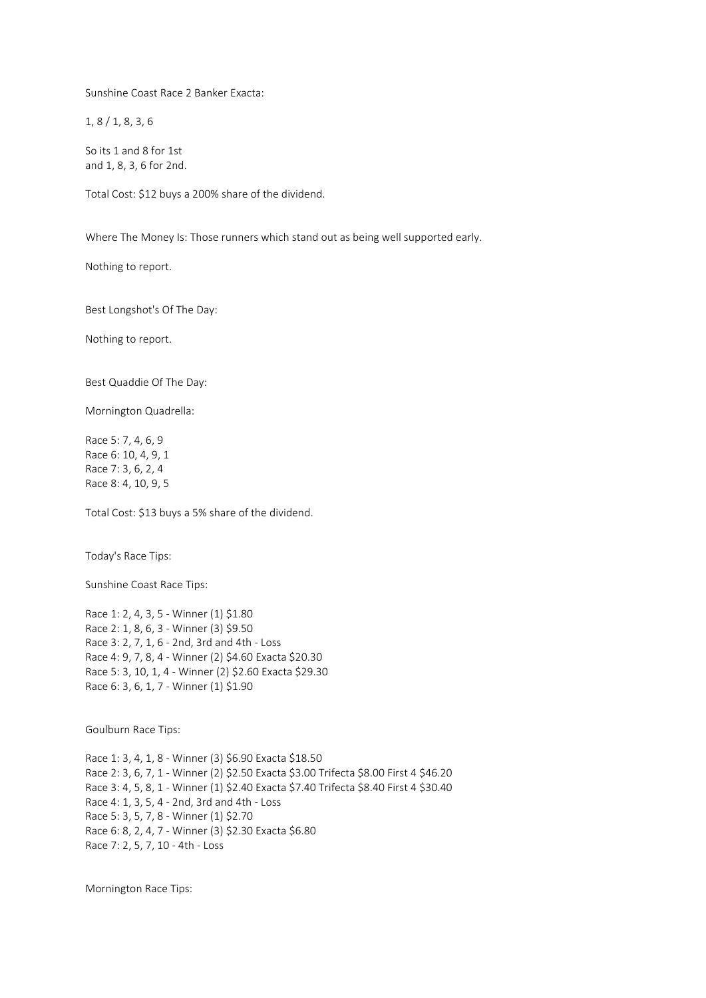Sunshine Coast Race 2 Banker Exacta:

1, 8 / 1, 8, 3, 6

So its 1 and 8 for 1st and 1, 8, 3, 6 for 2nd.

Total Cost: \$12 buys a 200% share of the dividend.

Where The Money Is: Those runners which stand out as being well supported early.

Nothing to report.

Best Longshot's Of The Day:

Nothing to report.

Best Quaddie Of The Day:

Mornington Quadrella:

Race 5: 7, 4, 6, 9 Race 6: 10, 4, 9, 1 Race 7: 3, 6, 2, 4 Race 8: 4, 10, 9, 5

Total Cost: \$13 buys a 5% share of the dividend.

Today's Race Tips:

Sunshine Coast Race Tips:

Race 1: 2, 4, 3, 5 - Winner (1) \$1.80 Race 2: 1, 8, 6, 3 - Winner (3) \$9.50 Race 3: 2, 7, 1, 6 - 2nd, 3rd and 4th - Loss Race 4: 9, 7, 8, 4 - Winner (2) \$4.60 Exacta \$20.30 Race 5: 3, 10, 1, 4 - Winner (2) \$2.60 Exacta \$29.30 Race 6: 3, 6, 1, 7 - Winner (1) \$1.90

Goulburn Race Tips:

Race 1: 3, 4, 1, 8 - Winner (3) \$6.90 Exacta \$18.50 Race 2: 3, 6, 7, 1 - Winner (2) \$2.50 Exacta \$3.00 Trifecta \$8.00 First 4 \$46.20 Race 3: 4, 5, 8, 1 - Winner (1) \$2.40 Exacta \$7.40 Trifecta \$8.40 First 4 \$30.40 Race 4: 1, 3, 5, 4 - 2nd, 3rd and 4th - Loss Race 5: 3, 5, 7, 8 - Winner (1) \$2.70 Race 6: 8, 2, 4, 7 - Winner (3) \$2.30 Exacta \$6.80 Race 7: 2, 5, 7, 10 - 4th - Loss

Mornington Race Tips: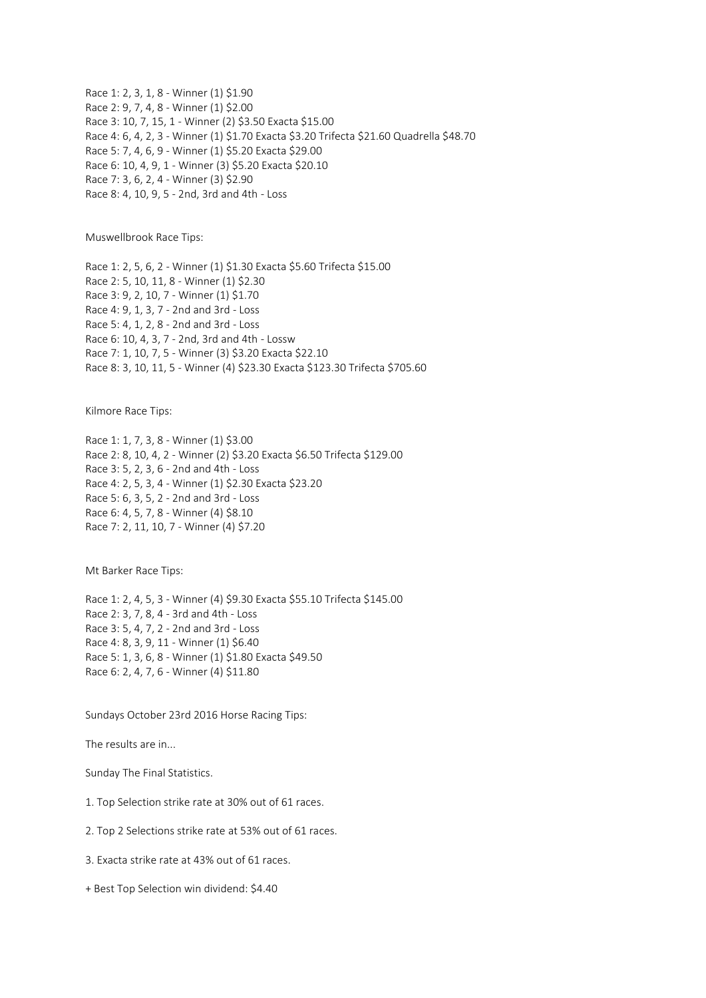Race 1: 2, 3, 1, 8 - Winner (1) \$1.90 Race 2: 9, 7, 4, 8 - Winner (1) \$2.00 Race 3: 10, 7, 15, 1 - Winner (2) \$3.50 Exacta \$15.00 Race 4: 6, 4, 2, 3 - Winner (1) \$1.70 Exacta \$3.20 Trifecta \$21.60 Quadrella \$48.70 Race 5: 7, 4, 6, 9 - Winner (1) \$5.20 Exacta \$29.00 Race 6: 10, 4, 9, 1 - Winner (3) \$5.20 Exacta \$20.10 Race 7: 3, 6, 2, 4 - Winner (3) \$2.90 Race 8: 4, 10, 9, 5 - 2nd, 3rd and 4th - Loss

Muswellbrook Race Tips:

Race 1: 2, 5, 6, 2 - Winner (1) \$1.30 Exacta \$5.60 Trifecta \$15.00 Race 2: 5, 10, 11, 8 - Winner (1) \$2.30 Race 3: 9, 2, 10, 7 - Winner (1) \$1.70 Race 4: 9, 1, 3, 7 - 2nd and 3rd - Loss Race 5: 4, 1, 2, 8 - 2nd and 3rd - Loss Race 6: 10, 4, 3, 7 - 2nd, 3rd and 4th - Lossw Race 7: 1, 10, 7, 5 - Winner (3) \$3.20 Exacta \$22.10 Race 8: 3, 10, 11, 5 - Winner (4) \$23.30 Exacta \$123.30 Trifecta \$705.60

Kilmore Race Tips:

Race 1: 1, 7, 3, 8 - Winner (1) \$3.00 Race 2: 8, 10, 4, 2 - Winner (2) \$3.20 Exacta \$6.50 Trifecta \$129.00 Race 3: 5, 2, 3, 6 - 2nd and 4th - Loss Race 4: 2, 5, 3, 4 - Winner (1) \$2.30 Exacta \$23.20 Race 5: 6, 3, 5, 2 - 2nd and 3rd - Loss Race 6: 4, 5, 7, 8 - Winner (4) \$8.10 Race 7: 2, 11, 10, 7 - Winner (4) \$7.20

Mt Barker Race Tips:

Race 1: 2, 4, 5, 3 - Winner (4) \$9.30 Exacta \$55.10 Trifecta \$145.00 Race 2: 3, 7, 8, 4 - 3rd and 4th - Loss Race 3: 5, 4, 7, 2 - 2nd and 3rd - Loss Race 4: 8, 3, 9, 11 - Winner (1) \$6.40 Race 5: 1, 3, 6, 8 - Winner (1) \$1.80 Exacta \$49.50 Race 6: 2, 4, 7, 6 - Winner (4) \$11.80

Sundays October 23rd 2016 Horse Racing Tips:

The results are in...

Sunday The Final Statistics.

1. Top Selection strike rate at 30% out of 61 races.

2. Top 2 Selections strike rate at 53% out of 61 races.

3. Exacta strike rate at 43% out of 61 races.

+ Best Top Selection win dividend: \$4.40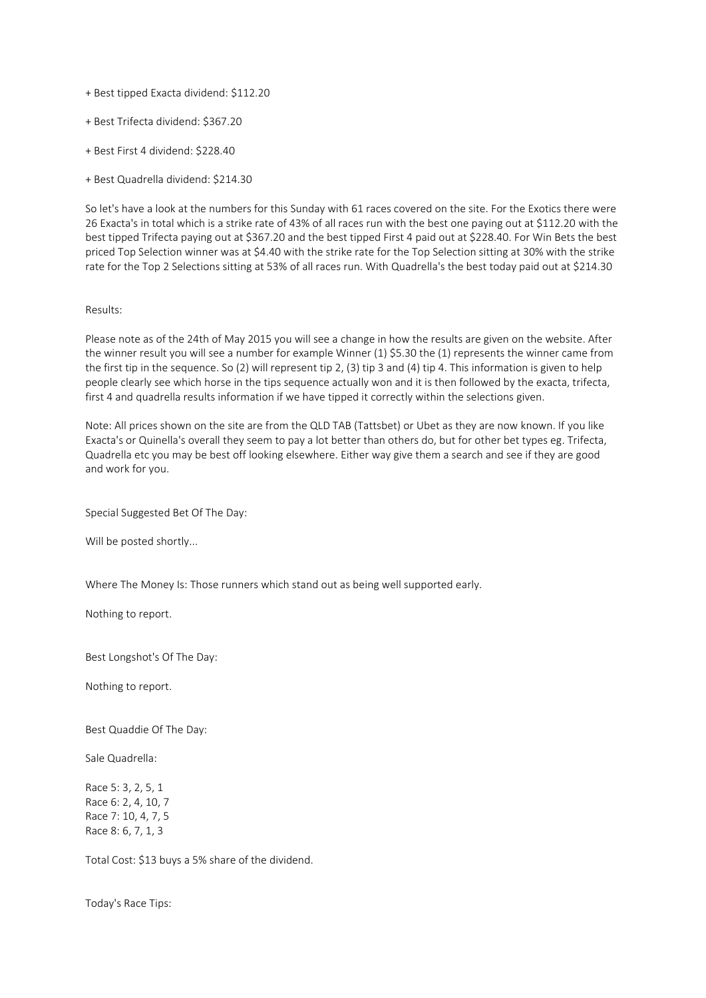- + Best tipped Exacta dividend: \$112.20
- + Best Trifecta dividend: \$367.20
- + Best First 4 dividend: \$228.40
- + Best Quadrella dividend: \$214.30

So let's have a look at the numbers for this Sunday with 61 races covered on the site. For the Exotics there were 26 Exacta's in total which is a strike rate of 43% of all races run with the best one paying out at \$112.20 with the best tipped Trifecta paying out at \$367.20 and the best tipped First 4 paid out at \$228.40. For Win Bets the best priced Top Selection winner was at \$4.40 with the strike rate for the Top Selection sitting at 30% with the strike rate for the Top 2 Selections sitting at 53% of all races run. With Quadrella's the best today paid out at \$214.30

# Results:

Please note as of the 24th of May 2015 you will see a change in how the results are given on the website. After the winner result you will see a number for example Winner (1) \$5.30 the (1) represents the winner came from the first tip in the sequence. So (2) will represent tip 2, (3) tip 3 and (4) tip 4. This information is given to help people clearly see which horse in the tips sequence actually won and it is then followed by the exacta, trifecta, first 4 and quadrella results information if we have tipped it correctly within the selections given.

Note: All prices shown on the site are from the QLD TAB (Tattsbet) or Ubet as they are now known. If you like Exacta's or Quinella's overall they seem to pay a lot better than others do, but for other bet types eg. Trifecta, Quadrella etc you may be best off looking elsewhere. Either way give them a search and see if they are good and work for you.

Special Suggested Bet Of The Day:

Will be posted shortly...

Where The Money Is: Those runners which stand out as being well supported early.

Nothing to report.

Best Longshot's Of The Day:

Nothing to report.

Best Quaddie Of The Day:

Sale Quadrella:

Race 5: 3, 2, 5, 1 Race 6: 2, 4, 10, 7 Race 7: 10, 4, 7, 5 Race 8: 6, 7, 1, 3

Total Cost: \$13 buys a 5% share of the dividend.

Today's Race Tips: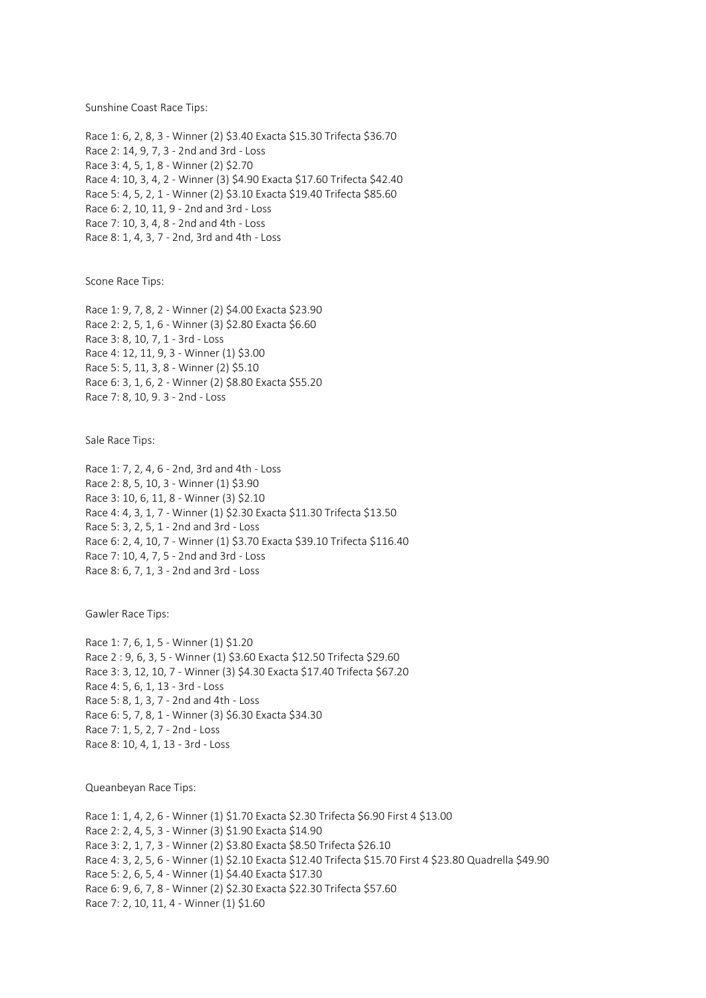Sunshine Coast Race Tips:

Race 1: 6, 2, 8, 3 - Winner (2) \$3.40 Exacta \$15.30 Trifecta \$36.70 Race 2: 14, 9, 7, 3 - 2nd and 3rd - Loss Race 3: 4, 5, 1, 8 - Winner (2) \$2.70 Race 4: 10, 3, 4, 2 - Winner (3) \$4.90 Exacta \$17.60 Trifecta \$42.40 Race 5: 4, 5, 2, 1 - Winner (2) \$3.10 Exacta \$19.40 Trifecta \$85.60 Race 6: 2, 10, 11, 9 - 2nd and 3rd - Loss Race 7: 10, 3, 4, 8 - 2nd and 4th - Loss Race 8: 1, 4, 3, 7 - 2nd, 3rd and 4th - Loss

Scone Race Tips:

Race 1: 9, 7, 8, 2 - Winner (2) \$4.00 Exacta \$23.90 Race 2: 2, 5, 1, 6 - Winner (3) \$2.80 Exacta \$6.60 Race 3: 8, 10, 7, 1 - 3rd - Loss Race 4: 12, 11, 9, 3 - Winner (1) \$3.00 Race 5: 5, 11, 3, 8 - Winner (2) \$5.10 Race 6: 3, 1, 6, 2 - Winner (2) \$8.80 Exacta \$55.20 Race 7: 8, 10, 9. 3 - 2nd - Loss

Sale Race Tips:

Race 1: 7, 2, 4, 6 - 2nd, 3rd and 4th - Loss Race 2: 8, 5, 10, 3 - Winner (1) \$3.90 Race 3: 10, 6, 11, 8 - Winner (3) \$2.10 Race 4: 4, 3, 1, 7 - Winner (1) \$2.30 Exacta \$11.30 Trifecta \$13.50 Race 5: 3, 2, 5, 1 - 2nd and 3rd - Loss Race 6: 2, 4, 10, 7 - Winner (1) \$3.70 Exacta \$39.10 Trifecta \$116.40 Race 7: 10, 4, 7, 5 - 2nd and 3rd - Loss Race 8: 6, 7, 1, 3 - 2nd and 3rd - Loss

Gawler Race Tips:

Race 1: 7, 6, 1, 5 - Winner (1) \$1.20 Race 2 : 9, 6, 3, 5 - Winner (1) \$3.60 Exacta \$12.50 Trifecta \$29.60 Race 3: 3, 12, 10, 7 - Winner (3) \$4.30 Exacta \$17.40 Trifecta \$67.20 Race 4: 5, 6, 1, 13 - 3rd - Loss Race 5: 8, 1, 3, 7 - 2nd and 4th - Loss Race 6: 5, 7, 8, 1 - Winner (3) \$6.30 Exacta \$34.30 Race 7: 1, 5, 2, 7 - 2nd - Loss Race 8: 10, 4, 1, 13 - 3rd - Loss

Queanbeyan Race Tips:

Race 1: 1, 4, 2, 6 - Winner (1) \$1.70 Exacta \$2.30 Trifecta \$6.90 First 4 \$13.00 Race 2: 2, 4, 5, 3 - Winner (3) \$1.90 Exacta \$14.90 Race 3: 2, 1, 7, 3 - Winner (2) \$3.80 Exacta \$8.50 Trifecta \$26.10 Race 4: 3, 2, 5, 6 - Winner (1) \$2.10 Exacta \$12.40 Trifecta \$15.70 First 4 \$23.80 Quadrella \$49.90 Race 5: 2, 6, 5, 4 - Winner (1) \$4.40 Exacta \$17.30 Race 6: 9, 6, 7, 8 - Winner (2) \$2.30 Exacta \$22.30 Trifecta \$57.60 Race 7: 2, 10, 11, 4 - Winner (1) \$1.60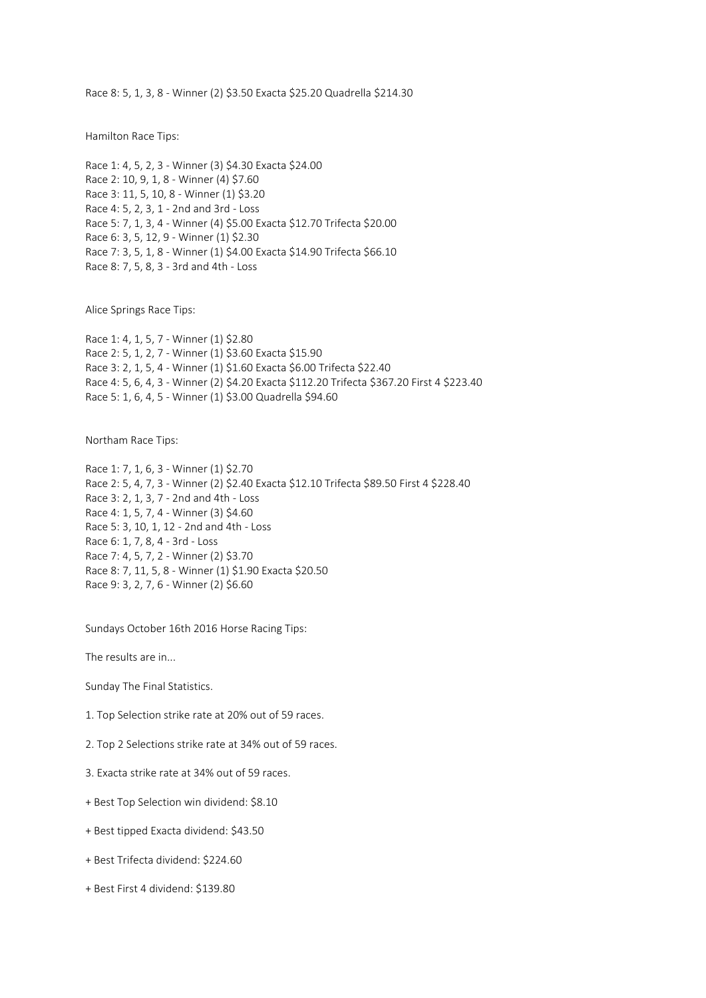Race 8: 5, 1, 3, 8 - Winner (2) \$3.50 Exacta \$25.20 Quadrella \$214.30

Hamilton Race Tips:

```
Race 1: 4, 5, 2, 3 - Winner (3) $4.30 Exacta $24.00
Race 2: 10, 9, 1, 8 - Winner (4) $7.60
Race 3: 11, 5, 10, 8 - Winner (1) $3.20
Race 4: 5, 2, 3, 1 - 2nd and 3rd - Loss
Race 5: 7, 1, 3, 4 - Winner (4) $5.00 Exacta $12.70 Trifecta $20.00
Race 6: 3, 5, 12, 9 - Winner (1) $2.30
Race 7: 3, 5, 1, 8 - Winner (1) $4.00 Exacta $14.90 Trifecta $66.10
Race 8: 7, 5, 8, 3 - 3rd and 4th - Loss
```
Alice Springs Race Tips:

Race 1: 4, 1, 5, 7 - Winner (1) \$2.80 Race 2: 5, 1, 2, 7 - Winner (1) \$3.60 Exacta \$15.90 Race 3: 2, 1, 5, 4 - Winner (1) \$1.60 Exacta \$6.00 Trifecta \$22.40 Race 4: 5, 6, 4, 3 - Winner (2) \$4.20 Exacta \$112.20 Trifecta \$367.20 First 4 \$223.40 Race 5: 1, 6, 4, 5 - Winner (1) \$3.00 Quadrella \$94.60

Northam Race Tips:

Race 1: 7, 1, 6, 3 - Winner (1) \$2.70 Race 2: 5, 4, 7, 3 - Winner (2) \$2.40 Exacta \$12.10 Trifecta \$89.50 First 4 \$228.40 Race 3: 2, 1, 3, 7 - 2nd and 4th - Loss Race 4: 1, 5, 7, 4 - Winner (3) \$4.60 Race 5: 3, 10, 1, 12 - 2nd and 4th - Loss Race 6: 1, 7, 8, 4 - 3rd - Loss Race 7: 4, 5, 7, 2 - Winner (2) \$3.70 Race 8: 7, 11, 5, 8 - Winner (1) \$1.90 Exacta \$20.50 Race 9: 3, 2, 7, 6 - Winner (2) \$6.60

Sundays October 16th 2016 Horse Racing Tips:

The results are in...

Sunday The Final Statistics.

- 1. Top Selection strike rate at 20% out of 59 races.
- 2. Top 2 Selections strike rate at 34% out of 59 races.
- 3. Exacta strike rate at 34% out of 59 races.
- + Best Top Selection win dividend: \$8.10
- + Best tipped Exacta dividend: \$43.50
- + Best Trifecta dividend: \$224.60
- + Best First 4 dividend: \$139.80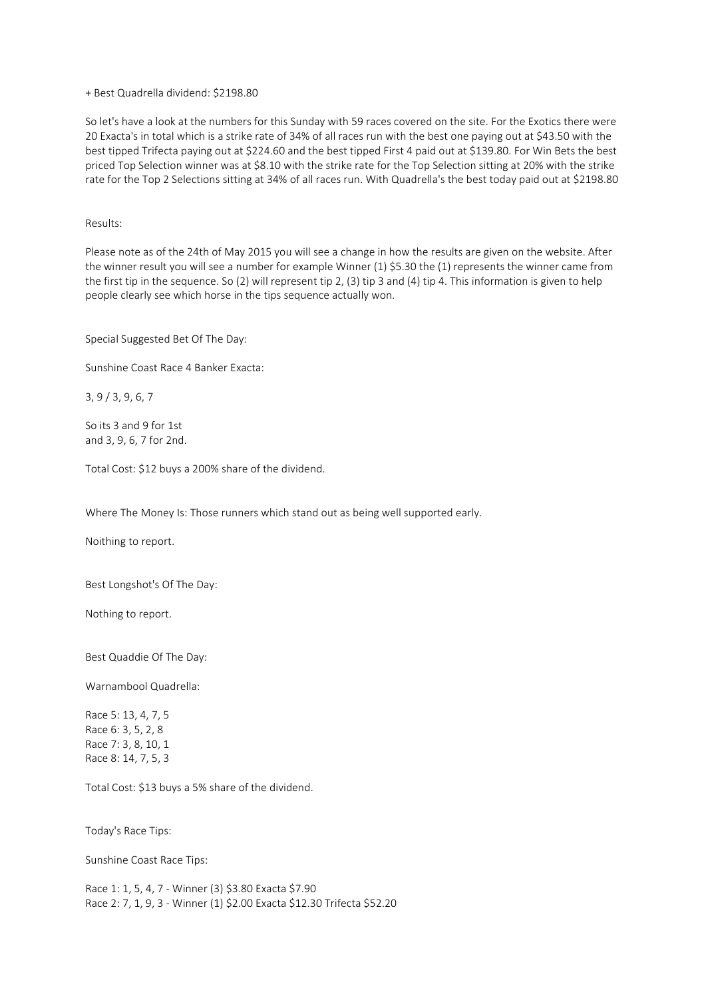## + Best Quadrella dividend: \$2198.80

So let's have a look at the numbers for this Sunday with 59 races covered on the site. For the Exotics there were 20 Exacta's in total which is a strike rate of 34% of all races run with the best one paying out at \$43.50 with the best tipped Trifecta paying out at \$224.60 and the best tipped First 4 paid out at \$139.80. For Win Bets the best priced Top Selection winner was at \$8.10 with the strike rate for the Top Selection sitting at 20% with the strike rate for the Top 2 Selections sitting at 34% of all races run. With Quadrella's the best today paid out at \$2198.80

Results:

Please note as of the 24th of May 2015 you will see a change in how the results are given on the website. After the winner result you will see a number for example Winner (1) \$5.30 the (1) represents the winner came from the first tip in the sequence. So (2) will represent tip 2, (3) tip 3 and (4) tip 4. This information is given to help people clearly see which horse in the tips sequence actually won.

Special Suggested Bet Of The Day:

Sunshine Coast Race 4 Banker Exacta:

3, 9 / 3, 9, 6, 7

So its 3 and 9 for 1st and 3, 9, 6, 7 for 2nd.

Total Cost: \$12 buys a 200% share of the dividend.

Where The Money Is: Those runners which stand out as being well supported early.

Noithing to report.

Best Longshot's Of The Day:

Nothing to report.

Best Quaddie Of The Day:

Warnambool Quadrella:

Race 5: 13, 4, 7, 5 Race 6: 3, 5, 2, 8 Race 7: 3, 8, 10, 1 Race 8: 14, 7, 5, 3

Total Cost: \$13 buys a 5% share of the dividend.

Today's Race Tips:

Sunshine Coast Race Tips:

Race 1: 1, 5, 4, 7 - Winner (3) \$3.80 Exacta \$7.90 Race 2: 7, 1, 9, 3 - Winner (1) \$2.00 Exacta \$12.30 Trifecta \$52.20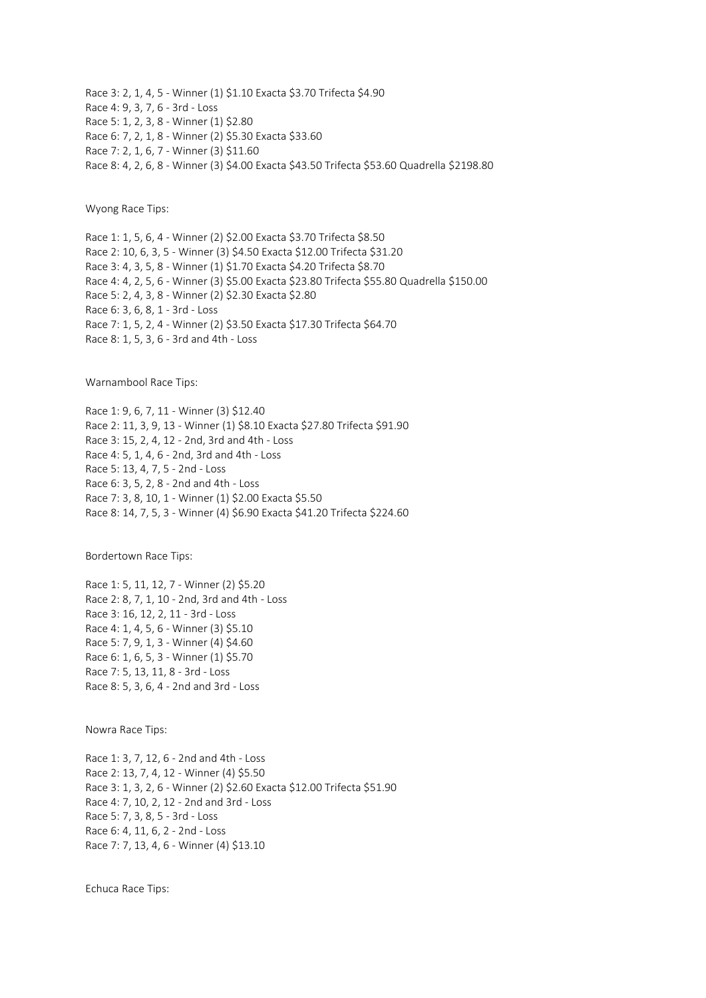Race 3: 2, 1, 4, 5 - Winner (1) \$1.10 Exacta \$3.70 Trifecta \$4.90 Race 4: 9, 3, 7, 6 - 3rd - Loss Race 5: 1, 2, 3, 8 - Winner (1) \$2.80 Race 6: 7, 2, 1, 8 - Winner (2) \$5.30 Exacta \$33.60 Race 7: 2, 1, 6, 7 - Winner (3) \$11.60 Race 8: 4, 2, 6, 8 - Winner (3) \$4.00 Exacta \$43.50 Trifecta \$53.60 Quadrella \$2198.80

Wyong Race Tips:

Race 1: 1, 5, 6, 4 - Winner (2) \$2.00 Exacta \$3.70 Trifecta \$8.50 Race 2: 10, 6, 3, 5 - Winner (3) \$4.50 Exacta \$12.00 Trifecta \$31.20 Race 3: 4, 3, 5, 8 - Winner (1) \$1.70 Exacta \$4.20 Trifecta \$8.70 Race 4: 4, 2, 5, 6 - Winner (3) \$5.00 Exacta \$23.80 Trifecta \$55.80 Quadrella \$150.00 Race 5: 2, 4, 3, 8 - Winner (2) \$2.30 Exacta \$2.80 Race 6: 3, 6, 8, 1 - 3rd - Loss Race 7: 1, 5, 2, 4 - Winner (2) \$3.50 Exacta \$17.30 Trifecta \$64.70 Race 8: 1, 5, 3, 6 - 3rd and 4th - Loss

Warnambool Race Tips:

Race 1: 9, 6, 7, 11 - Winner (3) \$12.40 Race 2: 11, 3, 9, 13 - Winner (1) \$8.10 Exacta \$27.80 Trifecta \$91.90 Race 3: 15, 2, 4, 12 - 2nd, 3rd and 4th - Loss Race 4: 5, 1, 4, 6 - 2nd, 3rd and 4th - Loss Race 5: 13, 4, 7, 5 - 2nd - Loss Race 6: 3, 5, 2, 8 - 2nd and 4th - Loss Race 7: 3, 8, 10, 1 - Winner (1) \$2.00 Exacta \$5.50 Race 8: 14, 7, 5, 3 - Winner (4) \$6.90 Exacta \$41.20 Trifecta \$224.60

Bordertown Race Tips:

Race 1: 5, 11, 12, 7 - Winner (2) \$5.20 Race 2: 8, 7, 1, 10 - 2nd, 3rd and 4th - Loss Race 3: 16, 12, 2, 11 - 3rd - Loss Race 4: 1, 4, 5, 6 - Winner (3) \$5.10 Race 5: 7, 9, 1, 3 - Winner (4) \$4.60 Race 6: 1, 6, 5, 3 - Winner (1) \$5.70 Race 7: 5, 13, 11, 8 - 3rd - Loss Race 8: 5, 3, 6, 4 - 2nd and 3rd - Loss

Nowra Race Tips:

Race 1: 3, 7, 12, 6 - 2nd and 4th - Loss Race 2: 13, 7, 4, 12 - Winner (4) \$5.50 Race 3: 1, 3, 2, 6 - Winner (2) \$2.60 Exacta \$12.00 Trifecta \$51.90 Race 4: 7, 10, 2, 12 - 2nd and 3rd - Loss Race 5: 7, 3, 8, 5 - 3rd - Loss Race 6: 4, 11, 6, 2 - 2nd - Loss Race 7: 7, 13, 4, 6 - Winner (4) \$13.10

Echuca Race Tips: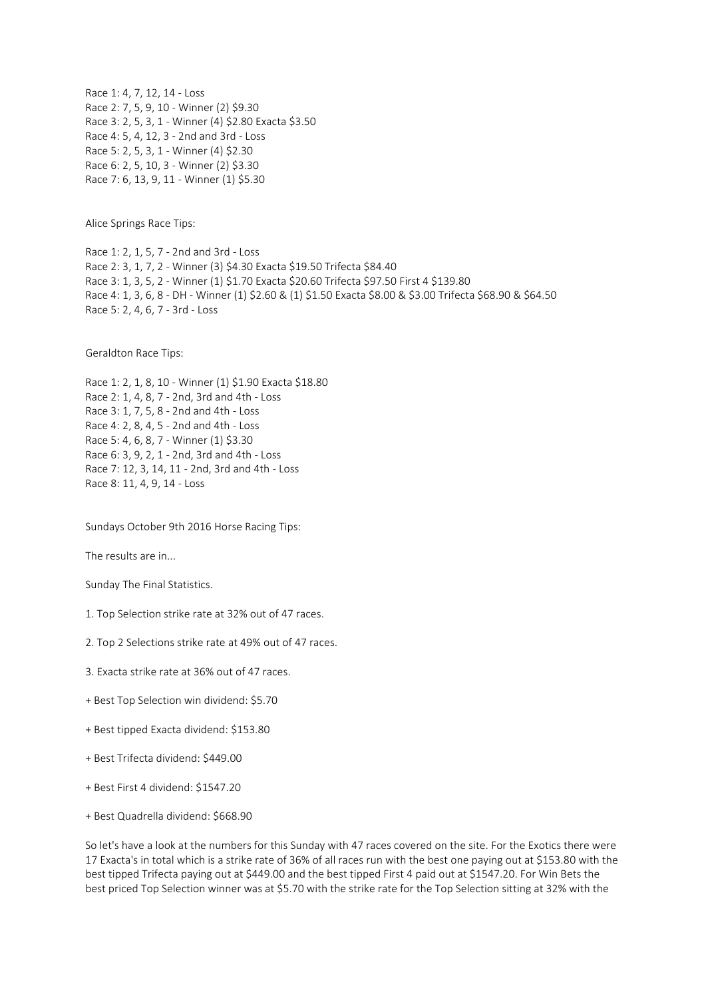Race 1: 4, 7, 12, 14 - Loss Race 2: 7, 5, 9, 10 - Winner (2) \$9.30 Race 3: 2, 5, 3, 1 - Winner (4) \$2.80 Exacta \$3.50 Race 4: 5, 4, 12, 3 - 2nd and 3rd - Loss Race 5: 2, 5, 3, 1 - Winner (4) \$2.30 Race 6: 2, 5, 10, 3 - Winner (2) \$3.30 Race 7: 6, 13, 9, 11 - Winner (1) \$5.30

Alice Springs Race Tips:

Race 1: 2, 1, 5, 7 - 2nd and 3rd - Loss Race 2: 3, 1, 7, 2 - Winner (3) \$4.30 Exacta \$19.50 Trifecta \$84.40 Race 3: 1, 3, 5, 2 - Winner (1) \$1.70 Exacta \$20.60 Trifecta \$97.50 First 4 \$139.80 Race 4: 1, 3, 6, 8 - DH - Winner (1) \$2.60 & (1) \$1.50 Exacta \$8.00 & \$3.00 Trifecta \$68.90 & \$64.50 Race 5: 2, 4, 6, 7 - 3rd - Loss

Geraldton Race Tips:

Race 1: 2, 1, 8, 10 - Winner (1) \$1.90 Exacta \$18.80 Race 2: 1, 4, 8, 7 - 2nd, 3rd and 4th - Loss Race 3: 1, 7, 5, 8 - 2nd and 4th - Loss Race 4: 2, 8, 4, 5 - 2nd and 4th - Loss Race 5: 4, 6, 8, 7 - Winner (1) \$3.30 Race 6: 3, 9, 2, 1 - 2nd, 3rd and 4th - Loss Race 7: 12, 3, 14, 11 - 2nd, 3rd and 4th - Loss Race 8: 11, 4, 9, 14 - Loss

Sundays October 9th 2016 Horse Racing Tips:

The results are in...

Sunday The Final Statistics.

1. Top Selection strike rate at 32% out of 47 races.

2. Top 2 Selections strike rate at 49% out of 47 races.

- 3. Exacta strike rate at 36% out of 47 races.
- + Best Top Selection win dividend: \$5.70
- + Best tipped Exacta dividend: \$153.80
- + Best Trifecta dividend: \$449.00
- + Best First 4 dividend: \$1547.20
- + Best Quadrella dividend: \$668.90

So let's have a look at the numbers for this Sunday with 47 races covered on the site. For the Exotics there were 17 Exacta's in total which is a strike rate of 36% of all races run with the best one paying out at \$153.80 with the best tipped Trifecta paying out at \$449.00 and the best tipped First 4 paid out at \$1547.20. For Win Bets the best priced Top Selection winner was at \$5.70 with the strike rate for the Top Selection sitting at 32% with the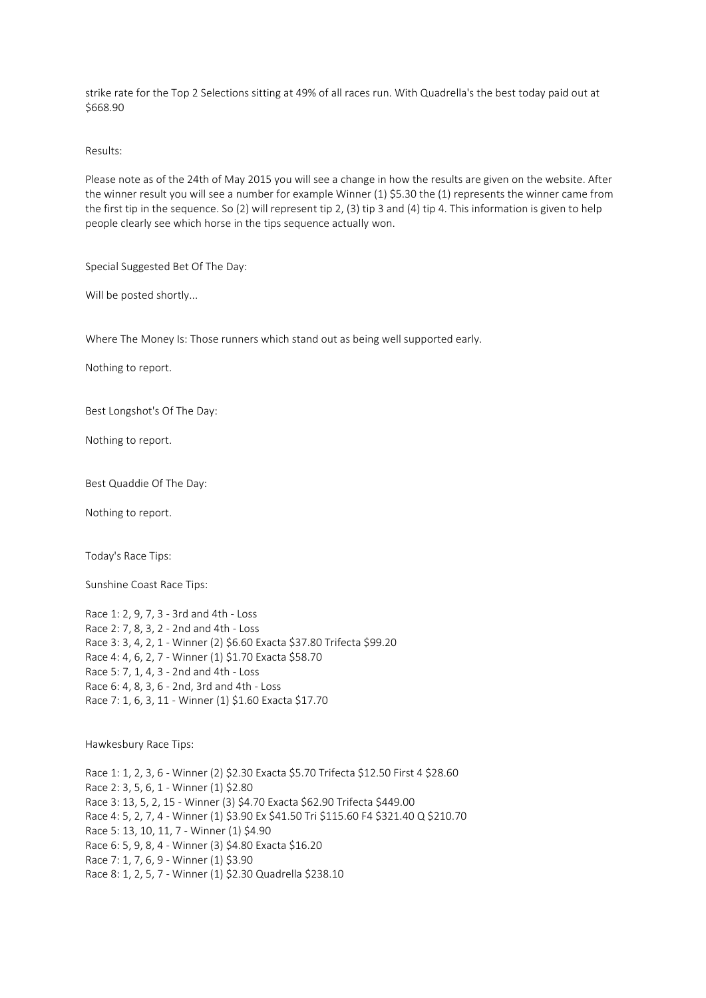strike rate for the Top 2 Selections sitting at 49% of all races run. With Quadrella's the best today paid out at \$668.90

Results:

Please note as of the 24th of May 2015 you will see a change in how the results are given on the website. After the winner result you will see a number for example Winner (1) \$5.30 the (1) represents the winner came from the first tip in the sequence. So (2) will represent tip 2, (3) tip 3 and (4) tip 4. This information is given to help people clearly see which horse in the tips sequence actually won.

Special Suggested Bet Of The Day:

Will be posted shortly...

Where The Money Is: Those runners which stand out as being well supported early.

Nothing to report.

Best Longshot's Of The Day:

Nothing to report.

Best Quaddie Of The Day:

Nothing to report.

Today's Race Tips:

Sunshine Coast Race Tips:

Race 1: 2, 9, 7, 3 - 3rd and 4th - Loss Race 2: 7, 8, 3, 2 - 2nd and 4th - Loss Race 3: 3, 4, 2, 1 - Winner (2) \$6.60 Exacta \$37.80 Trifecta \$99.20 Race 4: 4, 6, 2, 7 - Winner (1) \$1.70 Exacta \$58.70 Race 5: 7, 1, 4, 3 - 2nd and 4th - Loss Race 6: 4, 8, 3, 6 - 2nd, 3rd and 4th - Loss Race 7: 1, 6, 3, 11 - Winner (1) \$1.60 Exacta \$17.70

Hawkesbury Race Tips:

Race 1: 1, 2, 3, 6 - Winner (2) \$2.30 Exacta \$5.70 Trifecta \$12.50 First 4 \$28.60 Race 2: 3, 5, 6, 1 - Winner (1) \$2.80 Race 3: 13, 5, 2, 15 - Winner (3) \$4.70 Exacta \$62.90 Trifecta \$449.00 Race 4: 5, 2, 7, 4 - Winner (1) \$3.90 Ex \$41.50 Tri \$115.60 F4 \$321.40 Q \$210.70 Race 5: 13, 10, 11, 7 - Winner (1) \$4.90 Race 6: 5, 9, 8, 4 - Winner (3) \$4.80 Exacta \$16.20 Race 7: 1, 7, 6, 9 - Winner (1) \$3.90 Race 8: 1, 2, 5, 7 - Winner (1) \$2.30 Quadrella \$238.10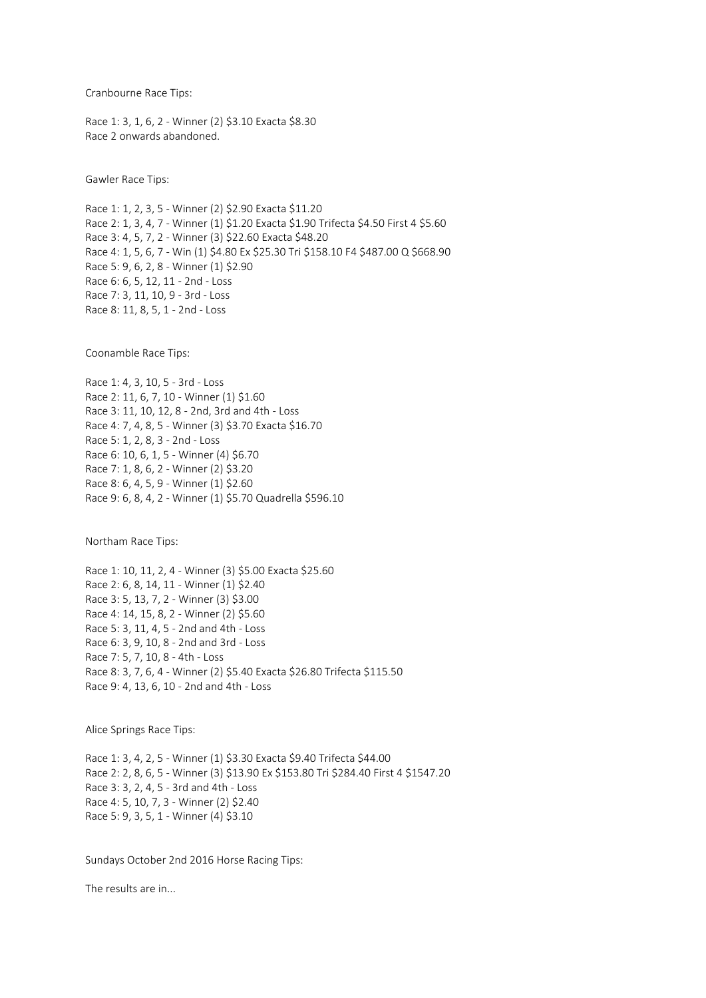Cranbourne Race Tips:

Race 1: 3, 1, 6, 2 - Winner (2) \$3.10 Exacta \$8.30 Race 2 onwards abandoned.

Gawler Race Tips:

Race 1: 1, 2, 3, 5 - Winner (2) \$2.90 Exacta \$11.20 Race 2: 1, 3, 4, 7 - Winner (1) \$1.20 Exacta \$1.90 Trifecta \$4.50 First 4 \$5.60 Race 3: 4, 5, 7, 2 - Winner (3) \$22.60 Exacta \$48.20 Race 4: 1, 5, 6, 7 - Win (1) \$4.80 Ex \$25.30 Tri \$158.10 F4 \$487.00 Q \$668.90 Race 5: 9, 6, 2, 8 - Winner (1) \$2.90 Race 6: 6, 5, 12, 11 - 2nd - Loss Race 7: 3, 11, 10, 9 - 3rd - Loss Race 8: 11, 8, 5, 1 - 2nd - Loss

Coonamble Race Tips:

Race 1: 4, 3, 10, 5 - 3rd - Loss Race 2: 11, 6, 7, 10 - Winner (1) \$1.60 Race 3: 11, 10, 12, 8 - 2nd, 3rd and 4th - Loss Race 4: 7, 4, 8, 5 - Winner (3) \$3.70 Exacta \$16.70 Race 5: 1, 2, 8, 3 - 2nd - Loss Race 6: 10, 6, 1, 5 - Winner (4) \$6.70 Race 7: 1, 8, 6, 2 - Winner (2) \$3.20 Race 8: 6, 4, 5, 9 - Winner (1) \$2.60 Race 9: 6, 8, 4, 2 - Winner (1) \$5.70 Quadrella \$596.10

Northam Race Tips:

Race 1: 10, 11, 2, 4 - Winner (3) \$5.00 Exacta \$25.60 Race 2: 6, 8, 14, 11 - Winner (1) \$2.40 Race 3: 5, 13, 7, 2 - Winner (3) \$3.00 Race 4: 14, 15, 8, 2 - Winner (2) \$5.60 Race 5: 3, 11, 4, 5 - 2nd and 4th - Loss Race 6: 3, 9, 10, 8 - 2nd and 3rd - Loss Race 7: 5, 7, 10, 8 - 4th - Loss Race 8: 3, 7, 6, 4 - Winner (2) \$5.40 Exacta \$26.80 Trifecta \$115.50 Race 9: 4, 13, 6, 10 - 2nd and 4th - Loss

Alice Springs Race Tips:

Race 1: 3, 4, 2, 5 - Winner (1) \$3.30 Exacta \$9.40 Trifecta \$44.00 Race 2: 2, 8, 6, 5 - Winner (3) \$13.90 Ex \$153.80 Tri \$284.40 First 4 \$1547.20 Race 3: 3, 2, 4, 5 - 3rd and 4th - Loss Race 4: 5, 10, 7, 3 - Winner (2) \$2.40 Race 5: 9, 3, 5, 1 - Winner (4) \$3.10

Sundays October 2nd 2016 Horse Racing Tips:

The results are in...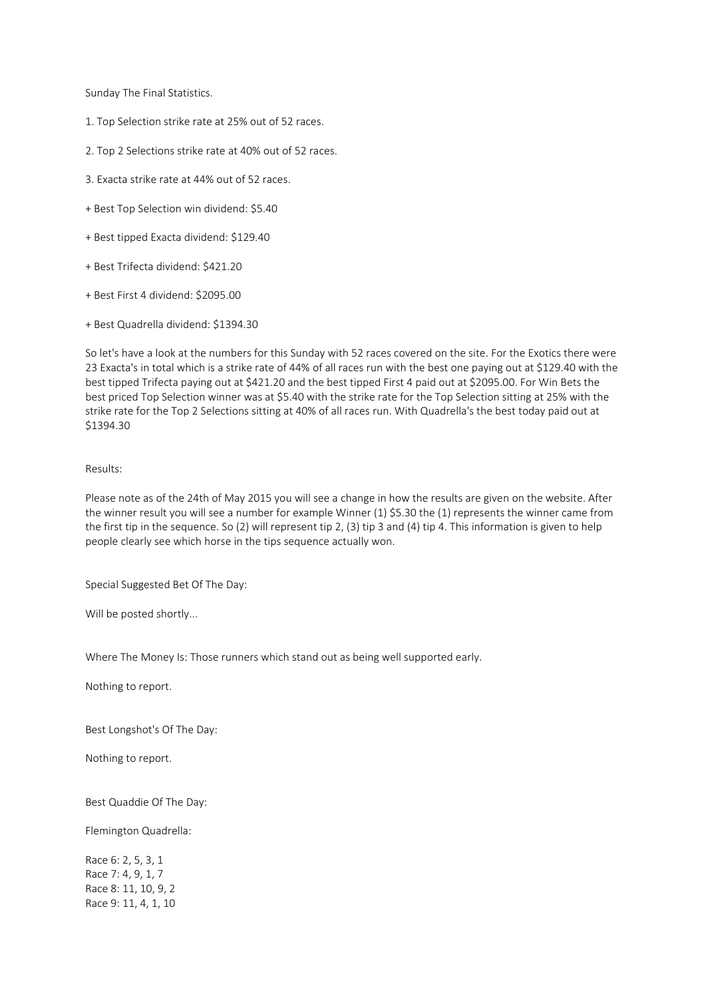Sunday The Final Statistics.

- 1. Top Selection strike rate at 25% out of 52 races.
- 2. Top 2 Selections strike rate at 40% out of 52 races.
- 3. Exacta strike rate at 44% out of 52 races.
- + Best Top Selection win dividend: \$5.40
- + Best tipped Exacta dividend: \$129.40
- + Best Trifecta dividend: \$421.20
- + Best First 4 dividend: \$2095.00
- + Best Quadrella dividend: \$1394.30

So let's have a look at the numbers for this Sunday with 52 races covered on the site. For the Exotics there were 23 Exacta's in total which is a strike rate of 44% of all races run with the best one paying out at \$129.40 with the best tipped Trifecta paying out at \$421.20 and the best tipped First 4 paid out at \$2095.00. For Win Bets the best priced Top Selection winner was at \$5.40 with the strike rate for the Top Selection sitting at 25% with the strike rate for the Top 2 Selections sitting at 40% of all races run. With Quadrella's the best today paid out at \$1394.30

## Results:

Please note as of the 24th of May 2015 you will see a change in how the results are given on the website. After the winner result you will see a number for example Winner (1) \$5.30 the (1) represents the winner came from the first tip in the sequence. So (2) will represent tip 2, (3) tip 3 and (4) tip 4. This information is given to help people clearly see which horse in the tips sequence actually won.

Special Suggested Bet Of The Day:

Will be posted shortly...

Where The Money Is: Those runners which stand out as being well supported early.

Nothing to report.

Best Longshot's Of The Day:

Nothing to report.

Best Quaddie Of The Day:

Flemington Quadrella:

Race 6: 2, 5, 3, 1 Race 7: 4, 9, 1, 7 Race 8: 11, 10, 9, 2 Race 9: 11, 4, 1, 10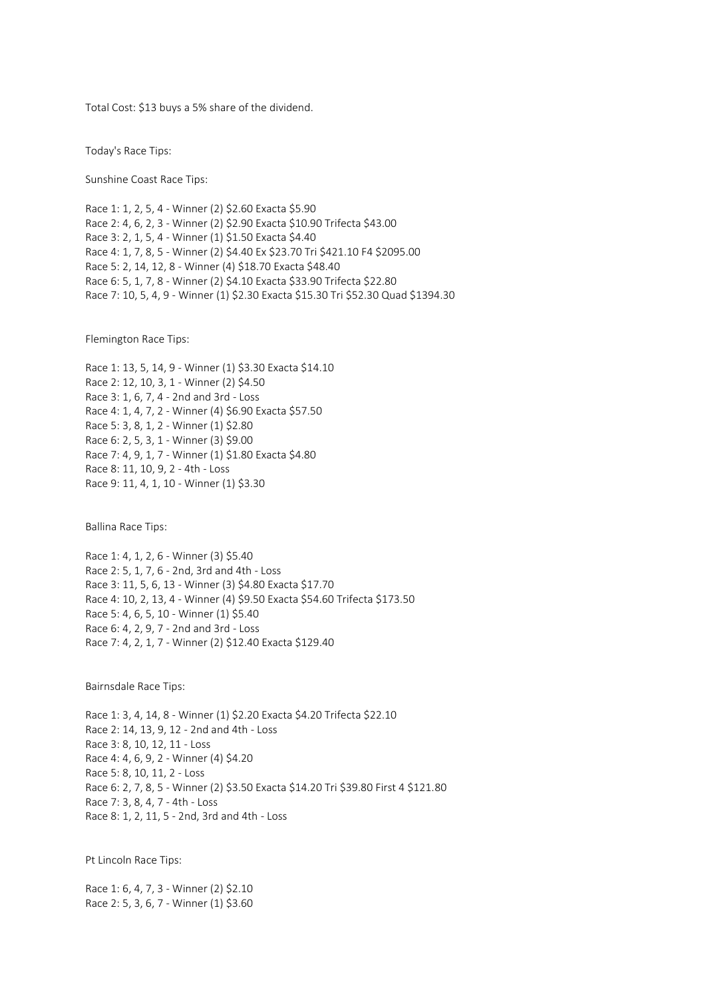Total Cost: \$13 buys a 5% share of the dividend.

Today's Race Tips:

Sunshine Coast Race Tips:

Race 1: 1, 2, 5, 4 - Winner (2) \$2.60 Exacta \$5.90 Race 2: 4, 6, 2, 3 - Winner (2) \$2.90 Exacta \$10.90 Trifecta \$43.00 Race 3: 2, 1, 5, 4 - Winner (1) \$1.50 Exacta \$4.40 Race 4: 1, 7, 8, 5 - Winner (2) \$4.40 Ex \$23.70 Tri \$421.10 F4 \$2095.00 Race 5: 2, 14, 12, 8 - Winner (4) \$18.70 Exacta \$48.40 Race 6: 5, 1, 7, 8 - Winner (2) \$4.10 Exacta \$33.90 Trifecta \$22.80 Race 7: 10, 5, 4, 9 - Winner (1) \$2.30 Exacta \$15.30 Tri \$52.30 Quad \$1394.30

Flemington Race Tips:

Race 1: 13, 5, 14, 9 - Winner (1) \$3.30 Exacta \$14.10 Race 2: 12, 10, 3, 1 - Winner (2) \$4.50 Race 3: 1, 6, 7, 4 - 2nd and 3rd - Loss Race 4: 1, 4, 7, 2 - Winner (4) \$6.90 Exacta \$57.50 Race 5: 3, 8, 1, 2 - Winner (1) \$2.80 Race 6: 2, 5, 3, 1 - Winner (3) \$9.00 Race 7: 4, 9, 1, 7 - Winner (1) \$1.80 Exacta \$4.80 Race 8: 11, 10, 9, 2 - 4th - Loss Race 9: 11, 4, 1, 10 - Winner (1) \$3.30

Ballina Race Tips:

Race 1: 4, 1, 2, 6 - Winner (3) \$5.40 Race 2: 5, 1, 7, 6 - 2nd, 3rd and 4th - Loss Race 3: 11, 5, 6, 13 - Winner (3) \$4.80 Exacta \$17.70 Race 4: 10, 2, 13, 4 - Winner (4) \$9.50 Exacta \$54.60 Trifecta \$173.50 Race 5: 4, 6, 5, 10 - Winner (1) \$5.40 Race 6: 4, 2, 9, 7 - 2nd and 3rd - Loss Race 7: 4, 2, 1, 7 - Winner (2) \$12.40 Exacta \$129.40

Bairnsdale Race Tips:

Race 1: 3, 4, 14, 8 - Winner (1) \$2.20 Exacta \$4.20 Trifecta \$22.10 Race 2: 14, 13, 9, 12 - 2nd and 4th - Loss Race 3: 8, 10, 12, 11 - Loss Race 4: 4, 6, 9, 2 - Winner (4) \$4.20 Race 5: 8, 10, 11, 2 - Loss Race 6: 2, 7, 8, 5 - Winner (2) \$3.50 Exacta \$14.20 Tri \$39.80 First 4 \$121.80 Race 7: 3, 8, 4, 7 - 4th - Loss Race 8: 1, 2, 11, 5 - 2nd, 3rd and 4th - Loss

Pt Lincoln Race Tips:

Race 1: 6, 4, 7, 3 - Winner (2) \$2.10 Race 2: 5, 3, 6, 7 - Winner (1) \$3.60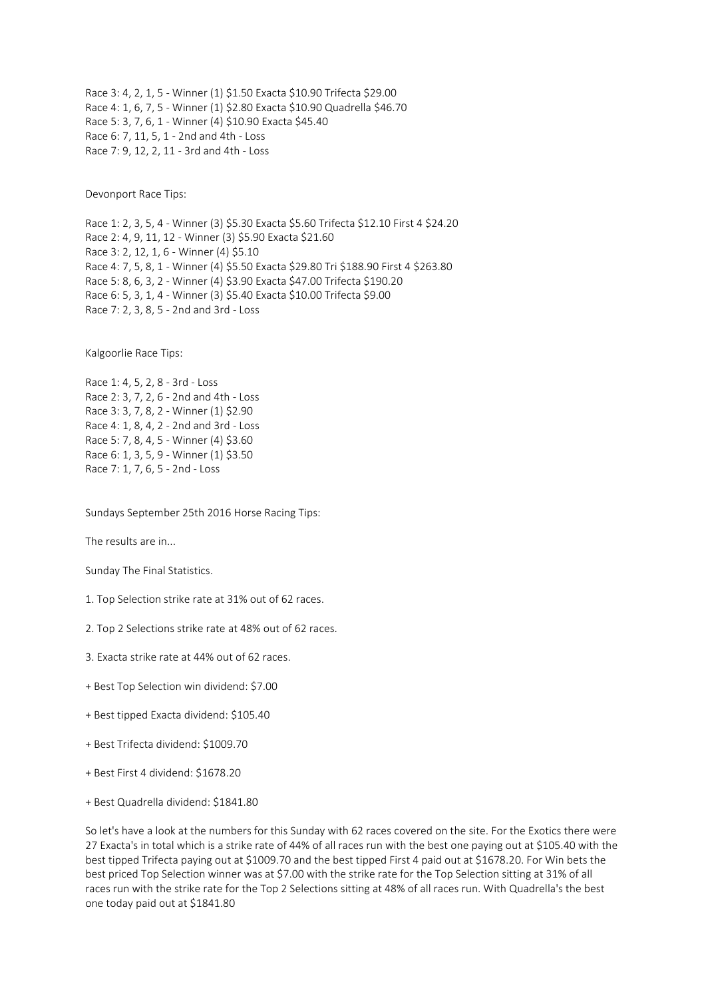Race 3: 4, 2, 1, 5 - Winner (1) \$1.50 Exacta \$10.90 Trifecta \$29.00 Race 4: 1, 6, 7, 5 - Winner (1) \$2.80 Exacta \$10.90 Quadrella \$46.70 Race 5: 3, 7, 6, 1 - Winner (4) \$10.90 Exacta \$45.40 Race 6: 7, 11, 5, 1 - 2nd and 4th - Loss Race 7: 9, 12, 2, 11 - 3rd and 4th - Loss

Devonport Race Tips:

Race 1: 2, 3, 5, 4 - Winner (3) \$5.30 Exacta \$5.60 Trifecta \$12.10 First 4 \$24.20 Race 2: 4, 9, 11, 12 - Winner (3) \$5.90 Exacta \$21.60 Race 3: 2, 12, 1, 6 - Winner (4) \$5.10 Race 4: 7, 5, 8, 1 - Winner (4) \$5.50 Exacta \$29.80 Tri \$188.90 First 4 \$263.80 Race 5: 8, 6, 3, 2 - Winner (4) \$3.90 Exacta \$47.00 Trifecta \$190.20 Race 6: 5, 3, 1, 4 - Winner (3) \$5.40 Exacta \$10.00 Trifecta \$9.00 Race 7: 2, 3, 8, 5 - 2nd and 3rd - Loss

Kalgoorlie Race Tips:

Race 1: 4, 5, 2, 8 - 3rd - Loss Race 2: 3, 7, 2, 6 - 2nd and 4th - Loss Race 3: 3, 7, 8, 2 - Winner (1) \$2.90 Race 4: 1, 8, 4, 2 - 2nd and 3rd - Loss Race 5: 7, 8, 4, 5 - Winner (4) \$3.60 Race 6: 1, 3, 5, 9 - Winner (1) \$3.50 Race 7: 1, 7, 6, 5 - 2nd - Loss

Sundays September 25th 2016 Horse Racing Tips:

The results are in...

Sunday The Final Statistics.

1. Top Selection strike rate at 31% out of 62 races.

2. Top 2 Selections strike rate at 48% out of 62 races.

3. Exacta strike rate at 44% out of 62 races.

- + Best Top Selection win dividend: \$7.00
- + Best tipped Exacta dividend: \$105.40
- + Best Trifecta dividend: \$1009.70
- + Best First 4 dividend: \$1678.20
- + Best Quadrella dividend: \$1841.80

So let's have a look at the numbers for this Sunday with 62 races covered on the site. For the Exotics there were 27 Exacta's in total which is a strike rate of 44% of all races run with the best one paying out at \$105.40 with the best tipped Trifecta paying out at \$1009.70 and the best tipped First 4 paid out at \$1678.20. For Win bets the best priced Top Selection winner was at \$7.00 with the strike rate for the Top Selection sitting at 31% of all races run with the strike rate for the Top 2 Selections sitting at 48% of all races run. With Quadrella's the best one today paid out at \$1841.80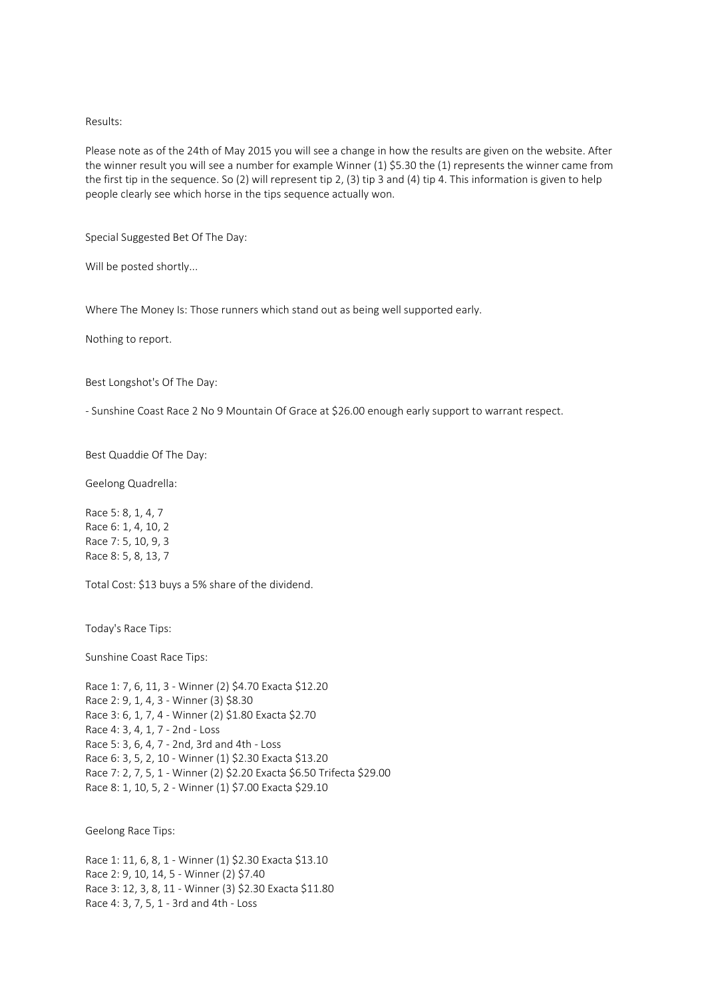### Results:

Please note as of the 24th of May 2015 you will see a change in how the results are given on the website. After the winner result you will see a number for example Winner (1) \$5.30 the (1) represents the winner came from the first tip in the sequence. So (2) will represent tip 2, (3) tip 3 and (4) tip 4. This information is given to help people clearly see which horse in the tips sequence actually won.

Special Suggested Bet Of The Day:

Will be posted shortly...

Where The Money Is: Those runners which stand out as being well supported early.

Nothing to report.

Best Longshot's Of The Day:

- Sunshine Coast Race 2 No 9 Mountain Of Grace at \$26.00 enough early support to warrant respect.

Best Quaddie Of The Day:

Geelong Quadrella:

Race 5: 8, 1, 4, 7 Race 6: 1, 4, 10, 2 Race 7: 5, 10, 9, 3 Race 8: 5, 8, 13, 7

Total Cost: \$13 buys a 5% share of the dividend.

Today's Race Tips:

Sunshine Coast Race Tips:

Race 1: 7, 6, 11, 3 - Winner (2) \$4.70 Exacta \$12.20 Race 2: 9, 1, 4, 3 - Winner (3) \$8.30 Race 3: 6, 1, 7, 4 - Winner (2) \$1.80 Exacta \$2.70 Race 4: 3, 4, 1, 7 - 2nd - Loss Race 5: 3, 6, 4, 7 - 2nd, 3rd and 4th - Loss Race 6: 3, 5, 2, 10 - Winner (1) \$2.30 Exacta \$13.20 Race 7: 2, 7, 5, 1 - Winner (2) \$2.20 Exacta \$6.50 Trifecta \$29.00 Race 8: 1, 10, 5, 2 - Winner (1) \$7.00 Exacta \$29.10

Geelong Race Tips:

Race 1: 11, 6, 8, 1 - Winner (1) \$2.30 Exacta \$13.10 Race 2: 9, 10, 14, 5 - Winner (2) \$7.40 Race 3: 12, 3, 8, 11 - Winner (3) \$2.30 Exacta \$11.80 Race 4: 3, 7, 5, 1 - 3rd and 4th - Loss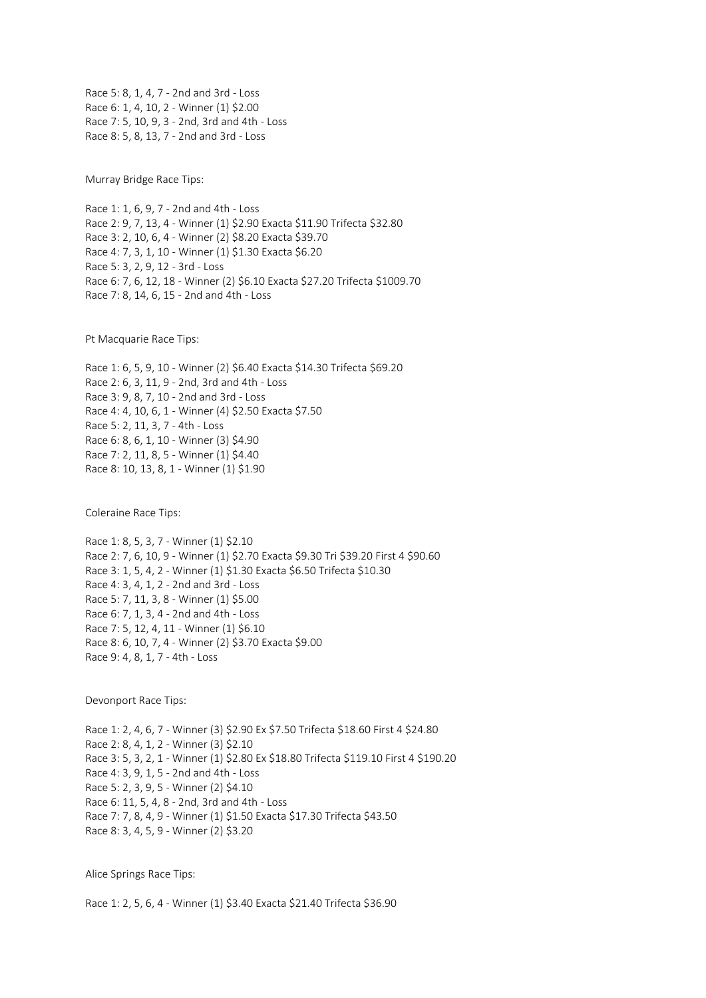Race 5: 8, 1, 4, 7 - 2nd and 3rd - Loss Race 6: 1, 4, 10, 2 - Winner (1) \$2.00 Race 7: 5, 10, 9, 3 - 2nd, 3rd and 4th - Loss Race 8: 5, 8, 13, 7 - 2nd and 3rd - Loss

Murray Bridge Race Tips:

Race 1: 1, 6, 9, 7 - 2nd and 4th - Loss Race 2: 9, 7, 13, 4 - Winner (1) \$2.90 Exacta \$11.90 Trifecta \$32.80 Race 3: 2, 10, 6, 4 - Winner (2) \$8.20 Exacta \$39.70 Race 4: 7, 3, 1, 10 - Winner (1) \$1.30 Exacta \$6.20 Race 5: 3, 2, 9, 12 - 3rd - Loss Race 6: 7, 6, 12, 18 - Winner (2) \$6.10 Exacta \$27.20 Trifecta \$1009.70 Race 7: 8, 14, 6, 15 - 2nd and 4th - Loss

Pt Macquarie Race Tips:

Race 1: 6, 5, 9, 10 - Winner (2) \$6.40 Exacta \$14.30 Trifecta \$69.20 Race 2: 6, 3, 11, 9 - 2nd, 3rd and 4th - Loss Race 3: 9, 8, 7, 10 - 2nd and 3rd - Loss Race 4: 4, 10, 6, 1 - Winner (4) \$2.50 Exacta \$7.50 Race 5: 2, 11, 3, 7 - 4th - Loss Race 6: 8, 6, 1, 10 - Winner (3) \$4.90 Race 7: 2, 11, 8, 5 - Winner (1) \$4.40 Race 8: 10, 13, 8, 1 - Winner (1) \$1.90

Coleraine Race Tips:

Race 1: 8, 5, 3, 7 - Winner (1) \$2.10 Race 2: 7, 6, 10, 9 - Winner (1) \$2.70 Exacta \$9.30 Tri \$39.20 First 4 \$90.60 Race 3: 1, 5, 4, 2 - Winner (1) \$1.30 Exacta \$6.50 Trifecta \$10.30 Race 4: 3, 4, 1, 2 - 2nd and 3rd - Loss Race 5: 7, 11, 3, 8 - Winner (1) \$5.00 Race 6: 7, 1, 3, 4 - 2nd and 4th - Loss Race 7: 5, 12, 4, 11 - Winner (1) \$6.10 Race 8: 6, 10, 7, 4 - Winner (2) \$3.70 Exacta \$9.00 Race 9: 4, 8, 1, 7 - 4th - Loss

Devonport Race Tips:

Race 1: 2, 4, 6, 7 - Winner (3) \$2.90 Ex \$7.50 Trifecta \$18.60 First 4 \$24.80 Race 2: 8, 4, 1, 2 - Winner (3) \$2.10 Race 3: 5, 3, 2, 1 - Winner (1) \$2.80 Ex \$18.80 Trifecta \$119.10 First 4 \$190.20 Race 4: 3, 9, 1, 5 - 2nd and 4th - Loss Race 5: 2, 3, 9, 5 - Winner (2) \$4.10 Race 6: 11, 5, 4, 8 - 2nd, 3rd and 4th - Loss Race 7: 7, 8, 4, 9 - Winner (1) \$1.50 Exacta \$17.30 Trifecta \$43.50 Race 8: 3, 4, 5, 9 - Winner (2) \$3.20

Alice Springs Race Tips:

Race 1: 2, 5, 6, 4 - Winner (1) \$3.40 Exacta \$21.40 Trifecta \$36.90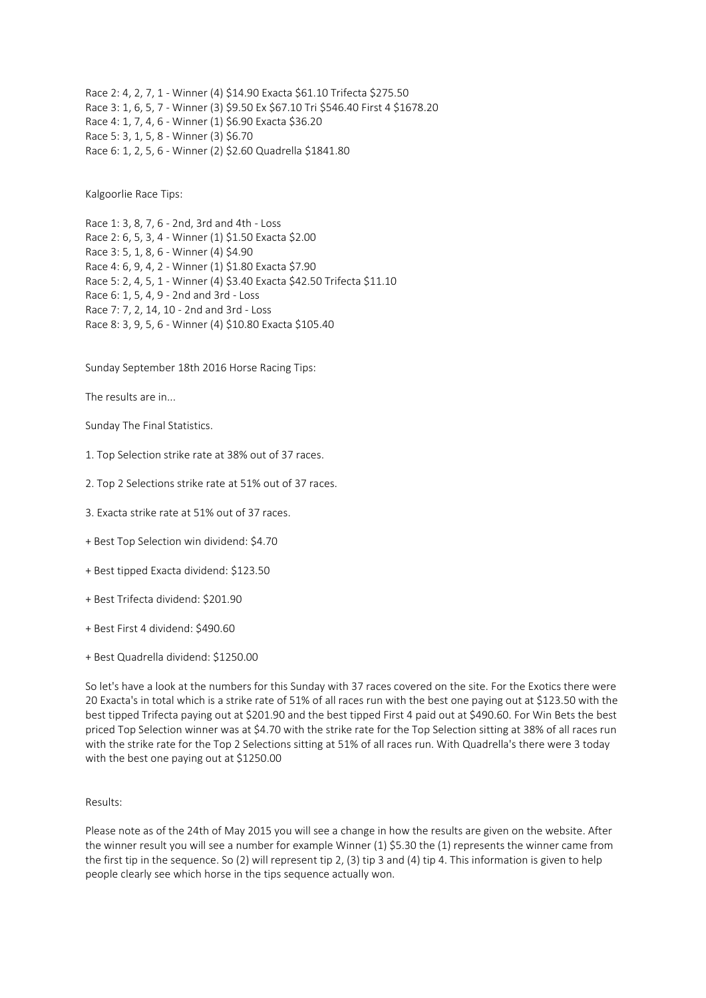Race 2: 4, 2, 7, 1 - Winner (4) \$14.90 Exacta \$61.10 Trifecta \$275.50 Race 3: 1, 6, 5, 7 - Winner (3) \$9.50 Ex \$67.10 Tri \$546.40 First 4 \$1678.20 Race 4: 1, 7, 4, 6 - Winner (1) \$6.90 Exacta \$36.20 Race 5: 3, 1, 5, 8 - Winner (3) \$6.70 Race 6: 1, 2, 5, 6 - Winner (2) \$2.60 Quadrella \$1841.80

Kalgoorlie Race Tips:

Race 1: 3, 8, 7, 6 - 2nd, 3rd and 4th - Loss Race 2: 6, 5, 3, 4 - Winner (1) \$1.50 Exacta \$2.00 Race 3: 5, 1, 8, 6 - Winner (4) \$4.90 Race 4: 6, 9, 4, 2 - Winner (1) \$1.80 Exacta \$7.90 Race 5: 2, 4, 5, 1 - Winner (4) \$3.40 Exacta \$42.50 Trifecta \$11.10 Race 6: 1, 5, 4, 9 - 2nd and 3rd - Loss Race 7: 7, 2, 14, 10 - 2nd and 3rd - Loss Race 8: 3, 9, 5, 6 - Winner (4) \$10.80 Exacta \$105.40

Sunday September 18th 2016 Horse Racing Tips:

The results are in...

Sunday The Final Statistics.

1. Top Selection strike rate at 38% out of 37 races.

2. Top 2 Selections strike rate at 51% out of 37 races.

3. Exacta strike rate at 51% out of 37 races.

+ Best Top Selection win dividend: \$4.70

+ Best tipped Exacta dividend: \$123.50

+ Best Trifecta dividend: \$201.90

+ Best First 4 dividend: \$490.60

+ Best Quadrella dividend: \$1250.00

So let's have a look at the numbers for this Sunday with 37 races covered on the site. For the Exotics there were 20 Exacta's in total which is a strike rate of 51% of all races run with the best one paying out at \$123.50 with the best tipped Trifecta paying out at \$201.90 and the best tipped First 4 paid out at \$490.60. For Win Bets the best priced Top Selection winner was at \$4.70 with the strike rate for the Top Selection sitting at 38% of all races run with the strike rate for the Top 2 Selections sitting at 51% of all races run. With Quadrella's there were 3 today with the best one paying out at \$1250.00

## Results:

Please note as of the 24th of May 2015 you will see a change in how the results are given on the website. After the winner result you will see a number for example Winner (1) \$5.30 the (1) represents the winner came from the first tip in the sequence. So (2) will represent tip 2, (3) tip 3 and (4) tip 4. This information is given to help people clearly see which horse in the tips sequence actually won.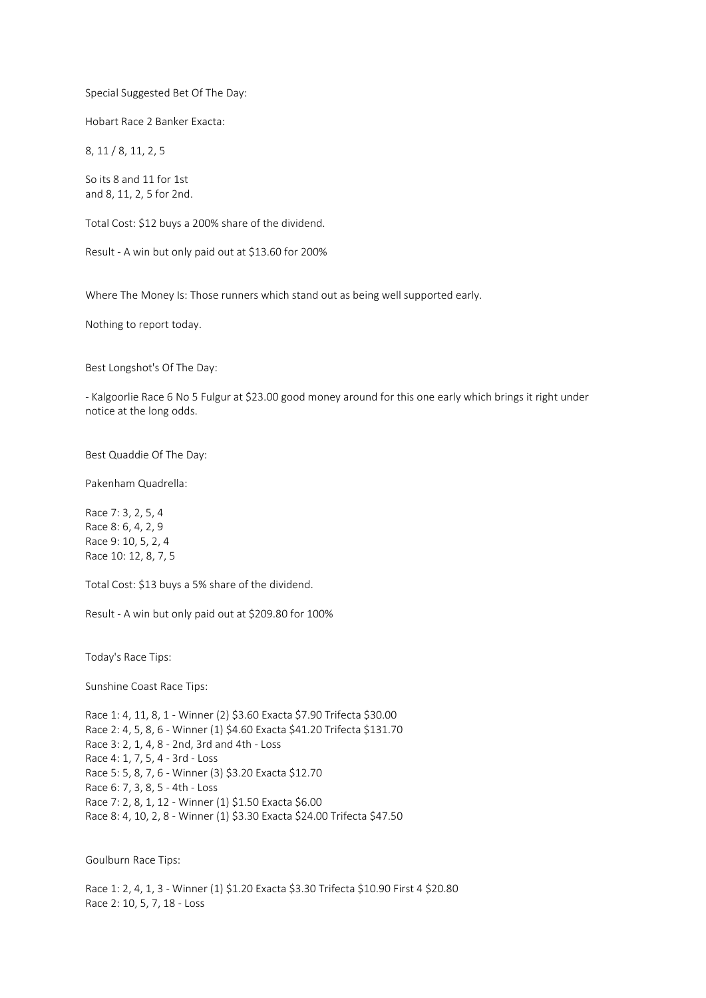Special Suggested Bet Of The Day:

Hobart Race 2 Banker Exacta:

8, 11 / 8, 11, 2, 5

So its 8 and 11 for 1st and 8, 11, 2, 5 for 2nd.

Total Cost: \$12 buys a 200% share of the dividend.

Result - A win but only paid out at \$13.60 for 200%

Where The Money Is: Those runners which stand out as being well supported early.

Nothing to report today.

Best Longshot's Of The Day:

- Kalgoorlie Race 6 No 5 Fulgur at \$23.00 good money around for this one early which brings it right under notice at the long odds.

Best Quaddie Of The Day:

Pakenham Quadrella:

Race 7: 3, 2, 5, 4 Race 8: 6, 4, 2, 9 Race 9: 10, 5, 2, 4 Race 10: 12, 8, 7, 5

Total Cost: \$13 buys a 5% share of the dividend.

Result - A win but only paid out at \$209.80 for 100%

Today's Race Tips:

Sunshine Coast Race Tips:

Race 1: 4, 11, 8, 1 - Winner (2) \$3.60 Exacta \$7.90 Trifecta \$30.00 Race 2: 4, 5, 8, 6 - Winner (1) \$4.60 Exacta \$41.20 Trifecta \$131.70 Race 3: 2, 1, 4, 8 - 2nd, 3rd and 4th - Loss Race 4: 1, 7, 5, 4 - 3rd - Loss Race 5: 5, 8, 7, 6 - Winner (3) \$3.20 Exacta \$12.70 Race 6: 7, 3, 8, 5 - 4th - Loss Race 7: 2, 8, 1, 12 - Winner (1) \$1.50 Exacta \$6.00 Race 8: 4, 10, 2, 8 - Winner (1) \$3.30 Exacta \$24.00 Trifecta \$47.50

Goulburn Race Tips:

Race 1: 2, 4, 1, 3 - Winner (1) \$1.20 Exacta \$3.30 Trifecta \$10.90 First 4 \$20.80 Race 2: 10, 5, 7, 18 - Loss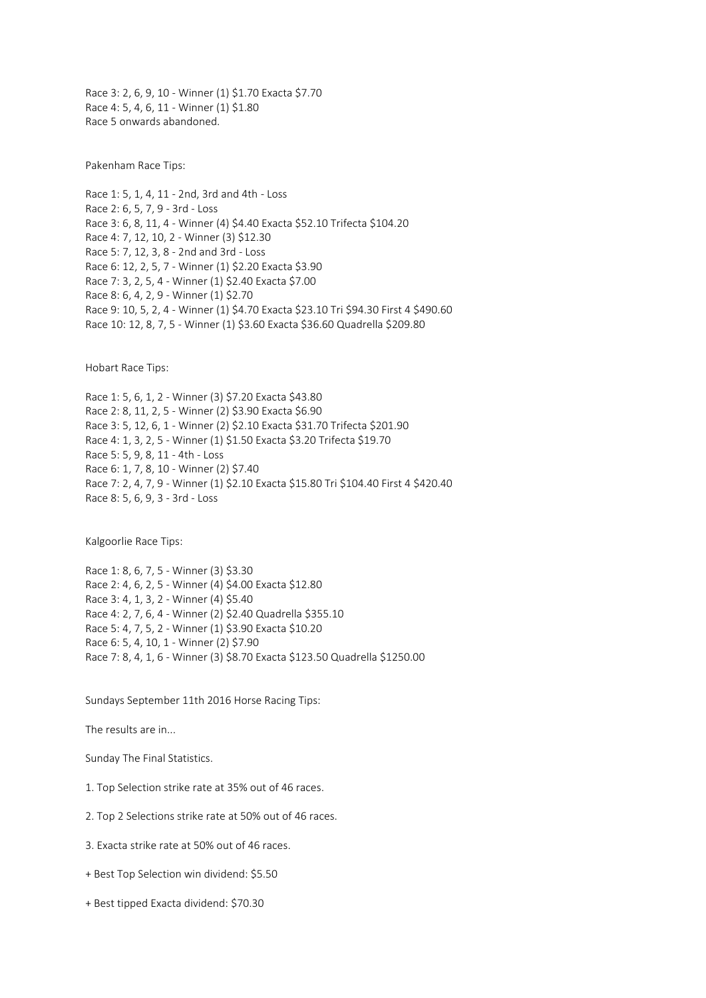Race 3: 2, 6, 9, 10 - Winner (1) \$1.70 Exacta \$7.70 Race 4: 5, 4, 6, 11 - Winner (1) \$1.80 Race 5 onwards abandoned.

Pakenham Race Tips:

Race 1: 5, 1, 4, 11 - 2nd, 3rd and 4th - Loss Race 2: 6, 5, 7, 9 - 3rd - Loss Race 3: 6, 8, 11, 4 - Winner (4) \$4.40 Exacta \$52.10 Trifecta \$104.20 Race 4: 7, 12, 10, 2 - Winner (3) \$12.30 Race 5: 7, 12, 3, 8 - 2nd and 3rd - Loss Race 6: 12, 2, 5, 7 - Winner (1) \$2.20 Exacta \$3.90 Race 7: 3, 2, 5, 4 - Winner (1) \$2.40 Exacta \$7.00 Race 8: 6, 4, 2, 9 - Winner (1) \$2.70 Race 9: 10, 5, 2, 4 - Winner (1) \$4.70 Exacta \$23.10 Tri \$94.30 First 4 \$490.60 Race 10: 12, 8, 7, 5 - Winner (1) \$3.60 Exacta \$36.60 Quadrella \$209.80

Hobart Race Tips:

Race 1: 5, 6, 1, 2 - Winner (3) \$7.20 Exacta \$43.80 Race 2: 8, 11, 2, 5 - Winner (2) \$3.90 Exacta \$6.90 Race 3: 5, 12, 6, 1 - Winner (2) \$2.10 Exacta \$31.70 Trifecta \$201.90 Race 4: 1, 3, 2, 5 - Winner (1) \$1.50 Exacta \$3.20 Trifecta \$19.70 Race 5: 5, 9, 8, 11 - 4th - Loss Race 6: 1, 7, 8, 10 - Winner (2) \$7.40 Race 7: 2, 4, 7, 9 - Winner (1) \$2.10 Exacta \$15.80 Tri \$104.40 First 4 \$420.40 Race 8: 5, 6, 9, 3 - 3rd - Loss

Kalgoorlie Race Tips:

Race 1: 8, 6, 7, 5 - Winner (3) \$3.30 Race 2: 4, 6, 2, 5 - Winner (4) \$4.00 Exacta \$12.80 Race 3: 4, 1, 3, 2 - Winner (4) \$5.40 Race 4: 2, 7, 6, 4 - Winner (2) \$2.40 Quadrella \$355.10 Race 5: 4, 7, 5, 2 - Winner (1) \$3.90 Exacta \$10.20 Race 6: 5, 4, 10, 1 - Winner (2) \$7.90 Race 7: 8, 4, 1, 6 - Winner (3) \$8.70 Exacta \$123.50 Quadrella \$1250.00

Sundays September 11th 2016 Horse Racing Tips:

The results are in...

Sunday The Final Statistics.

1. Top Selection strike rate at 35% out of 46 races.

2. Top 2 Selections strike rate at 50% out of 46 races.

- 3. Exacta strike rate at 50% out of 46 races.
- + Best Top Selection win dividend: \$5.50
- + Best tipped Exacta dividend: \$70.30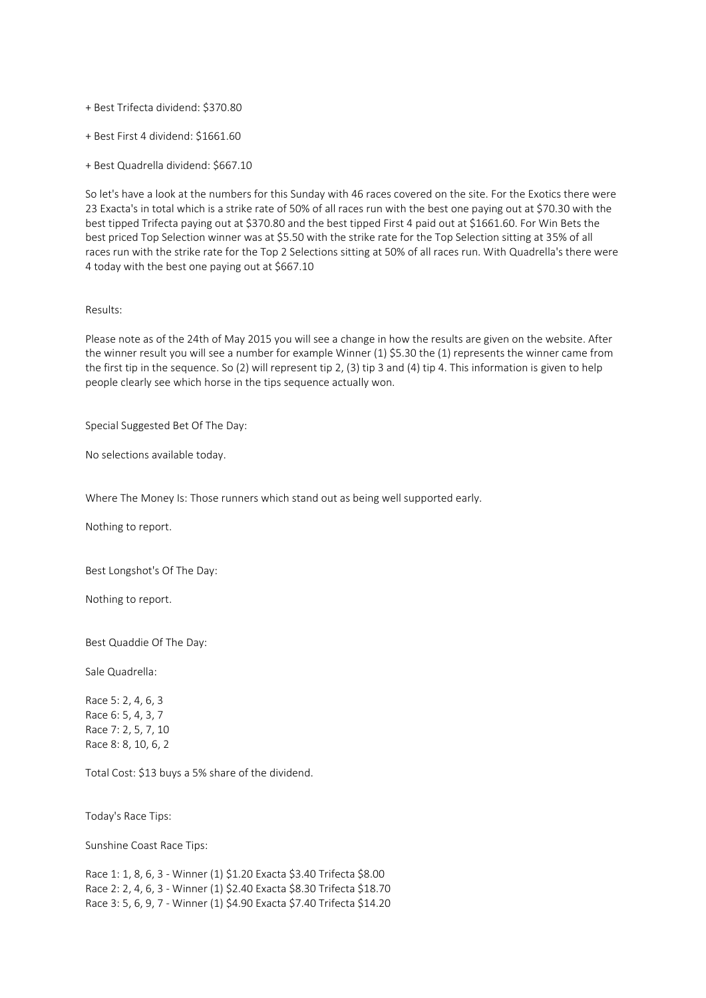+ Best Trifecta dividend: \$370.80

+ Best First 4 dividend: \$1661.60

+ Best Quadrella dividend: \$667.10

So let's have a look at the numbers for this Sunday with 46 races covered on the site. For the Exotics there were 23 Exacta's in total which is a strike rate of 50% of all races run with the best one paying out at \$70.30 with the best tipped Trifecta paying out at \$370.80 and the best tipped First 4 paid out at \$1661.60. For Win Bets the best priced Top Selection winner was at \$5.50 with the strike rate for the Top Selection sitting at 35% of all races run with the strike rate for the Top 2 Selections sitting at 50% of all races run. With Quadrella's there were 4 today with the best one paying out at \$667.10

## Results:

Please note as of the 24th of May 2015 you will see a change in how the results are given on the website. After the winner result you will see a number for example Winner (1) \$5.30 the (1) represents the winner came from the first tip in the sequence. So (2) will represent tip 2, (3) tip 3 and (4) tip 4. This information is given to help people clearly see which horse in the tips sequence actually won.

Special Suggested Bet Of The Day:

No selections available today.

Where The Money Is: Those runners which stand out as being well supported early.

Nothing to report.

Best Longshot's Of The Day:

Nothing to report.

Best Quaddie Of The Day:

Sale Quadrella:

Race 5: 2, 4, 6, 3 Race 6: 5, 4, 3, 7 Race 7: 2, 5, 7, 10 Race 8: 8, 10, 6, 2

Total Cost: \$13 buys a 5% share of the dividend.

Today's Race Tips:

Sunshine Coast Race Tips:

Race 1: 1, 8, 6, 3 - Winner (1) \$1.20 Exacta \$3.40 Trifecta \$8.00 Race 2: 2, 4, 6, 3 - Winner (1) \$2.40 Exacta \$8.30 Trifecta \$18.70 Race 3: 5, 6, 9, 7 - Winner (1) \$4.90 Exacta \$7.40 Trifecta \$14.20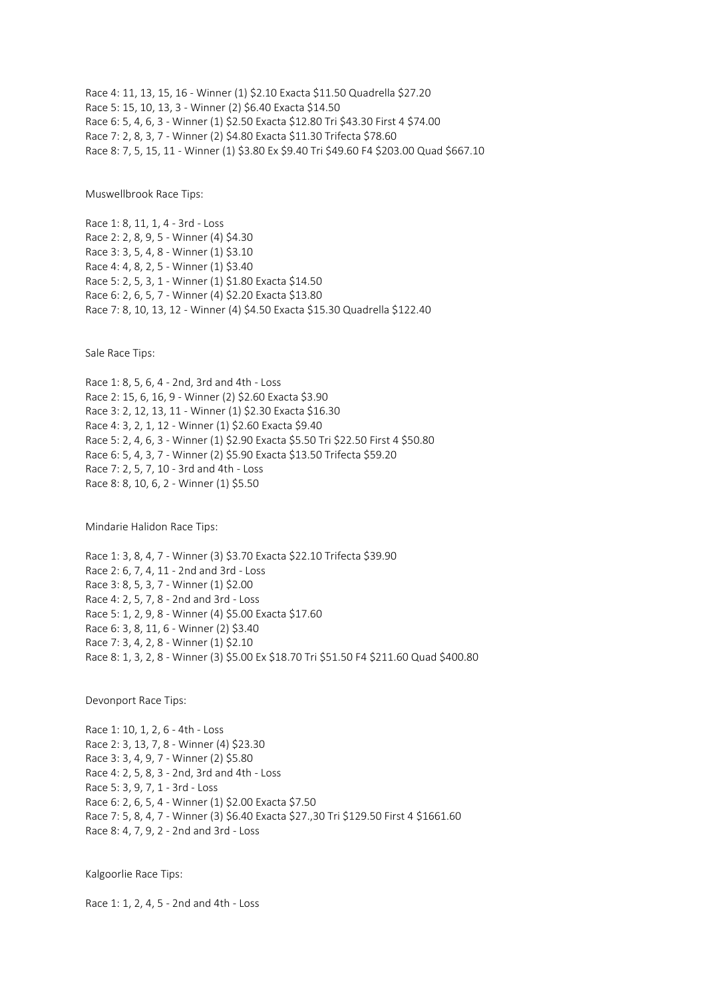Race 4: 11, 13, 15, 16 - Winner (1) \$2.10 Exacta \$11.50 Quadrella \$27.20 Race 5: 15, 10, 13, 3 - Winner (2) \$6.40 Exacta \$14.50 Race 6: 5, 4, 6, 3 - Winner (1) \$2.50 Exacta \$12.80 Tri \$43.30 First 4 \$74.00 Race 7: 2, 8, 3, 7 - Winner (2) \$4.80 Exacta \$11.30 Trifecta \$78.60 Race 8: 7, 5, 15, 11 - Winner (1) \$3.80 Ex \$9.40 Tri \$49.60 F4 \$203.00 Quad \$667.10

Muswellbrook Race Tips:

Race 1: 8, 11, 1, 4 - 3rd - Loss Race 2: 2, 8, 9, 5 - Winner (4) \$4.30 Race 3: 3, 5, 4, 8 - Winner (1) \$3.10 Race 4: 4, 8, 2, 5 - Winner (1) \$3.40 Race 5: 2, 5, 3, 1 - Winner (1) \$1.80 Exacta \$14.50 Race 6: 2, 6, 5, 7 - Winner (4) \$2.20 Exacta \$13.80 Race 7: 8, 10, 13, 12 - Winner (4) \$4.50 Exacta \$15.30 Quadrella \$122.40

Sale Race Tips:

Race 1: 8, 5, 6, 4 - 2nd, 3rd and 4th - Loss Race 2: 15, 6, 16, 9 - Winner (2) \$2.60 Exacta \$3.90 Race 3: 2, 12, 13, 11 - Winner (1) \$2.30 Exacta \$16.30 Race 4: 3, 2, 1, 12 - Winner (1) \$2.60 Exacta \$9.40 Race 5: 2, 4, 6, 3 - Winner (1) \$2.90 Exacta \$5.50 Tri \$22.50 First 4 \$50.80 Race 6: 5, 4, 3, 7 - Winner (2) \$5.90 Exacta \$13.50 Trifecta \$59.20 Race 7: 2, 5, 7, 10 - 3rd and 4th - Loss Race 8: 8, 10, 6, 2 - Winner (1) \$5.50

Mindarie Halidon Race Tips:

Race 1: 3, 8, 4, 7 - Winner (3) \$3.70 Exacta \$22.10 Trifecta \$39.90 Race 2: 6, 7, 4, 11 - 2nd and 3rd - Loss Race 3: 8, 5, 3, 7 - Winner (1) \$2.00 Race 4: 2, 5, 7, 8 - 2nd and 3rd - Loss Race 5: 1, 2, 9, 8 - Winner (4) \$5.00 Exacta \$17.60 Race 6: 3, 8, 11, 6 - Winner (2) \$3.40 Race 7: 3, 4, 2, 8 - Winner (1) \$2.10 Race 8: 1, 3, 2, 8 - Winner (3) \$5.00 Ex \$18.70 Tri \$51.50 F4 \$211.60 Quad \$400.80

Devonport Race Tips:

Race 1: 10, 1, 2, 6 - 4th - Loss Race 2: 3, 13, 7, 8 - Winner (4) \$23.30 Race 3: 3, 4, 9, 7 - Winner (2) \$5.80 Race 4: 2, 5, 8, 3 - 2nd, 3rd and 4th - Loss Race 5: 3, 9, 7, 1 - 3rd - Loss Race 6: 2, 6, 5, 4 - Winner (1) \$2.00 Exacta \$7.50 Race 7: 5, 8, 4, 7 - Winner (3) \$6.40 Exacta \$27.,30 Tri \$129.50 First 4 \$1661.60 Race 8: 4, 7, 9, 2 - 2nd and 3rd - Loss

Kalgoorlie Race Tips:

Race 1: 1, 2, 4, 5 - 2nd and 4th - Loss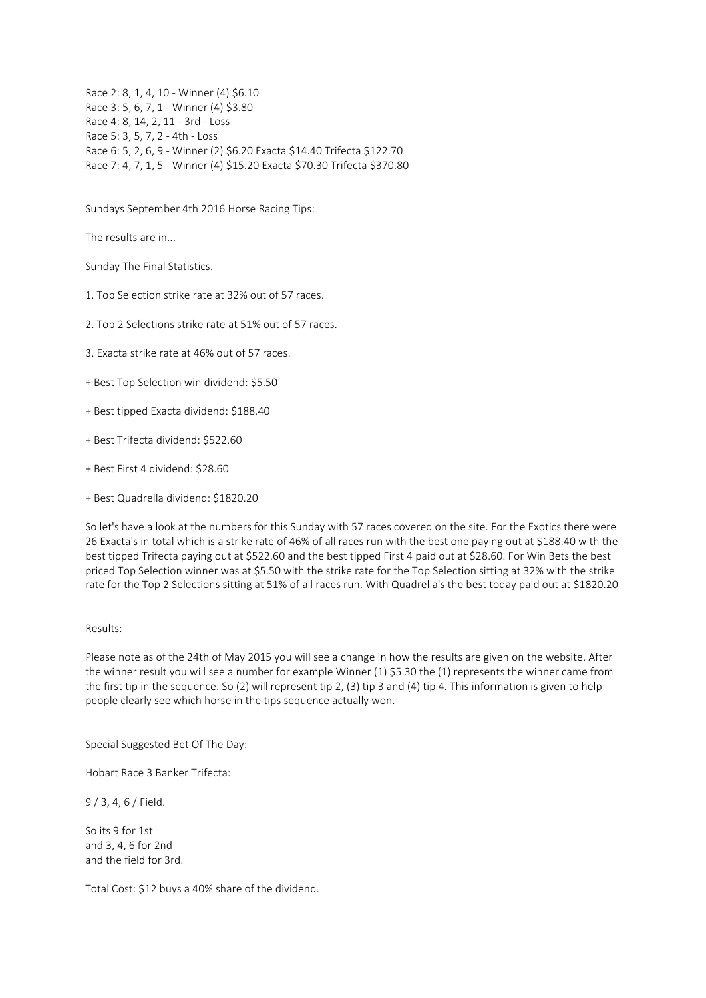Race 2: 8, 1, 4, 10 - Winner (4) \$6.10 Race 3: 5, 6, 7, 1 - Winner (4) \$3.80 Race 4: 8, 14, 2, 11 - 3rd - Loss Race 5: 3, 5, 7, 2 - 4th - Loss Race 6: 5, 2, 6, 9 - Winner (2) \$6.20 Exacta \$14.40 Trifecta \$122.70 Race 7: 4, 7, 1, 5 - Winner (4) \$15.20 Exacta \$70.30 Trifecta \$370.80

Sundays September 4th 2016 Horse Racing Tips:

The results are in...

Sunday The Final Statistics.

1. Top Selection strike rate at 32% out of 57 races.

2. Top 2 Selections strike rate at 51% out of 57 races.

3. Exacta strike rate at 46% out of 57 races.

+ Best Top Selection win dividend: \$5.50

+ Best tipped Exacta dividend: \$188.40

+ Best Trifecta dividend: \$522.60

+ Best First 4 dividend: \$28.60

+ Best Quadrella dividend: \$1820.20

So let's have a look at the numbers for this Sunday with 57 races covered on the site. For the Exotics there were 26 Exacta's in total which is a strike rate of 46% of all races run with the best one paying out at \$188.40 with the best tipped Trifecta paying out at \$522.60 and the best tipped First 4 paid out at \$28.60. For Win Bets the best priced Top Selection winner was at \$5.50 with the strike rate for the Top Selection sitting at 32% with the strike rate for the Top 2 Selections sitting at 51% of all races run. With Quadrella's the best today paid out at \$1820.20

#### Results:

Please note as of the 24th of May 2015 you will see a change in how the results are given on the website. After the winner result you will see a number for example Winner (1) \$5.30 the (1) represents the winner came from the first tip in the sequence. So (2) will represent tip 2, (3) tip 3 and (4) tip 4. This information is given to help people clearly see which horse in the tips sequence actually won.

Special Suggested Bet Of The Day:

Hobart Race 3 Banker Trifecta:

9 / 3, 4, 6 / Field.

So its 9 for 1st and 3, 4, 6 for 2nd and the field for 3rd.

Total Cost: \$12 buys a 40% share of the dividend.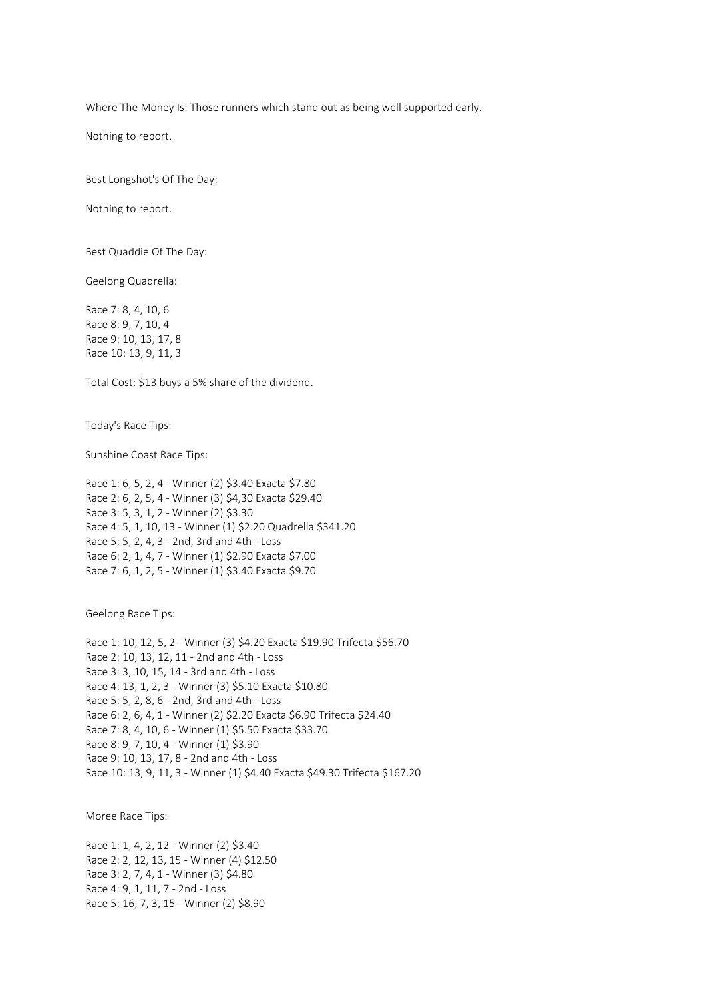Where The Money Is: Those runners which stand out as being well supported early.

Nothing to report.

Best Longshot's Of The Day:

Nothing to report.

Best Quaddie Of The Day:

Geelong Quadrella:

Race 7: 8, 4, 10, 6 Race 8: 9, 7, 10, 4 Race 9: 10, 13, 17, 8 Race 10: 13, 9, 11, 3

Total Cost: \$13 buys a 5% share of the dividend.

Today's Race Tips:

Sunshine Coast Race Tips:

Race 1: 6, 5, 2, 4 - Winner (2) \$3.40 Exacta \$7.80 Race 2: 6, 2, 5, 4 - Winner (3) \$4,30 Exacta \$29.40 Race 3: 5, 3, 1, 2 - Winner (2) \$3.30 Race 4: 5, 1, 10, 13 - Winner (1) \$2.20 Quadrella \$341.20 Race 5: 5, 2, 4, 3 - 2nd, 3rd and 4th - Loss Race 6: 2, 1, 4, 7 - Winner (1) \$2.90 Exacta \$7.00 Race 7: 6, 1, 2, 5 - Winner (1) \$3.40 Exacta \$9.70

Geelong Race Tips:

Race 1: 10, 12, 5, 2 - Winner (3) \$4.20 Exacta \$19.90 Trifecta \$56.70 Race 2: 10, 13, 12, 11 - 2nd and 4th - Loss Race 3: 3, 10, 15, 14 - 3rd and 4th - Loss Race 4: 13, 1, 2, 3 - Winner (3) \$5.10 Exacta \$10.80 Race 5: 5, 2, 8, 6 - 2nd, 3rd and 4th - Loss Race 6: 2, 6, 4, 1 - Winner (2) \$2.20 Exacta \$6.90 Trifecta \$24.40 Race 7: 8, 4, 10, 6 - Winner (1) \$5.50 Exacta \$33.70 Race 8: 9, 7, 10, 4 - Winner (1) \$3.90 Race 9: 10, 13, 17, 8 - 2nd and 4th - Loss Race 10: 13, 9, 11, 3 - Winner (1) \$4.40 Exacta \$49.30 Trifecta \$167.20

Moree Race Tips:

Race 1: 1, 4, 2, 12 - Winner (2) \$3.40 Race 2: 2, 12, 13, 15 - Winner (4) \$12.50 Race 3: 2, 7, 4, 1 - Winner (3) \$4.80 Race 4: 9, 1, 11, 7 - 2nd - Loss Race 5: 16, 7, 3, 15 - Winner (2) \$8.90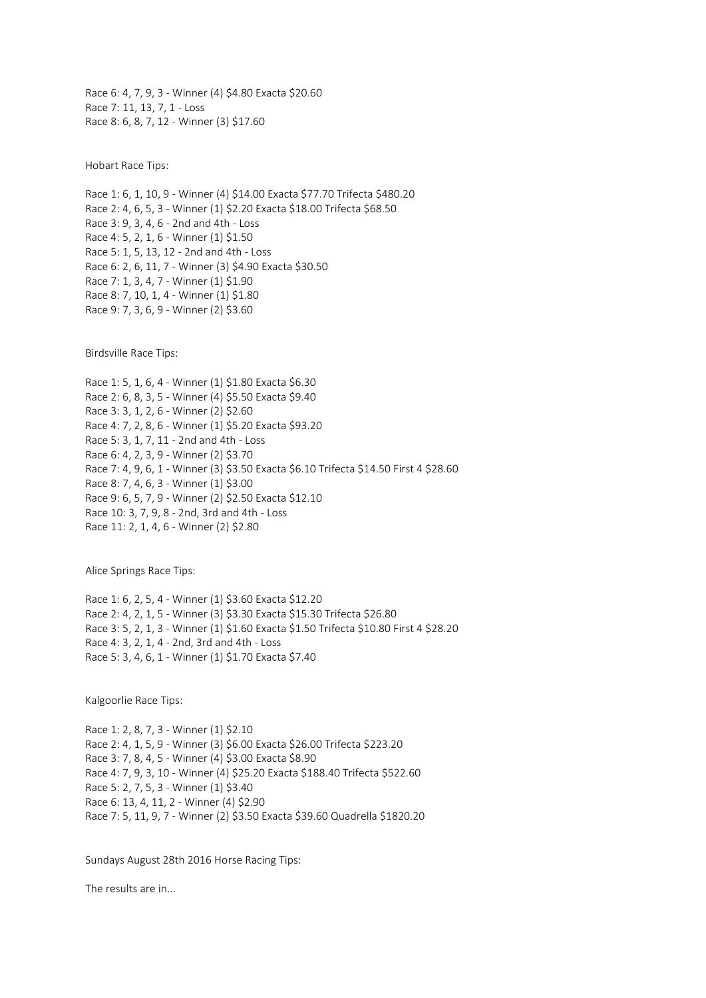Race 6: 4, 7, 9, 3 - Winner (4) \$4.80 Exacta \$20.60 Race 7: 11, 13, 7, 1 - Loss Race 8: 6, 8, 7, 12 - Winner (3) \$17.60

Hobart Race Tips:

Race 1: 6, 1, 10, 9 - Winner (4) \$14.00 Exacta \$77.70 Trifecta \$480.20 Race 2: 4, 6, 5, 3 - Winner (1) \$2.20 Exacta \$18.00 Trifecta \$68.50 Race 3: 9, 3, 4, 6 - 2nd and 4th - Loss Race 4: 5, 2, 1, 6 - Winner (1) \$1.50 Race 5: 1, 5, 13, 12 - 2nd and 4th - Loss Race 6: 2, 6, 11, 7 - Winner (3) \$4.90 Exacta \$30.50 Race 7: 1, 3, 4, 7 - Winner (1) \$1.90 Race 8: 7, 10, 1, 4 - Winner (1) \$1.80 Race 9: 7, 3, 6, 9 - Winner (2) \$3.60

Birdsville Race Tips:

Race 1: 5, 1, 6, 4 - Winner (1) \$1.80 Exacta \$6.30 Race 2: 6, 8, 3, 5 - Winner (4) \$5.50 Exacta \$9.40 Race 3: 3, 1, 2, 6 - Winner (2) \$2.60 Race 4: 7, 2, 8, 6 - Winner (1) \$5.20 Exacta \$93.20 Race 5: 3, 1, 7, 11 - 2nd and 4th - Loss Race 6: 4, 2, 3, 9 - Winner (2) \$3.70 Race 7: 4, 9, 6, 1 - Winner (3) \$3.50 Exacta \$6.10 Trifecta \$14.50 First 4 \$28.60 Race 8: 7, 4, 6, 3 - Winner (1) \$3.00 Race 9: 6, 5, 7, 9 - Winner (2) \$2.50 Exacta \$12.10 Race 10: 3, 7, 9, 8 - 2nd, 3rd and 4th - Loss Race 11: 2, 1, 4, 6 - Winner (2) \$2.80

Alice Springs Race Tips:

Race 1: 6, 2, 5, 4 - Winner (1) \$3.60 Exacta \$12.20 Race 2: 4, 2, 1, 5 - Winner (3) \$3.30 Exacta \$15.30 Trifecta \$26.80 Race 3: 5, 2, 1, 3 - Winner (1) \$1.60 Exacta \$1.50 Trifecta \$10.80 First 4 \$28.20 Race 4: 3, 2, 1, 4 - 2nd, 3rd and 4th - Loss Race 5: 3, 4, 6, 1 - Winner (1) \$1.70 Exacta \$7.40

Kalgoorlie Race Tips:

Race 1: 2, 8, 7, 3 - Winner (1) \$2.10 Race 2: 4, 1, 5, 9 - Winner (3) \$6.00 Exacta \$26.00 Trifecta \$223.20 Race 3: 7, 8, 4, 5 - Winner (4) \$3.00 Exacta \$8.90 Race 4: 7, 9, 3, 10 - Winner (4) \$25.20 Exacta \$188.40 Trifecta \$522.60 Race 5: 2, 7, 5, 3 - Winner (1) \$3.40 Race 6: 13, 4, 11, 2 - Winner (4) \$2.90 Race 7: 5, 11, 9, 7 - Winner (2) \$3.50 Exacta \$39.60 Quadrella \$1820.20

Sundays August 28th 2016 Horse Racing Tips:

The results are in...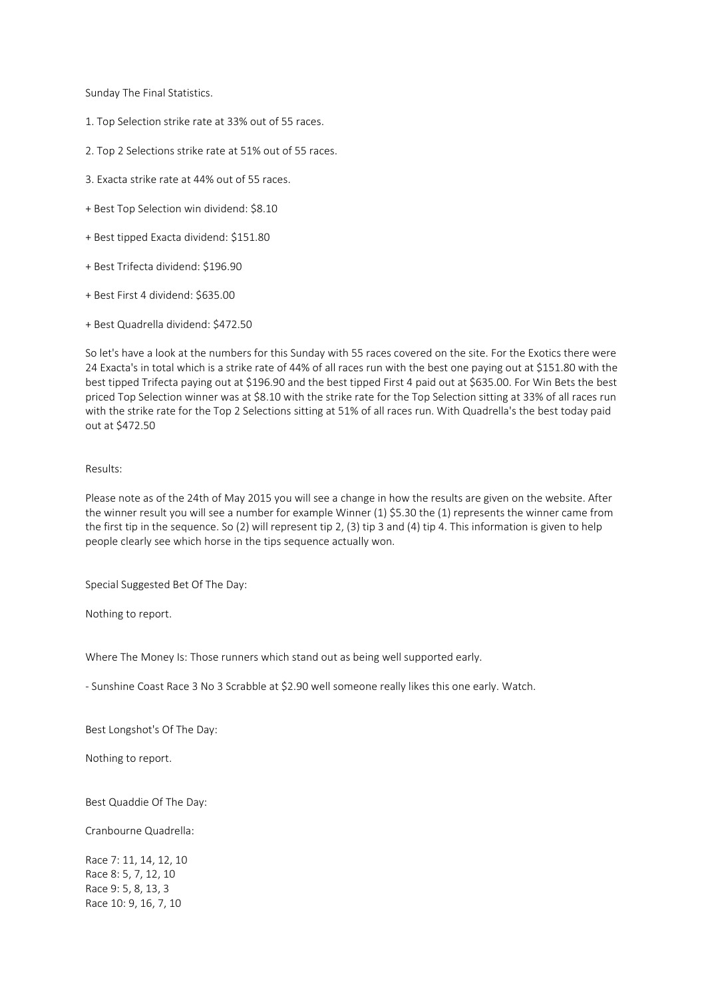Sunday The Final Statistics.

- 1. Top Selection strike rate at 33% out of 55 races.
- 2. Top 2 Selections strike rate at 51% out of 55 races.
- 3. Exacta strike rate at 44% out of 55 races.
- + Best Top Selection win dividend: \$8.10
- + Best tipped Exacta dividend: \$151.80
- + Best Trifecta dividend: \$196.90
- + Best First 4 dividend: \$635.00
- + Best Quadrella dividend: \$472.50

So let's have a look at the numbers for this Sunday with 55 races covered on the site. For the Exotics there were 24 Exacta's in total which is a strike rate of 44% of all races run with the best one paying out at \$151.80 with the best tipped Trifecta paying out at \$196.90 and the best tipped First 4 paid out at \$635.00. For Win Bets the best priced Top Selection winner was at \$8.10 with the strike rate for the Top Selection sitting at 33% of all races run with the strike rate for the Top 2 Selections sitting at 51% of all races run. With Quadrella's the best today paid out at \$472.50

### Results:

Please note as of the 24th of May 2015 you will see a change in how the results are given on the website. After the winner result you will see a number for example Winner (1) \$5.30 the (1) represents the winner came from the first tip in the sequence. So (2) will represent tip 2, (3) tip 3 and (4) tip 4. This information is given to help people clearly see which horse in the tips sequence actually won.

Special Suggested Bet Of The Day:

Nothing to report.

Where The Money Is: Those runners which stand out as being well supported early.

- Sunshine Coast Race 3 No 3 Scrabble at \$2.90 well someone really likes this one early. Watch.

Best Longshot's Of The Day:

Nothing to report.

Best Quaddie Of The Day:

Cranbourne Quadrella:

Race 7: 11, 14, 12, 10 Race 8: 5, 7, 12, 10 Race 9: 5, 8, 13, 3 Race 10: 9, 16, 7, 10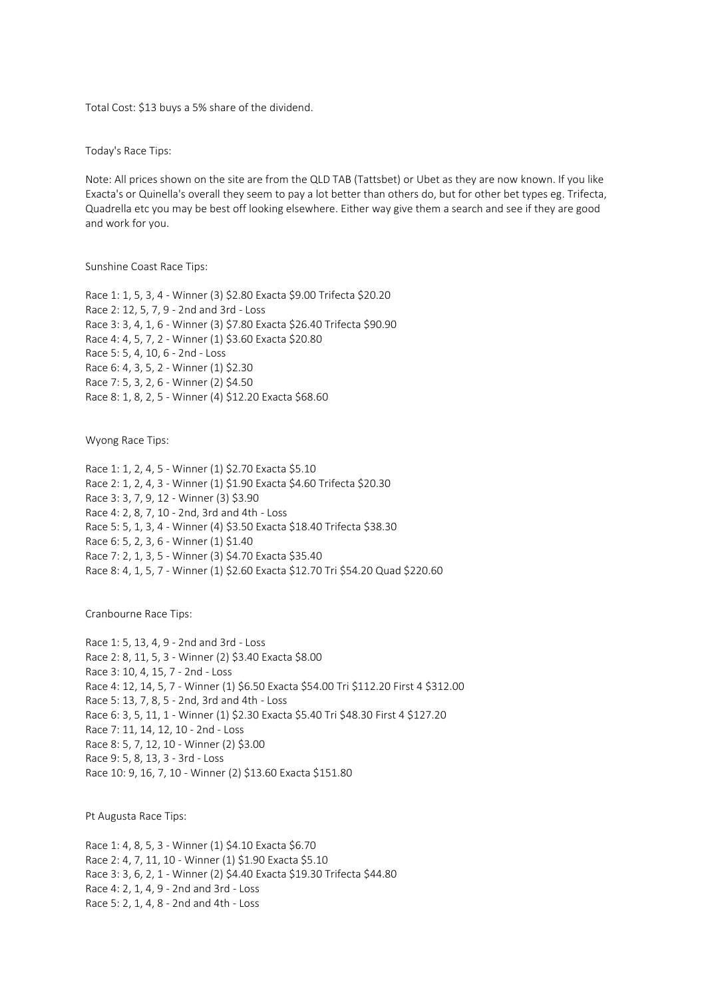Total Cost: \$13 buys a 5% share of the dividend.

Today's Race Tips:

Note: All prices shown on the site are from the QLD TAB (Tattsbet) or Ubet as they are now known. If you like Exacta's or Quinella's overall they seem to pay a lot better than others do, but for other bet types eg. Trifecta, Quadrella etc you may be best off looking elsewhere. Either way give them a search and see if they are good and work for you.

Sunshine Coast Race Tips:

Race 1: 1, 5, 3, 4 - Winner (3) \$2.80 Exacta \$9.00 Trifecta \$20.20 Race 2: 12, 5, 7, 9 - 2nd and 3rd - Loss Race 3: 3, 4, 1, 6 - Winner (3) \$7.80 Exacta \$26.40 Trifecta \$90.90 Race 4: 4, 5, 7, 2 - Winner (1) \$3.60 Exacta \$20.80 Race 5: 5, 4, 10, 6 - 2nd - Loss Race 6: 4, 3, 5, 2 - Winner (1) \$2.30 Race 7: 5, 3, 2, 6 - Winner (2) \$4.50 Race 8: 1, 8, 2, 5 - Winner (4) \$12.20 Exacta \$68.60

Wyong Race Tips:

Race 1: 1, 2, 4, 5 - Winner (1) \$2.70 Exacta \$5.10 Race 2: 1, 2, 4, 3 - Winner (1) \$1.90 Exacta \$4.60 Trifecta \$20.30 Race 3: 3, 7, 9, 12 - Winner (3) \$3.90 Race 4: 2, 8, 7, 10 - 2nd, 3rd and 4th - Loss Race 5: 5, 1, 3, 4 - Winner (4) \$3.50 Exacta \$18.40 Trifecta \$38.30 Race 6: 5, 2, 3, 6 - Winner (1) \$1.40 Race 7: 2, 1, 3, 5 - Winner (3) \$4.70 Exacta \$35.40 Race 8: 4, 1, 5, 7 - Winner (1) \$2.60 Exacta \$12.70 Tri \$54.20 Quad \$220.60

Cranbourne Race Tips:

Race 1: 5, 13, 4, 9 - 2nd and 3rd - Loss Race 2: 8, 11, 5, 3 - Winner (2) \$3.40 Exacta \$8.00 Race 3: 10, 4, 15, 7 - 2nd - Loss Race 4: 12, 14, 5, 7 - Winner (1) \$6.50 Exacta \$54.00 Tri \$112.20 First 4 \$312.00 Race 5: 13, 7, 8, 5 - 2nd, 3rd and 4th - Loss Race 6: 3, 5, 11, 1 - Winner (1) \$2.30 Exacta \$5.40 Tri \$48.30 First 4 \$127.20 Race 7: 11, 14, 12, 10 - 2nd - Loss Race 8: 5, 7, 12, 10 - Winner (2) \$3.00 Race 9: 5, 8, 13, 3 - 3rd - Loss Race 10: 9, 16, 7, 10 - Winner (2) \$13.60 Exacta \$151.80

Pt Augusta Race Tips:

Race 1: 4, 8, 5, 3 - Winner (1) \$4.10 Exacta \$6.70 Race 2: 4, 7, 11, 10 - Winner (1) \$1.90 Exacta \$5.10 Race 3: 3, 6, 2, 1 - Winner (2) \$4.40 Exacta \$19.30 Trifecta \$44.80 Race 4: 2, 1, 4, 9 - 2nd and 3rd - Loss Race 5: 2, 1, 4, 8 - 2nd and 4th - Loss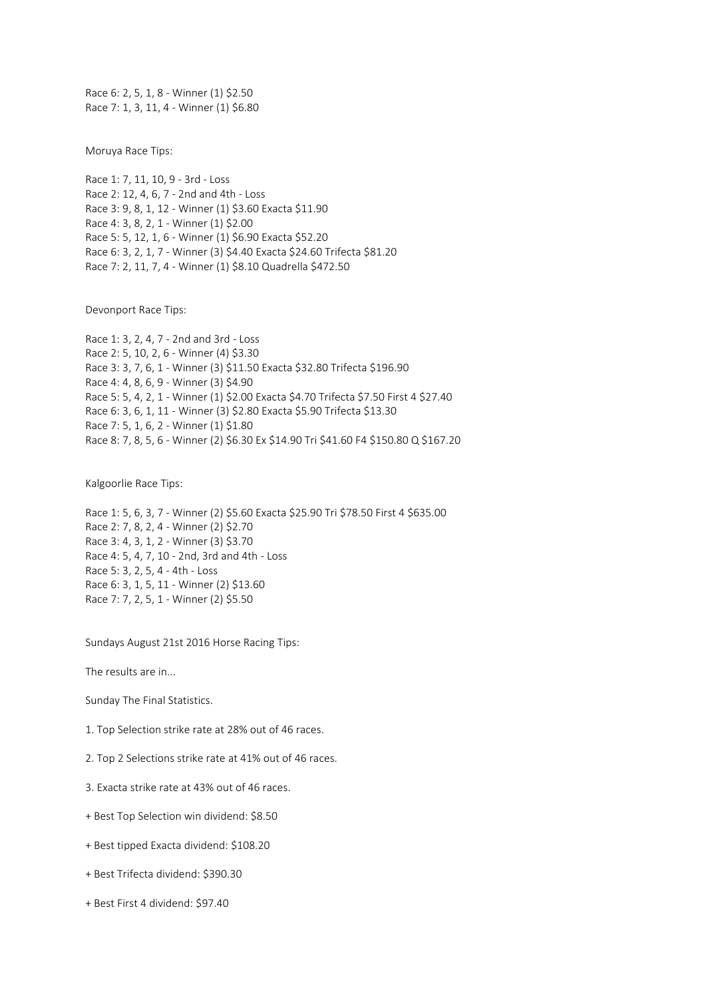Race 6: 2, 5, 1, 8 - Winner (1) \$2.50 Race 7: 1, 3, 11, 4 - Winner (1) \$6.80

Moruya Race Tips:

Race 1: 7, 11, 10, 9 - 3rd - Loss Race 2: 12, 4, 6, 7 - 2nd and 4th - Loss Race 3: 9, 8, 1, 12 - Winner (1) \$3.60 Exacta \$11.90 Race 4: 3, 8, 2, 1 - Winner (1) \$2.00 Race 5: 5, 12, 1, 6 - Winner (1) \$6.90 Exacta \$52.20 Race 6: 3, 2, 1, 7 - Winner (3) \$4.40 Exacta \$24.60 Trifecta \$81.20 Race 7: 2, 11, 7, 4 - Winner (1) \$8.10 Quadrella \$472.50

Devonport Race Tips:

Race 1: 3, 2, 4, 7 - 2nd and 3rd - Loss Race 2: 5, 10, 2, 6 - Winner (4) \$3.30 Race 3: 3, 7, 6, 1 - Winner (3) \$11.50 Exacta \$32.80 Trifecta \$196.90 Race 4: 4, 8, 6, 9 - Winner (3) \$4.90 Race 5: 5, 4, 2, 1 - Winner (1) \$2.00 Exacta \$4.70 Trifecta \$7.50 First 4 \$27.40 Race 6: 3, 6, 1, 11 - Winner (3) \$2.80 Exacta \$5.90 Trifecta \$13.30 Race 7: 5, 1, 6, 2 - Winner (1) \$1.80 Race 8: 7, 8, 5, 6 - Winner (2) \$6.30 Ex \$14.90 Tri \$41.60 F4 \$150.80 Q \$167.20

Kalgoorlie Race Tips:

Race 1: 5, 6, 3, 7 - Winner (2) \$5.60 Exacta \$25.90 Tri \$78.50 First 4 \$635.00 Race 2: 7, 8, 2, 4 - Winner (2) \$2.70 Race 3: 4, 3, 1, 2 - Winner (3) \$3.70 Race 4: 5, 4, 7, 10 - 2nd, 3rd and 4th - Loss Race 5: 3, 2, 5, 4 - 4th - Loss Race 6: 3, 1, 5, 11 - Winner (2) \$13.60 Race 7: 7, 2, 5, 1 - Winner (2) \$5.50

Sundays August 21st 2016 Horse Racing Tips:

The results are in...

Sunday The Final Statistics.

1. Top Selection strike rate at 28% out of 46 races.

2. Top 2 Selections strike rate at 41% out of 46 races.

3. Exacta strike rate at 43% out of 46 races.

+ Best Top Selection win dividend: \$8.50

+ Best tipped Exacta dividend: \$108.20

+ Best Trifecta dividend: \$390.30

+ Best First 4 dividend: \$97.40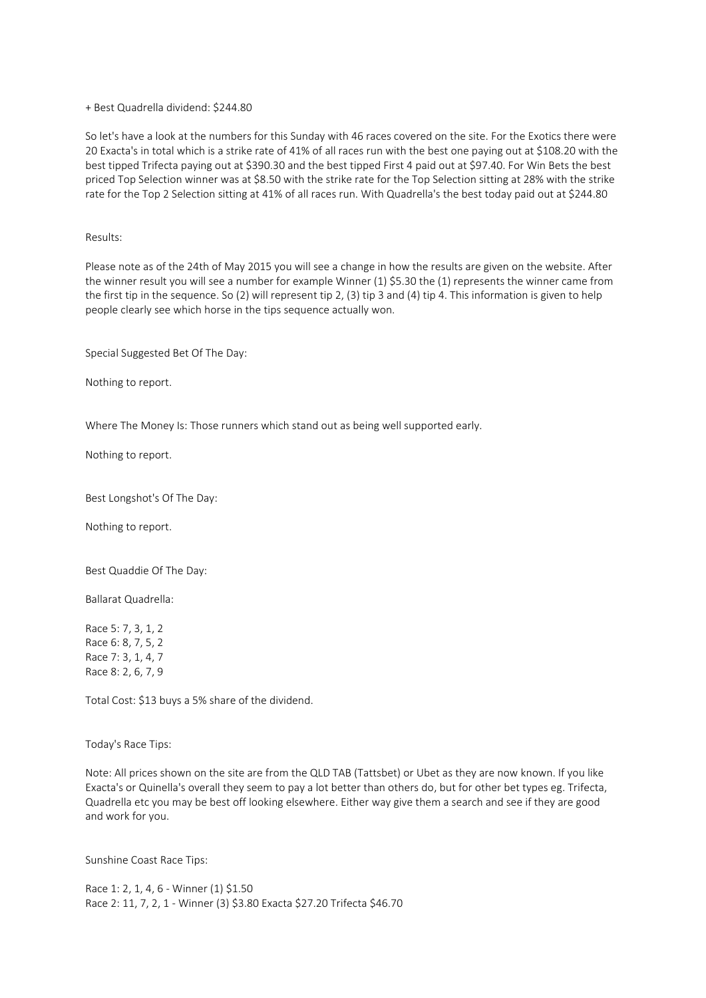+ Best Quadrella dividend: \$244.80

So let's have a look at the numbers for this Sunday with 46 races covered on the site. For the Exotics there were 20 Exacta's in total which is a strike rate of 41% of all races run with the best one paying out at \$108.20 with the best tipped Trifecta paying out at \$390.30 and the best tipped First 4 paid out at \$97.40. For Win Bets the best priced Top Selection winner was at \$8.50 with the strike rate for the Top Selection sitting at 28% with the strike rate for the Top 2 Selection sitting at 41% of all races run. With Quadrella's the best today paid out at \$244.80

Results:

Please note as of the 24th of May 2015 you will see a change in how the results are given on the website. After the winner result you will see a number for example Winner (1) \$5.30 the (1) represents the winner came from the first tip in the sequence. So (2) will represent tip 2, (3) tip 3 and (4) tip 4. This information is given to help people clearly see which horse in the tips sequence actually won.

Special Suggested Bet Of The Day:

Nothing to report.

Where The Money Is: Those runners which stand out as being well supported early.

Nothing to report.

Best Longshot's Of The Day:

Nothing to report.

Best Quaddie Of The Day:

Ballarat Quadrella:

Race 5: 7, 3, 1, 2 Race 6: 8, 7, 5, 2 Race 7: 3, 1, 4, 7 Race 8: 2, 6, 7, 9

Total Cost: \$13 buys a 5% share of the dividend.

Today's Race Tips:

Note: All prices shown on the site are from the QLD TAB (Tattsbet) or Ubet as they are now known. If you like Exacta's or Quinella's overall they seem to pay a lot better than others do, but for other bet types eg. Trifecta, Quadrella etc you may be best off looking elsewhere. Either way give them a search and see if they are good and work for you.

Sunshine Coast Race Tips:

Race 1: 2, 1, 4, 6 - Winner (1) \$1.50 Race 2: 11, 7, 2, 1 - Winner (3) \$3.80 Exacta \$27.20 Trifecta \$46.70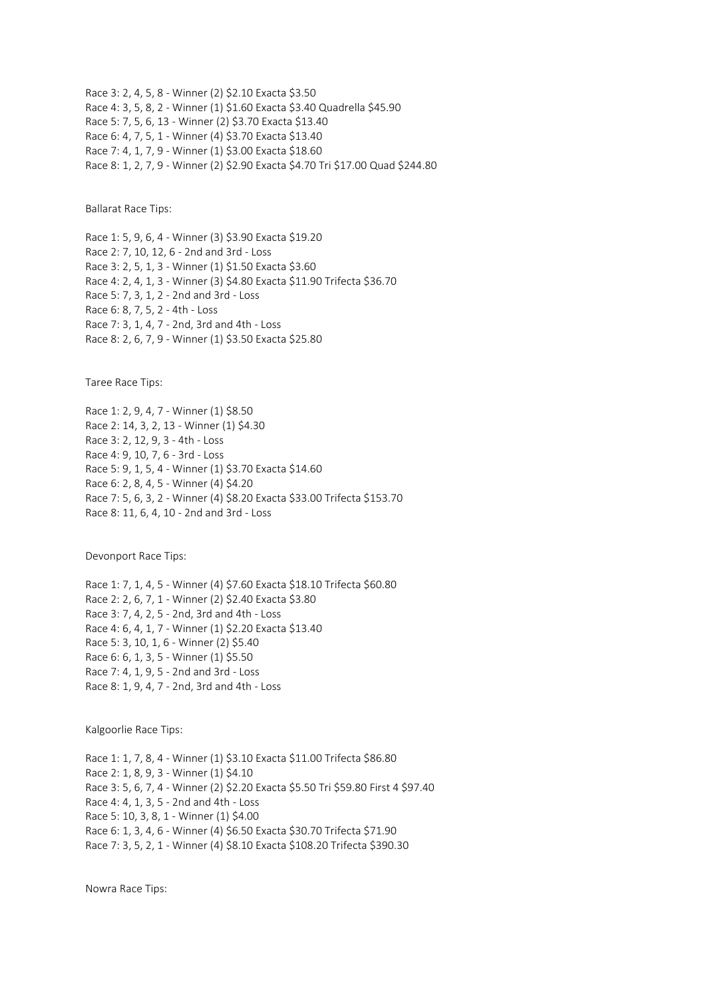Race 3: 2, 4, 5, 8 - Winner (2) \$2.10 Exacta \$3.50 Race 4: 3, 5, 8, 2 - Winner (1) \$1.60 Exacta \$3.40 Quadrella \$45.90 Race 5: 7, 5, 6, 13 - Winner (2) \$3.70 Exacta \$13.40 Race 6: 4, 7, 5, 1 - Winner (4) \$3.70 Exacta \$13.40 Race 7: 4, 1, 7, 9 - Winner (1) \$3.00 Exacta \$18.60 Race 8: 1, 2, 7, 9 - Winner (2) \$2.90 Exacta \$4.70 Tri \$17.00 Quad \$244.80

Ballarat Race Tips:

Race 1: 5, 9, 6, 4 - Winner (3) \$3.90 Exacta \$19.20 Race 2: 7, 10, 12, 6 - 2nd and 3rd - Loss Race 3: 2, 5, 1, 3 - Winner (1) \$1.50 Exacta \$3.60 Race 4: 2, 4, 1, 3 - Winner (3) \$4.80 Exacta \$11.90 Trifecta \$36.70 Race 5: 7, 3, 1, 2 - 2nd and 3rd - Loss Race 6: 8, 7, 5, 2 - 4th - Loss Race 7: 3, 1, 4, 7 - 2nd, 3rd and 4th - Loss Race 8: 2, 6, 7, 9 - Winner (1) \$3.50 Exacta \$25.80

Taree Race Tips:

Race 1: 2, 9, 4, 7 - Winner (1) \$8.50 Race 2: 14, 3, 2, 13 - Winner (1) \$4.30 Race 3: 2, 12, 9, 3 - 4th - Loss Race 4: 9, 10, 7, 6 - 3rd - Loss Race 5: 9, 1, 5, 4 - Winner (1) \$3.70 Exacta \$14.60 Race 6: 2, 8, 4, 5 - Winner (4) \$4.20 Race 7: 5, 6, 3, 2 - Winner (4) \$8.20 Exacta \$33.00 Trifecta \$153.70 Race 8: 11, 6, 4, 10 - 2nd and 3rd - Loss

Devonport Race Tips:

Race 1: 7, 1, 4, 5 - Winner (4) \$7.60 Exacta \$18.10 Trifecta \$60.80 Race 2: 2, 6, 7, 1 - Winner (2) \$2.40 Exacta \$3.80 Race 3: 7, 4, 2, 5 - 2nd, 3rd and 4th - Loss Race 4: 6, 4, 1, 7 - Winner (1) \$2.20 Exacta \$13.40 Race 5: 3, 10, 1, 6 - Winner (2) \$5.40 Race 6: 6, 1, 3, 5 - Winner (1) \$5.50 Race 7: 4, 1, 9, 5 - 2nd and 3rd - Loss Race 8: 1, 9, 4, 7 - 2nd, 3rd and 4th - Loss

Kalgoorlie Race Tips:

Race 1: 1, 7, 8, 4 - Winner (1) \$3.10 Exacta \$11.00 Trifecta \$86.80 Race 2: 1, 8, 9, 3 - Winner (1) \$4.10 Race 3: 5, 6, 7, 4 - Winner (2) \$2.20 Exacta \$5.50 Tri \$59.80 First 4 \$97.40 Race 4: 4, 1, 3, 5 - 2nd and 4th - Loss Race 5: 10, 3, 8, 1 - Winner (1) \$4.00 Race 6: 1, 3, 4, 6 - Winner (4) \$6.50 Exacta \$30.70 Trifecta \$71.90 Race 7: 3, 5, 2, 1 - Winner (4) \$8.10 Exacta \$108.20 Trifecta \$390.30

Nowra Race Tips: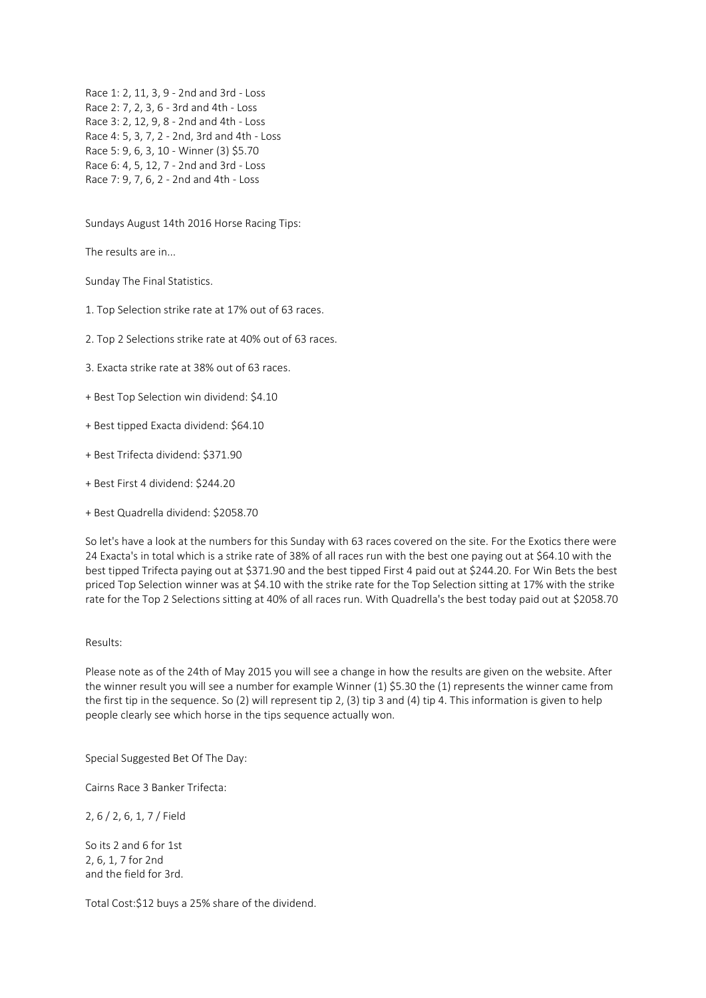Race 1: 2, 11, 3, 9 - 2nd and 3rd - Loss Race 2: 7, 2, 3, 6 - 3rd and 4th - Loss Race 3: 2, 12, 9, 8 - 2nd and 4th - Loss Race 4: 5, 3, 7, 2 - 2nd, 3rd and 4th - Loss Race 5: 9, 6, 3, 10 - Winner (3) \$5.70 Race 6: 4, 5, 12, 7 - 2nd and 3rd - Loss Race 7: 9, 7, 6, 2 - 2nd and 4th - Loss

Sundays August 14th 2016 Horse Racing Tips:

The results are in...

Sunday The Final Statistics.

1. Top Selection strike rate at 17% out of 63 races.

2. Top 2 Selections strike rate at 40% out of 63 races.

3. Exacta strike rate at 38% out of 63 races.

+ Best Top Selection win dividend: \$4.10

- + Best tipped Exacta dividend: \$64.10
- + Best Trifecta dividend: \$371.90
- + Best First 4 dividend: \$244.20
- + Best Quadrella dividend: \$2058.70

So let's have a look at the numbers for this Sunday with 63 races covered on the site. For the Exotics there were 24 Exacta's in total which is a strike rate of 38% of all races run with the best one paying out at \$64.10 with the best tipped Trifecta paying out at \$371.90 and the best tipped First 4 paid out at \$244.20. For Win Bets the best priced Top Selection winner was at \$4.10 with the strike rate for the Top Selection sitting at 17% with the strike rate for the Top 2 Selections sitting at 40% of all races run. With Quadrella's the best today paid out at \$2058.70

# Results:

Please note as of the 24th of May 2015 you will see a change in how the results are given on the website. After the winner result you will see a number for example Winner (1) \$5.30 the (1) represents the winner came from the first tip in the sequence. So (2) will represent tip 2, (3) tip 3 and (4) tip 4. This information is given to help people clearly see which horse in the tips sequence actually won.

Special Suggested Bet Of The Day:

Cairns Race 3 Banker Trifecta:

2, 6 / 2, 6, 1, 7 / Field

So its 2 and 6 for 1st 2, 6, 1, 7 for 2nd and the field for 3rd.

Total Cost:\$12 buys a 25% share of the dividend.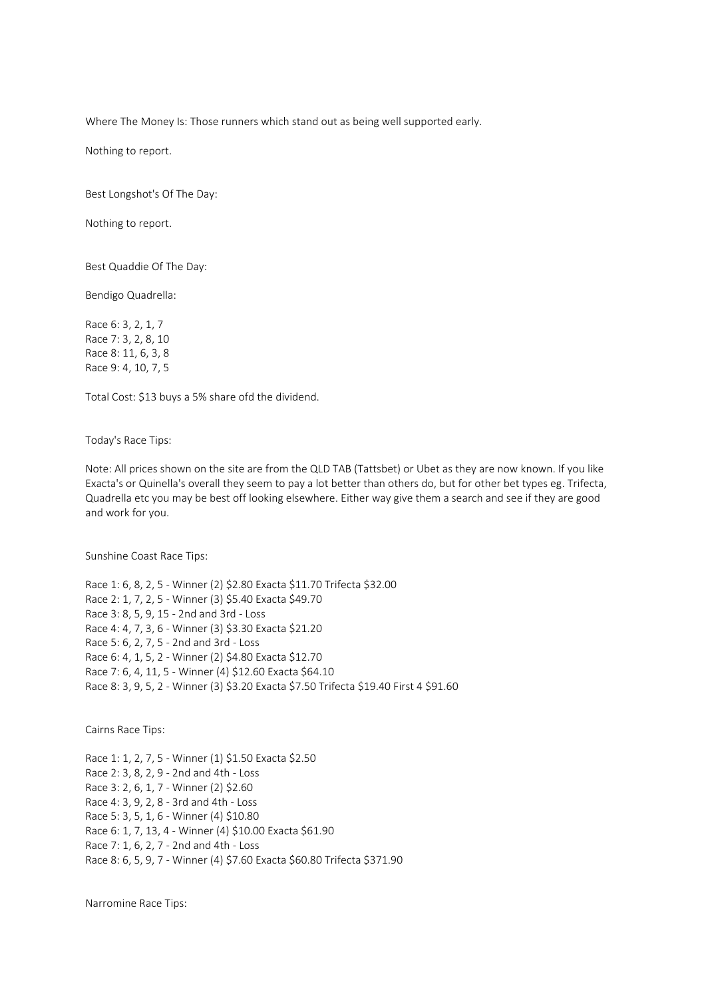Where The Money Is: Those runners which stand out as being well supported early.

Nothing to report.

Best Longshot's Of The Day:

Nothing to report.

Best Quaddie Of The Day:

Bendigo Quadrella:

Race 6: 3, 2, 1, 7 Race 7: 3, 2, 8, 10 Race 8: 11, 6, 3, 8 Race 9: 4, 10, 7, 5

Total Cost: \$13 buys a 5% share ofd the dividend.

Today's Race Tips:

Note: All prices shown on the site are from the QLD TAB (Tattsbet) or Ubet as they are now known. If you like Exacta's or Quinella's overall they seem to pay a lot better than others do, but for other bet types eg. Trifecta, Quadrella etc you may be best off looking elsewhere. Either way give them a search and see if they are good and work for you.

Sunshine Coast Race Tips:

Race 1: 6, 8, 2, 5 - Winner (2) \$2.80 Exacta \$11.70 Trifecta \$32.00 Race 2: 1, 7, 2, 5 - Winner (3) \$5.40 Exacta \$49.70 Race 3: 8, 5, 9, 15 - 2nd and 3rd - Loss Race 4: 4, 7, 3, 6 - Winner (3) \$3.30 Exacta \$21.20 Race 5: 6, 2, 7, 5 - 2nd and 3rd - Loss Race 6: 4, 1, 5, 2 - Winner (2) \$4.80 Exacta \$12.70 Race 7: 6, 4, 11, 5 - Winner (4) \$12.60 Exacta \$64.10 Race 8: 3, 9, 5, 2 - Winner (3) \$3.20 Exacta \$7.50 Trifecta \$19.40 First 4 \$91.60

Cairns Race Tips:

Race 1: 1, 2, 7, 5 - Winner (1) \$1.50 Exacta \$2.50 Race 2: 3, 8, 2, 9 - 2nd and 4th - Loss Race 3: 2, 6, 1, 7 - Winner (2) \$2.60 Race 4: 3, 9, 2, 8 - 3rd and 4th - Loss Race 5: 3, 5, 1, 6 - Winner (4) \$10.80 Race 6: 1, 7, 13, 4 - Winner (4) \$10.00 Exacta \$61.90 Race 7: 1, 6, 2, 7 - 2nd and 4th - Loss Race 8: 6, 5, 9, 7 - Winner (4) \$7.60 Exacta \$60.80 Trifecta \$371.90

Narromine Race Tips: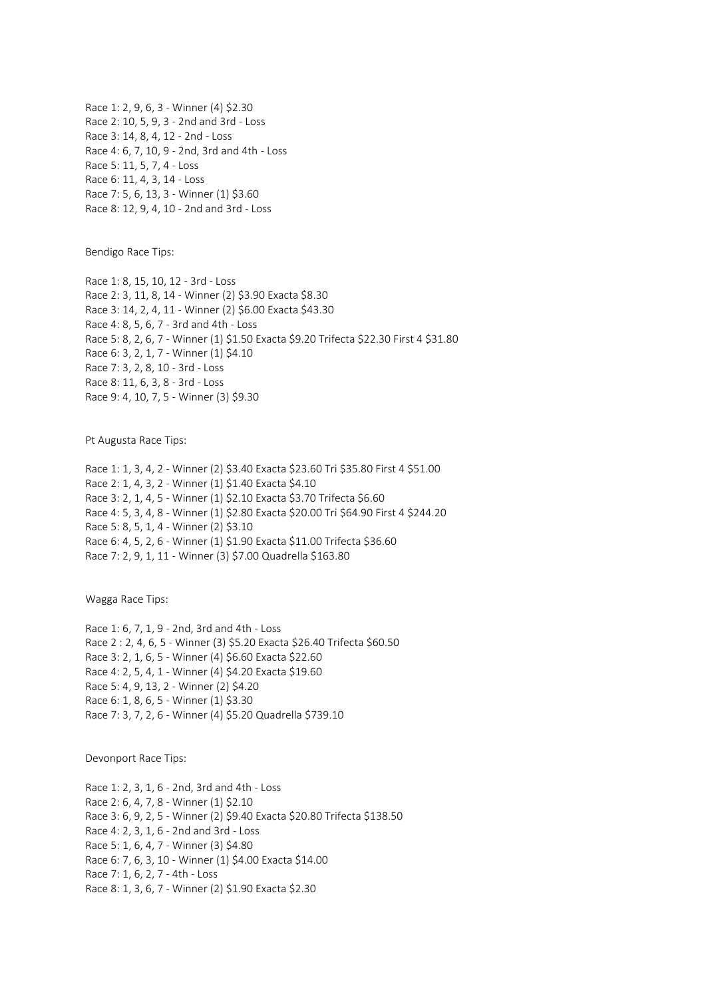Race 1: 2, 9, 6, 3 - Winner (4) \$2.30 Race 2: 10, 5, 9, 3 - 2nd and 3rd - Loss Race 3: 14, 8, 4, 12 - 2nd - Loss Race 4: 6, 7, 10, 9 - 2nd, 3rd and 4th - Loss Race 5: 11, 5, 7, 4 - Loss Race 6: 11, 4, 3, 14 - Loss Race 7: 5, 6, 13, 3 - Winner (1) \$3.60 Race 8: 12, 9, 4, 10 - 2nd and 3rd - Loss

Bendigo Race Tips:

Race 1: 8, 15, 10, 12 - 3rd - Loss Race 2: 3, 11, 8, 14 - Winner (2) \$3.90 Exacta \$8.30 Race 3: 14, 2, 4, 11 - Winner (2) \$6.00 Exacta \$43.30 Race 4: 8, 5, 6, 7 - 3rd and 4th - Loss Race 5: 8, 2, 6, 7 - Winner (1) \$1.50 Exacta \$9.20 Trifecta \$22.30 First 4 \$31.80 Race 6: 3, 2, 1, 7 - Winner (1) \$4.10 Race 7: 3, 2, 8, 10 - 3rd - Loss Race 8: 11, 6, 3, 8 - 3rd - Loss Race 9: 4, 10, 7, 5 - Winner (3) \$9.30

Pt Augusta Race Tips:

Race 1: 1, 3, 4, 2 - Winner (2) \$3.40 Exacta \$23.60 Tri \$35.80 First 4 \$51.00 Race 2: 1, 4, 3, 2 - Winner (1) \$1.40 Exacta \$4.10 Race 3: 2, 1, 4, 5 - Winner (1) \$2.10 Exacta \$3.70 Trifecta \$6.60 Race 4: 5, 3, 4, 8 - Winner (1) \$2.80 Exacta \$20.00 Tri \$64.90 First 4 \$244.20 Race 5: 8, 5, 1, 4 - Winner (2) \$3.10 Race 6: 4, 5, 2, 6 - Winner (1) \$1.90 Exacta \$11.00 Trifecta \$36.60 Race 7: 2, 9, 1, 11 - Winner (3) \$7.00 Quadrella \$163.80

Wagga Race Tips:

Race 1: 6, 7, 1, 9 - 2nd, 3rd and 4th - Loss Race 2 : 2, 4, 6, 5 - Winner (3) \$5.20 Exacta \$26.40 Trifecta \$60.50 Race 3: 2, 1, 6, 5 - Winner (4) \$6.60 Exacta \$22.60 Race 4: 2, 5, 4, 1 - Winner (4) \$4.20 Exacta \$19.60 Race 5: 4, 9, 13, 2 - Winner (2) \$4.20 Race 6: 1, 8, 6, 5 - Winner (1) \$3.30 Race 7: 3, 7, 2, 6 - Winner (4) \$5.20 Quadrella \$739.10

Devonport Race Tips:

Race 1: 2, 3, 1, 6 - 2nd, 3rd and 4th - Loss Race 2: 6, 4, 7, 8 - Winner (1) \$2.10 Race 3: 6, 9, 2, 5 - Winner (2) \$9.40 Exacta \$20.80 Trifecta \$138.50 Race 4: 2, 3, 1, 6 - 2nd and 3rd - Loss Race 5: 1, 6, 4, 7 - Winner (3) \$4.80 Race 6: 7, 6, 3, 10 - Winner (1) \$4.00 Exacta \$14.00 Race 7: 1, 6, 2, 7 - 4th - Loss Race 8: 1, 3, 6, 7 - Winner (2) \$1.90 Exacta \$2.30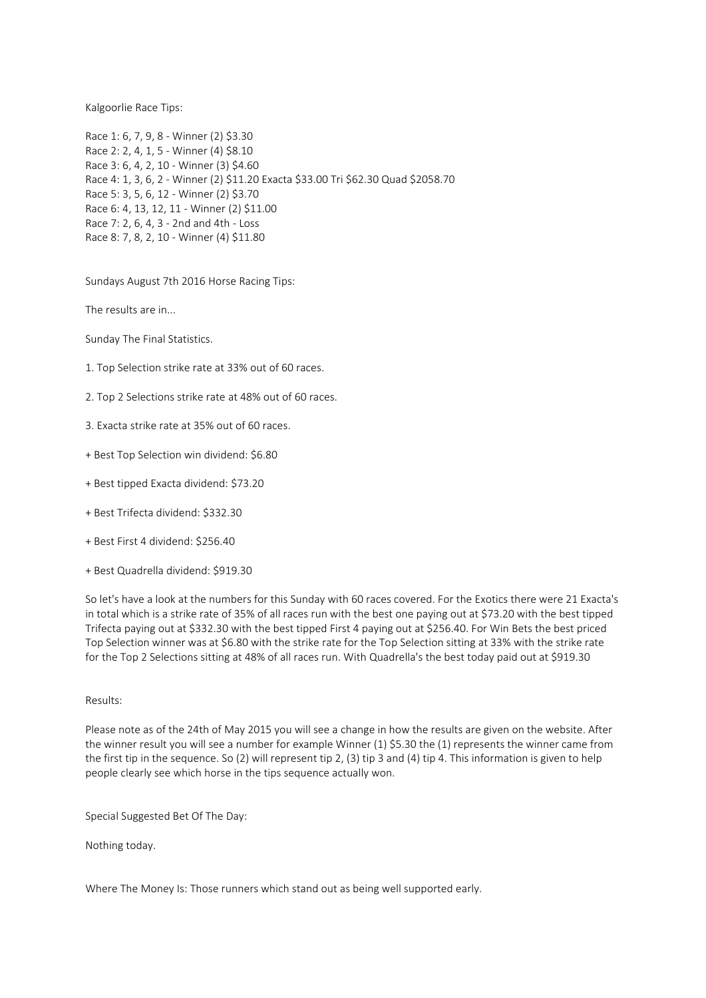Kalgoorlie Race Tips:

Race 1: 6, 7, 9, 8 - Winner (2) \$3.30 Race 2: 2, 4, 1, 5 - Winner (4) \$8.10 Race 3: 6, 4, 2, 10 - Winner (3) \$4.60 Race 4: 1, 3, 6, 2 - Winner (2) \$11.20 Exacta \$33.00 Tri \$62.30 Quad \$2058.70 Race 5: 3, 5, 6, 12 - Winner (2) \$3.70 Race 6: 4, 13, 12, 11 - Winner (2) \$11.00 Race 7: 2, 6, 4, 3 - 2nd and 4th - Loss Race 8: 7, 8, 2, 10 - Winner (4) \$11.80

Sundays August 7th 2016 Horse Racing Tips:

The results are in...

Sunday The Final Statistics.

- 1. Top Selection strike rate at 33% out of 60 races.
- 2. Top 2 Selections strike rate at 48% out of 60 races.
- 3. Exacta strike rate at 35% out of 60 races.
- + Best Top Selection win dividend: \$6.80
- + Best tipped Exacta dividend: \$73.20
- + Best Trifecta dividend: \$332.30
- + Best First 4 dividend: \$256.40
- + Best Quadrella dividend: \$919.30

So let's have a look at the numbers for this Sunday with 60 races covered. For the Exotics there were 21 Exacta's in total which is a strike rate of 35% of all races run with the best one paying out at \$73.20 with the best tipped Trifecta paying out at \$332.30 with the best tipped First 4 paying out at \$256.40. For Win Bets the best priced Top Selection winner was at \$6.80 with the strike rate for the Top Selection sitting at 33% with the strike rate for the Top 2 Selections sitting at 48% of all races run. With Quadrella's the best today paid out at \$919.30

### Results:

Please note as of the 24th of May 2015 you will see a change in how the results are given on the website. After the winner result you will see a number for example Winner (1) \$5.30 the (1) represents the winner came from the first tip in the sequence. So (2) will represent tip 2, (3) tip 3 and (4) tip 4. This information is given to help people clearly see which horse in the tips sequence actually won.

Special Suggested Bet Of The Day:

Nothing today.

Where The Money Is: Those runners which stand out as being well supported early.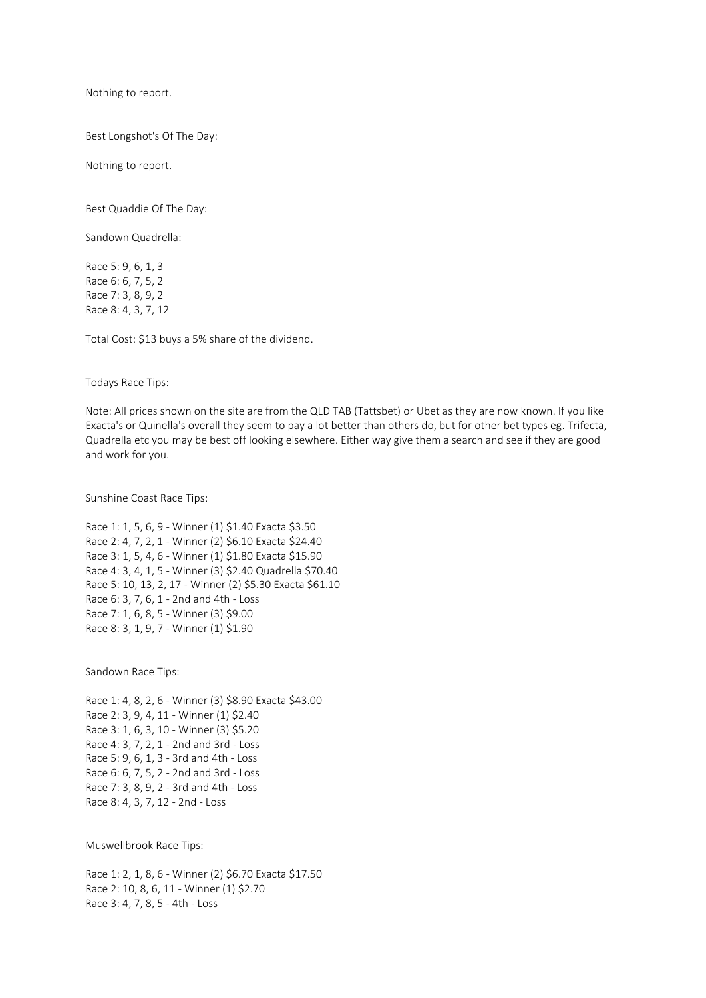Nothing to report.

Best Longshot's Of The Day:

Nothing to report.

Best Quaddie Of The Day:

Sandown Quadrella:

Race 5: 9, 6, 1, 3 Race 6: 6, 7, 5, 2 Race 7: 3, 8, 9, 2 Race 8: 4, 3, 7, 12

Total Cost: \$13 buys a 5% share of the dividend.

Todays Race Tips:

Note: All prices shown on the site are from the QLD TAB (Tattsbet) or Ubet as they are now known. If you like Exacta's or Quinella's overall they seem to pay a lot better than others do, but for other bet types eg. Trifecta, Quadrella etc you may be best off looking elsewhere. Either way give them a search and see if they are good and work for you.

Sunshine Coast Race Tips:

Race 1: 1, 5, 6, 9 - Winner (1) \$1.40 Exacta \$3.50 Race 2: 4, 7, 2, 1 - Winner (2) \$6.10 Exacta \$24.40 Race 3: 1, 5, 4, 6 - Winner (1) \$1.80 Exacta \$15.90 Race 4: 3, 4, 1, 5 - Winner (3) \$2.40 Quadrella \$70.40 Race 5: 10, 13, 2, 17 - Winner (2) \$5.30 Exacta \$61.10 Race 6: 3, 7, 6, 1 - 2nd and 4th - Loss Race 7: 1, 6, 8, 5 - Winner (3) \$9.00 Race 8: 3, 1, 9, 7 - Winner (1) \$1.90

Sandown Race Tips:

Race 1: 4, 8, 2, 6 - Winner (3) \$8.90 Exacta \$43.00 Race 2: 3, 9, 4, 11 - Winner (1) \$2.40 Race 3: 1, 6, 3, 10 - Winner (3) \$5.20 Race 4: 3, 7, 2, 1 - 2nd and 3rd - Loss Race 5: 9, 6, 1, 3 - 3rd and 4th - Loss Race 6: 6, 7, 5, 2 - 2nd and 3rd - Loss Race 7: 3, 8, 9, 2 - 3rd and 4th - Loss Race 8: 4, 3, 7, 12 - 2nd - Loss

Muswellbrook Race Tips:

Race 1: 2, 1, 8, 6 - Winner (2) \$6.70 Exacta \$17.50 Race 2: 10, 8, 6, 11 - Winner (1) \$2.70 Race 3: 4, 7, 8, 5 - 4th - Loss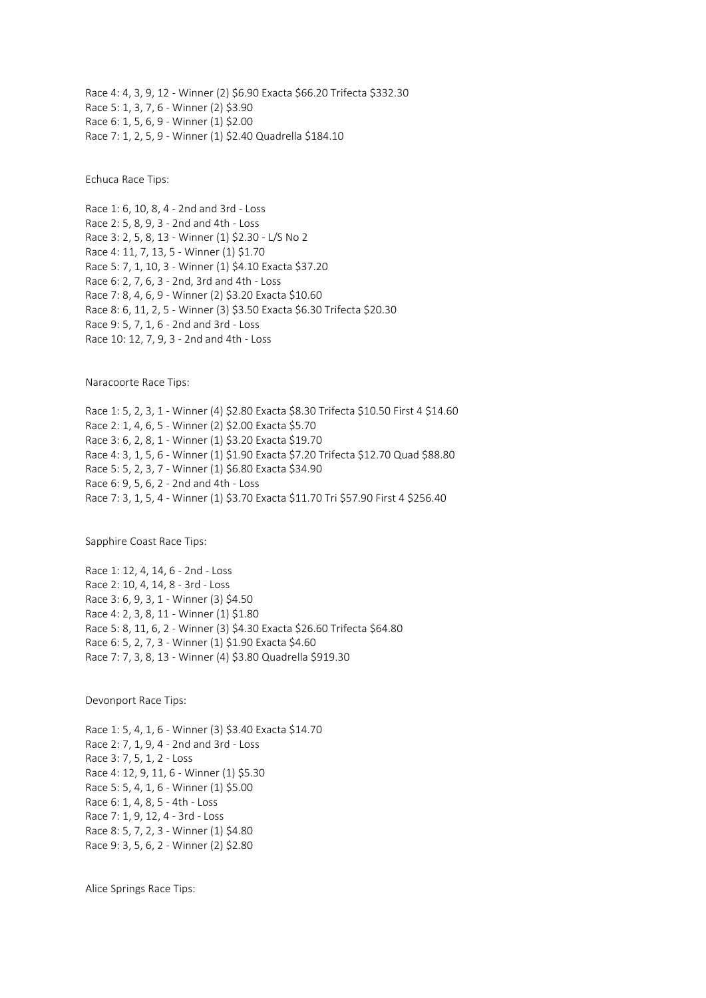Race 4: 4, 3, 9, 12 - Winner (2) \$6.90 Exacta \$66.20 Trifecta \$332.30 Race 5: 1, 3, 7, 6 - Winner (2) \$3.90 Race 6: 1, 5, 6, 9 - Winner (1) \$2.00 Race 7: 1, 2, 5, 9 - Winner (1) \$2.40 Quadrella \$184.10

Echuca Race Tips:

Race 1: 6, 10, 8, 4 - 2nd and 3rd - Loss Race 2: 5, 8, 9, 3 - 2nd and 4th - Loss Race 3: 2, 5, 8, 13 - Winner (1) \$2.30 - L/S No 2 Race 4: 11, 7, 13, 5 - Winner (1) \$1.70 Race 5: 7, 1, 10, 3 - Winner (1) \$4.10 Exacta \$37.20 Race 6: 2, 7, 6, 3 - 2nd, 3rd and 4th - Loss Race 7: 8, 4, 6, 9 - Winner (2) \$3.20 Exacta \$10.60 Race 8: 6, 11, 2, 5 - Winner (3) \$3.50 Exacta \$6.30 Trifecta \$20.30 Race 9: 5, 7, 1, 6 - 2nd and 3rd - Loss Race 10: 12, 7, 9, 3 - 2nd and 4th - Loss

Naracoorte Race Tips:

Race 1: 5, 2, 3, 1 - Winner (4) \$2.80 Exacta \$8.30 Trifecta \$10.50 First 4 \$14.60 Race 2: 1, 4, 6, 5 - Winner (2) \$2.00 Exacta \$5.70 Race 3: 6, 2, 8, 1 - Winner (1) \$3.20 Exacta \$19.70 Race 4: 3, 1, 5, 6 - Winner (1) \$1.90 Exacta \$7.20 Trifecta \$12.70 Quad \$88.80 Race 5: 5, 2, 3, 7 - Winner (1) \$6.80 Exacta \$34.90 Race 6: 9, 5, 6, 2 - 2nd and 4th - Loss Race 7: 3, 1, 5, 4 - Winner (1) \$3.70 Exacta \$11.70 Tri \$57.90 First 4 \$256.40

Sapphire Coast Race Tips:

Race 1: 12, 4, 14, 6 - 2nd - Loss Race 2: 10, 4, 14, 8 - 3rd - Loss Race 3: 6, 9, 3, 1 - Winner (3) \$4.50 Race 4: 2, 3, 8, 11 - Winner (1) \$1.80 Race 5: 8, 11, 6, 2 - Winner (3) \$4.30 Exacta \$26.60 Trifecta \$64.80 Race 6: 5, 2, 7, 3 - Winner (1) \$1.90 Exacta \$4.60 Race 7: 7, 3, 8, 13 - Winner (4) \$3.80 Quadrella \$919.30

Devonport Race Tips:

Race 1: 5, 4, 1, 6 - Winner (3) \$3.40 Exacta \$14.70 Race 2: 7, 1, 9, 4 - 2nd and 3rd - Loss Race 3: 7, 5, 1, 2 - Loss Race 4: 12, 9, 11, 6 - Winner (1) \$5.30 Race 5: 5, 4, 1, 6 - Winner (1) \$5.00 Race 6: 1, 4, 8, 5 - 4th - Loss Race 7: 1, 9, 12, 4 - 3rd - Loss Race 8: 5, 7, 2, 3 - Winner (1) \$4.80 Race 9: 3, 5, 6, 2 - Winner (2) \$2.80

Alice Springs Race Tips: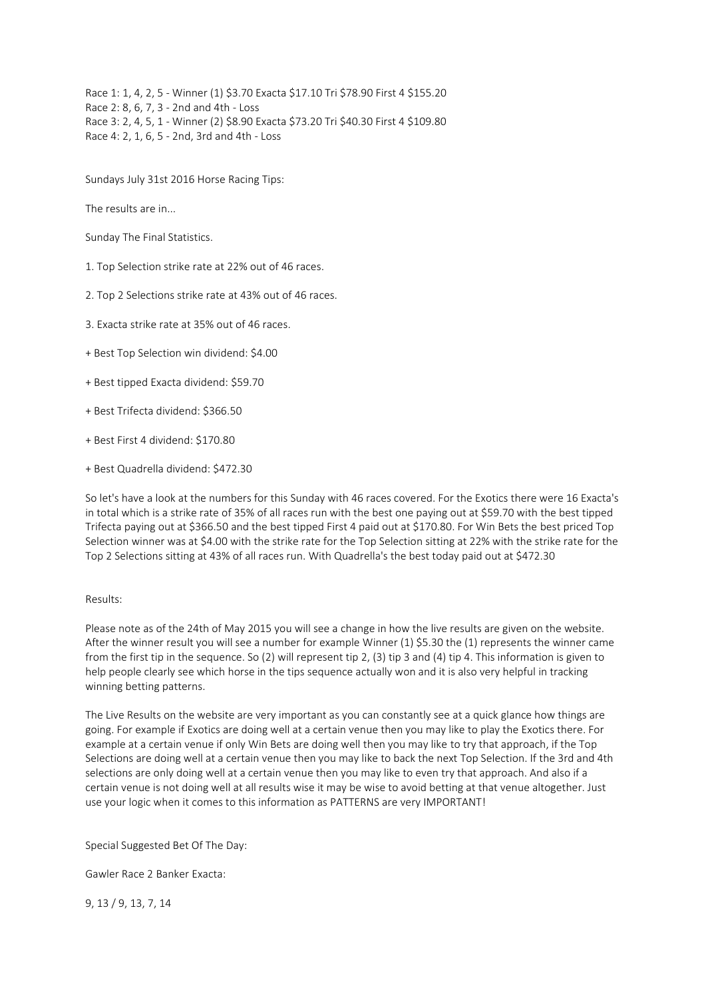Race 1: 1, 4, 2, 5 - Winner (1) \$3.70 Exacta \$17.10 Tri \$78.90 First 4 \$155.20 Race 2: 8, 6, 7, 3 - 2nd and 4th - Loss Race 3: 2, 4, 5, 1 - Winner (2) \$8.90 Exacta \$73.20 Tri \$40.30 First 4 \$109.80 Race 4: 2, 1, 6, 5 - 2nd, 3rd and 4th - Loss

Sundays July 31st 2016 Horse Racing Tips:

The results are in...

Sunday The Final Statistics.

1. Top Selection strike rate at 22% out of 46 races.

2. Top 2 Selections strike rate at 43% out of 46 races.

3. Exacta strike rate at 35% out of 46 races.

+ Best Top Selection win dividend: \$4.00

+ Best tipped Exacta dividend: \$59.70

+ Best Trifecta dividend: \$366.50

+ Best First 4 dividend: \$170.80

+ Best Quadrella dividend: \$472.30

So let's have a look at the numbers for this Sunday with 46 races covered. For the Exotics there were 16 Exacta's in total which is a strike rate of 35% of all races run with the best one paying out at \$59.70 with the best tipped Trifecta paying out at \$366.50 and the best tipped First 4 paid out at \$170.80. For Win Bets the best priced Top Selection winner was at \$4.00 with the strike rate for the Top Selection sitting at 22% with the strike rate for the Top 2 Selections sitting at 43% of all races run. With Quadrella's the best today paid out at \$472.30

### Results:

Please note as of the 24th of May 2015 you will see a change in how the live results are given on the website. After the winner result you will see a number for example Winner (1) \$5.30 the (1) represents the winner came from the first tip in the sequence. So (2) will represent tip 2, (3) tip 3 and (4) tip 4. This information is given to help people clearly see which horse in the tips sequence actually won and it is also very helpful in tracking winning betting patterns.

The Live Results on the website are very important as you can constantly see at a quick glance how things are going. For example if Exotics are doing well at a certain venue then you may like to play the Exotics there. For example at a certain venue if only Win Bets are doing well then you may like to try that approach, if the Top Selections are doing well at a certain venue then you may like to back the next Top Selection. If the 3rd and 4th selections are only doing well at a certain venue then you may like to even try that approach. And also if a certain venue is not doing well at all results wise it may be wise to avoid betting at that venue altogether. Just use your logic when it comes to this information as PATTERNS are very IMPORTANT!

Special Suggested Bet Of The Day:

Gawler Race 2 Banker Exacta:

9, 13 / 9, 13, 7, 14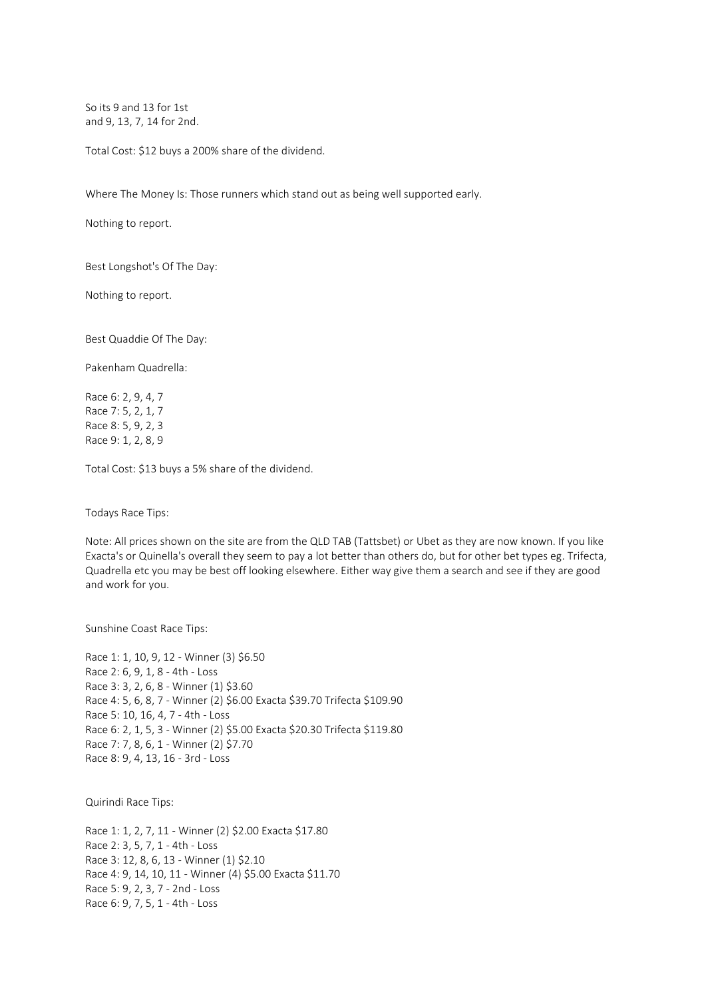So its 9 and 13 for 1st and 9, 13, 7, 14 for 2nd.

Total Cost: \$12 buys a 200% share of the dividend.

Where The Money Is: Those runners which stand out as being well supported early.

Nothing to report.

Best Longshot's Of The Day:

Nothing to report.

Best Quaddie Of The Day:

Pakenham Quadrella:

Race 6: 2, 9, 4, 7 Race 7: 5, 2, 1, 7 Race 8: 5, 9, 2, 3 Race 9: 1, 2, 8, 9

Total Cost: \$13 buys a 5% share of the dividend.

Todays Race Tips:

Note: All prices shown on the site are from the QLD TAB (Tattsbet) or Ubet as they are now known. If you like Exacta's or Quinella's overall they seem to pay a lot better than others do, but for other bet types eg. Trifecta, Quadrella etc you may be best off looking elsewhere. Either way give them a search and see if they are good and work for you.

Sunshine Coast Race Tips:

Race 1: 1, 10, 9, 12 - Winner (3) \$6.50 Race 2: 6, 9, 1, 8 - 4th - Loss Race 3: 3, 2, 6, 8 - Winner (1) \$3.60 Race 4: 5, 6, 8, 7 - Winner (2) \$6.00 Exacta \$39.70 Trifecta \$109.90 Race 5: 10, 16, 4, 7 - 4th - Loss Race 6: 2, 1, 5, 3 - Winner (2) \$5.00 Exacta \$20.30 Trifecta \$119.80 Race 7: 7, 8, 6, 1 - Winner (2) \$7.70 Race 8: 9, 4, 13, 16 - 3rd - Loss

Quirindi Race Tips:

Race 1: 1, 2, 7, 11 - Winner (2) \$2.00 Exacta \$17.80 Race 2: 3, 5, 7, 1 - 4th - Loss Race 3: 12, 8, 6, 13 - Winner (1) \$2.10 Race 4: 9, 14, 10, 11 - Winner (4) \$5.00 Exacta \$11.70 Race 5: 9, 2, 3, 7 - 2nd - Loss Race 6: 9, 7, 5, 1 - 4th - Loss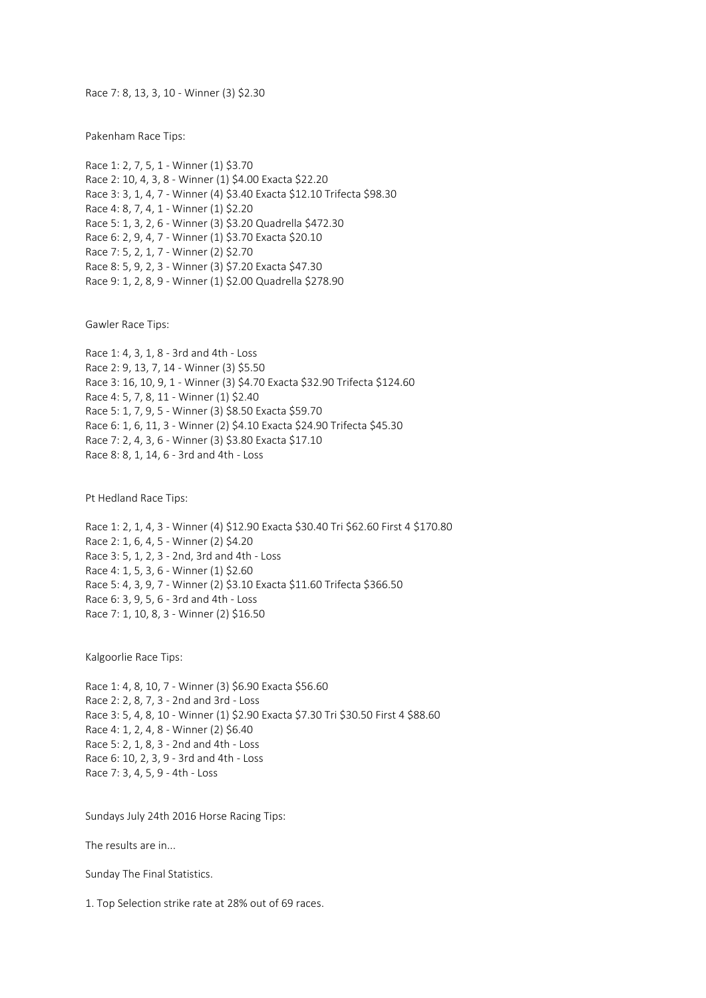Race 7: 8, 13, 3, 10 - Winner (3) \$2.30

Pakenham Race Tips:

Race 1: 2, 7, 5, 1 - Winner (1) \$3.70 Race 2: 10, 4, 3, 8 - Winner (1) \$4.00 Exacta \$22.20 Race 3: 3, 1, 4, 7 - Winner (4) \$3.40 Exacta \$12.10 Trifecta \$98.30 Race 4: 8, 7, 4, 1 - Winner (1) \$2.20 Race 5: 1, 3, 2, 6 - Winner (3) \$3.20 Quadrella \$472.30 Race 6: 2, 9, 4, 7 - Winner (1) \$3.70 Exacta \$20.10 Race 7: 5, 2, 1, 7 - Winner (2) \$2.70 Race 8: 5, 9, 2, 3 - Winner (3) \$7.20 Exacta \$47.30 Race 9: 1, 2, 8, 9 - Winner (1) \$2.00 Quadrella \$278.90

Gawler Race Tips:

Race 1: 4, 3, 1, 8 - 3rd and 4th - Loss Race 2: 9, 13, 7, 14 - Winner (3) \$5.50 Race 3: 16, 10, 9, 1 - Winner (3) \$4.70 Exacta \$32.90 Trifecta \$124.60 Race 4: 5, 7, 8, 11 - Winner (1) \$2.40 Race 5: 1, 7, 9, 5 - Winner (3) \$8.50 Exacta \$59.70 Race 6: 1, 6, 11, 3 - Winner (2) \$4.10 Exacta \$24.90 Trifecta \$45.30 Race 7: 2, 4, 3, 6 - Winner (3) \$3.80 Exacta \$17.10 Race 8: 8, 1, 14, 6 - 3rd and 4th - Loss

Pt Hedland Race Tips:

Race 1: 2, 1, 4, 3 - Winner (4) \$12.90 Exacta \$30.40 Tri \$62.60 First 4 \$170.80 Race 2: 1, 6, 4, 5 - Winner (2) \$4.20 Race 3: 5, 1, 2, 3 - 2nd, 3rd and 4th - Loss Race 4: 1, 5, 3, 6 - Winner (1) \$2.60 Race 5: 4, 3, 9, 7 - Winner (2) \$3.10 Exacta \$11.60 Trifecta \$366.50 Race 6: 3, 9, 5, 6 - 3rd and 4th - Loss Race 7: 1, 10, 8, 3 - Winner (2) \$16.50

Kalgoorlie Race Tips:

Race 1: 4, 8, 10, 7 - Winner (3) \$6.90 Exacta \$56.60 Race 2: 2, 8, 7, 3 - 2nd and 3rd - Loss Race 3: 5, 4, 8, 10 - Winner (1) \$2.90 Exacta \$7.30 Tri \$30.50 First 4 \$88.60 Race 4: 1, 2, 4, 8 - Winner (2) \$6.40 Race 5: 2, 1, 8, 3 - 2nd and 4th - Loss Race 6: 10, 2, 3, 9 - 3rd and 4th - Loss Race 7: 3, 4, 5, 9 - 4th - Loss

Sundays July 24th 2016 Horse Racing Tips:

The results are in...

Sunday The Final Statistics.

1. Top Selection strike rate at 28% out of 69 races.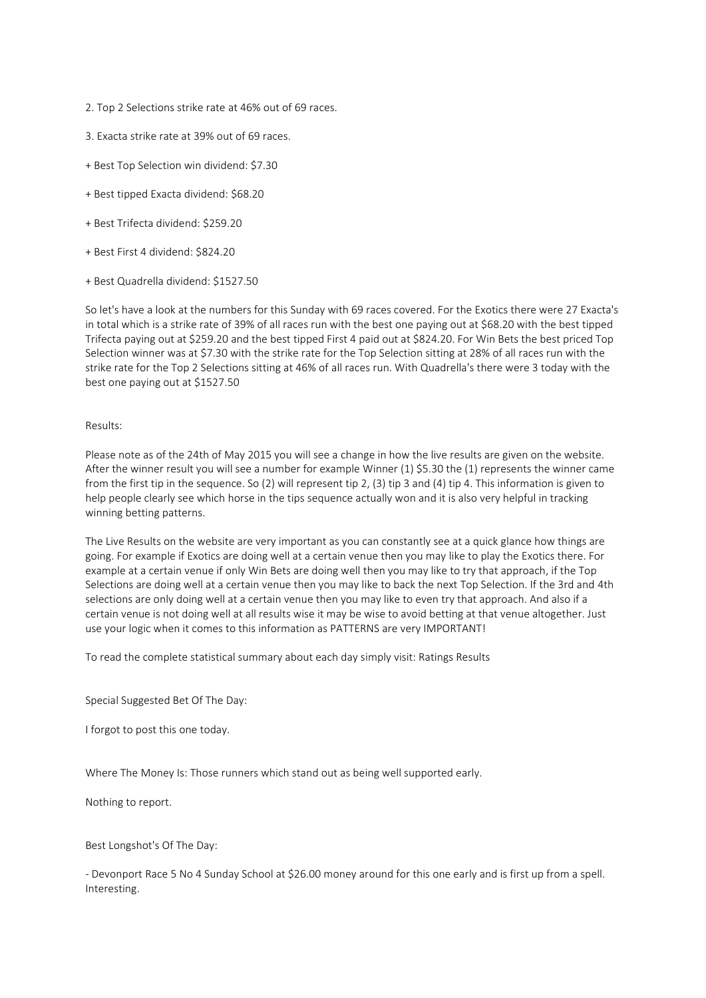- 2. Top 2 Selections strike rate at 46% out of 69 races.
- 3. Exacta strike rate at 39% out of 69 races.
- + Best Top Selection win dividend: \$7.30
- + Best tipped Exacta dividend: \$68.20
- + Best Trifecta dividend: \$259.20
- + Best First 4 dividend: \$824.20
- + Best Quadrella dividend: \$1527.50

So let's have a look at the numbers for this Sunday with 69 races covered. For the Exotics there were 27 Exacta's in total which is a strike rate of 39% of all races run with the best one paying out at \$68.20 with the best tipped Trifecta paying out at \$259.20 and the best tipped First 4 paid out at \$824.20. For Win Bets the best priced Top Selection winner was at \$7.30 with the strike rate for the Top Selection sitting at 28% of all races run with the strike rate for the Top 2 Selections sitting at 46% of all races run. With Quadrella's there were 3 today with the best one paying out at \$1527.50

### Results:

Please note as of the 24th of May 2015 you will see a change in how the live results are given on the website. After the winner result you will see a number for example Winner (1) \$5.30 the (1) represents the winner came from the first tip in the sequence. So (2) will represent tip 2, (3) tip 3 and (4) tip 4. This information is given to help people clearly see which horse in the tips sequence actually won and it is also very helpful in tracking winning betting patterns.

The Live Results on the website are very important as you can constantly see at a quick glance how things are going. For example if Exotics are doing well at a certain venue then you may like to play the Exotics there. For example at a certain venue if only Win Bets are doing well then you may like to try that approach, if the Top Selections are doing well at a certain venue then you may like to back the next Top Selection. If the 3rd and 4th selections are only doing well at a certain venue then you may like to even try that approach. And also if a certain venue is not doing well at all results wise it may be wise to avoid betting at that venue altogether. Just use your logic when it comes to this information as PATTERNS are very IMPORTANT!

To read the complete statistical summary about each day simply visit: Ratings Results

Special Suggested Bet Of The Day:

I forgot to post this one today.

Where The Money Is: Those runners which stand out as being well supported early.

Nothing to report.

Best Longshot's Of The Day:

- Devonport Race 5 No 4 Sunday School at \$26.00 money around for this one early and is first up from a spell. Interesting.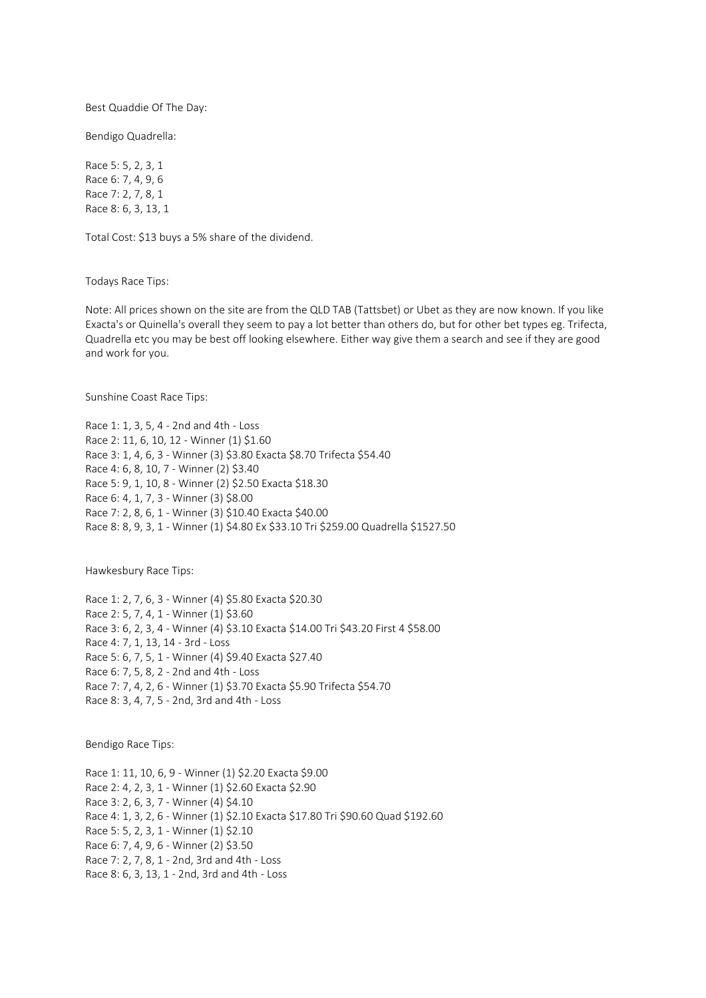Best Quaddie Of The Day:

Bendigo Quadrella:

Race 5: 5, 2, 3, 1 Race 6: 7, 4, 9, 6 Race 7: 2, 7, 8, 1 Race 8: 6, 3, 13, 1

Total Cost: \$13 buys a 5% share of the dividend.

Todays Race Tips:

Note: All prices shown on the site are from the QLD TAB (Tattsbet) or Ubet as they are now known. If you like Exacta's or Quinella's overall they seem to pay a lot better than others do, but for other bet types eg. Trifecta, Quadrella etc you may be best off looking elsewhere. Either way give them a search and see if they are good and work for you.

Sunshine Coast Race Tips:

Race 1: 1, 3, 5, 4 - 2nd and 4th - Loss Race 2: 11, 6, 10, 12 - Winner (1) \$1.60 Race 3: 1, 4, 6, 3 - Winner (3) \$3.80 Exacta \$8.70 Trifecta \$54.40 Race 4: 6, 8, 10, 7 - Winner (2) \$3.40 Race 5: 9, 1, 10, 8 - Winner (2) \$2.50 Exacta \$18.30 Race 6: 4, 1, 7, 3 - Winner (3) \$8.00 Race 7: 2, 8, 6, 1 - Winner (3) \$10.40 Exacta \$40.00 Race 8: 8, 9, 3, 1 - Winner (1) \$4.80 Ex \$33.10 Tri \$259.00 Quadrella \$1527.50

Hawkesbury Race Tips:

Race 1: 2, 7, 6, 3 - Winner (4) \$5.80 Exacta \$20.30 Race 2: 5, 7, 4, 1 - Winner (1) \$3.60 Race 3: 6, 2, 3, 4 - Winner (4) \$3.10 Exacta \$14.00 Tri \$43.20 First 4 \$58.00 Race 4: 7, 1, 13, 14 - 3rd - Loss Race 5: 6, 7, 5, 1 - Winner (4) \$9.40 Exacta \$27.40 Race 6: 7, 5, 8, 2 - 2nd and 4th - Loss Race 7: 7, 4, 2, 6 - Winner (1) \$3.70 Exacta \$5.90 Trifecta \$54.70 Race 8: 3, 4, 7, 5 - 2nd, 3rd and 4th - Loss

Bendigo Race Tips:

Race 1: 11, 10, 6, 9 - Winner (1) \$2.20 Exacta \$9.00 Race 2: 4, 2, 3, 1 - Winner (1) \$2.60 Exacta \$2.90 Race 3: 2, 6, 3, 7 - Winner (4) \$4.10 Race 4: 1, 3, 2, 6 - Winner (1) \$2.10 Exacta \$17.80 Tri \$90.60 Quad \$192.60 Race 5: 5, 2, 3, 1 - Winner (1) \$2.10 Race 6: 7, 4, 9, 6 - Winner (2) \$3.50 Race 7: 2, 7, 8, 1 - 2nd, 3rd and 4th - Loss Race 8: 6, 3, 13, 1 - 2nd, 3rd and 4th - Loss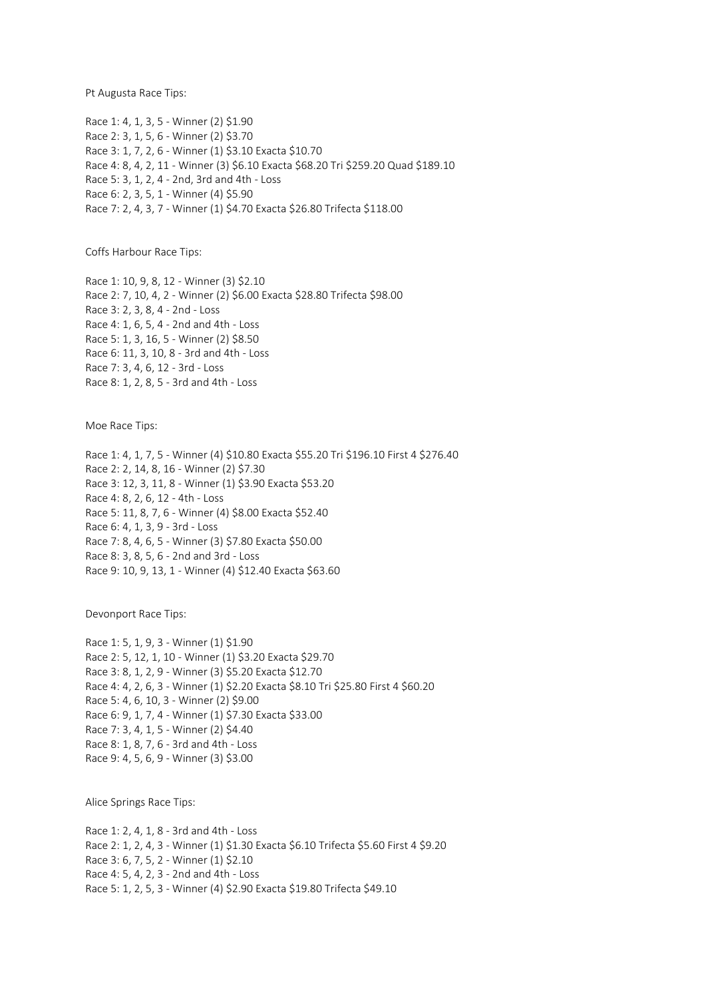Pt Augusta Race Tips:

Race 1: 4, 1, 3, 5 - Winner (2) \$1.90 Race 2: 3, 1, 5, 6 - Winner (2) \$3.70 Race 3: 1, 7, 2, 6 - Winner (1) \$3.10 Exacta \$10.70 Race 4: 8, 4, 2, 11 - Winner (3) \$6.10 Exacta \$68.20 Tri \$259.20 Quad \$189.10 Race 5: 3, 1, 2, 4 - 2nd, 3rd and 4th - Loss Race 6: 2, 3, 5, 1 - Winner (4) \$5.90 Race 7: 2, 4, 3, 7 - Winner (1) \$4.70 Exacta \$26.80 Trifecta \$118.00

Coffs Harbour Race Tips:

Race 1: 10, 9, 8, 12 - Winner (3) \$2.10 Race 2: 7, 10, 4, 2 - Winner (2) \$6.00 Exacta \$28.80 Trifecta \$98.00 Race 3: 2, 3, 8, 4 - 2nd - Loss Race 4: 1, 6, 5, 4 - 2nd and 4th - Loss Race 5: 1, 3, 16, 5 - Winner (2) \$8.50 Race 6: 11, 3, 10, 8 - 3rd and 4th - Loss Race 7: 3, 4, 6, 12 - 3rd - Loss Race 8: 1, 2, 8, 5 - 3rd and 4th - Loss

Moe Race Tips:

Race 1: 4, 1, 7, 5 - Winner (4) \$10.80 Exacta \$55.20 Tri \$196.10 First 4 \$276.40 Race 2: 2, 14, 8, 16 - Winner (2) \$7.30 Race 3: 12, 3, 11, 8 - Winner (1) \$3.90 Exacta \$53.20 Race 4: 8, 2, 6, 12 - 4th - Loss Race 5: 11, 8, 7, 6 - Winner (4) \$8.00 Exacta \$52.40 Race 6: 4, 1, 3, 9 - 3rd - Loss Race 7: 8, 4, 6, 5 - Winner (3) \$7.80 Exacta \$50.00 Race 8: 3, 8, 5, 6 - 2nd and 3rd - Loss Race 9: 10, 9, 13, 1 - Winner (4) \$12.40 Exacta \$63.60

Devonport Race Tips:

Race 1: 5, 1, 9, 3 - Winner (1) \$1.90 Race 2: 5, 12, 1, 10 - Winner (1) \$3.20 Exacta \$29.70 Race 3: 8, 1, 2, 9 - Winner (3) \$5.20 Exacta \$12.70 Race 4: 4, 2, 6, 3 - Winner (1) \$2.20 Exacta \$8.10 Tri \$25.80 First 4 \$60.20 Race 5: 4, 6, 10, 3 - Winner (2) \$9.00 Race 6: 9, 1, 7, 4 - Winner (1) \$7.30 Exacta \$33.00 Race 7: 3, 4, 1, 5 - Winner (2) \$4.40 Race 8: 1, 8, 7, 6 - 3rd and 4th - Loss Race 9: 4, 5, 6, 9 - Winner (3) \$3.00

Alice Springs Race Tips:

Race 1: 2, 4, 1, 8 - 3rd and 4th - Loss Race 2: 1, 2, 4, 3 - Winner (1) \$1.30 Exacta \$6.10 Trifecta \$5.60 First 4 \$9.20 Race 3: 6, 7, 5, 2 - Winner (1) \$2.10 Race 4: 5, 4, 2, 3 - 2nd and 4th - Loss Race 5: 1, 2, 5, 3 - Winner (4) \$2.90 Exacta \$19.80 Trifecta \$49.10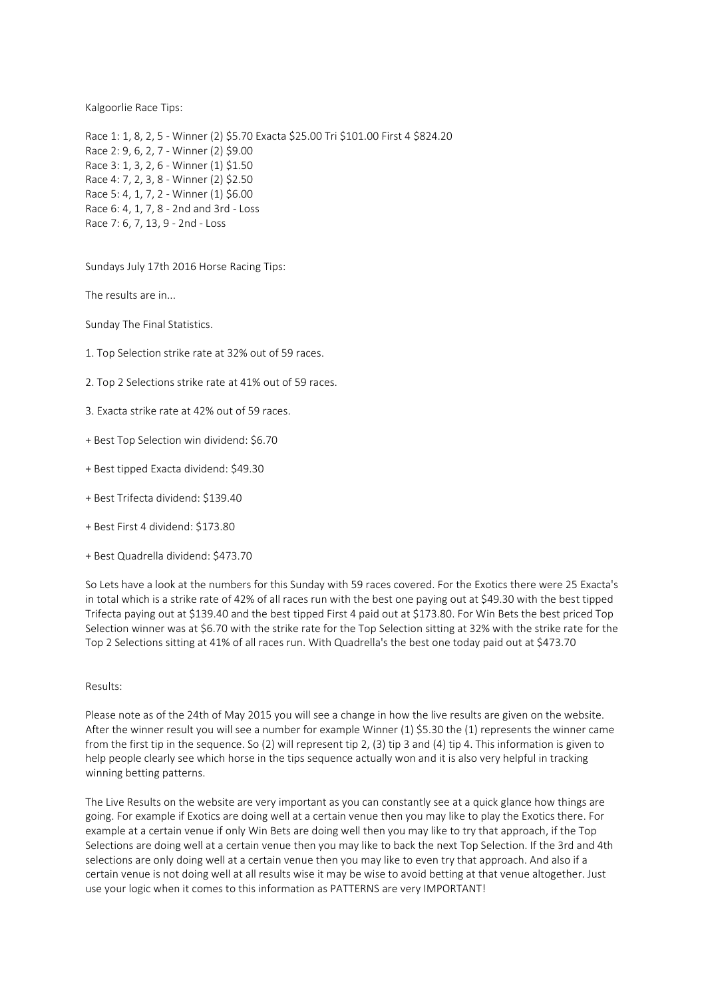Kalgoorlie Race Tips:

Race 1: 1, 8, 2, 5 - Winner (2) \$5.70 Exacta \$25.00 Tri \$101.00 First 4 \$824.20 Race 2: 9, 6, 2, 7 - Winner (2) \$9.00 Race 3: 1, 3, 2, 6 - Winner (1) \$1.50 Race 4: 7, 2, 3, 8 - Winner (2) \$2.50 Race 5: 4, 1, 7, 2 - Winner (1) \$6.00 Race 6: 4, 1, 7, 8 - 2nd and 3rd - Loss Race 7: 6, 7, 13, 9 - 2nd - Loss

Sundays July 17th 2016 Horse Racing Tips:

The results are in...

Sunday The Final Statistics.

- 1. Top Selection strike rate at 32% out of 59 races.
- 2. Top 2 Selections strike rate at 41% out of 59 races.
- 3. Exacta strike rate at 42% out of 59 races.
- + Best Top Selection win dividend: \$6.70
- + Best tipped Exacta dividend: \$49.30
- + Best Trifecta dividend: \$139.40
- + Best First 4 dividend: \$173.80
- + Best Quadrella dividend: \$473.70

So Lets have a look at the numbers for this Sunday with 59 races covered. For the Exotics there were 25 Exacta's in total which is a strike rate of 42% of all races run with the best one paying out at \$49.30 with the best tipped Trifecta paying out at \$139.40 and the best tipped First 4 paid out at \$173.80. For Win Bets the best priced Top Selection winner was at \$6.70 with the strike rate for the Top Selection sitting at 32% with the strike rate for the Top 2 Selections sitting at 41% of all races run. With Quadrella's the best one today paid out at \$473.70

Results:

Please note as of the 24th of May 2015 you will see a change in how the live results are given on the website. After the winner result you will see a number for example Winner (1) \$5.30 the (1) represents the winner came from the first tip in the sequence. So (2) will represent tip 2, (3) tip 3 and (4) tip 4. This information is given to help people clearly see which horse in the tips sequence actually won and it is also very helpful in tracking winning betting patterns.

The Live Results on the website are very important as you can constantly see at a quick glance how things are going. For example if Exotics are doing well at a certain venue then you may like to play the Exotics there. For example at a certain venue if only Win Bets are doing well then you may like to try that approach, if the Top Selections are doing well at a certain venue then you may like to back the next Top Selection. If the 3rd and 4th selections are only doing well at a certain venue then you may like to even try that approach. And also if a certain venue is not doing well at all results wise it may be wise to avoid betting at that venue altogether. Just use your logic when it comes to this information as PATTERNS are very IMPORTANT!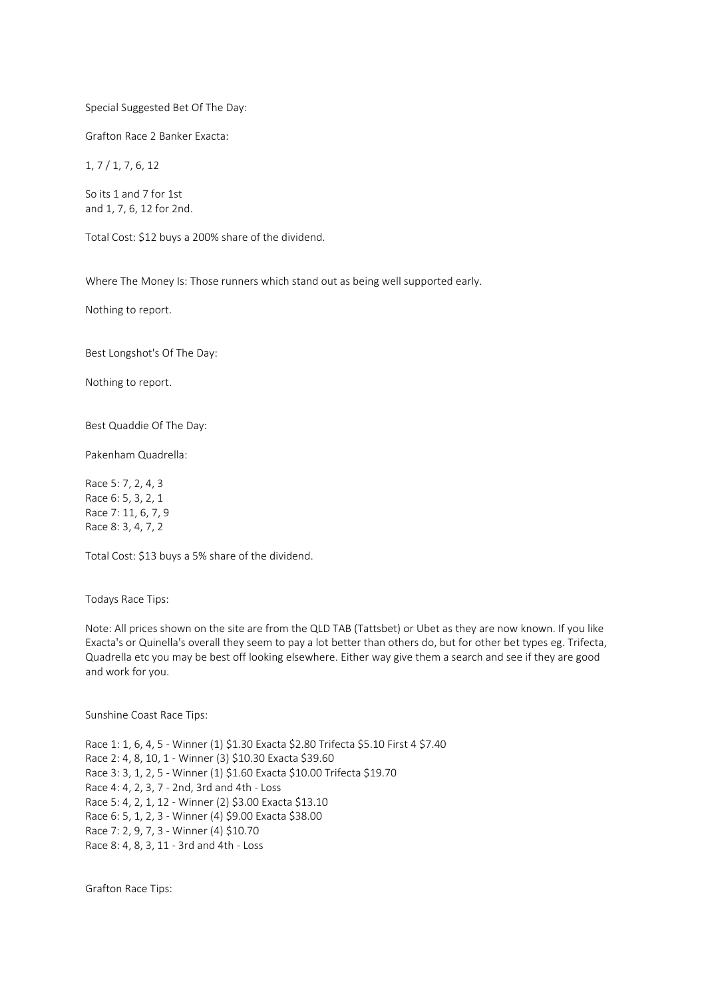### Special Suggested Bet Of The Day:

Grafton Race 2 Banker Exacta:

1, 7 / 1, 7, 6, 12

So its 1 and 7 for 1st and 1, 7, 6, 12 for 2nd.

Total Cost: \$12 buys a 200% share of the dividend.

Where The Money Is: Those runners which stand out as being well supported early.

Nothing to report.

Best Longshot's Of The Day:

Nothing to report.

Best Quaddie Of The Day:

Pakenham Quadrella:

Race 5: 7, 2, 4, 3 Race 6: 5, 3, 2, 1 Race 7: 11, 6, 7, 9 Race 8: 3, 4, 7, 2

Total Cost: \$13 buys a 5% share of the dividend.

Todays Race Tips:

Note: All prices shown on the site are from the QLD TAB (Tattsbet) or Ubet as they are now known. If you like Exacta's or Quinella's overall they seem to pay a lot better than others do, but for other bet types eg. Trifecta, Quadrella etc you may be best off looking elsewhere. Either way give them a search and see if they are good and work for you.

Sunshine Coast Race Tips:

Race 1: 1, 6, 4, 5 - Winner (1) \$1.30 Exacta \$2.80 Trifecta \$5.10 First 4 \$7.40 Race 2: 4, 8, 10, 1 - Winner (3) \$10.30 Exacta \$39.60 Race 3: 3, 1, 2, 5 - Winner (1) \$1.60 Exacta \$10.00 Trifecta \$19.70 Race 4: 4, 2, 3, 7 - 2nd, 3rd and 4th - Loss Race 5: 4, 2, 1, 12 - Winner (2) \$3.00 Exacta \$13.10 Race 6: 5, 1, 2, 3 - Winner (4) \$9.00 Exacta \$38.00 Race 7: 2, 9, 7, 3 - Winner (4) \$10.70 Race 8: 4, 8, 3, 11 - 3rd and 4th - Loss

Grafton Race Tips: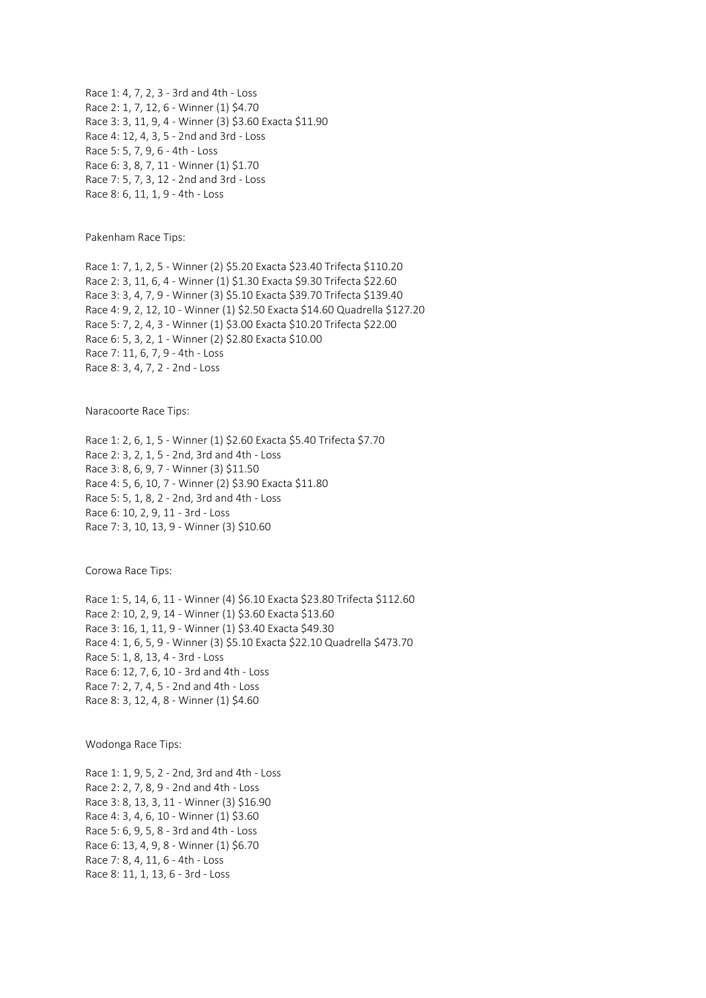Race 1: 4, 7, 2, 3 - 3rd and 4th - Loss Race 2: 1, 7, 12, 6 - Winner (1) \$4.70 Race 3: 3, 11, 9, 4 - Winner (3) \$3.60 Exacta \$11.90 Race 4: 12, 4, 3, 5 - 2nd and 3rd - Loss Race 5: 5, 7, 9, 6 - 4th - Loss Race 6: 3, 8, 7, 11 - Winner (1) \$1.70 Race 7: 5, 7, 3, 12 - 2nd and 3rd - Loss Race 8: 6, 11, 1, 9 - 4th - Loss

Pakenham Race Tips:

Race 1: 7, 1, 2, 5 - Winner (2) \$5.20 Exacta \$23.40 Trifecta \$110.20 Race 2: 3, 11, 6, 4 - Winner (1) \$1.30 Exacta \$9.30 Trifecta \$22.60 Race 3: 3, 4, 7, 9 - Winner (3) \$5.10 Exacta \$39.70 Trifecta \$139.40 Race 4: 9, 2, 12, 10 - Winner (1) \$2.50 Exacta \$14.60 Quadrella \$127.20 Race 5: 7, 2, 4, 3 - Winner (1) \$3.00 Exacta \$10.20 Trifecta \$22.00 Race 6: 5, 3, 2, 1 - Winner (2) \$2.80 Exacta \$10.00 Race 7: 11, 6, 7, 9 - 4th - Loss Race 8: 3, 4, 7, 2 - 2nd - Loss

Naracoorte Race Tips:

Race 1: 2, 6, 1, 5 - Winner (1) \$2.60 Exacta \$5.40 Trifecta \$7.70 Race 2: 3, 2, 1, 5 - 2nd, 3rd and 4th - Loss Race 3: 8, 6, 9, 7 - Winner (3) \$11.50 Race 4: 5, 6, 10, 7 - Winner (2) \$3.90 Exacta \$11.80 Race 5: 5, 1, 8, 2 - 2nd, 3rd and 4th - Loss Race 6: 10, 2, 9, 11 - 3rd - Loss Race 7: 3, 10, 13, 9 - Winner (3) \$10.60

Corowa Race Tips:

Race 1: 5, 14, 6, 11 - Winner (4) \$6.10 Exacta \$23.80 Trifecta \$112.60 Race 2: 10, 2, 9, 14 - Winner (1) \$3.60 Exacta \$13.60 Race 3: 16, 1, 11, 9 - Winner (1) \$3.40 Exacta \$49.30 Race 4: 1, 6, 5, 9 - Winner (3) \$5.10 Exacta \$22.10 Quadrella \$473.70 Race 5: 1, 8, 13, 4 - 3rd - Loss Race 6: 12, 7, 6, 10 - 3rd and 4th - Loss Race 7: 2, 7, 4, 5 - 2nd and 4th - Loss Race 8: 3, 12, 4, 8 - Winner (1) \$4.60

Wodonga Race Tips:

Race 1: 1, 9, 5, 2 - 2nd, 3rd and 4th - Loss Race 2: 2, 7, 8, 9 - 2nd and 4th - Loss Race 3: 8, 13, 3, 11 - Winner (3) \$16.90 Race 4: 3, 4, 6, 10 - Winner (1) \$3.60 Race 5: 6, 9, 5, 8 - 3rd and 4th - Loss Race 6: 13, 4, 9, 8 - Winner (1) \$6.70 Race 7: 8, 4, 11, 6 - 4th - Loss Race 8: 11, 1, 13, 6 - 3rd - Loss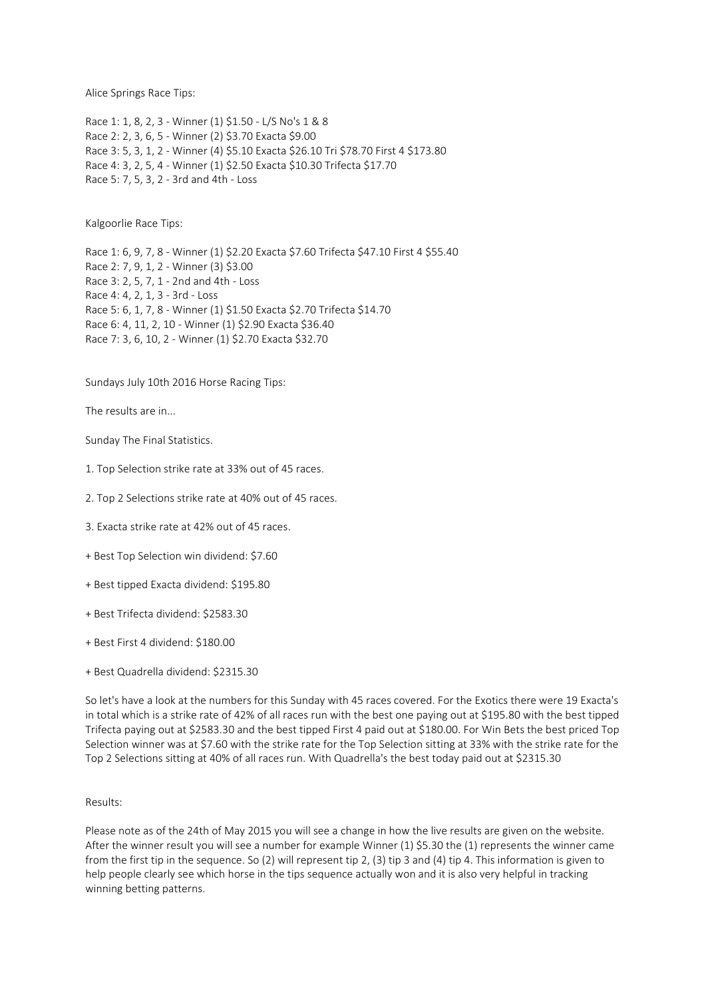Alice Springs Race Tips:

Race 1: 1, 8, 2, 3 - Winner (1) \$1.50 - L/S No's 1 & 8 Race 2: 2, 3, 6, 5 - Winner (2) \$3.70 Exacta \$9.00 Race 3: 5, 3, 1, 2 - Winner (4) \$5.10 Exacta \$26.10 Tri \$78.70 First 4 \$173.80 Race 4: 3, 2, 5, 4 - Winner (1) \$2.50 Exacta \$10.30 Trifecta \$17.70 Race 5: 7, 5, 3, 2 - 3rd and 4th - Loss

Kalgoorlie Race Tips:

Race 1: 6, 9, 7, 8 - Winner (1) \$2.20 Exacta \$7.60 Trifecta \$47.10 First 4 \$55.40 Race 2: 7, 9, 1, 2 - Winner (3) \$3.00 Race 3: 2, 5, 7, 1 - 2nd and 4th - Loss Race 4: 4, 2, 1, 3 - 3rd - Loss Race 5: 6, 1, 7, 8 - Winner (1) \$1.50 Exacta \$2.70 Trifecta \$14.70 Race 6: 4, 11, 2, 10 - Winner (1) \$2.90 Exacta \$36.40 Race 7: 3, 6, 10, 2 - Winner (1) \$2.70 Exacta \$32.70

Sundays July 10th 2016 Horse Racing Tips:

The results are in...

Sunday The Final Statistics.

- 1. Top Selection strike rate at 33% out of 45 races.
- 2. Top 2 Selections strike rate at 40% out of 45 races.
- 3. Exacta strike rate at 42% out of 45 races.
- + Best Top Selection win dividend: \$7.60
- + Best tipped Exacta dividend: \$195.80
- + Best Trifecta dividend: \$2583.30
- + Best First 4 dividend: \$180.00
- + Best Quadrella dividend: \$2315.30

So let's have a look at the numbers for this Sunday with 45 races covered. For the Exotics there were 19 Exacta's in total which is a strike rate of 42% of all races run with the best one paying out at \$195.80 with the best tipped Trifecta paying out at \$2583.30 and the best tipped First 4 paid out at \$180.00. For Win Bets the best priced Top Selection winner was at \$7.60 with the strike rate for the Top Selection sitting at 33% with the strike rate for the Top 2 Selections sitting at 40% of all races run. With Quadrella's the best today paid out at \$2315.30

## Results:

Please note as of the 24th of May 2015 you will see a change in how the live results are given on the website. After the winner result you will see a number for example Winner (1) \$5.30 the (1) represents the winner came from the first tip in the sequence. So (2) will represent tip 2, (3) tip 3 and (4) tip 4. This information is given to help people clearly see which horse in the tips sequence actually won and it is also very helpful in tracking winning betting patterns.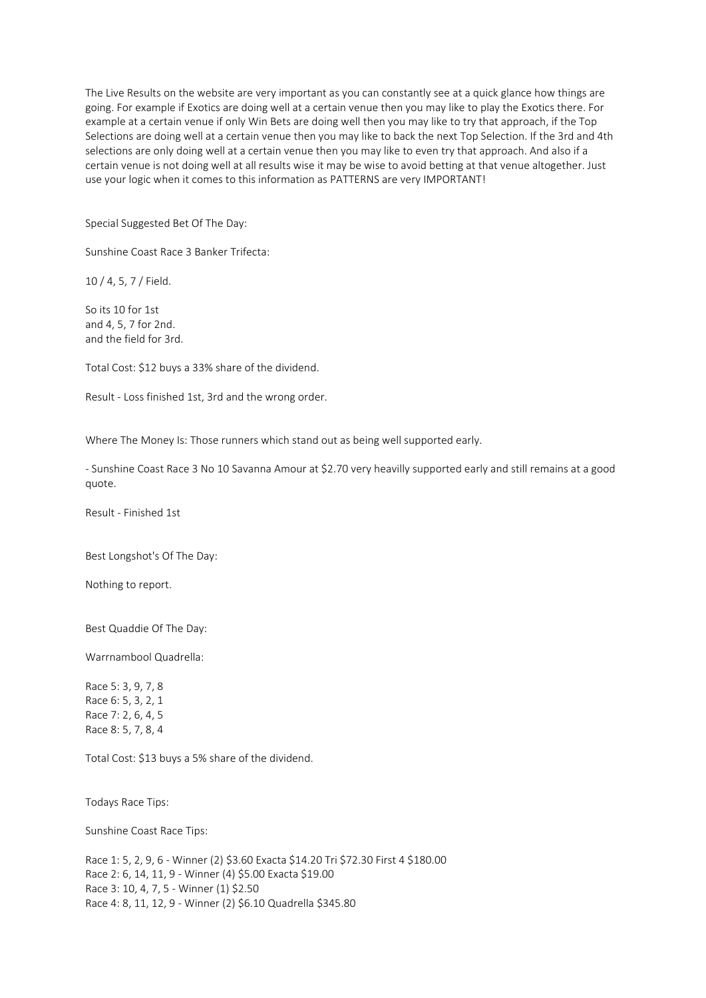The Live Results on the website are very important as you can constantly see at a quick glance how things are going. For example if Exotics are doing well at a certain venue then you may like to play the Exotics there. For example at a certain venue if only Win Bets are doing well then you may like to try that approach, if the Top Selections are doing well at a certain venue then you may like to back the next Top Selection. If the 3rd and 4th selections are only doing well at a certain venue then you may like to even try that approach. And also if a certain venue is not doing well at all results wise it may be wise to avoid betting at that venue altogether. Just use your logic when it comes to this information as PATTERNS are very IMPORTANT!

Special Suggested Bet Of The Day:

Sunshine Coast Race 3 Banker Trifecta:

10 / 4, 5, 7 / Field.

So its 10 for 1st and 4, 5, 7 for 2nd. and the field for 3rd.

Total Cost: \$12 buys a 33% share of the dividend.

Result - Loss finished 1st, 3rd and the wrong order.

Where The Money Is: Those runners which stand out as being well supported early.

- Sunshine Coast Race 3 No 10 Savanna Amour at \$2.70 very heavilly supported early and still remains at a good quote.

Result - Finished 1st

Best Longshot's Of The Day:

Nothing to report.

Best Quaddie Of The Day:

Warrnambool Quadrella:

Race 5: 3, 9, 7, 8 Race 6: 5, 3, 2, 1 Race 7: 2, 6, 4, 5 Race 8: 5, 7, 8, 4

Total Cost: \$13 buys a 5% share of the dividend.

Todays Race Tips:

Sunshine Coast Race Tips:

Race 1: 5, 2, 9, 6 - Winner (2) \$3.60 Exacta \$14.20 Tri \$72.30 First 4 \$180.00 Race 2: 6, 14, 11, 9 - Winner (4) \$5.00 Exacta \$19.00 Race 3: 10, 4, 7, 5 - Winner (1) \$2.50 Race 4: 8, 11, 12, 9 - Winner (2) \$6.10 Quadrella \$345.80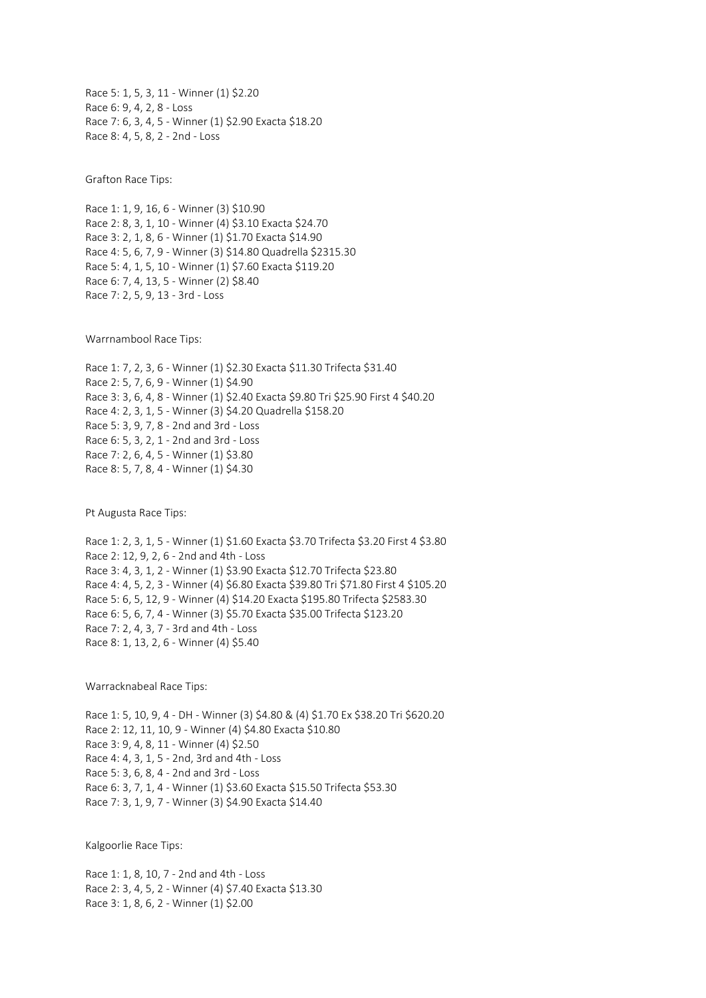Race 5: 1, 5, 3, 11 - Winner (1) \$2.20 Race 6: 9, 4, 2, 8 - Loss Race 7: 6, 3, 4, 5 - Winner (1) \$2.90 Exacta \$18.20 Race 8: 4, 5, 8, 2 - 2nd - Loss

Grafton Race Tips:

Race 1: 1, 9, 16, 6 - Winner (3) \$10.90 Race 2: 8, 3, 1, 10 - Winner (4) \$3.10 Exacta \$24.70 Race 3: 2, 1, 8, 6 - Winner (1) \$1.70 Exacta \$14.90 Race 4: 5, 6, 7, 9 - Winner (3) \$14.80 Quadrella \$2315.30 Race 5: 4, 1, 5, 10 - Winner (1) \$7.60 Exacta \$119.20 Race 6: 7, 4, 13, 5 - Winner (2) \$8.40 Race 7: 2, 5, 9, 13 - 3rd - Loss

Warrnambool Race Tips:

Race 1: 7, 2, 3, 6 - Winner (1) \$2.30 Exacta \$11.30 Trifecta \$31.40 Race 2: 5, 7, 6, 9 - Winner (1) \$4.90 Race 3: 3, 6, 4, 8 - Winner (1) \$2.40 Exacta \$9.80 Tri \$25.90 First 4 \$40.20 Race 4: 2, 3, 1, 5 - Winner (3) \$4.20 Quadrella \$158.20 Race 5: 3, 9, 7, 8 - 2nd and 3rd - Loss Race 6: 5, 3, 2, 1 - 2nd and 3rd - Loss Race 7: 2, 6, 4, 5 - Winner (1) \$3.80 Race 8: 5, 7, 8, 4 - Winner (1) \$4.30

Pt Augusta Race Tips:

Race 1: 2, 3, 1, 5 - Winner (1) \$1.60 Exacta \$3.70 Trifecta \$3.20 First 4 \$3.80 Race 2: 12, 9, 2, 6 - 2nd and 4th - Loss Race 3: 4, 3, 1, 2 - Winner (1) \$3.90 Exacta \$12.70 Trifecta \$23.80 Race 4: 4, 5, 2, 3 - Winner (4) \$6.80 Exacta \$39.80 Tri \$71.80 First 4 \$105.20 Race 5: 6, 5, 12, 9 - Winner (4) \$14.20 Exacta \$195.80 Trifecta \$2583.30 Race 6: 5, 6, 7, 4 - Winner (3) \$5.70 Exacta \$35.00 Trifecta \$123.20 Race 7: 2, 4, 3, 7 - 3rd and 4th - Loss Race 8: 1, 13, 2, 6 - Winner (4) \$5.40

Warracknabeal Race Tips:

Race 1: 5, 10, 9, 4 - DH - Winner (3) \$4.80 & (4) \$1.70 Ex \$38.20 Tri \$620.20 Race 2: 12, 11, 10, 9 - Winner (4) \$4.80 Exacta \$10.80 Race 3: 9, 4, 8, 11 - Winner (4) \$2.50 Race 4: 4, 3, 1, 5 - 2nd, 3rd and 4th - Loss Race 5: 3, 6, 8, 4 - 2nd and 3rd - Loss Race 6: 3, 7, 1, 4 - Winner (1) \$3.60 Exacta \$15.50 Trifecta \$53.30 Race 7: 3, 1, 9, 7 - Winner (3) \$4.90 Exacta \$14.40

Kalgoorlie Race Tips:

Race 1: 1, 8, 10, 7 - 2nd and 4th - Loss Race 2: 3, 4, 5, 2 - Winner (4) \$7.40 Exacta \$13.30 Race 3: 1, 8, 6, 2 - Winner (1) \$2.00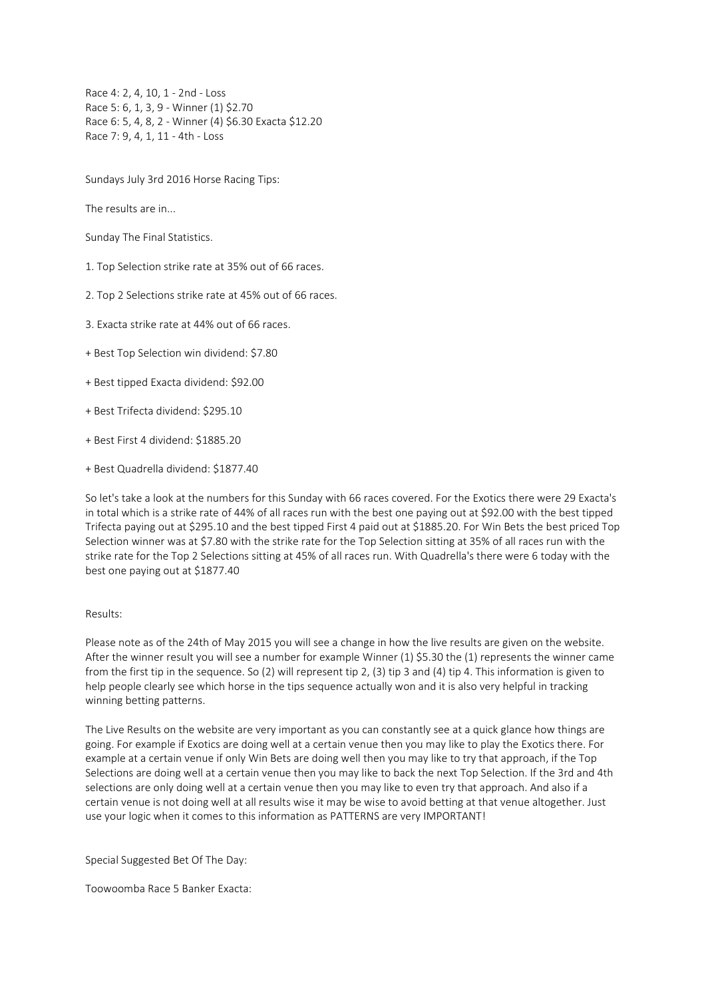Race 4: 2, 4, 10, 1 - 2nd - Loss Race 5: 6, 1, 3, 9 - Winner (1) \$2.70 Race 6: 5, 4, 8, 2 - Winner (4) \$6.30 Exacta \$12.20 Race 7: 9, 4, 1, 11 - 4th - Loss

Sundays July 3rd 2016 Horse Racing Tips:

The results are in...

Sunday The Final Statistics.

1. Top Selection strike rate at 35% out of 66 races.

2. Top 2 Selections strike rate at 45% out of 66 races.

3. Exacta strike rate at 44% out of 66 races.

+ Best Top Selection win dividend: \$7.80

+ Best tipped Exacta dividend: \$92.00

+ Best Trifecta dividend: \$295.10

+ Best First 4 dividend: \$1885.20

+ Best Quadrella dividend: \$1877.40

So let's take a look at the numbers for this Sunday with 66 races covered. For the Exotics there were 29 Exacta's in total which is a strike rate of 44% of all races run with the best one paying out at \$92.00 with the best tipped Trifecta paying out at \$295.10 and the best tipped First 4 paid out at \$1885.20. For Win Bets the best priced Top Selection winner was at \$7.80 with the strike rate for the Top Selection sitting at 35% of all races run with the strike rate for the Top 2 Selections sitting at 45% of all races run. With Quadrella's there were 6 today with the best one paying out at \$1877.40

#### Results:

Please note as of the 24th of May 2015 you will see a change in how the live results are given on the website. After the winner result you will see a number for example Winner (1) \$5.30 the (1) represents the winner came from the first tip in the sequence. So (2) will represent tip 2, (3) tip 3 and (4) tip 4. This information is given to help people clearly see which horse in the tips sequence actually won and it is also very helpful in tracking winning betting patterns.

The Live Results on the website are very important as you can constantly see at a quick glance how things are going. For example if Exotics are doing well at a certain venue then you may like to play the Exotics there. For example at a certain venue if only Win Bets are doing well then you may like to try that approach, if the Top Selections are doing well at a certain venue then you may like to back the next Top Selection. If the 3rd and 4th selections are only doing well at a certain venue then you may like to even try that approach. And also if a certain venue is not doing well at all results wise it may be wise to avoid betting at that venue altogether. Just use your logic when it comes to this information as PATTERNS are very IMPORTANT!

Special Suggested Bet Of The Day:

Toowoomba Race 5 Banker Exacta: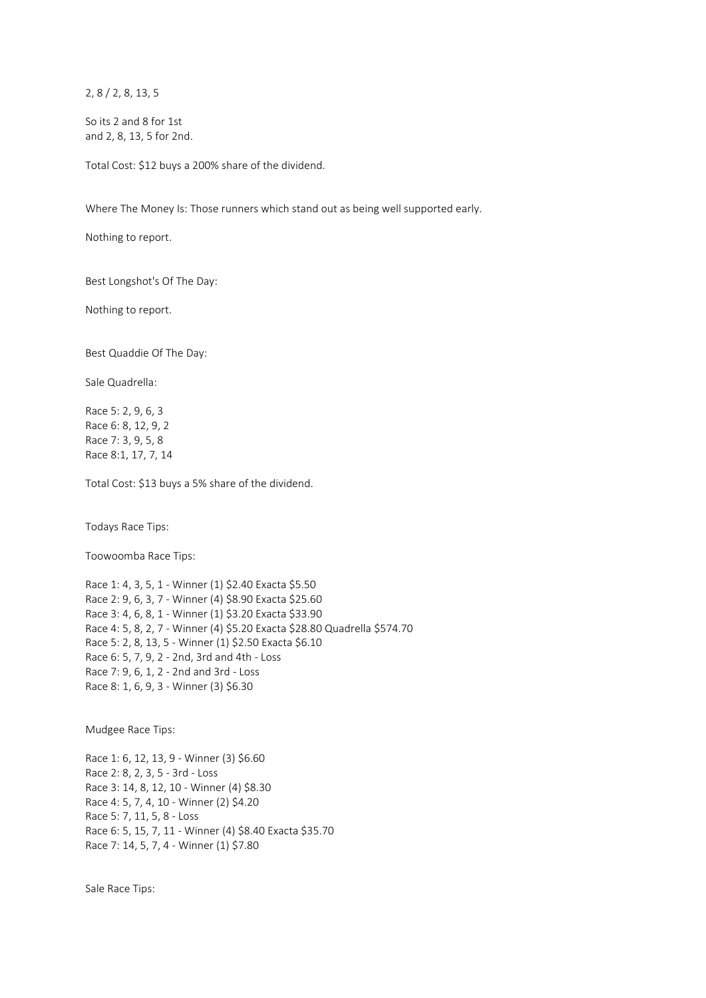2, 8 / 2, 8, 13, 5

So its 2 and 8 for 1st and 2, 8, 13, 5 for 2nd.

Total Cost: \$12 buys a 200% share of the dividend.

Where The Money Is: Those runners which stand out as being well supported early.

Nothing to report.

Best Longshot's Of The Day:

Nothing to report.

Best Quaddie Of The Day:

Sale Quadrella:

Race 5: 2, 9, 6, 3 Race 6: 8, 12, 9, 2 Race 7: 3, 9, 5, 8 Race 8:1, 17, 7, 14

Total Cost: \$13 buys a 5% share of the dividend.

Todays Race Tips:

Toowoomba Race Tips:

Race 1: 4, 3, 5, 1 - Winner (1) \$2.40 Exacta \$5.50 Race 2: 9, 6, 3, 7 - Winner (4) \$8.90 Exacta \$25.60 Race 3: 4, 6, 8, 1 - Winner (1) \$3.20 Exacta \$33.90 Race 4: 5, 8, 2, 7 - Winner (4) \$5.20 Exacta \$28.80 Quadrella \$574.70 Race 5: 2, 8, 13, 5 - Winner (1) \$2.50 Exacta \$6.10 Race 6: 5, 7, 9, 2 - 2nd, 3rd and 4th - Loss Race 7: 9, 6, 1, 2 - 2nd and 3rd - Loss Race 8: 1, 6, 9, 3 - Winner (3) \$6.30

Mudgee Race Tips:

Race 1: 6, 12, 13, 9 - Winner (3) \$6.60 Race 2: 8, 2, 3, 5 - 3rd - Loss Race 3: 14, 8, 12, 10 - Winner (4) \$8.30 Race 4: 5, 7, 4, 10 - Winner (2) \$4.20 Race 5: 7, 11, 5, 8 - Loss Race 6: 5, 15, 7, 11 - Winner (4) \$8.40 Exacta \$35.70 Race 7: 14, 5, 7, 4 - Winner (1) \$7.80

Sale Race Tips: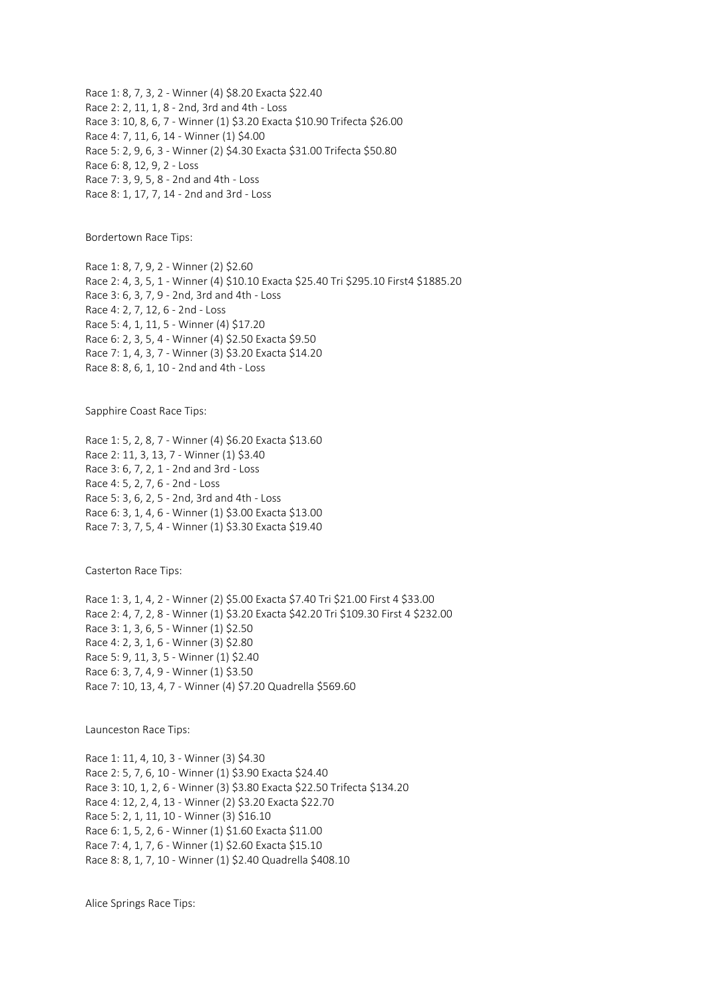Race 1: 8, 7, 3, 2 - Winner (4) \$8.20 Exacta \$22.40 Race 2: 2, 11, 1, 8 - 2nd, 3rd and 4th - Loss Race 3: 10, 8, 6, 7 - Winner (1) \$3.20 Exacta \$10.90 Trifecta \$26.00 Race 4: 7, 11, 6, 14 - Winner (1) \$4.00 Race 5: 2, 9, 6, 3 - Winner (2) \$4.30 Exacta \$31.00 Trifecta \$50.80 Race 6: 8, 12, 9, 2 - Loss Race 7: 3, 9, 5, 8 - 2nd and 4th - Loss Race 8: 1, 17, 7, 14 - 2nd and 3rd - Loss

Bordertown Race Tips:

Race 1: 8, 7, 9, 2 - Winner (2) \$2.60 Race 2: 4, 3, 5, 1 - Winner (4) \$10.10 Exacta \$25.40 Tri \$295.10 First4 \$1885.20 Race 3: 6, 3, 7, 9 - 2nd, 3rd and 4th - Loss Race 4: 2, 7, 12, 6 - 2nd - Loss Race 5: 4, 1, 11, 5 - Winner (4) \$17.20 Race 6: 2, 3, 5, 4 - Winner (4) \$2.50 Exacta \$9.50 Race 7: 1, 4, 3, 7 - Winner (3) \$3.20 Exacta \$14.20 Race 8: 8, 6, 1, 10 - 2nd and 4th - Loss

Sapphire Coast Race Tips:

Race 1: 5, 2, 8, 7 - Winner (4) \$6.20 Exacta \$13.60 Race 2: 11, 3, 13, 7 - Winner (1) \$3.40 Race 3: 6, 7, 2, 1 - 2nd and 3rd - Loss Race 4: 5, 2, 7, 6 - 2nd - Loss Race 5: 3, 6, 2, 5 - 2nd, 3rd and 4th - Loss Race 6: 3, 1, 4, 6 - Winner (1) \$3.00 Exacta \$13.00 Race 7: 3, 7, 5, 4 - Winner (1) \$3.30 Exacta \$19.40

Casterton Race Tips:

Race 1: 3, 1, 4, 2 - Winner (2) \$5.00 Exacta \$7.40 Tri \$21.00 First 4 \$33.00 Race 2: 4, 7, 2, 8 - Winner (1) \$3.20 Exacta \$42.20 Tri \$109.30 First 4 \$232.00 Race 3: 1, 3, 6, 5 - Winner (1) \$2.50 Race 4: 2, 3, 1, 6 - Winner (3) \$2.80 Race 5: 9, 11, 3, 5 - Winner (1) \$2.40 Race 6: 3, 7, 4, 9 - Winner (1) \$3.50 Race 7: 10, 13, 4, 7 - Winner (4) \$7.20 Quadrella \$569.60

Launceston Race Tips:

Race 1: 11, 4, 10, 3 - Winner (3) \$4.30 Race 2: 5, 7, 6, 10 - Winner (1) \$3.90 Exacta \$24.40 Race 3: 10, 1, 2, 6 - Winner (3) \$3.80 Exacta \$22.50 Trifecta \$134.20 Race 4: 12, 2, 4, 13 - Winner (2) \$3.20 Exacta \$22.70 Race 5: 2, 1, 11, 10 - Winner (3) \$16.10 Race 6: 1, 5, 2, 6 - Winner (1) \$1.60 Exacta \$11.00 Race 7: 4, 1, 7, 6 - Winner (1) \$2.60 Exacta \$15.10 Race 8: 8, 1, 7, 10 - Winner (1) \$2.40 Quadrella \$408.10

Alice Springs Race Tips: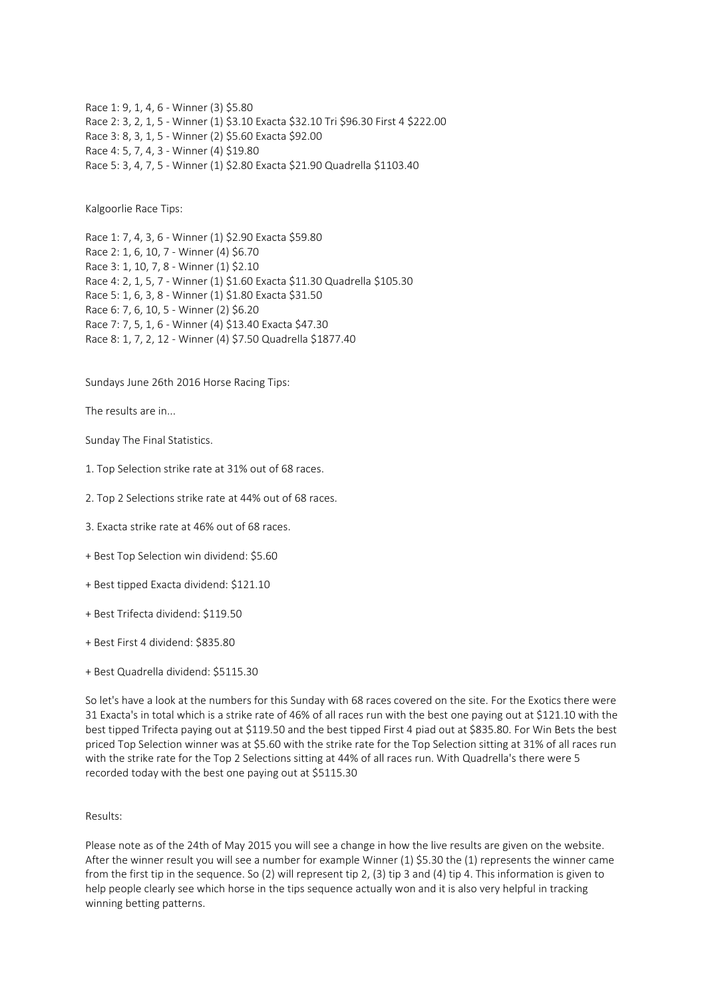Race 1: 9, 1, 4, 6 - Winner (3) \$5.80 Race 2: 3, 2, 1, 5 - Winner (1) \$3.10 Exacta \$32.10 Tri \$96.30 First 4 \$222.00 Race 3: 8, 3, 1, 5 - Winner (2) \$5.60 Exacta \$92.00 Race 4: 5, 7, 4, 3 - Winner (4) \$19.80 Race 5: 3, 4, 7, 5 - Winner (1) \$2.80 Exacta \$21.90 Quadrella \$1103.40

Kalgoorlie Race Tips:

Race 1: 7, 4, 3, 6 - Winner (1) \$2.90 Exacta \$59.80 Race 2: 1, 6, 10, 7 - Winner (4) \$6.70 Race 3: 1, 10, 7, 8 - Winner (1) \$2.10 Race 4: 2, 1, 5, 7 - Winner (1) \$1.60 Exacta \$11.30 Quadrella \$105.30 Race 5: 1, 6, 3, 8 - Winner (1) \$1.80 Exacta \$31.50 Race 6: 7, 6, 10, 5 - Winner (2) \$6.20 Race 7: 7, 5, 1, 6 - Winner (4) \$13.40 Exacta \$47.30 Race 8: 1, 7, 2, 12 - Winner (4) \$7.50 Quadrella \$1877.40

Sundays June 26th 2016 Horse Racing Tips:

The results are in...

Sunday The Final Statistics.

- 1. Top Selection strike rate at 31% out of 68 races.
- 2. Top 2 Selections strike rate at 44% out of 68 races.
- 3. Exacta strike rate at 46% out of 68 races.
- + Best Top Selection win dividend: \$5.60
- + Best tipped Exacta dividend: \$121.10
- + Best Trifecta dividend: \$119.50
- + Best First 4 dividend: \$835.80
- + Best Quadrella dividend: \$5115.30

So let's have a look at the numbers for this Sunday with 68 races covered on the site. For the Exotics there were 31 Exacta's in total which is a strike rate of 46% of all races run with the best one paying out at \$121.10 with the best tipped Trifecta paying out at \$119.50 and the best tipped First 4 piad out at \$835.80. For Win Bets the best priced Top Selection winner was at \$5.60 with the strike rate for the Top Selection sitting at 31% of all races run with the strike rate for the Top 2 Selections sitting at 44% of all races run. With Quadrella's there were 5 recorded today with the best one paying out at \$5115.30

## Results:

Please note as of the 24th of May 2015 you will see a change in how the live results are given on the website. After the winner result you will see a number for example Winner (1) \$5.30 the (1) represents the winner came from the first tip in the sequence. So (2) will represent tip 2, (3) tip 3 and (4) tip 4. This information is given to help people clearly see which horse in the tips sequence actually won and it is also very helpful in tracking winning betting patterns.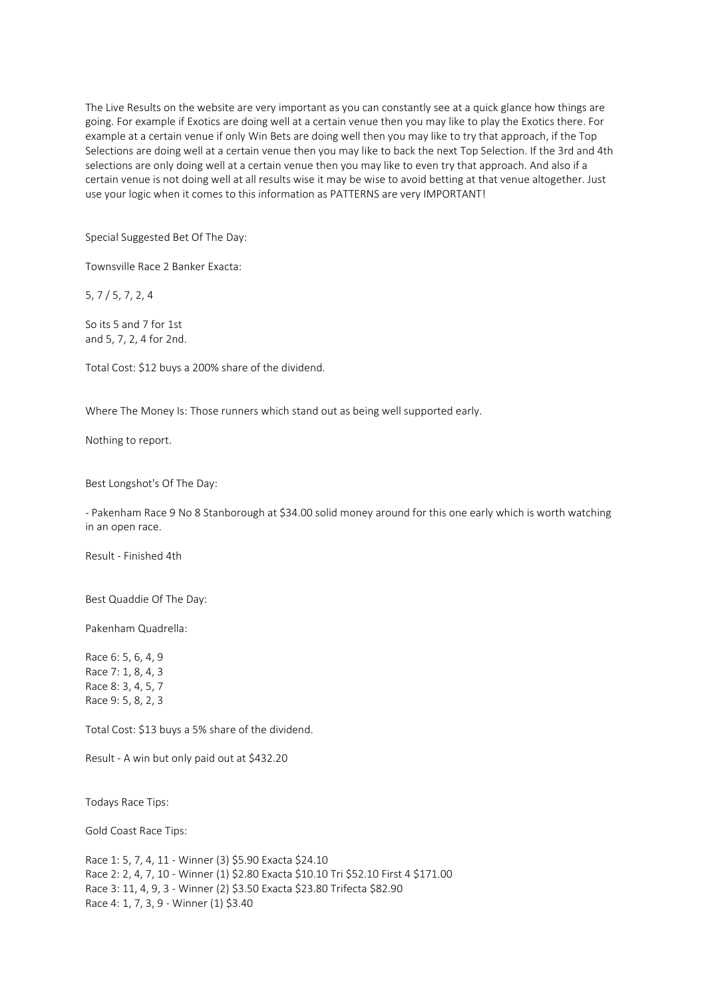The Live Results on the website are very important as you can constantly see at a quick glance how things are going. For example if Exotics are doing well at a certain venue then you may like to play the Exotics there. For example at a certain venue if only Win Bets are doing well then you may like to try that approach, if the Top Selections are doing well at a certain venue then you may like to back the next Top Selection. If the 3rd and 4th selections are only doing well at a certain venue then you may like to even try that approach. And also if a certain venue is not doing well at all results wise it may be wise to avoid betting at that venue altogether. Just use your logic when it comes to this information as PATTERNS are very IMPORTANT!

Special Suggested Bet Of The Day:

Townsville Race 2 Banker Exacta:

5, 7 / 5, 7, 2, 4

So its 5 and 7 for 1st and 5, 7, 2, 4 for 2nd.

Total Cost: \$12 buys a 200% share of the dividend.

Where The Money Is: Those runners which stand out as being well supported early.

Nothing to report.

Best Longshot's Of The Day:

- Pakenham Race 9 No 8 Stanborough at \$34.00 solid money around for this one early which is worth watching in an open race.

Result - Finished 4th

Best Quaddie Of The Day:

Pakenham Quadrella:

Race 6: 5, 6, 4, 9 Race 7: 1, 8, 4, 3 Race 8: 3, 4, 5, 7 Race 9: 5, 8, 2, 3

Total Cost: \$13 buys a 5% share of the dividend.

Result - A win but only paid out at \$432.20

Todays Race Tips:

Gold Coast Race Tips:

Race 1: 5, 7, 4, 11 - Winner (3) \$5.90 Exacta \$24.10 Race 2: 2, 4, 7, 10 - Winner (1) \$2.80 Exacta \$10.10 Tri \$52.10 First 4 \$171.00 Race 3: 11, 4, 9, 3 - Winner (2) \$3.50 Exacta \$23.80 Trifecta \$82.90 Race 4: 1, 7, 3, 9 - Winner (1) \$3.40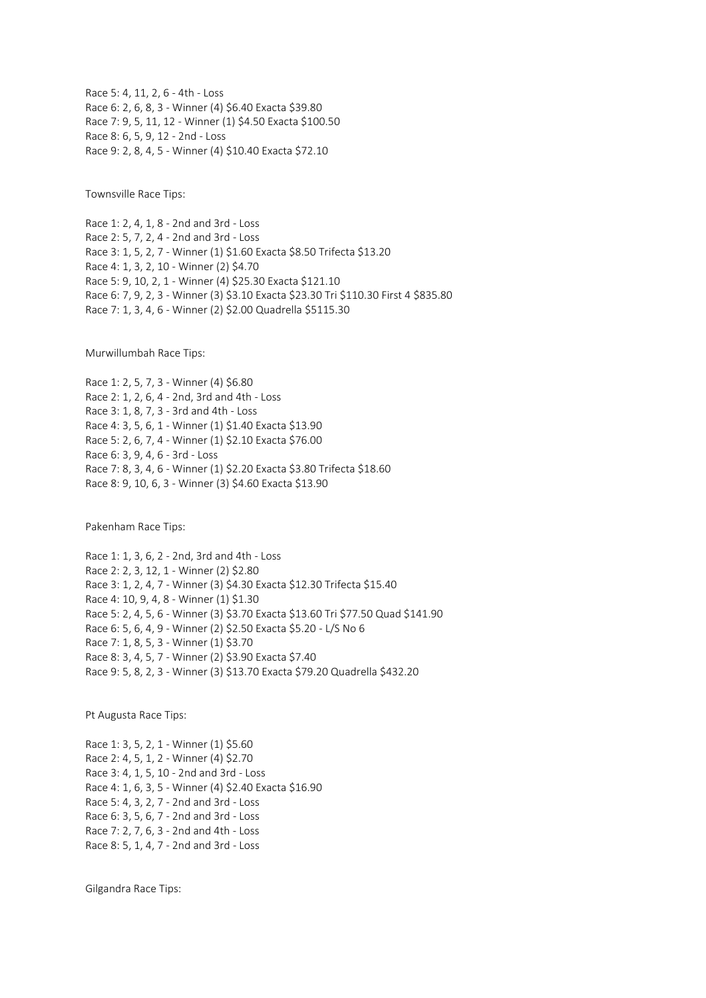Race 5: 4, 11, 2, 6 - 4th - Loss Race 6: 2, 6, 8, 3 - Winner (4) \$6.40 Exacta \$39.80 Race 7: 9, 5, 11, 12 - Winner (1) \$4.50 Exacta \$100.50 Race 8: 6, 5, 9, 12 - 2nd - Loss Race 9: 2, 8, 4, 5 - Winner (4) \$10.40 Exacta \$72.10

Townsville Race Tips:

Race 1: 2, 4, 1, 8 - 2nd and 3rd - Loss Race 2: 5, 7, 2, 4 - 2nd and 3rd - Loss Race 3: 1, 5, 2, 7 - Winner (1) \$1.60 Exacta \$8.50 Trifecta \$13.20 Race 4: 1, 3, 2, 10 - Winner (2) \$4.70 Race 5: 9, 10, 2, 1 - Winner (4) \$25.30 Exacta \$121.10 Race 6: 7, 9, 2, 3 - Winner (3) \$3.10 Exacta \$23.30 Tri \$110.30 First 4 \$835.80 Race 7: 1, 3, 4, 6 - Winner (2) \$2.00 Quadrella \$5115.30

Murwillumbah Race Tips:

Race 1: 2, 5, 7, 3 - Winner (4) \$6.80 Race 2: 1, 2, 6, 4 - 2nd, 3rd and 4th - Loss Race 3: 1, 8, 7, 3 - 3rd and 4th - Loss Race 4: 3, 5, 6, 1 - Winner (1) \$1.40 Exacta \$13.90 Race 5: 2, 6, 7, 4 - Winner (1) \$2.10 Exacta \$76.00 Race 6: 3, 9, 4, 6 - 3rd - Loss Race 7: 8, 3, 4, 6 - Winner (1) \$2.20 Exacta \$3.80 Trifecta \$18.60 Race 8: 9, 10, 6, 3 - Winner (3) \$4.60 Exacta \$13.90

Pakenham Race Tips:

Race 1: 1, 3, 6, 2 - 2nd, 3rd and 4th - Loss Race 2: 2, 3, 12, 1 - Winner (2) \$2.80 Race 3: 1, 2, 4, 7 - Winner (3) \$4.30 Exacta \$12.30 Trifecta \$15.40 Race 4: 10, 9, 4, 8 - Winner (1) \$1.30 Race 5: 2, 4, 5, 6 - Winner (3) \$3.70 Exacta \$13.60 Tri \$77.50 Quad \$141.90 Race 6: 5, 6, 4, 9 - Winner (2) \$2.50 Exacta \$5.20 - L/S No 6 Race 7: 1, 8, 5, 3 - Winner (1) \$3.70 Race 8: 3, 4, 5, 7 - Winner (2) \$3.90 Exacta \$7.40 Race 9: 5, 8, 2, 3 - Winner (3) \$13.70 Exacta \$79.20 Quadrella \$432.20

Pt Augusta Race Tips:

Race 1: 3, 5, 2, 1 - Winner (1) \$5.60 Race 2: 4, 5, 1, 2 - Winner (4) \$2.70 Race 3: 4, 1, 5, 10 - 2nd and 3rd - Loss Race 4: 1, 6, 3, 5 - Winner (4) \$2.40 Exacta \$16.90 Race 5: 4, 3, 2, 7 - 2nd and 3rd - Loss Race 6: 3, 5, 6, 7 - 2nd and 3rd - Loss Race 7: 2, 7, 6, 3 - 2nd and 4th - Loss Race 8: 5, 1, 4, 7 - 2nd and 3rd - Loss

Gilgandra Race Tips: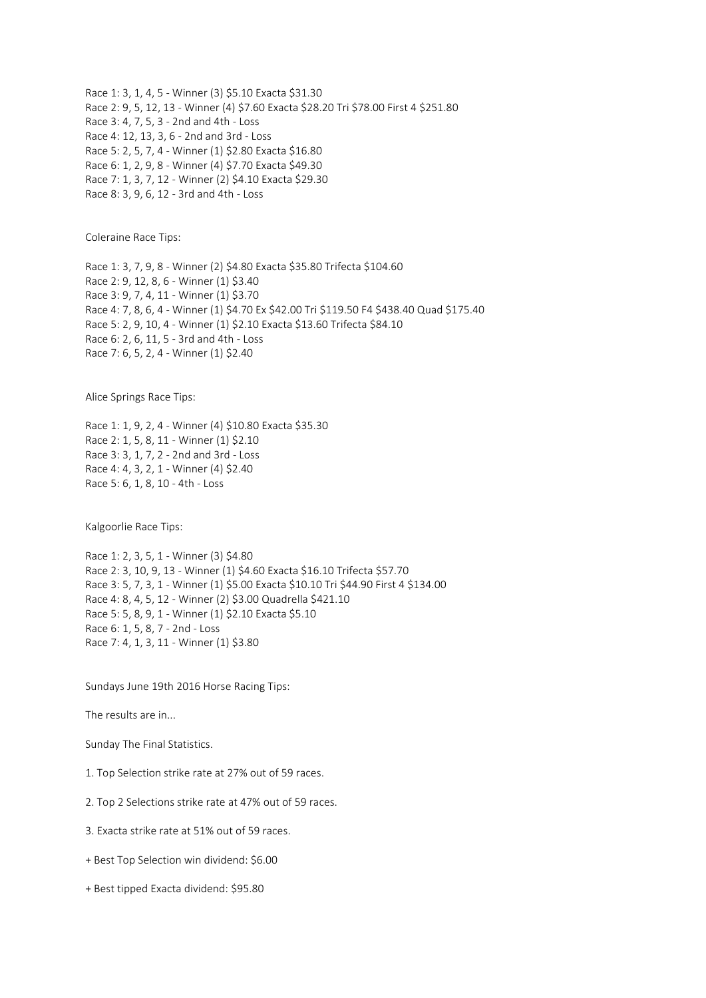Race 1: 3, 1, 4, 5 - Winner (3) \$5.10 Exacta \$31.30 Race 2: 9, 5, 12, 13 - Winner (4) \$7.60 Exacta \$28.20 Tri \$78.00 First 4 \$251.80 Race 3: 4, 7, 5, 3 - 2nd and 4th - Loss Race 4: 12, 13, 3, 6 - 2nd and 3rd - Loss Race 5: 2, 5, 7, 4 - Winner (1) \$2.80 Exacta \$16.80 Race 6: 1, 2, 9, 8 - Winner (4) \$7.70 Exacta \$49.30 Race 7: 1, 3, 7, 12 - Winner (2) \$4.10 Exacta \$29.30 Race 8: 3, 9, 6, 12 - 3rd and 4th - Loss

Coleraine Race Tips:

Race 1: 3, 7, 9, 8 - Winner (2) \$4.80 Exacta \$35.80 Trifecta \$104.60 Race 2: 9, 12, 8, 6 - Winner (1) \$3.40 Race 3: 9, 7, 4, 11 - Winner (1) \$3.70 Race 4: 7, 8, 6, 4 - Winner (1) \$4.70 Ex \$42.00 Tri \$119.50 F4 \$438.40 Quad \$175.40 Race 5: 2, 9, 10, 4 - Winner (1) \$2.10 Exacta \$13.60 Trifecta \$84.10 Race 6: 2, 6, 11, 5 - 3rd and 4th - Loss Race 7: 6, 5, 2, 4 - Winner (1) \$2.40

Alice Springs Race Tips:

Race 1: 1, 9, 2, 4 - Winner (4) \$10.80 Exacta \$35.30 Race 2: 1, 5, 8, 11 - Winner (1) \$2.10 Race 3: 3, 1, 7, 2 - 2nd and 3rd - Loss Race 4: 4, 3, 2, 1 - Winner (4) \$2.40 Race 5: 6, 1, 8, 10 - 4th - Loss

Kalgoorlie Race Tips:

Race 1: 2, 3, 5, 1 - Winner (3) \$4.80 Race 2: 3, 10, 9, 13 - Winner (1) \$4.60 Exacta \$16.10 Trifecta \$57.70 Race 3: 5, 7, 3, 1 - Winner (1) \$5.00 Exacta \$10.10 Tri \$44.90 First 4 \$134.00 Race 4: 8, 4, 5, 12 - Winner (2) \$3.00 Quadrella \$421.10 Race 5: 5, 8, 9, 1 - Winner (1) \$2.10 Exacta \$5.10 Race 6: 1, 5, 8, 7 - 2nd - Loss Race 7: 4, 1, 3, 11 - Winner (1) \$3.80

Sundays June 19th 2016 Horse Racing Tips:

The results are in...

Sunday The Final Statistics.

1. Top Selection strike rate at 27% out of 59 races.

2. Top 2 Selections strike rate at 47% out of 59 races.

- 3. Exacta strike rate at 51% out of 59 races.
- + Best Top Selection win dividend: \$6.00
- + Best tipped Exacta dividend: \$95.80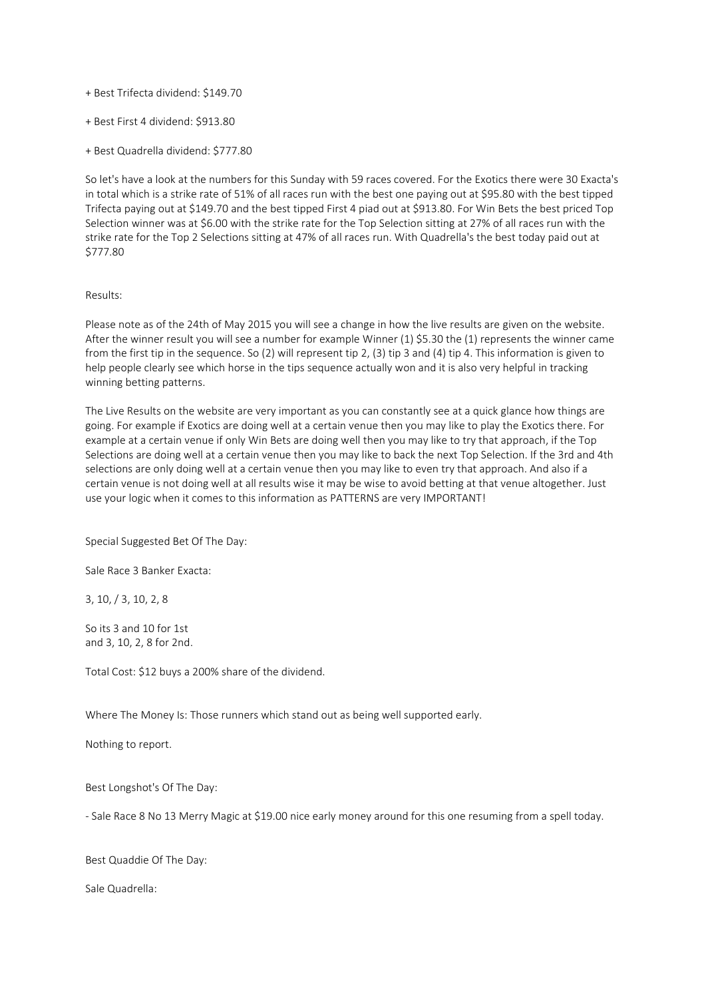+ Best Trifecta dividend: \$149.70

- + Best First 4 dividend: \$913.80
- + Best Quadrella dividend: \$777.80

So let's have a look at the numbers for this Sunday with 59 races covered. For the Exotics there were 30 Exacta's in total which is a strike rate of 51% of all races run with the best one paying out at \$95.80 with the best tipped Trifecta paying out at \$149.70 and the best tipped First 4 piad out at \$913.80. For Win Bets the best priced Top Selection winner was at \$6.00 with the strike rate for the Top Selection sitting at 27% of all races run with the strike rate for the Top 2 Selections sitting at 47% of all races run. With Quadrella's the best today paid out at \$777.80

## Results:

Please note as of the 24th of May 2015 you will see a change in how the live results are given on the website. After the winner result you will see a number for example Winner (1) \$5.30 the (1) represents the winner came from the first tip in the sequence. So (2) will represent tip 2, (3) tip 3 and (4) tip 4. This information is given to help people clearly see which horse in the tips sequence actually won and it is also very helpful in tracking winning betting patterns.

The Live Results on the website are very important as you can constantly see at a quick glance how things are going. For example if Exotics are doing well at a certain venue then you may like to play the Exotics there. For example at a certain venue if only Win Bets are doing well then you may like to try that approach, if the Top Selections are doing well at a certain venue then you may like to back the next Top Selection. If the 3rd and 4th selections are only doing well at a certain venue then you may like to even try that approach. And also if a certain venue is not doing well at all results wise it may be wise to avoid betting at that venue altogether. Just use your logic when it comes to this information as PATTERNS are very IMPORTANT!

Special Suggested Bet Of The Day:

Sale Race 3 Banker Exacta:

3, 10, / 3, 10, 2, 8

So its 3 and 10 for 1st and 3, 10, 2, 8 for 2nd.

Total Cost: \$12 buys a 200% share of the dividend.

Where The Money Is: Those runners which stand out as being well supported early.

Nothing to report.

Best Longshot's Of The Day:

- Sale Race 8 No 13 Merry Magic at \$19.00 nice early money around for this one resuming from a spell today.

Best Quaddie Of The Day:

Sale Quadrella: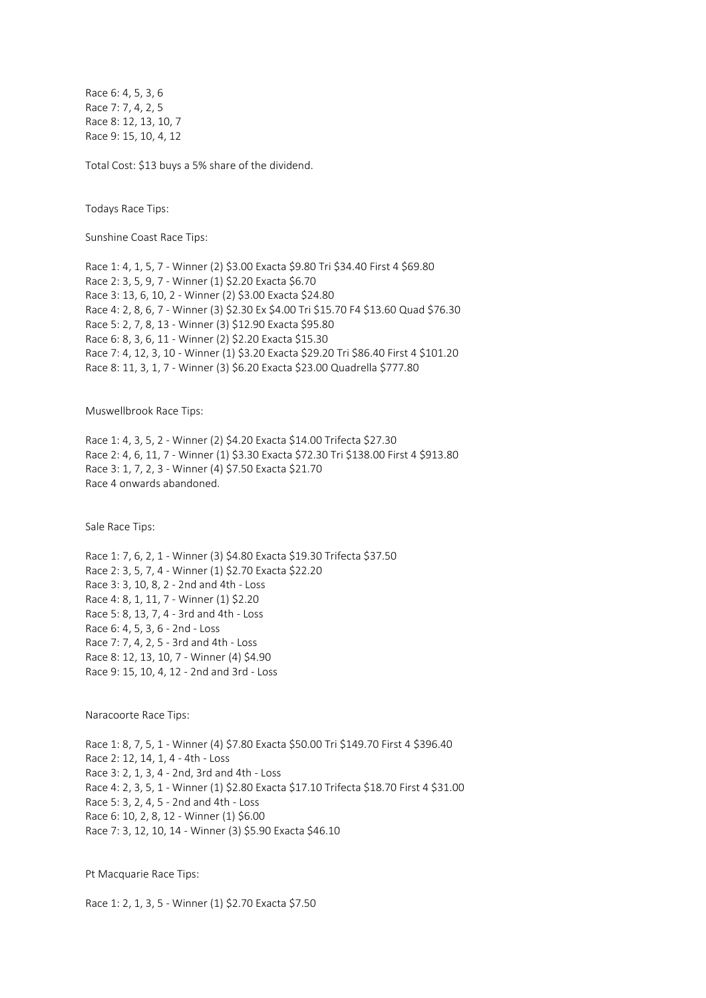Race 6: 4, 5, 3, 6 Race 7: 7, 4, 2, 5 Race 8: 12, 13, 10, 7 Race 9: 15, 10, 4, 12

Total Cost: \$13 buys a 5% share of the dividend.

Todays Race Tips:

Sunshine Coast Race Tips:

Race 1: 4, 1, 5, 7 - Winner (2) \$3.00 Exacta \$9.80 Tri \$34.40 First 4 \$69.80 Race 2: 3, 5, 9, 7 - Winner (1) \$2.20 Exacta \$6.70 Race 3: 13, 6, 10, 2 - Winner (2) \$3.00 Exacta \$24.80 Race 4: 2, 8, 6, 7 - Winner (3) \$2.30 Ex \$4.00 Tri \$15.70 F4 \$13.60 Quad \$76.30 Race 5: 2, 7, 8, 13 - Winner (3) \$12.90 Exacta \$95.80 Race 6: 8, 3, 6, 11 - Winner (2) \$2.20 Exacta \$15.30 Race 7: 4, 12, 3, 10 - Winner (1) \$3.20 Exacta \$29.20 Tri \$86.40 First 4 \$101.20 Race 8: 11, 3, 1, 7 - Winner (3) \$6.20 Exacta \$23.00 Quadrella \$777.80

Muswellbrook Race Tips:

Race 1: 4, 3, 5, 2 - Winner (2) \$4.20 Exacta \$14.00 Trifecta \$27.30 Race 2: 4, 6, 11, 7 - Winner (1) \$3.30 Exacta \$72.30 Tri \$138.00 First 4 \$913.80 Race 3: 1, 7, 2, 3 - Winner (4) \$7.50 Exacta \$21.70 Race 4 onwards abandoned.

Sale Race Tips:

Race 1: 7, 6, 2, 1 - Winner (3) \$4.80 Exacta \$19.30 Trifecta \$37.50 Race 2: 3, 5, 7, 4 - Winner (1) \$2.70 Exacta \$22.20 Race 3: 3, 10, 8, 2 - 2nd and 4th - Loss Race 4: 8, 1, 11, 7 - Winner (1) \$2.20 Race 5: 8, 13, 7, 4 - 3rd and 4th - Loss Race 6: 4, 5, 3, 6 - 2nd - Loss Race 7: 7, 4, 2, 5 - 3rd and 4th - Loss Race 8: 12, 13, 10, 7 - Winner (4) \$4.90 Race 9: 15, 10, 4, 12 - 2nd and 3rd - Loss

Naracoorte Race Tips:

Race 1: 8, 7, 5, 1 - Winner (4) \$7.80 Exacta \$50.00 Tri \$149.70 First 4 \$396.40 Race 2: 12, 14, 1, 4 - 4th - Loss Race 3: 2, 1, 3, 4 - 2nd, 3rd and 4th - Loss Race 4: 2, 3, 5, 1 - Winner (1) \$2.80 Exacta \$17.10 Trifecta \$18.70 First 4 \$31.00 Race 5: 3, 2, 4, 5 - 2nd and 4th - Loss Race 6: 10, 2, 8, 12 - Winner (1) \$6.00 Race 7: 3, 12, 10, 14 - Winner (3) \$5.90 Exacta \$46.10

Pt Macquarie Race Tips:

Race 1: 2, 1, 3, 5 - Winner (1) \$2.70 Exacta \$7.50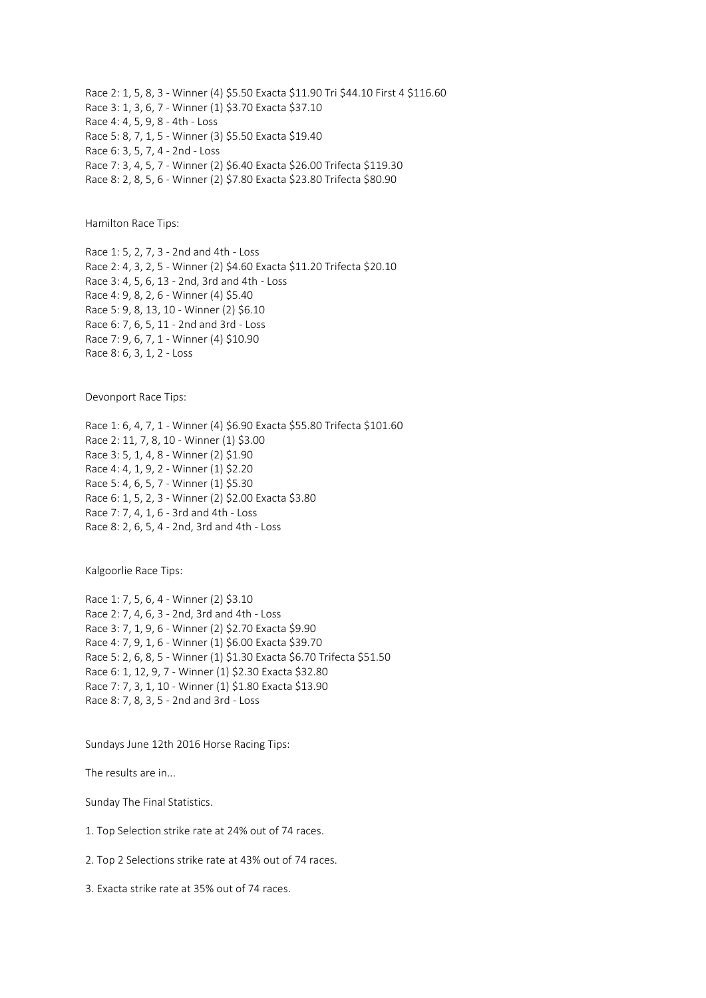Race 2: 1, 5, 8, 3 - Winner (4) \$5.50 Exacta \$11.90 Tri \$44.10 First 4 \$116.60 Race 3: 1, 3, 6, 7 - Winner (1) \$3.70 Exacta \$37.10 Race 4: 4, 5, 9, 8 - 4th - Loss Race 5: 8, 7, 1, 5 - Winner (3) \$5.50 Exacta \$19.40 Race 6: 3, 5, 7, 4 - 2nd - Loss Race 7: 3, 4, 5, 7 - Winner (2) \$6.40 Exacta \$26.00 Trifecta \$119.30 Race 8: 2, 8, 5, 6 - Winner (2) \$7.80 Exacta \$23.80 Trifecta \$80.90

Hamilton Race Tips:

Race 1: 5, 2, 7, 3 - 2nd and 4th - Loss Race 2: 4, 3, 2, 5 - Winner (2) \$4.60 Exacta \$11.20 Trifecta \$20.10 Race 3: 4, 5, 6, 13 - 2nd, 3rd and 4th - Loss Race 4: 9, 8, 2, 6 - Winner (4) \$5.40 Race 5: 9, 8, 13, 10 - Winner (2) \$6.10 Race 6: 7, 6, 5, 11 - 2nd and 3rd - Loss Race 7: 9, 6, 7, 1 - Winner (4) \$10.90 Race 8: 6, 3, 1, 2 - Loss

Devonport Race Tips:

Race 1: 6, 4, 7, 1 - Winner (4) \$6.90 Exacta \$55.80 Trifecta \$101.60 Race 2: 11, 7, 8, 10 - Winner (1) \$3.00 Race 3: 5, 1, 4, 8 - Winner (2) \$1.90 Race 4: 4, 1, 9, 2 - Winner (1) \$2.20 Race 5: 4, 6, 5, 7 - Winner (1) \$5.30 Race 6: 1, 5, 2, 3 - Winner (2) \$2.00 Exacta \$3.80 Race 7: 7, 4, 1, 6 - 3rd and 4th - Loss Race 8: 2, 6, 5, 4 - 2nd, 3rd and 4th - Loss

Kalgoorlie Race Tips:

Race 1: 7, 5, 6, 4 - Winner (2) \$3.10 Race 2: 7, 4, 6, 3 - 2nd, 3rd and 4th - Loss Race 3: 7, 1, 9, 6 - Winner (2) \$2.70 Exacta \$9.90 Race 4: 7, 9, 1, 6 - Winner (1) \$6.00 Exacta \$39.70 Race 5: 2, 6, 8, 5 - Winner (1) \$1.30 Exacta \$6.70 Trifecta \$51.50 Race 6: 1, 12, 9, 7 - Winner (1) \$2.30 Exacta \$32.80 Race 7: 7, 3, 1, 10 - Winner (1) \$1.80 Exacta \$13.90 Race 8: 7, 8, 3, 5 - 2nd and 3rd - Loss

Sundays June 12th 2016 Horse Racing Tips:

The results are in...

Sunday The Final Statistics.

1. Top Selection strike rate at 24% out of 74 races.

2. Top 2 Selections strike rate at 43% out of 74 races.

3. Exacta strike rate at 35% out of 74 races.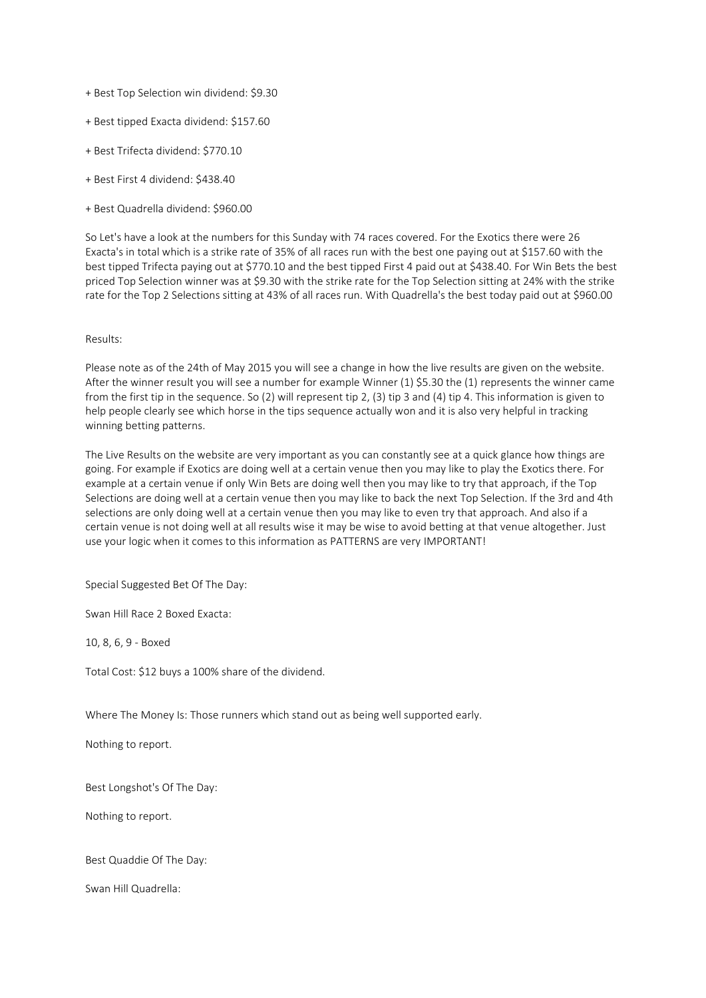- + Best Top Selection win dividend: \$9.30
- + Best tipped Exacta dividend: \$157.60
- + Best Trifecta dividend: \$770.10
- + Best First 4 dividend: \$438.40
- + Best Quadrella dividend: \$960.00

So Let's have a look at the numbers for this Sunday with 74 races covered. For the Exotics there were 26 Exacta's in total which is a strike rate of 35% of all races run with the best one paying out at \$157.60 with the best tipped Trifecta paying out at \$770.10 and the best tipped First 4 paid out at \$438.40. For Win Bets the best priced Top Selection winner was at \$9.30 with the strike rate for the Top Selection sitting at 24% with the strike rate for the Top 2 Selections sitting at 43% of all races run. With Quadrella's the best today paid out at \$960.00

## Results:

Please note as of the 24th of May 2015 you will see a change in how the live results are given on the website. After the winner result you will see a number for example Winner (1) \$5.30 the (1) represents the winner came from the first tip in the sequence. So (2) will represent tip 2, (3) tip 3 and (4) tip 4. This information is given to help people clearly see which horse in the tips sequence actually won and it is also very helpful in tracking winning betting patterns.

The Live Results on the website are very important as you can constantly see at a quick glance how things are going. For example if Exotics are doing well at a certain venue then you may like to play the Exotics there. For example at a certain venue if only Win Bets are doing well then you may like to try that approach, if the Top Selections are doing well at a certain venue then you may like to back the next Top Selection. If the 3rd and 4th selections are only doing well at a certain venue then you may like to even try that approach. And also if a certain venue is not doing well at all results wise it may be wise to avoid betting at that venue altogether. Just use your logic when it comes to this information as PATTERNS are very IMPORTANT!

Special Suggested Bet Of The Day:

Swan Hill Race 2 Boxed Exacta:

10, 8, 6, 9 - Boxed

Total Cost: \$12 buys a 100% share of the dividend.

Where The Money Is: Those runners which stand out as being well supported early.

Nothing to report.

Best Longshot's Of The Day:

Nothing to report.

Best Quaddie Of The Day:

Swan Hill Quadrella: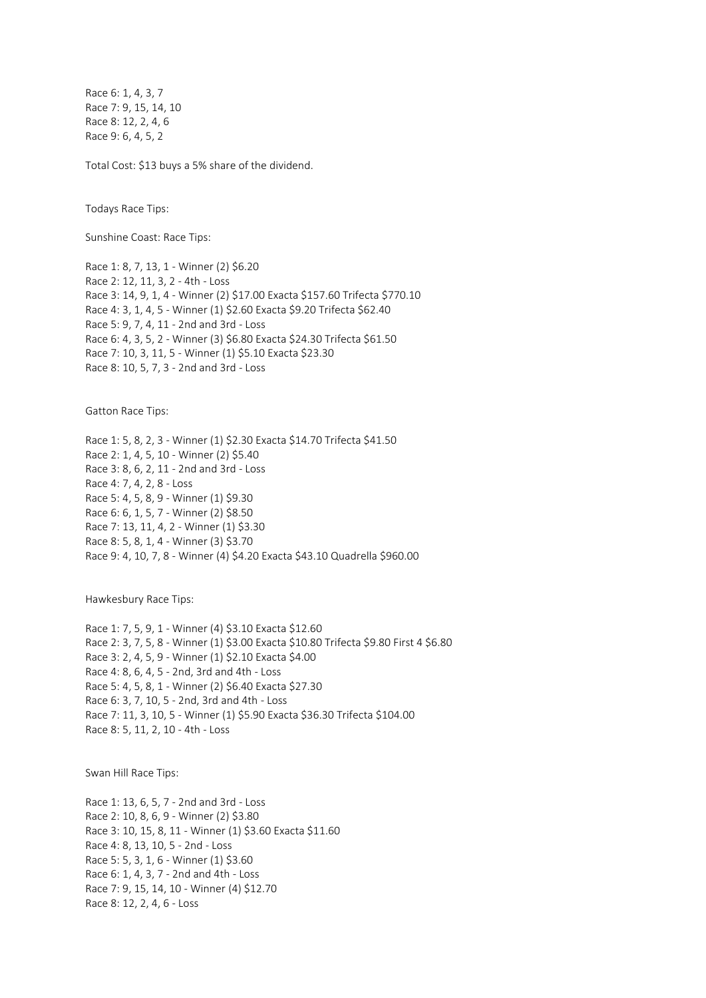Race 6: 1, 4, 3, 7 Race 7: 9, 15, 14, 10 Race 8: 12, 2, 4, 6 Race 9: 6, 4, 5, 2

Total Cost: \$13 buys a 5% share of the dividend.

Todays Race Tips:

Sunshine Coast: Race Tips:

Race 1: 8, 7, 13, 1 - Winner (2) \$6.20 Race 2: 12, 11, 3, 2 - 4th - Loss Race 3: 14, 9, 1, 4 - Winner (2) \$17.00 Exacta \$157.60 Trifecta \$770.10 Race 4: 3, 1, 4, 5 - Winner (1) \$2.60 Exacta \$9.20 Trifecta \$62.40 Race 5: 9, 7, 4, 11 - 2nd and 3rd - Loss Race 6: 4, 3, 5, 2 - Winner (3) \$6.80 Exacta \$24.30 Trifecta \$61.50 Race 7: 10, 3, 11, 5 - Winner (1) \$5.10 Exacta \$23.30 Race 8: 10, 5, 7, 3 - 2nd and 3rd - Loss

Gatton Race Tips:

Race 1: 5, 8, 2, 3 - Winner (1) \$2.30 Exacta \$14.70 Trifecta \$41.50 Race 2: 1, 4, 5, 10 - Winner (2) \$5.40 Race 3: 8, 6, 2, 11 - 2nd and 3rd - Loss Race 4: 7, 4, 2, 8 - Loss Race 5: 4, 5, 8, 9 - Winner (1) \$9.30 Race 6: 6, 1, 5, 7 - Winner (2) \$8.50 Race 7: 13, 11, 4, 2 - Winner (1) \$3.30 Race 8: 5, 8, 1, 4 - Winner (3) \$3.70 Race 9: 4, 10, 7, 8 - Winner (4) \$4.20 Exacta \$43.10 Quadrella \$960.00

Hawkesbury Race Tips:

Race 1: 7, 5, 9, 1 - Winner (4) \$3.10 Exacta \$12.60 Race 2: 3, 7, 5, 8 - Winner (1) \$3.00 Exacta \$10.80 Trifecta \$9.80 First 4 \$6.80 Race 3: 2, 4, 5, 9 - Winner (1) \$2.10 Exacta \$4.00 Race 4: 8, 6, 4, 5 - 2nd, 3rd and 4th - Loss Race 5: 4, 5, 8, 1 - Winner (2) \$6.40 Exacta \$27.30 Race 6: 3, 7, 10, 5 - 2nd, 3rd and 4th - Loss Race 7: 11, 3, 10, 5 - Winner (1) \$5.90 Exacta \$36.30 Trifecta \$104.00 Race 8: 5, 11, 2, 10 - 4th - Loss

Swan Hill Race Tips:

Race 1: 13, 6, 5, 7 - 2nd and 3rd - Loss Race 2: 10, 8, 6, 9 - Winner (2) \$3.80 Race 3: 10, 15, 8, 11 - Winner (1) \$3.60 Exacta \$11.60 Race 4: 8, 13, 10, 5 - 2nd - Loss Race 5: 5, 3, 1, 6 - Winner (1) \$3.60 Race 6: 1, 4, 3, 7 - 2nd and 4th - Loss Race 7: 9, 15, 14, 10 - Winner (4) \$12.70 Race 8: 12, 2, 4, 6 - Loss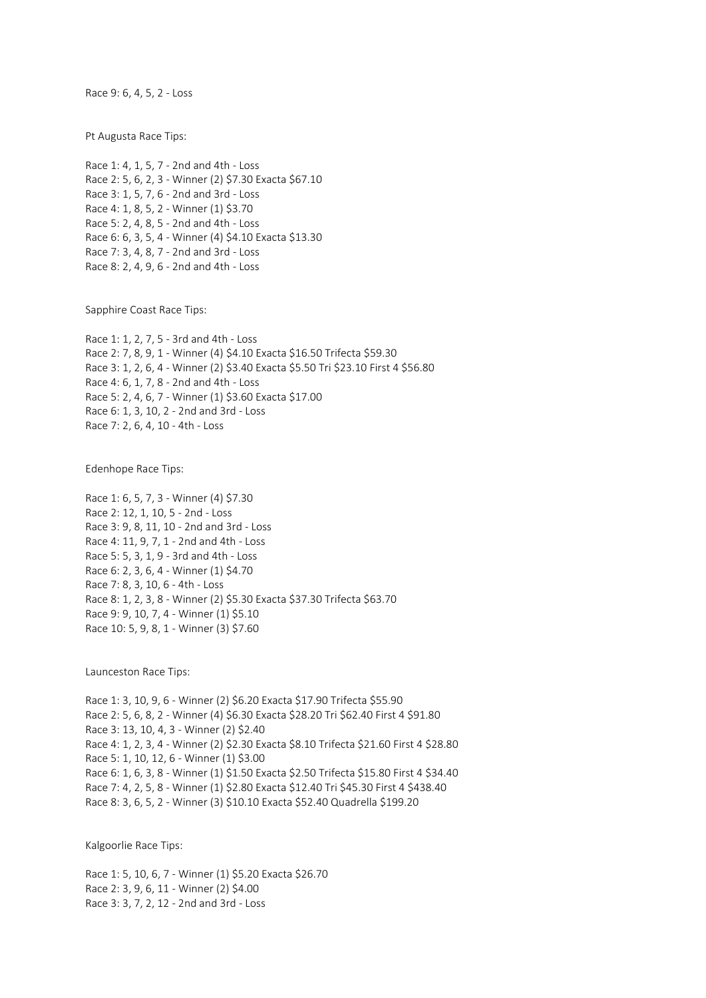Race 9: 6, 4, 5, 2 - Loss

Pt Augusta Race Tips:

Race 1: 4, 1, 5, 7 - 2nd and 4th - Loss Race 2: 5, 6, 2, 3 - Winner (2) \$7.30 Exacta \$67.10 Race 3: 1, 5, 7, 6 - 2nd and 3rd - Loss Race 4: 1, 8, 5, 2 - Winner (1) \$3.70 Race 5: 2, 4, 8, 5 - 2nd and 4th - Loss Race 6: 6, 3, 5, 4 - Winner (4) \$4.10 Exacta \$13.30 Race 7: 3, 4, 8, 7 - 2nd and 3rd - Loss Race 8: 2, 4, 9, 6 - 2nd and 4th - Loss

Sapphire Coast Race Tips:

Race 1: 1, 2, 7, 5 - 3rd and 4th - Loss Race 2: 7, 8, 9, 1 - Winner (4) \$4.10 Exacta \$16.50 Trifecta \$59.30 Race 3: 1, 2, 6, 4 - Winner (2) \$3.40 Exacta \$5.50 Tri \$23.10 First 4 \$56.80 Race 4: 6, 1, 7, 8 - 2nd and 4th - Loss Race 5: 2, 4, 6, 7 - Winner (1) \$3.60 Exacta \$17.00 Race 6: 1, 3, 10, 2 - 2nd and 3rd - Loss Race 7: 2, 6, 4, 10 - 4th - Loss

Edenhope Race Tips:

Race 1: 6, 5, 7, 3 - Winner (4) \$7.30 Race 2: 12, 1, 10, 5 - 2nd - Loss Race 3: 9, 8, 11, 10 - 2nd and 3rd - Loss Race 4: 11, 9, 7, 1 - 2nd and 4th - Loss Race 5: 5, 3, 1, 9 - 3rd and 4th - Loss Race 6: 2, 3, 6, 4 - Winner (1) \$4.70 Race 7: 8, 3, 10, 6 - 4th - Loss Race 8: 1, 2, 3, 8 - Winner (2) \$5.30 Exacta \$37.30 Trifecta \$63.70 Race 9: 9, 10, 7, 4 - Winner (1) \$5.10 Race 10: 5, 9, 8, 1 - Winner (3) \$7.60

Launceston Race Tips:

Race 1: 3, 10, 9, 6 - Winner (2) \$6.20 Exacta \$17.90 Trifecta \$55.90 Race 2: 5, 6, 8, 2 - Winner (4) \$6.30 Exacta \$28.20 Tri \$62.40 First 4 \$91.80 Race 3: 13, 10, 4, 3 - Winner (2) \$2.40 Race 4: 1, 2, 3, 4 - Winner (2) \$2.30 Exacta \$8.10 Trifecta \$21.60 First 4 \$28.80 Race 5: 1, 10, 12, 6 - Winner (1) \$3.00 Race 6: 1, 6, 3, 8 - Winner (1) \$1.50 Exacta \$2.50 Trifecta \$15.80 First 4 \$34.40 Race 7: 4, 2, 5, 8 - Winner (1) \$2.80 Exacta \$12.40 Tri \$45.30 First 4 \$438.40 Race 8: 3, 6, 5, 2 - Winner (3) \$10.10 Exacta \$52.40 Quadrella \$199.20

Kalgoorlie Race Tips:

Race 1: 5, 10, 6, 7 - Winner (1) \$5.20 Exacta \$26.70 Race 2: 3, 9, 6, 11 - Winner (2) \$4.00 Race 3: 3, 7, 2, 12 - 2nd and 3rd - Loss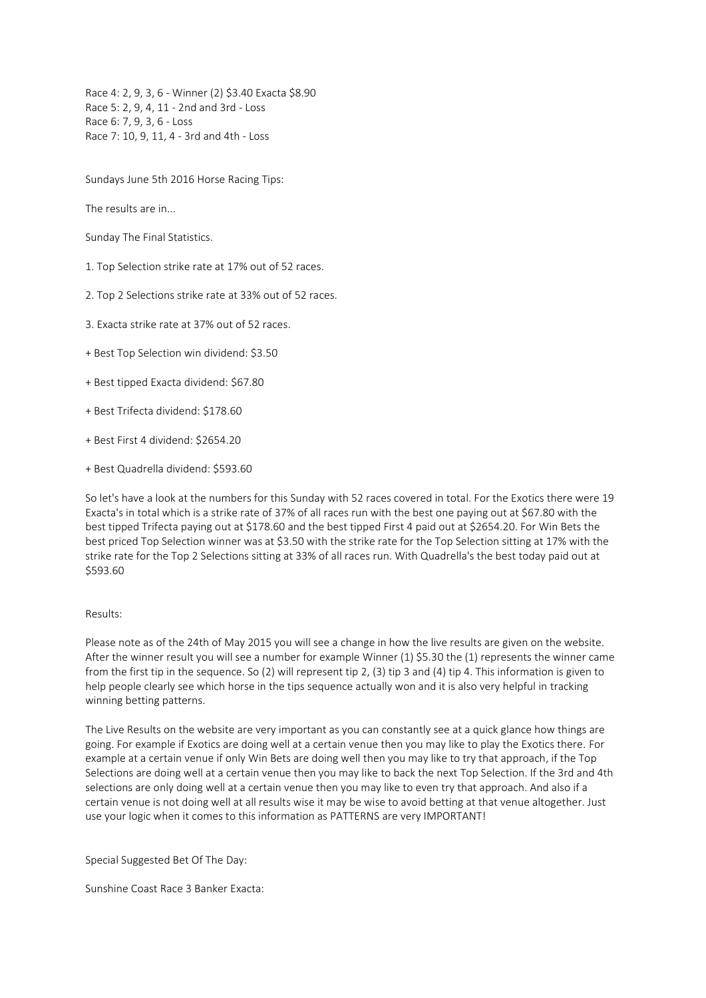Race 4: 2, 9, 3, 6 - Winner (2) \$3.40 Exacta \$8.90 Race 5: 2, 9, 4, 11 - 2nd and 3rd - Loss Race 6: 7, 9, 3, 6 - Loss Race 7: 10, 9, 11, 4 - 3rd and 4th - Loss

Sundays June 5th 2016 Horse Racing Tips:

The results are in...

Sunday The Final Statistics.

1. Top Selection strike rate at 17% out of 52 races.

2. Top 2 Selections strike rate at 33% out of 52 races.

3. Exacta strike rate at 37% out of 52 races.

+ Best Top Selection win dividend: \$3.50

+ Best tipped Exacta dividend: \$67.80

+ Best Trifecta dividend: \$178.60

+ Best First 4 dividend: \$2654.20

+ Best Quadrella dividend: \$593.60

So let's have a look at the numbers for this Sunday with 52 races covered in total. For the Exotics there were 19 Exacta's in total which is a strike rate of 37% of all races run with the best one paying out at \$67.80 with the best tipped Trifecta paying out at \$178.60 and the best tipped First 4 paid out at \$2654.20. For Win Bets the best priced Top Selection winner was at \$3.50 with the strike rate for the Top Selection sitting at 17% with the strike rate for the Top 2 Selections sitting at 33% of all races run. With Quadrella's the best today paid out at \$593.60

## Results:

Please note as of the 24th of May 2015 you will see a change in how the live results are given on the website. After the winner result you will see a number for example Winner (1) \$5.30 the (1) represents the winner came from the first tip in the sequence. So (2) will represent tip 2, (3) tip 3 and (4) tip 4. This information is given to help people clearly see which horse in the tips sequence actually won and it is also very helpful in tracking winning betting patterns.

The Live Results on the website are very important as you can constantly see at a quick glance how things are going. For example if Exotics are doing well at a certain venue then you may like to play the Exotics there. For example at a certain venue if only Win Bets are doing well then you may like to try that approach, if the Top Selections are doing well at a certain venue then you may like to back the next Top Selection. If the 3rd and 4th selections are only doing well at a certain venue then you may like to even try that approach. And also if a certain venue is not doing well at all results wise it may be wise to avoid betting at that venue altogether. Just use your logic when it comes to this information as PATTERNS are very IMPORTANT!

Special Suggested Bet Of The Day:

Sunshine Coast Race 3 Banker Exacta: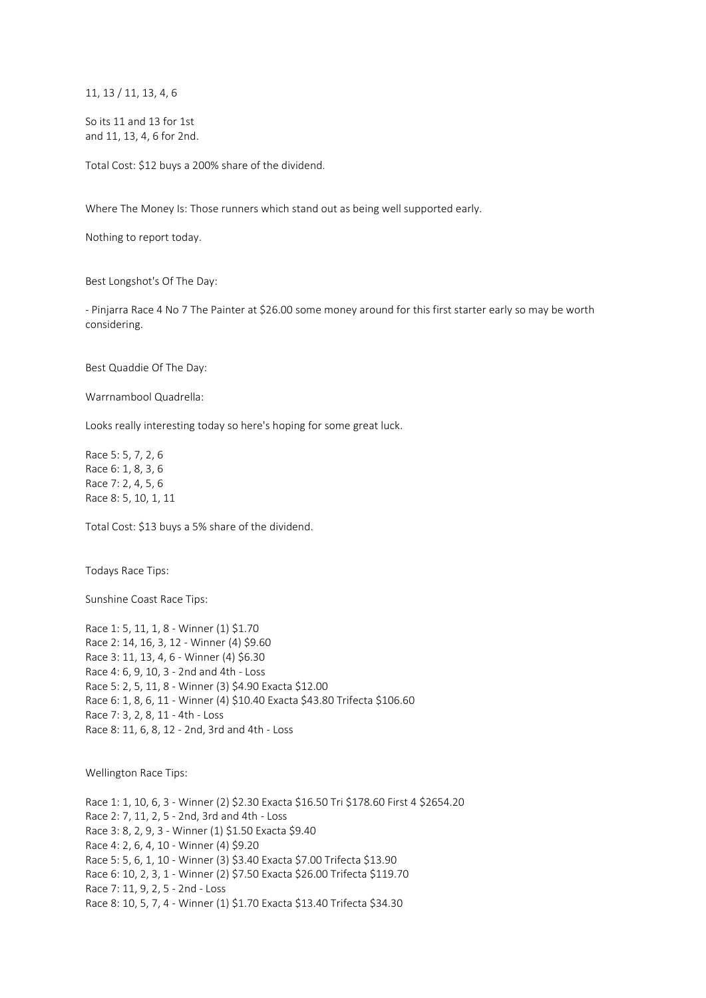11, 13 / 11, 13, 4, 6

So its 11 and 13 for 1st and 11, 13, 4, 6 for 2nd.

Total Cost: \$12 buys a 200% share of the dividend.

Where The Money Is: Those runners which stand out as being well supported early.

Nothing to report today.

Best Longshot's Of The Day:

- Pinjarra Race 4 No 7 The Painter at \$26.00 some money around for this first starter early so may be worth considering.

Best Quaddie Of The Day:

Warrnambool Quadrella:

Looks really interesting today so here's hoping for some great luck.

Race 5: 5, 7, 2, 6 Race 6: 1, 8, 3, 6 Race 7: 2, 4, 5, 6 Race 8: 5, 10, 1, 11

Total Cost: \$13 buys a 5% share of the dividend.

Todays Race Tips:

Sunshine Coast Race Tips:

Race 1: 5, 11, 1, 8 - Winner (1) \$1.70 Race 2: 14, 16, 3, 12 - Winner (4) \$9.60 Race 3: 11, 13, 4, 6 - Winner (4) \$6.30 Race 4: 6, 9, 10, 3 - 2nd and 4th - Loss Race 5: 2, 5, 11, 8 - Winner (3) \$4.90 Exacta \$12.00 Race 6: 1, 8, 6, 11 - Winner (4) \$10.40 Exacta \$43.80 Trifecta \$106.60 Race 7: 3, 2, 8, 11 - 4th - Loss Race 8: 11, 6, 8, 12 - 2nd, 3rd and 4th - Loss

Wellington Race Tips:

Race 1: 1, 10, 6, 3 - Winner (2) \$2.30 Exacta \$16.50 Tri \$178.60 First 4 \$2654.20 Race 2: 7, 11, 2, 5 - 2nd, 3rd and 4th - Loss Race 3: 8, 2, 9, 3 - Winner (1) \$1.50 Exacta \$9.40 Race 4: 2, 6, 4, 10 - Winner (4) \$9.20 Race 5: 5, 6, 1, 10 - Winner (3) \$3.40 Exacta \$7.00 Trifecta \$13.90 Race 6: 10, 2, 3, 1 - Winner (2) \$7.50 Exacta \$26.00 Trifecta \$119.70 Race 7: 11, 9, 2, 5 - 2nd - Loss Race 8: 10, 5, 7, 4 - Winner (1) \$1.70 Exacta \$13.40 Trifecta \$34.30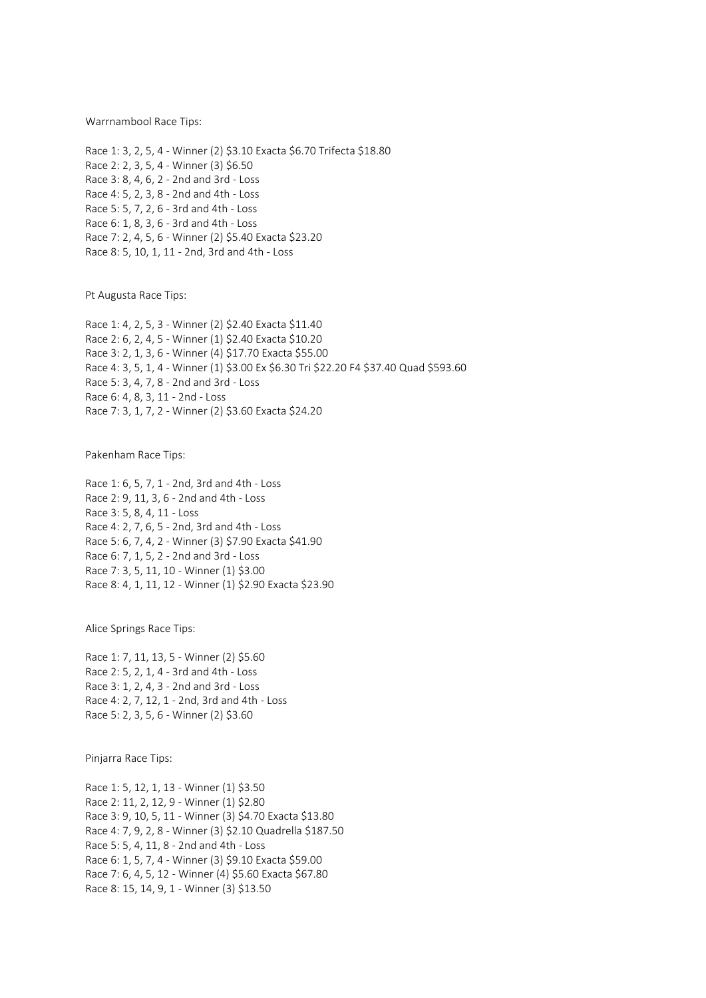Warrnambool Race Tips:

Race 1: 3, 2, 5, 4 - Winner (2) \$3.10 Exacta \$6.70 Trifecta \$18.80 Race 2: 2, 3, 5, 4 - Winner (3) \$6.50 Race 3: 8, 4, 6, 2 - 2nd and 3rd - Loss Race 4: 5, 2, 3, 8 - 2nd and 4th - Loss Race 5: 5, 7, 2, 6 - 3rd and 4th - Loss Race 6: 1, 8, 3, 6 - 3rd and 4th - Loss Race 7: 2, 4, 5, 6 - Winner (2) \$5.40 Exacta \$23.20 Race 8: 5, 10, 1, 11 - 2nd, 3rd and 4th - Loss

Pt Augusta Race Tips:

Race 1: 4, 2, 5, 3 - Winner (2) \$2.40 Exacta \$11.40 Race 2: 6, 2, 4, 5 - Winner (1) \$2.40 Exacta \$10.20 Race 3: 2, 1, 3, 6 - Winner (4) \$17.70 Exacta \$55.00 Race 4: 3, 5, 1, 4 - Winner (1) \$3.00 Ex \$6.30 Tri \$22.20 F4 \$37.40 Quad \$593.60 Race 5: 3, 4, 7, 8 - 2nd and 3rd - Loss Race 6: 4, 8, 3, 11 - 2nd - Loss Race 7: 3, 1, 7, 2 - Winner (2) \$3.60 Exacta \$24.20

Pakenham Race Tips:

Race 1: 6, 5, 7, 1 - 2nd, 3rd and 4th - Loss Race 2: 9, 11, 3, 6 - 2nd and 4th - Loss Race 3: 5, 8, 4, 11 - Loss Race 4: 2, 7, 6, 5 - 2nd, 3rd and 4th - Loss Race 5: 6, 7, 4, 2 - Winner (3) \$7.90 Exacta \$41.90 Race 6: 7, 1, 5, 2 - 2nd and 3rd - Loss Race 7: 3, 5, 11, 10 - Winner (1) \$3.00 Race 8: 4, 1, 11, 12 - Winner (1) \$2.90 Exacta \$23.90

Alice Springs Race Tips:

Race 1: 7, 11, 13, 5 - Winner (2) \$5.60 Race 2: 5, 2, 1, 4 - 3rd and 4th - Loss Race 3: 1, 2, 4, 3 - 2nd and 3rd - Loss Race 4: 2, 7, 12, 1 - 2nd, 3rd and 4th - Loss Race 5: 2, 3, 5, 6 - Winner (2) \$3.60

Pinjarra Race Tips:

Race 1: 5, 12, 1, 13 - Winner (1) \$3.50 Race 2: 11, 2, 12, 9 - Winner (1) \$2.80 Race 3: 9, 10, 5, 11 - Winner (3) \$4.70 Exacta \$13.80 Race 4: 7, 9, 2, 8 - Winner (3) \$2.10 Quadrella \$187.50 Race 5: 5, 4, 11, 8 - 2nd and 4th - Loss Race 6: 1, 5, 7, 4 - Winner (3) \$9.10 Exacta \$59.00 Race 7: 6, 4, 5, 12 - Winner (4) \$5.60 Exacta \$67.80 Race 8: 15, 14, 9, 1 - Winner (3) \$13.50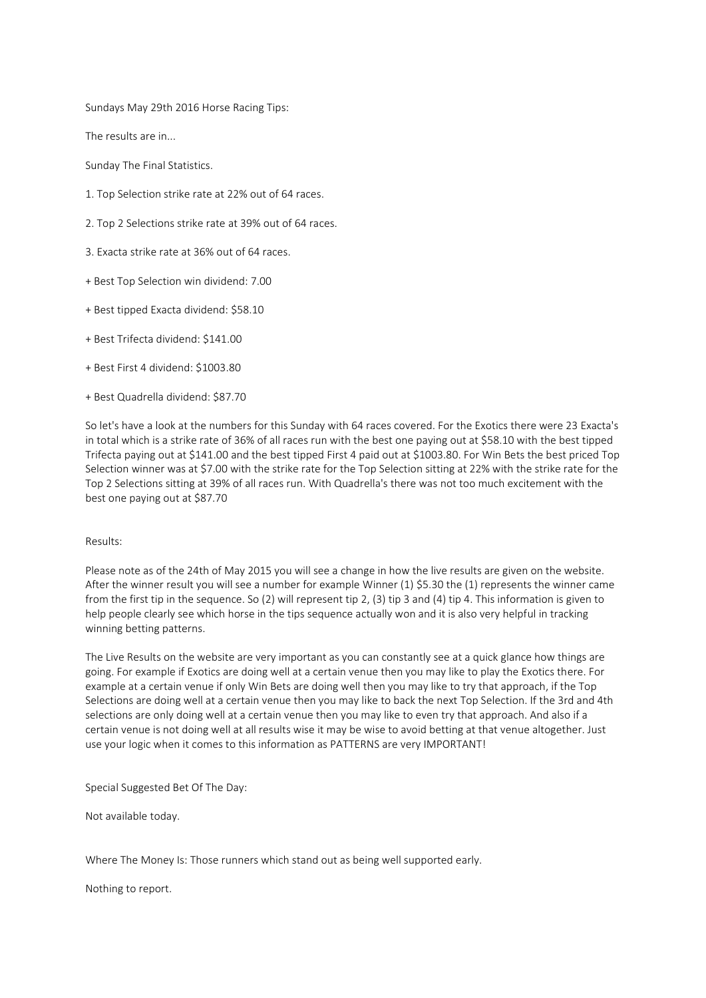Sundays May 29th 2016 Horse Racing Tips:

The results are in...

Sunday The Final Statistics.

- 1. Top Selection strike rate at 22% out of 64 races.
- 2. Top 2 Selections strike rate at 39% out of 64 races.
- 3. Exacta strike rate at 36% out of 64 races.
- + Best Top Selection win dividend: 7.00
- + Best tipped Exacta dividend: \$58.10
- + Best Trifecta dividend: \$141.00
- + Best First 4 dividend: \$1003.80
- + Best Quadrella dividend: \$87.70

So let's have a look at the numbers for this Sunday with 64 races covered. For the Exotics there were 23 Exacta's in total which is a strike rate of 36% of all races run with the best one paying out at \$58.10 with the best tipped Trifecta paying out at \$141.00 and the best tipped First 4 paid out at \$1003.80. For Win Bets the best priced Top Selection winner was at \$7.00 with the strike rate for the Top Selection sitting at 22% with the strike rate for the Top 2 Selections sitting at 39% of all races run. With Quadrella's there was not too much excitement with the best one paying out at \$87.70

## Results:

Please note as of the 24th of May 2015 you will see a change in how the live results are given on the website. After the winner result you will see a number for example Winner (1) \$5.30 the (1) represents the winner came from the first tip in the sequence. So (2) will represent tip 2, (3) tip 3 and (4) tip 4. This information is given to help people clearly see which horse in the tips sequence actually won and it is also very helpful in tracking winning betting patterns.

The Live Results on the website are very important as you can constantly see at a quick glance how things are going. For example if Exotics are doing well at a certain venue then you may like to play the Exotics there. For example at a certain venue if only Win Bets are doing well then you may like to try that approach, if the Top Selections are doing well at a certain venue then you may like to back the next Top Selection. If the 3rd and 4th selections are only doing well at a certain venue then you may like to even try that approach. And also if a certain venue is not doing well at all results wise it may be wise to avoid betting at that venue altogether. Just use your logic when it comes to this information as PATTERNS are very IMPORTANT!

Special Suggested Bet Of The Day:

Not available today.

Where The Money Is: Those runners which stand out as being well supported early.

Nothing to report.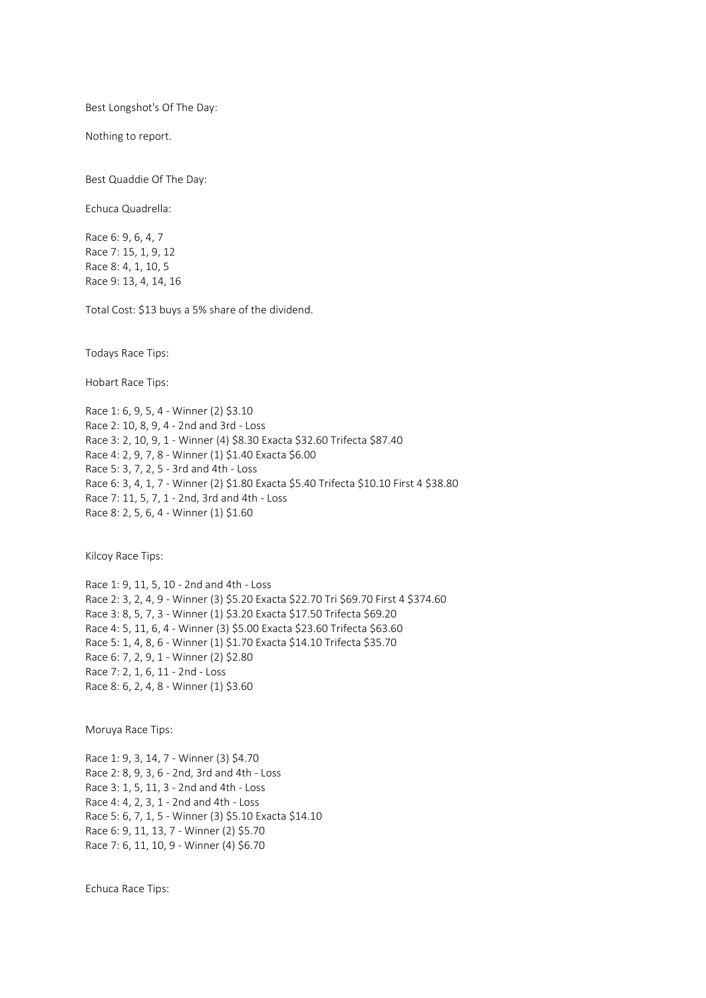Best Longshot's Of The Day:

Nothing to report.

Best Quaddie Of The Day:

Echuca Quadrella:

Race 6: 9, 6, 4, 7 Race 7: 15, 1, 9, 12 Race 8: 4, 1, 10, 5 Race 9: 13, 4, 14, 16

Total Cost: \$13 buys a 5% share of the dividend.

Todays Race Tips:

Hobart Race Tips:

Race 1: 6, 9, 5, 4 - Winner (2) \$3.10 Race 2: 10, 8, 9, 4 - 2nd and 3rd - Loss Race 3: 2, 10, 9, 1 - Winner (4) \$8.30 Exacta \$32.60 Trifecta \$87.40 Race 4: 2, 9, 7, 8 - Winner (1) \$1.40 Exacta \$6.00 Race 5: 3, 7, 2, 5 - 3rd and 4th - Loss Race 6: 3, 4, 1, 7 - Winner (2) \$1.80 Exacta \$5.40 Trifecta \$10.10 First 4 \$38.80 Race 7: 11, 5, 7, 1 - 2nd, 3rd and 4th - Loss Race 8: 2, 5, 6, 4 - Winner (1) \$1.60

Kilcoy Race Tips:

Race 1: 9, 11, 5, 10 - 2nd and 4th - Loss Race 2: 3, 2, 4, 9 - Winner (3) \$5.20 Exacta \$22.70 Tri \$69.70 First 4 \$374.60 Race 3: 8, 5, 7, 3 - Winner (1) \$3.20 Exacta \$17.50 Trifecta \$69.20 Race 4: 5, 11, 6, 4 - Winner (3) \$5.00 Exacta \$23.60 Trifecta \$63.60 Race 5: 1, 4, 8, 6 - Winner (1) \$1.70 Exacta \$14.10 Trifecta \$35.70 Race 6: 7, 2, 9, 1 - Winner (2) \$2.80 Race 7: 2, 1, 6, 11 - 2nd - Loss Race 8: 6, 2, 4, 8 - Winner (1) \$3.60

Moruya Race Tips:

Race 1: 9, 3, 14, 7 - Winner (3) \$4.70 Race 2: 8, 9, 3, 6 - 2nd, 3rd and 4th - Loss Race 3: 1, 5, 11, 3 - 2nd and 4th - Loss Race 4: 4, 2, 3, 1 - 2nd and 4th - Loss Race 5: 6, 7, 1, 5 - Winner (3) \$5.10 Exacta \$14.10 Race 6: 9, 11, 13, 7 - Winner (2) \$5.70 Race 7: 6, 11, 10, 9 - Winner (4) \$6.70

Echuca Race Tips: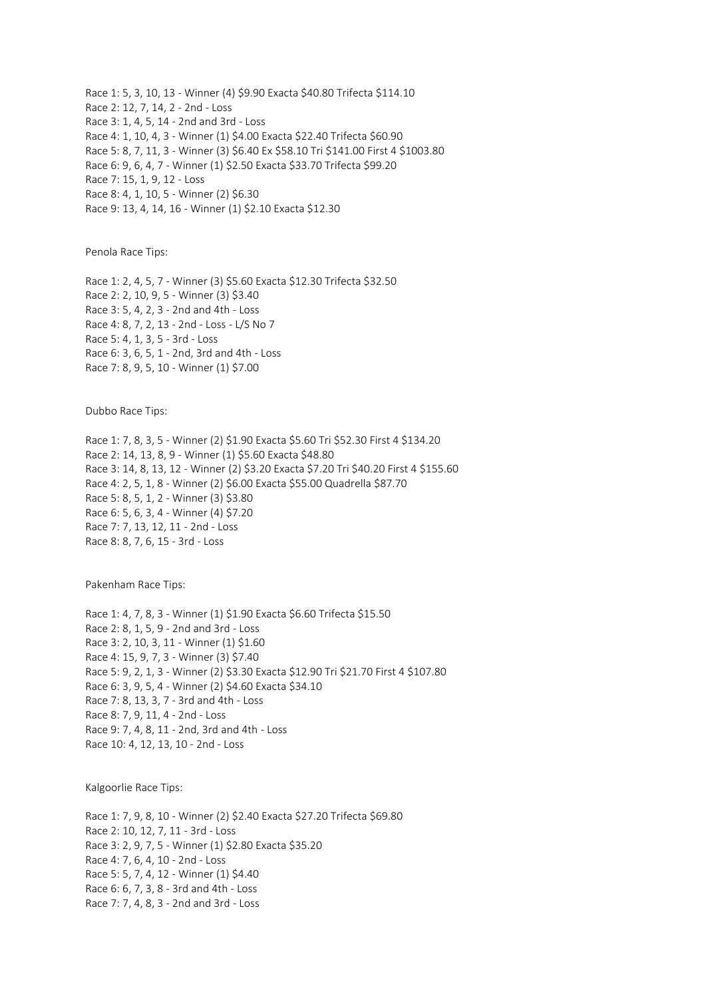Race 1: 5, 3, 10, 13 - Winner (4) \$9.90 Exacta \$40.80 Trifecta \$114.10 Race 2: 12, 7, 14, 2 - 2nd - Loss Race 3: 1, 4, 5, 14 - 2nd and 3rd - Loss Race 4: 1, 10, 4, 3 - Winner (1) \$4.00 Exacta \$22.40 Trifecta \$60.90 Race 5: 8, 7, 11, 3 - Winner (3) \$6.40 Ex \$58.10 Tri \$141.00 First 4 \$1003.80 Race 6: 9, 6, 4, 7 - Winner (1) \$2.50 Exacta \$33.70 Trifecta \$99.20 Race 7: 15, 1, 9, 12 - Loss Race 8: 4, 1, 10, 5 - Winner (2) \$6.30 Race 9: 13, 4, 14, 16 - Winner (1) \$2.10 Exacta \$12.30

Penola Race Tips:

Race 1: 2, 4, 5, 7 - Winner (3) \$5.60 Exacta \$12.30 Trifecta \$32.50 Race 2: 2, 10, 9, 5 - Winner (3) \$3.40 Race 3: 5, 4, 2, 3 - 2nd and 4th - Loss Race 4: 8, 7, 2, 13 - 2nd - Loss - L/S No 7 Race 5: 4, 1, 3, 5 - 3rd - Loss Race 6: 3, 6, 5, 1 - 2nd, 3rd and 4th - Loss Race 7: 8, 9, 5, 10 - Winner (1) \$7.00

Dubbo Race Tips:

Race 1: 7, 8, 3, 5 - Winner (2) \$1.90 Exacta \$5.60 Tri \$52.30 First 4 \$134.20 Race 2: 14, 13, 8, 9 - Winner (1) \$5.60 Exacta \$48.80 Race 3: 14, 8, 13, 12 - Winner (2) \$3.20 Exacta \$7.20 Tri \$40.20 First 4 \$155.60 Race 4: 2, 5, 1, 8 - Winner (2) \$6.00 Exacta \$55.00 Quadrella \$87.70 Race 5: 8, 5, 1, 2 - Winner (3) \$3.80 Race 6: 5, 6, 3, 4 - Winner (4) \$7.20 Race 7: 7, 13, 12, 11 - 2nd - Loss Race 8: 8, 7, 6, 15 - 3rd - Loss

Pakenham Race Tips:

Race 1: 4, 7, 8, 3 - Winner (1) \$1.90 Exacta \$6.60 Trifecta \$15.50 Race 2: 8, 1, 5, 9 - 2nd and 3rd - Loss Race 3: 2, 10, 3, 11 - Winner (1) \$1.60 Race 4: 15, 9, 7, 3 - Winner (3) \$7.40 Race 5: 9, 2, 1, 3 - Winner (2) \$3.30 Exacta \$12.90 Tri \$21.70 First 4 \$107.80 Race 6: 3, 9, 5, 4 - Winner (2) \$4.60 Exacta \$34.10 Race 7: 8, 13, 3, 7 - 3rd and 4th - Loss Race 8: 7, 9, 11, 4 - 2nd - Loss Race 9: 7, 4, 8, 11 - 2nd, 3rd and 4th - Loss Race 10: 4, 12, 13, 10 - 2nd - Loss

Kalgoorlie Race Tips:

Race 1: 7, 9, 8, 10 - Winner (2) \$2.40 Exacta \$27.20 Trifecta \$69.80 Race 2: 10, 12, 7, 11 - 3rd - Loss Race 3: 2, 9, 7, 5 - Winner (1) \$2.80 Exacta \$35.20 Race 4: 7, 6, 4, 10 - 2nd - Loss Race 5: 5, 7, 4, 12 - Winner (1) \$4.40 Race 6: 6, 7, 3, 8 - 3rd and 4th - Loss Race 7: 7, 4, 8, 3 - 2nd and 3rd - Loss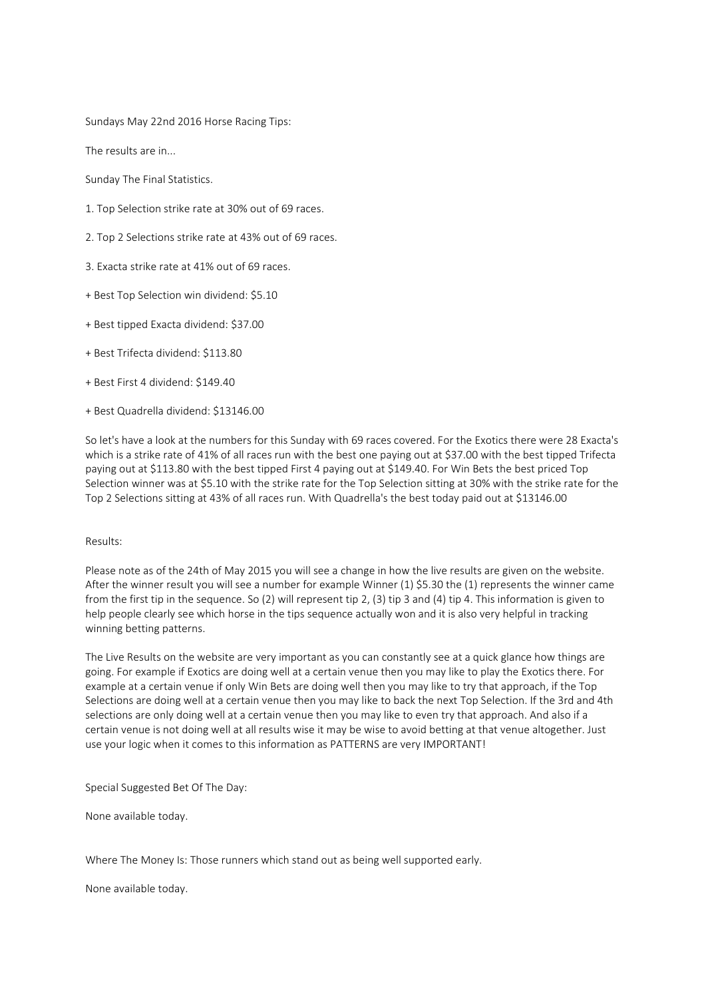Sundays May 22nd 2016 Horse Racing Tips:

The results are in...

Sunday The Final Statistics.

- 1. Top Selection strike rate at 30% out of 69 races.
- 2. Top 2 Selections strike rate at 43% out of 69 races.
- 3. Exacta strike rate at 41% out of 69 races.
- + Best Top Selection win dividend: \$5.10
- + Best tipped Exacta dividend: \$37.00
- + Best Trifecta dividend: \$113.80
- + Best First 4 dividend: \$149.40
- + Best Quadrella dividend: \$13146.00

So let's have a look at the numbers for this Sunday with 69 races covered. For the Exotics there were 28 Exacta's which is a strike rate of 41% of all races run with the best one paying out at \$37.00 with the best tipped Trifecta paying out at \$113.80 with the best tipped First 4 paying out at \$149.40. For Win Bets the best priced Top Selection winner was at \$5.10 with the strike rate for the Top Selection sitting at 30% with the strike rate for the Top 2 Selections sitting at 43% of all races run. With Quadrella's the best today paid out at \$13146.00

## Results:

Please note as of the 24th of May 2015 you will see a change in how the live results are given on the website. After the winner result you will see a number for example Winner (1) \$5.30 the (1) represents the winner came from the first tip in the sequence. So (2) will represent tip 2, (3) tip 3 and (4) tip 4. This information is given to help people clearly see which horse in the tips sequence actually won and it is also very helpful in tracking winning betting patterns.

The Live Results on the website are very important as you can constantly see at a quick glance how things are going. For example if Exotics are doing well at a certain venue then you may like to play the Exotics there. For example at a certain venue if only Win Bets are doing well then you may like to try that approach, if the Top Selections are doing well at a certain venue then you may like to back the next Top Selection. If the 3rd and 4th selections are only doing well at a certain venue then you may like to even try that approach. And also if a certain venue is not doing well at all results wise it may be wise to avoid betting at that venue altogether. Just use your logic when it comes to this information as PATTERNS are very IMPORTANT!

Special Suggested Bet Of The Day:

None available today.

Where The Money Is: Those runners which stand out as being well supported early.

None available today.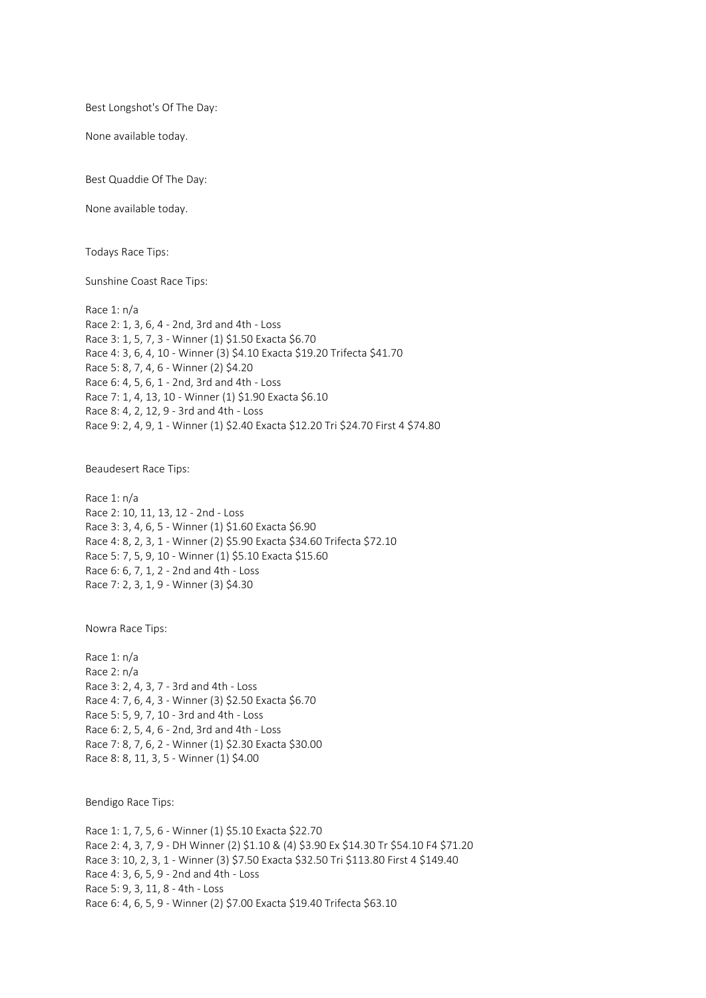Best Longshot's Of The Day:

None available today.

Best Quaddie Of The Day:

None available today.

Todays Race Tips:

Sunshine Coast Race Tips:

Race 1: n/a Race 2: 1, 3, 6, 4 - 2nd, 3rd and 4th - Loss Race 3: 1, 5, 7, 3 - Winner (1) \$1.50 Exacta \$6.70 Race 4: 3, 6, 4, 10 - Winner (3) \$4.10 Exacta \$19.20 Trifecta \$41.70 Race 5: 8, 7, 4, 6 - Winner (2) \$4.20 Race 6: 4, 5, 6, 1 - 2nd, 3rd and 4th - Loss Race 7: 1, 4, 13, 10 - Winner (1) \$1.90 Exacta \$6.10 Race 8: 4, 2, 12, 9 - 3rd and 4th - Loss Race 9: 2, 4, 9, 1 - Winner (1) \$2.40 Exacta \$12.20 Tri \$24.70 First 4 \$74.80

Beaudesert Race Tips:

Race 1: n/a Race 2: 10, 11, 13, 12 - 2nd - Loss Race 3: 3, 4, 6, 5 - Winner (1) \$1.60 Exacta \$6.90 Race 4: 8, 2, 3, 1 - Winner (2) \$5.90 Exacta \$34.60 Trifecta \$72.10 Race 5: 7, 5, 9, 10 - Winner (1) \$5.10 Exacta \$15.60 Race 6: 6, 7, 1, 2 - 2nd and 4th - Loss Race 7: 2, 3, 1, 9 - Winner (3) \$4.30

Nowra Race Tips:

Race 1: n/a Race 2: n/a Race 3: 2, 4, 3, 7 - 3rd and 4th - Loss Race 4: 7, 6, 4, 3 - Winner (3) \$2.50 Exacta \$6.70 Race 5: 5, 9, 7, 10 - 3rd and 4th - Loss Race 6: 2, 5, 4, 6 - 2nd, 3rd and 4th - Loss Race 7: 8, 7, 6, 2 - Winner (1) \$2.30 Exacta \$30.00 Race 8: 8, 11, 3, 5 - Winner (1) \$4.00

Bendigo Race Tips:

Race 1: 1, 7, 5, 6 - Winner (1) \$5.10 Exacta \$22.70 Race 2: 4, 3, 7, 9 - DH Winner (2) \$1.10 & (4) \$3.90 Ex \$14.30 Tr \$54.10 F4 \$71.20 Race 3: 10, 2, 3, 1 - Winner (3) \$7.50 Exacta \$32.50 Tri \$113.80 First 4 \$149.40 Race 4: 3, 6, 5, 9 - 2nd and 4th - Loss Race 5: 9, 3, 11, 8 - 4th - Loss Race 6: 4, 6, 5, 9 - Winner (2) \$7.00 Exacta \$19.40 Trifecta \$63.10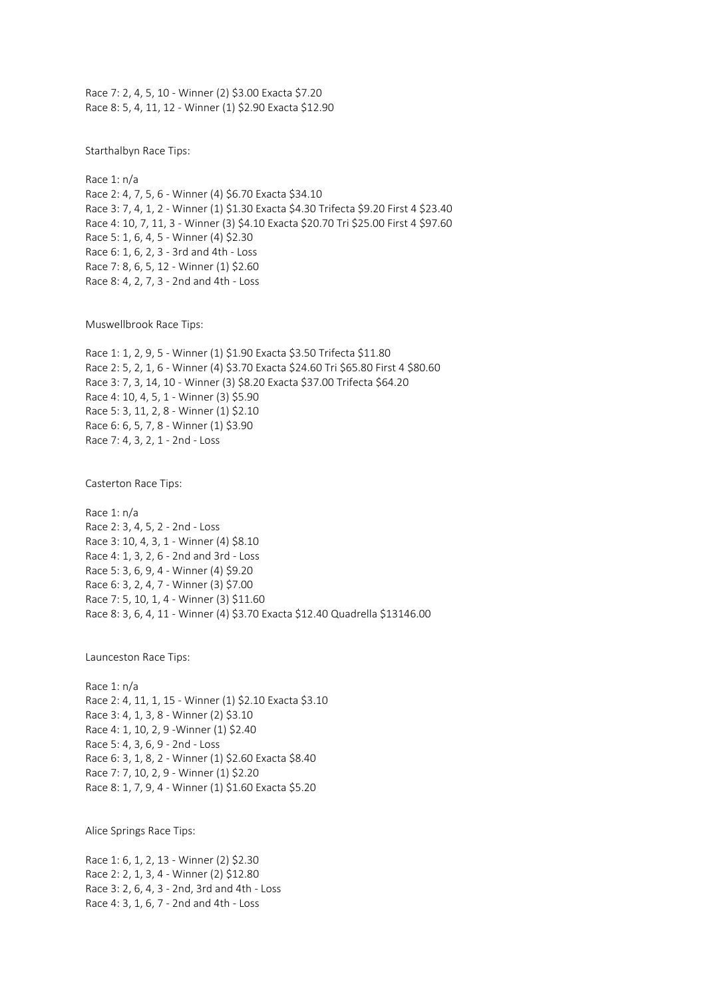Race 7: 2, 4, 5, 10 - Winner (2) \$3.00 Exacta \$7.20 Race 8: 5, 4, 11, 12 - Winner (1) \$2.90 Exacta \$12.90

Starthalbyn Race Tips:

Race 1: n/a Race 2: 4, 7, 5, 6 - Winner (4) \$6.70 Exacta \$34.10 Race 3: 7, 4, 1, 2 - Winner (1) \$1.30 Exacta \$4.30 Trifecta \$9.20 First 4 \$23.40 Race 4: 10, 7, 11, 3 - Winner (3) \$4.10 Exacta \$20.70 Tri \$25.00 First 4 \$97.60 Race 5: 1, 6, 4, 5 - Winner (4) \$2.30 Race 6: 1, 6, 2, 3 - 3rd and 4th - Loss Race 7: 8, 6, 5, 12 - Winner (1) \$2.60 Race 8: 4, 2, 7, 3 - 2nd and 4th - Loss

Muswellbrook Race Tips:

Race 1: 1, 2, 9, 5 - Winner (1) \$1.90 Exacta \$3.50 Trifecta \$11.80 Race 2: 5, 2, 1, 6 - Winner (4) \$3.70 Exacta \$24.60 Tri \$65.80 First 4 \$80.60 Race 3: 7, 3, 14, 10 - Winner (3) \$8.20 Exacta \$37.00 Trifecta \$64.20 Race 4: 10, 4, 5, 1 - Winner (3) \$5.90 Race 5: 3, 11, 2, 8 - Winner (1) \$2.10 Race 6: 6, 5, 7, 8 - Winner (1) \$3.90 Race 7: 4, 3, 2, 1 - 2nd - Loss

Casterton Race Tips:

Race 1: n/a Race 2: 3, 4, 5, 2 - 2nd - Loss Race 3: 10, 4, 3, 1 - Winner (4) \$8.10 Race 4: 1, 3, 2, 6 - 2nd and 3rd - Loss Race 5: 3, 6, 9, 4 - Winner (4) \$9.20 Race 6: 3, 2, 4, 7 - Winner (3) \$7.00 Race 7: 5, 10, 1, 4 - Winner (3) \$11.60 Race 8: 3, 6, 4, 11 - Winner (4) \$3.70 Exacta \$12.40 Quadrella \$13146.00

Launceston Race Tips:

Race 1: n/a Race 2: 4, 11, 1, 15 - Winner (1) \$2.10 Exacta \$3.10 Race 3: 4, 1, 3, 8 - Winner (2) \$3.10 Race 4: 1, 10, 2, 9 -Winner (1) \$2.40 Race 5: 4, 3, 6, 9 - 2nd - Loss Race 6: 3, 1, 8, 2 - Winner (1) \$2.60 Exacta \$8.40 Race 7: 7, 10, 2, 9 - Winner (1) \$2.20 Race 8: 1, 7, 9, 4 - Winner (1) \$1.60 Exacta \$5.20

Alice Springs Race Tips:

Race 1: 6, 1, 2, 13 - Winner (2) \$2.30 Race 2: 2, 1, 3, 4 - Winner (2) \$12.80 Race 3: 2, 6, 4, 3 - 2nd, 3rd and 4th - Loss Race 4: 3, 1, 6, 7 - 2nd and 4th - Loss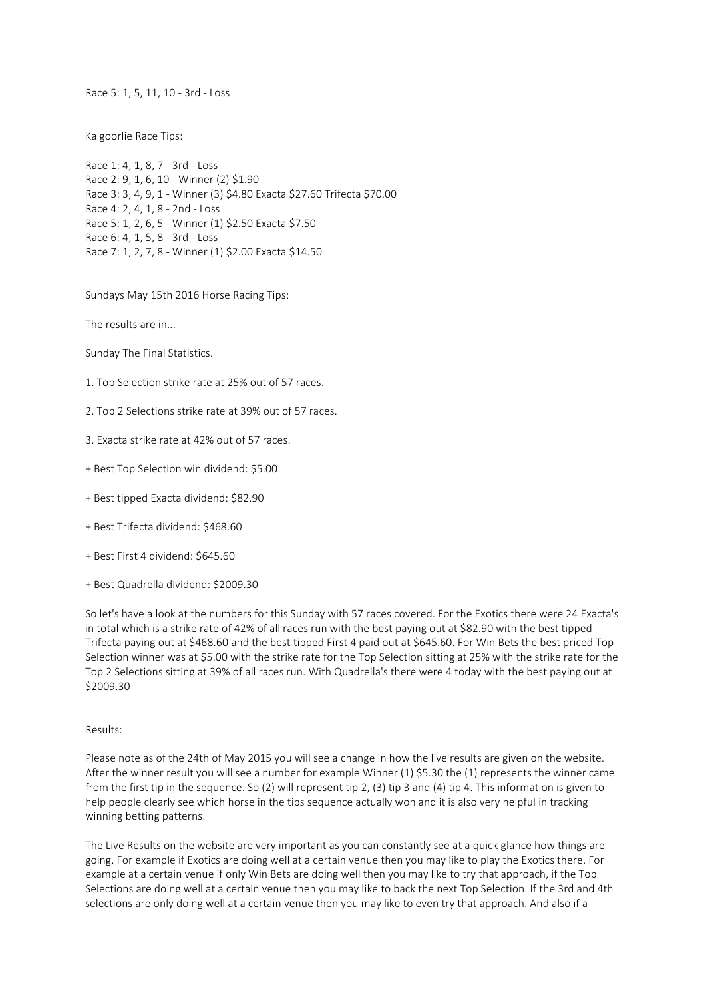Race 5: 1, 5, 11, 10 - 3rd - Loss

Kalgoorlie Race Tips:

Race 1: 4, 1, 8, 7 - 3rd - Loss Race 2: 9, 1, 6, 10 - Winner (2) \$1.90 Race 3: 3, 4, 9, 1 - Winner (3) \$4.80 Exacta \$27.60 Trifecta \$70.00 Race 4: 2, 4, 1, 8 - 2nd - Loss Race 5: 1, 2, 6, 5 - Winner (1) \$2.50 Exacta \$7.50 Race 6: 4, 1, 5, 8 - 3rd - Loss Race 7: 1, 2, 7, 8 - Winner (1) \$2.00 Exacta \$14.50

Sundays May 15th 2016 Horse Racing Tips:

The results are in...

Sunday The Final Statistics.

- 1. Top Selection strike rate at 25% out of 57 races.
- 2. Top 2 Selections strike rate at 39% out of 57 races.
- 3. Exacta strike rate at 42% out of 57 races.
- + Best Top Selection win dividend: \$5.00
- + Best tipped Exacta dividend: \$82.90
- + Best Trifecta dividend: \$468.60
- + Best First 4 dividend: \$645.60
- + Best Quadrella dividend: \$2009.30

So let's have a look at the numbers for this Sunday with 57 races covered. For the Exotics there were 24 Exacta's in total which is a strike rate of 42% of all races run with the best paying out at \$82.90 with the best tipped Trifecta paying out at \$468.60 and the best tipped First 4 paid out at \$645.60. For Win Bets the best priced Top Selection winner was at \$5.00 with the strike rate for the Top Selection sitting at 25% with the strike rate for the Top 2 Selections sitting at 39% of all races run. With Quadrella's there were 4 today with the best paying out at \$2009.30

Results:

Please note as of the 24th of May 2015 you will see a change in how the live results are given on the website. After the winner result you will see a number for example Winner (1) \$5.30 the (1) represents the winner came from the first tip in the sequence. So (2) will represent tip 2, (3) tip 3 and (4) tip 4. This information is given to help people clearly see which horse in the tips sequence actually won and it is also very helpful in tracking winning betting patterns.

The Live Results on the website are very important as you can constantly see at a quick glance how things are going. For example if Exotics are doing well at a certain venue then you may like to play the Exotics there. For example at a certain venue if only Win Bets are doing well then you may like to try that approach, if the Top Selections are doing well at a certain venue then you may like to back the next Top Selection. If the 3rd and 4th selections are only doing well at a certain venue then you may like to even try that approach. And also if a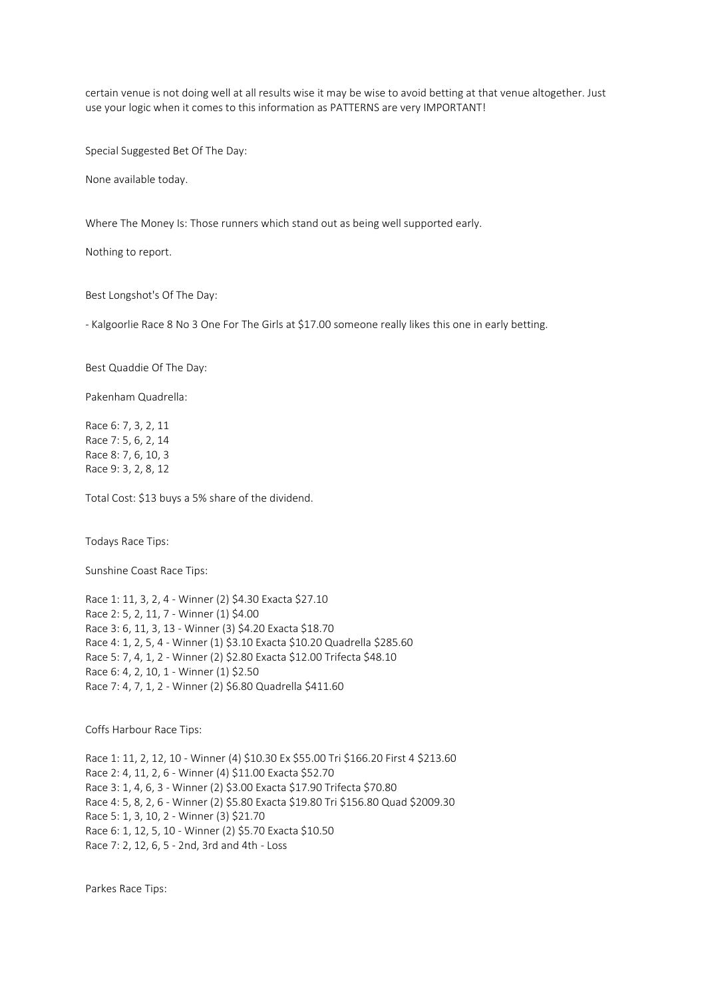certain venue is not doing well at all results wise it may be wise to avoid betting at that venue altogether. Just use your logic when it comes to this information as PATTERNS are very IMPORTANT!

Special Suggested Bet Of The Day:

None available today.

Where The Money Is: Those runners which stand out as being well supported early.

Nothing to report.

Best Longshot's Of The Day:

- Kalgoorlie Race 8 No 3 One For The Girls at \$17.00 someone really likes this one in early betting.

Best Quaddie Of The Day:

Pakenham Quadrella:

Race 6: 7, 3, 2, 11 Race 7: 5, 6, 2, 14 Race 8: 7, 6, 10, 3 Race 9: 3, 2, 8, 12

Total Cost: \$13 buys a 5% share of the dividend.

Todays Race Tips:

Sunshine Coast Race Tips:

Race 1: 11, 3, 2, 4 - Winner (2) \$4.30 Exacta \$27.10 Race 2: 5, 2, 11, 7 - Winner (1) \$4.00 Race 3: 6, 11, 3, 13 - Winner (3) \$4.20 Exacta \$18.70 Race 4: 1, 2, 5, 4 - Winner (1) \$3.10 Exacta \$10.20 Quadrella \$285.60 Race 5: 7, 4, 1, 2 - Winner (2) \$2.80 Exacta \$12.00 Trifecta \$48.10 Race 6: 4, 2, 10, 1 - Winner (1) \$2.50 Race 7: 4, 7, 1, 2 - Winner (2) \$6.80 Quadrella \$411.60

Coffs Harbour Race Tips:

Race 1: 11, 2, 12, 10 - Winner (4) \$10.30 Ex \$55.00 Tri \$166.20 First 4 \$213.60 Race 2: 4, 11, 2, 6 - Winner (4) \$11.00 Exacta \$52.70 Race 3: 1, 4, 6, 3 - Winner (2) \$3.00 Exacta \$17.90 Trifecta \$70.80 Race 4: 5, 8, 2, 6 - Winner (2) \$5.80 Exacta \$19.80 Tri \$156.80 Quad \$2009.30 Race 5: 1, 3, 10, 2 - Winner (3) \$21.70 Race 6: 1, 12, 5, 10 - Winner (2) \$5.70 Exacta \$10.50 Race 7: 2, 12, 6, 5 - 2nd, 3rd and 4th - Loss

Parkes Race Tips: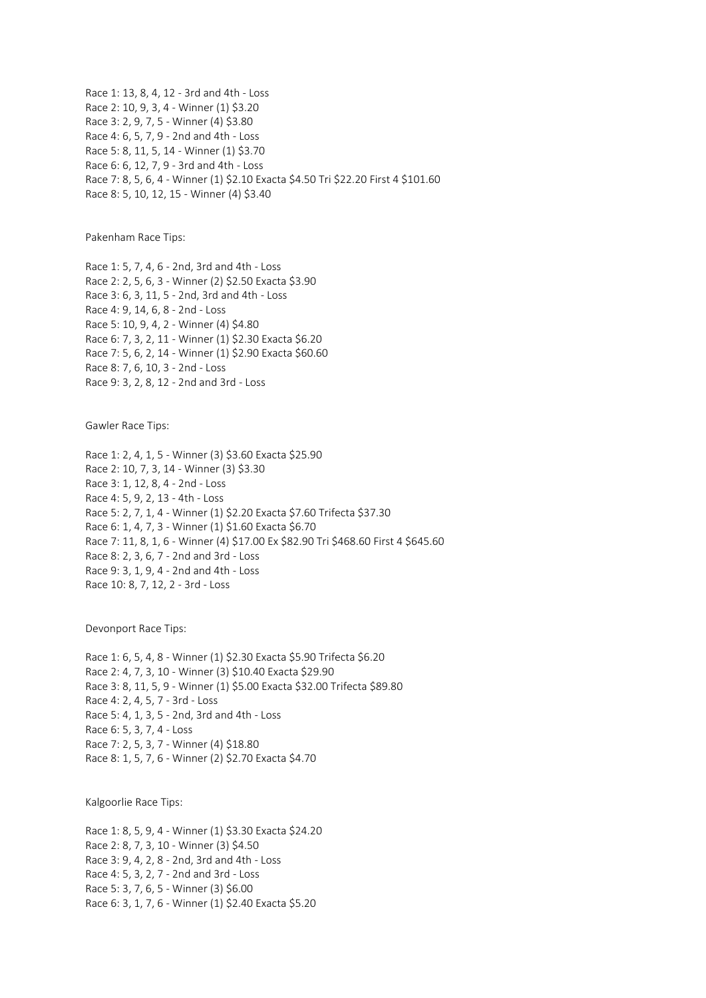Race 1: 13, 8, 4, 12 - 3rd and 4th - Loss Race 2: 10, 9, 3, 4 - Winner (1) \$3.20 Race 3: 2, 9, 7, 5 - Winner (4) \$3.80 Race 4: 6, 5, 7, 9 - 2nd and 4th - Loss Race 5: 8, 11, 5, 14 - Winner (1) \$3.70 Race 6: 6, 12, 7, 9 - 3rd and 4th - Loss Race 7: 8, 5, 6, 4 - Winner (1) \$2.10 Exacta \$4.50 Tri \$22.20 First 4 \$101.60 Race 8: 5, 10, 12, 15 - Winner (4) \$3.40

Pakenham Race Tips:

Race 1: 5, 7, 4, 6 - 2nd, 3rd and 4th - Loss Race 2: 2, 5, 6, 3 - Winner (2) \$2.50 Exacta \$3.90 Race 3: 6, 3, 11, 5 - 2nd, 3rd and 4th - Loss Race 4: 9, 14, 6, 8 - 2nd - Loss Race 5: 10, 9, 4, 2 - Winner (4) \$4.80 Race 6: 7, 3, 2, 11 - Winner (1) \$2.30 Exacta \$6.20 Race 7: 5, 6, 2, 14 - Winner (1) \$2.90 Exacta \$60.60 Race 8: 7, 6, 10, 3 - 2nd - Loss Race 9: 3, 2, 8, 12 - 2nd and 3rd - Loss

Gawler Race Tips:

Race 1: 2, 4, 1, 5 - Winner (3) \$3.60 Exacta \$25.90 Race 2: 10, 7, 3, 14 - Winner (3) \$3.30 Race 3: 1, 12, 8, 4 - 2nd - Loss Race 4: 5, 9, 2, 13 - 4th - Loss Race 5: 2, 7, 1, 4 - Winner (1) \$2.20 Exacta \$7.60 Trifecta \$37.30 Race 6: 1, 4, 7, 3 - Winner (1) \$1.60 Exacta \$6.70 Race 7: 11, 8, 1, 6 - Winner (4) \$17.00 Ex \$82.90 Tri \$468.60 First 4 \$645.60 Race 8: 2, 3, 6, 7 - 2nd and 3rd - Loss Race 9: 3, 1, 9, 4 - 2nd and 4th - Loss Race 10: 8, 7, 12, 2 - 3rd - Loss

Devonport Race Tips:

Race 1: 6, 5, 4, 8 - Winner (1) \$2.30 Exacta \$5.90 Trifecta \$6.20 Race 2: 4, 7, 3, 10 - Winner (3) \$10.40 Exacta \$29.90 Race 3: 8, 11, 5, 9 - Winner (1) \$5.00 Exacta \$32.00 Trifecta \$89.80 Race 4: 2, 4, 5, 7 - 3rd - Loss Race 5: 4, 1, 3, 5 - 2nd, 3rd and 4th - Loss Race 6: 5, 3, 7, 4 - Loss Race 7: 2, 5, 3, 7 - Winner (4) \$18.80 Race 8: 1, 5, 7, 6 - Winner (2) \$2.70 Exacta \$4.70

Kalgoorlie Race Tips:

Race 1: 8, 5, 9, 4 - Winner (1) \$3.30 Exacta \$24.20 Race 2: 8, 7, 3, 10 - Winner (3) \$4.50 Race 3: 9, 4, 2, 8 - 2nd, 3rd and 4th - Loss Race 4: 5, 3, 2, 7 - 2nd and 3rd - Loss Race 5: 3, 7, 6, 5 - Winner (3) \$6.00 Race 6: 3, 1, 7, 6 - Winner (1) \$2.40 Exacta \$5.20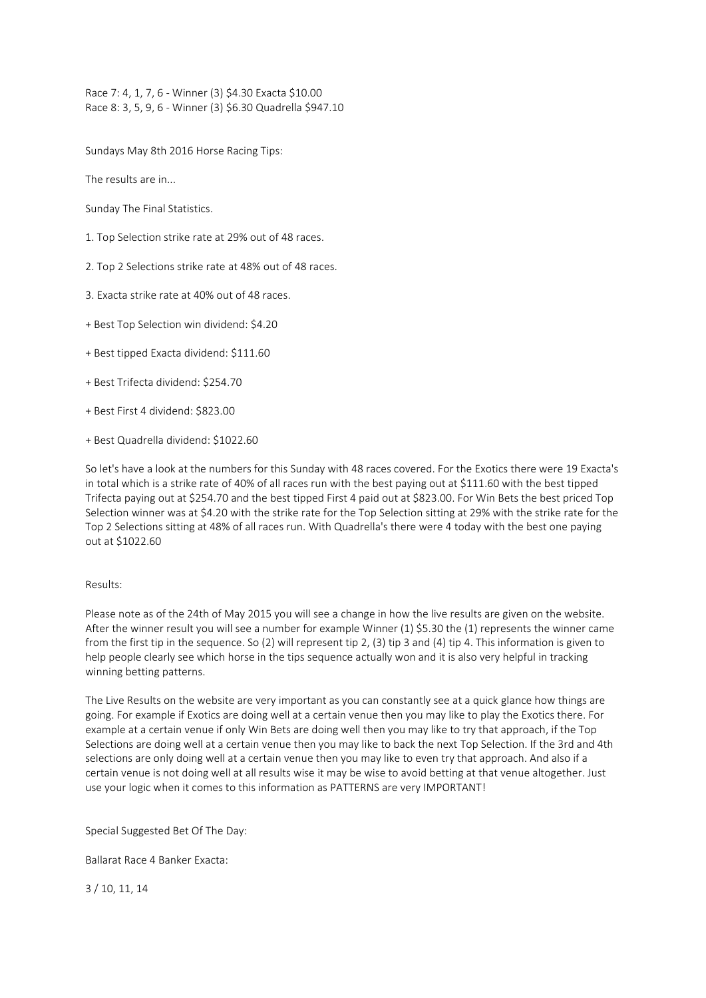Race 7: 4, 1, 7, 6 - Winner (3) \$4.30 Exacta \$10.00 Race 8: 3, 5, 9, 6 - Winner (3) \$6.30 Quadrella \$947.10

Sundays May 8th 2016 Horse Racing Tips:

The results are in...

Sunday The Final Statistics.

- 1. Top Selection strike rate at 29% out of 48 races.
- 2. Top 2 Selections strike rate at 48% out of 48 races.
- 3. Exacta strike rate at 40% out of 48 races.
- + Best Top Selection win dividend: \$4.20
- + Best tipped Exacta dividend: \$111.60
- + Best Trifecta dividend: \$254.70
- + Best First 4 dividend: \$823.00
- + Best Quadrella dividend: \$1022.60

So let's have a look at the numbers for this Sunday with 48 races covered. For the Exotics there were 19 Exacta's in total which is a strike rate of 40% of all races run with the best paying out at \$111.60 with the best tipped Trifecta paying out at \$254.70 and the best tipped First 4 paid out at \$823.00. For Win Bets the best priced Top Selection winner was at \$4.20 with the strike rate for the Top Selection sitting at 29% with the strike rate for the Top 2 Selections sitting at 48% of all races run. With Quadrella's there were 4 today with the best one paying out at \$1022.60

## Results:

Please note as of the 24th of May 2015 you will see a change in how the live results are given on the website. After the winner result you will see a number for example Winner (1) \$5.30 the (1) represents the winner came from the first tip in the sequence. So (2) will represent tip 2, (3) tip 3 and (4) tip 4. This information is given to help people clearly see which horse in the tips sequence actually won and it is also very helpful in tracking winning betting patterns.

The Live Results on the website are very important as you can constantly see at a quick glance how things are going. For example if Exotics are doing well at a certain venue then you may like to play the Exotics there. For example at a certain venue if only Win Bets are doing well then you may like to try that approach, if the Top Selections are doing well at a certain venue then you may like to back the next Top Selection. If the 3rd and 4th selections are only doing well at a certain venue then you may like to even try that approach. And also if a certain venue is not doing well at all results wise it may be wise to avoid betting at that venue altogether. Just use your logic when it comes to this information as PATTERNS are very IMPORTANT!

Special Suggested Bet Of The Day:

Ballarat Race 4 Banker Exacta:

3 / 10, 11, 14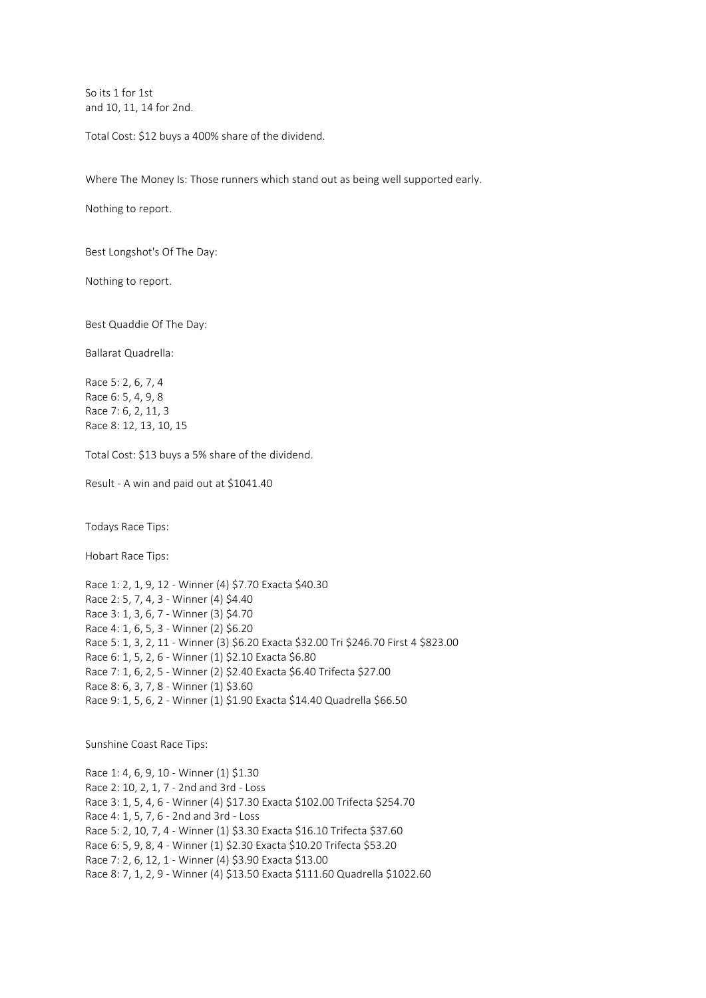So its 1 for 1st and 10, 11, 14 for 2nd.

Total Cost: \$12 buys a 400% share of the dividend.

Where The Money Is: Those runners which stand out as being well supported early.

Nothing to report.

Best Longshot's Of The Day:

Nothing to report.

Best Quaddie Of The Day:

Ballarat Quadrella:

Race 5: 2, 6, 7, 4 Race 6: 5, 4, 9, 8 Race 7: 6, 2, 11, 3 Race 8: 12, 13, 10, 15

Total Cost: \$13 buys a 5% share of the dividend.

Result - A win and paid out at \$1041.40

Todays Race Tips:

Hobart Race Tips:

Race 1: 2, 1, 9, 12 - Winner (4) \$7.70 Exacta \$40.30 Race 2: 5, 7, 4, 3 - Winner (4) \$4.40 Race 3: 1, 3, 6, 7 - Winner (3) \$4.70 Race 4: 1, 6, 5, 3 - Winner (2) \$6.20 Race 5: 1, 3, 2, 11 - Winner (3) \$6.20 Exacta \$32.00 Tri \$246.70 First 4 \$823.00 Race 6: 1, 5, 2, 6 - Winner (1) \$2.10 Exacta \$6.80 Race 7: 1, 6, 2, 5 - Winner (2) \$2.40 Exacta \$6.40 Trifecta \$27.00 Race 8: 6, 3, 7, 8 - Winner (1) \$3.60 Race 9: 1, 5, 6, 2 - Winner (1) \$1.90 Exacta \$14.40 Quadrella \$66.50

Sunshine Coast Race Tips:

Race 1: 4, 6, 9, 10 - Winner (1) \$1.30 Race 2: 10, 2, 1, 7 - 2nd and 3rd - Loss Race 3: 1, 5, 4, 6 - Winner (4) \$17.30 Exacta \$102.00 Trifecta \$254.70 Race 4: 1, 5, 7, 6 - 2nd and 3rd - Loss Race 5: 2, 10, 7, 4 - Winner (1) \$3.30 Exacta \$16.10 Trifecta \$37.60 Race 6: 5, 9, 8, 4 - Winner (1) \$2.30 Exacta \$10.20 Trifecta \$53.20 Race 7: 2, 6, 12, 1 - Winner (4) \$3.90 Exacta \$13.00 Race 8: 7, 1, 2, 9 - Winner (4) \$13.50 Exacta \$111.60 Quadrella \$1022.60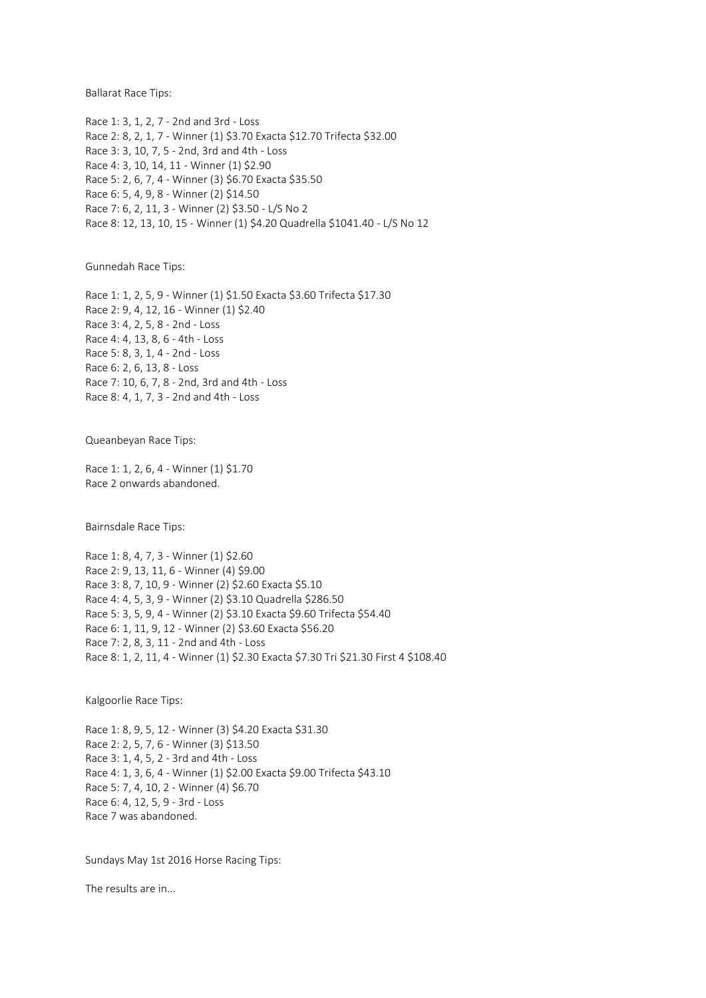Ballarat Race Tips:

Race 1: 3, 1, 2, 7 - 2nd and 3rd - Loss Race 2: 8, 2, 1, 7 - Winner (1) \$3.70 Exacta \$12.70 Trifecta \$32.00 Race 3: 3, 10, 7, 5 - 2nd, 3rd and 4th - Loss Race 4: 3, 10, 14, 11 - Winner (1) \$2.90 Race 5: 2, 6, 7, 4 - Winner (3) \$6.70 Exacta \$35.50 Race 6: 5, 4, 9, 8 - Winner (2) \$14.50 Race 7: 6, 2, 11, 3 - Winner (2) \$3.50 - L/S No 2 Race 8: 12, 13, 10, 15 - Winner (1) \$4.20 Quadrella \$1041.40 - L/S No 12

Gunnedah Race Tips:

Race 1: 1, 2, 5, 9 - Winner (1) \$1.50 Exacta \$3.60 Trifecta \$17.30 Race 2: 9, 4, 12, 16 - Winner (1) \$2.40 Race 3: 4, 2, 5, 8 - 2nd - Loss Race 4: 4, 13, 8, 6 - 4th - Loss Race 5: 8, 3, 1, 4 - 2nd - Loss Race 6: 2, 6, 13, 8 - Loss Race 7: 10, 6, 7, 8 - 2nd, 3rd and 4th - Loss Race 8: 4, 1, 7, 3 - 2nd and 4th - Loss

Queanbeyan Race Tips:

Race 1: 1, 2, 6, 4 - Winner (1) \$1.70 Race 2 onwards abandoned.

Bairnsdale Race Tips:

Race 1: 8, 4, 7, 3 - Winner (1) \$2.60 Race 2: 9, 13, 11, 6 - Winner (4) \$9.00 Race 3: 8, 7, 10, 9 - Winner (2) \$2.60 Exacta \$5.10 Race 4: 4, 5, 3, 9 - Winner (2) \$3.10 Quadrella \$286.50 Race 5: 3, 5, 9, 4 - Winner (2) \$3.10 Exacta \$9.60 Trifecta \$54.40 Race 6: 1, 11, 9, 12 - Winner (2) \$3.60 Exacta \$56.20 Race 7: 2, 8, 3, 11 - 2nd and 4th - Loss Race 8: 1, 2, 11, 4 - Winner (1) \$2.30 Exacta \$7.30 Tri \$21.30 First 4 \$108.40

Kalgoorlie Race Tips:

Race 1: 8, 9, 5, 12 - Winner (3) \$4.20 Exacta \$31.30 Race 2: 2, 5, 7, 6 - Winner (3) \$13.50 Race 3: 1, 4, 5, 2 - 3rd and 4th - Loss Race 4: 1, 3, 6, 4 - Winner (1) \$2.00 Exacta \$9.00 Trifecta \$43.10 Race 5: 7, 4, 10, 2 - Winner (4) \$6.70 Race 6: 4, 12, 5, 9 - 3rd - Loss Race 7 was abandoned.

Sundays May 1st 2016 Horse Racing Tips:

The results are in...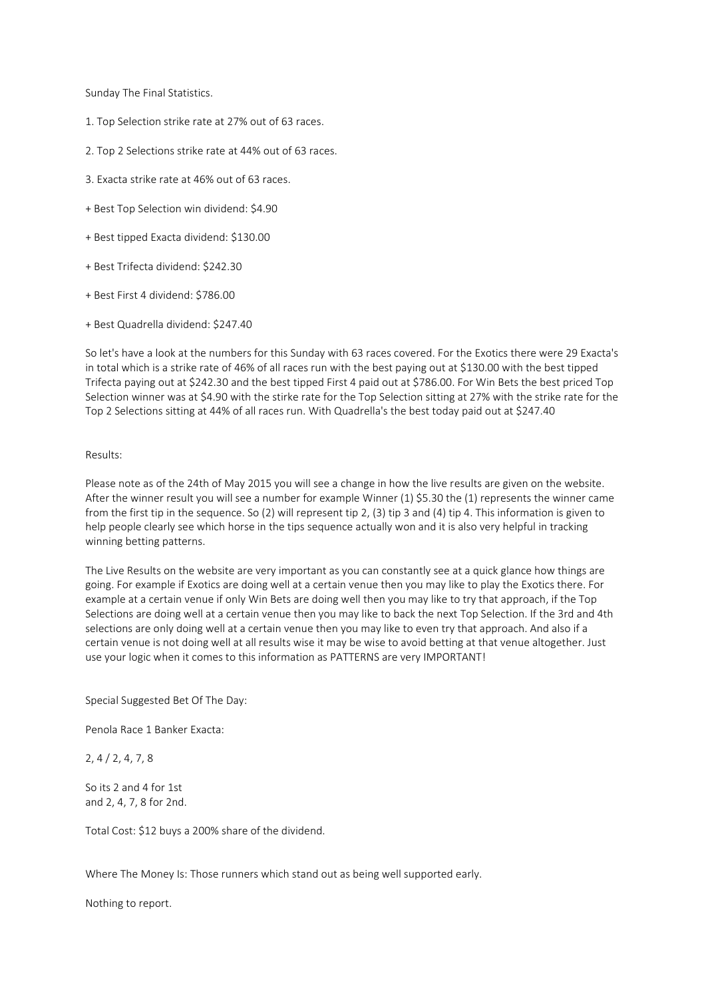Sunday The Final Statistics.

- 1. Top Selection strike rate at 27% out of 63 races.
- 2. Top 2 Selections strike rate at 44% out of 63 races.
- 3. Exacta strike rate at 46% out of 63 races.
- + Best Top Selection win dividend: \$4.90
- + Best tipped Exacta dividend: \$130.00
- + Best Trifecta dividend: \$242.30
- + Best First 4 dividend: \$786.00
- + Best Quadrella dividend: \$247.40

So let's have a look at the numbers for this Sunday with 63 races covered. For the Exotics there were 29 Exacta's in total which is a strike rate of 46% of all races run with the best paying out at \$130.00 with the best tipped Trifecta paying out at \$242.30 and the best tipped First 4 paid out at \$786.00. For Win Bets the best priced Top Selection winner was at \$4.90 with the stirke rate for the Top Selection sitting at 27% with the strike rate for the Top 2 Selections sitting at 44% of all races run. With Quadrella's the best today paid out at \$247.40

## Results:

Please note as of the 24th of May 2015 you will see a change in how the live results are given on the website. After the winner result you will see a number for example Winner (1) \$5.30 the (1) represents the winner came from the first tip in the sequence. So (2) will represent tip 2, (3) tip 3 and (4) tip 4. This information is given to help people clearly see which horse in the tips sequence actually won and it is also very helpful in tracking winning betting patterns.

The Live Results on the website are very important as you can constantly see at a quick glance how things are going. For example if Exotics are doing well at a certain venue then you may like to play the Exotics there. For example at a certain venue if only Win Bets are doing well then you may like to try that approach, if the Top Selections are doing well at a certain venue then you may like to back the next Top Selection. If the 3rd and 4th selections are only doing well at a certain venue then you may like to even try that approach. And also if a certain venue is not doing well at all results wise it may be wise to avoid betting at that venue altogether. Just use your logic when it comes to this information as PATTERNS are very IMPORTANT!

Special Suggested Bet Of The Day:

Penola Race 1 Banker Exacta:

2, 4 / 2, 4, 7, 8

So its 2 and 4 for 1st and 2, 4, 7, 8 for 2nd.

Total Cost: \$12 buys a 200% share of the dividend.

Where The Money Is: Those runners which stand out as being well supported early.

Nothing to report.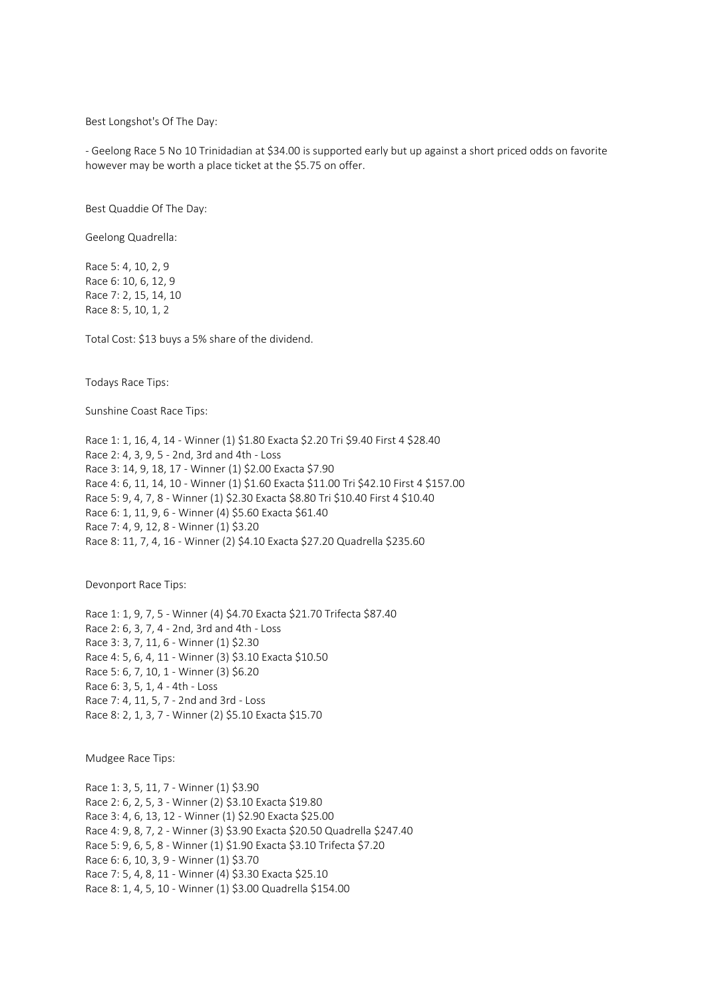Best Longshot's Of The Day:

- Geelong Race 5 No 10 Trinidadian at \$34.00 is supported early but up against a short priced odds on favorite however may be worth a place ticket at the \$5.75 on offer.

Best Quaddie Of The Day:

Geelong Quadrella:

Race 5: 4, 10, 2, 9 Race 6: 10, 6, 12, 9 Race 7: 2, 15, 14, 10 Race 8: 5, 10, 1, 2

Total Cost: \$13 buys a 5% share of the dividend.

Todays Race Tips:

Sunshine Coast Race Tips:

Race 1: 1, 16, 4, 14 - Winner (1) \$1.80 Exacta \$2.20 Tri \$9.40 First 4 \$28.40 Race 2: 4, 3, 9, 5 - 2nd, 3rd and 4th - Loss Race 3: 14, 9, 18, 17 - Winner (1) \$2.00 Exacta \$7.90 Race 4: 6, 11, 14, 10 - Winner (1) \$1.60 Exacta \$11.00 Tri \$42.10 First 4 \$157.00 Race 5: 9, 4, 7, 8 - Winner (1) \$2.30 Exacta \$8.80 Tri \$10.40 First 4 \$10.40 Race 6: 1, 11, 9, 6 - Winner (4) \$5.60 Exacta \$61.40 Race 7: 4, 9, 12, 8 - Winner (1) \$3.20 Race 8: 11, 7, 4, 16 - Winner (2) \$4.10 Exacta \$27.20 Quadrella \$235.60

Devonport Race Tips:

Race 1: 1, 9, 7, 5 - Winner (4) \$4.70 Exacta \$21.70 Trifecta \$87.40 Race 2: 6, 3, 7, 4 - 2nd, 3rd and 4th - Loss Race 3: 3, 7, 11, 6 - Winner (1) \$2.30 Race 4: 5, 6, 4, 11 - Winner (3) \$3.10 Exacta \$10.50 Race 5: 6, 7, 10, 1 - Winner (3) \$6.20 Race 6: 3, 5, 1, 4 - 4th - Loss Race 7: 4, 11, 5, 7 - 2nd and 3rd - Loss Race 8: 2, 1, 3, 7 - Winner (2) \$5.10 Exacta \$15.70

Mudgee Race Tips:

Race 1: 3, 5, 11, 7 - Winner (1) \$3.90 Race 2: 6, 2, 5, 3 - Winner (2) \$3.10 Exacta \$19.80 Race 3: 4, 6, 13, 12 - Winner (1) \$2.90 Exacta \$25.00 Race 4: 9, 8, 7, 2 - Winner (3) \$3.90 Exacta \$20.50 Quadrella \$247.40 Race 5: 9, 6, 5, 8 - Winner (1) \$1.90 Exacta \$3.10 Trifecta \$7.20 Race 6: 6, 10, 3, 9 - Winner (1) \$3.70 Race 7: 5, 4, 8, 11 - Winner (4) \$3.30 Exacta \$25.10 Race 8: 1, 4, 5, 10 - Winner (1) \$3.00 Quadrella \$154.00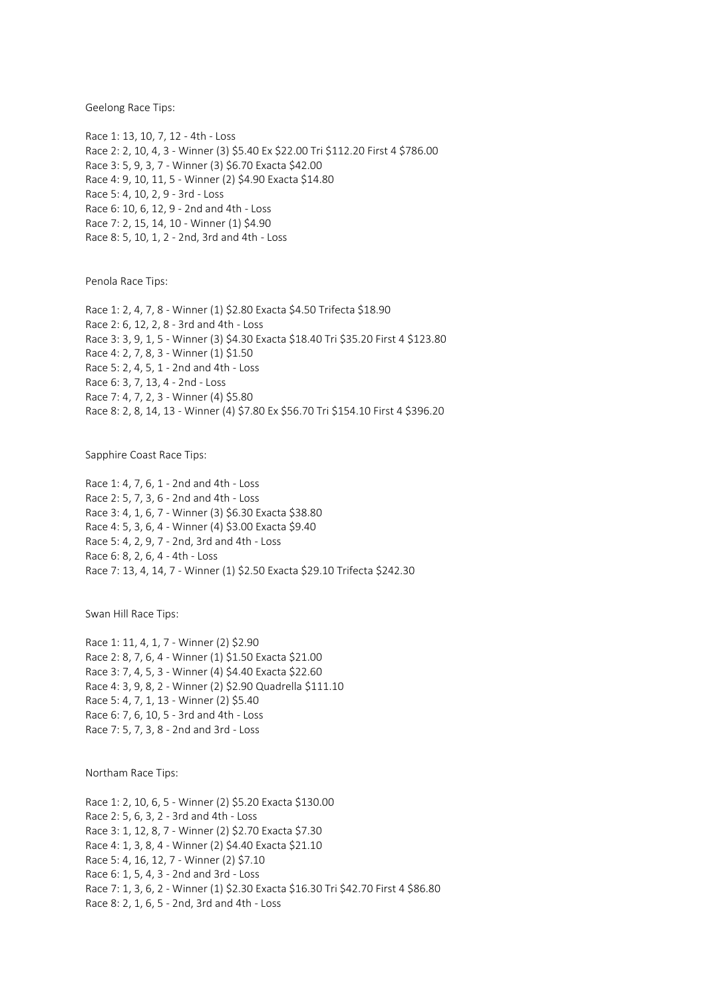Geelong Race Tips:

Race 1: 13, 10, 7, 12 - 4th - Loss Race 2: 2, 10, 4, 3 - Winner (3) \$5.40 Ex \$22.00 Tri \$112.20 First 4 \$786.00 Race 3: 5, 9, 3, 7 - Winner (3) \$6.70 Exacta \$42.00 Race 4: 9, 10, 11, 5 - Winner (2) \$4.90 Exacta \$14.80 Race 5: 4, 10, 2, 9 - 3rd - Loss Race 6: 10, 6, 12, 9 - 2nd and 4th - Loss Race 7: 2, 15, 14, 10 - Winner (1) \$4.90 Race 8: 5, 10, 1, 2 - 2nd, 3rd and 4th - Loss

Penola Race Tips:

Race 1: 2, 4, 7, 8 - Winner (1) \$2.80 Exacta \$4.50 Trifecta \$18.90 Race 2: 6, 12, 2, 8 - 3rd and 4th - Loss Race 3: 3, 9, 1, 5 - Winner (3) \$4.30 Exacta \$18.40 Tri \$35.20 First 4 \$123.80 Race 4: 2, 7, 8, 3 - Winner (1) \$1.50 Race 5: 2, 4, 5, 1 - 2nd and 4th - Loss Race 6: 3, 7, 13, 4 - 2nd - Loss Race 7: 4, 7, 2, 3 - Winner (4) \$5.80 Race 8: 2, 8, 14, 13 - Winner (4) \$7.80 Ex \$56.70 Tri \$154.10 First 4 \$396.20

Sapphire Coast Race Tips:

Race 1: 4, 7, 6, 1 - 2nd and 4th - Loss Race 2: 5, 7, 3, 6 - 2nd and 4th - Loss Race 3: 4, 1, 6, 7 - Winner (3) \$6.30 Exacta \$38.80 Race 4: 5, 3, 6, 4 - Winner (4) \$3.00 Exacta \$9.40 Race 5: 4, 2, 9, 7 - 2nd, 3rd and 4th - Loss Race 6: 8, 2, 6, 4 - 4th - Loss Race 7: 13, 4, 14, 7 - Winner (1) \$2.50 Exacta \$29.10 Trifecta \$242.30

Swan Hill Race Tips:

Race 1: 11, 4, 1, 7 - Winner (2) \$2.90 Race 2: 8, 7, 6, 4 - Winner (1) \$1.50 Exacta \$21.00 Race 3: 7, 4, 5, 3 - Winner (4) \$4.40 Exacta \$22.60 Race 4: 3, 9, 8, 2 - Winner (2) \$2.90 Quadrella \$111.10 Race 5: 4, 7, 1, 13 - Winner (2) \$5.40 Race 6: 7, 6, 10, 5 - 3rd and 4th - Loss Race 7: 5, 7, 3, 8 - 2nd and 3rd - Loss

Northam Race Tips:

Race 1: 2, 10, 6, 5 - Winner (2) \$5.20 Exacta \$130.00 Race 2: 5, 6, 3, 2 - 3rd and 4th - Loss Race 3: 1, 12, 8, 7 - Winner (2) \$2.70 Exacta \$7.30 Race 4: 1, 3, 8, 4 - Winner (2) \$4.40 Exacta \$21.10 Race 5: 4, 16, 12, 7 - Winner (2) \$7.10 Race 6: 1, 5, 4, 3 - 2nd and 3rd - Loss Race 7: 1, 3, 6, 2 - Winner (1) \$2.30 Exacta \$16.30 Tri \$42.70 First 4 \$86.80 Race 8: 2, 1, 6, 5 - 2nd, 3rd and 4th - Loss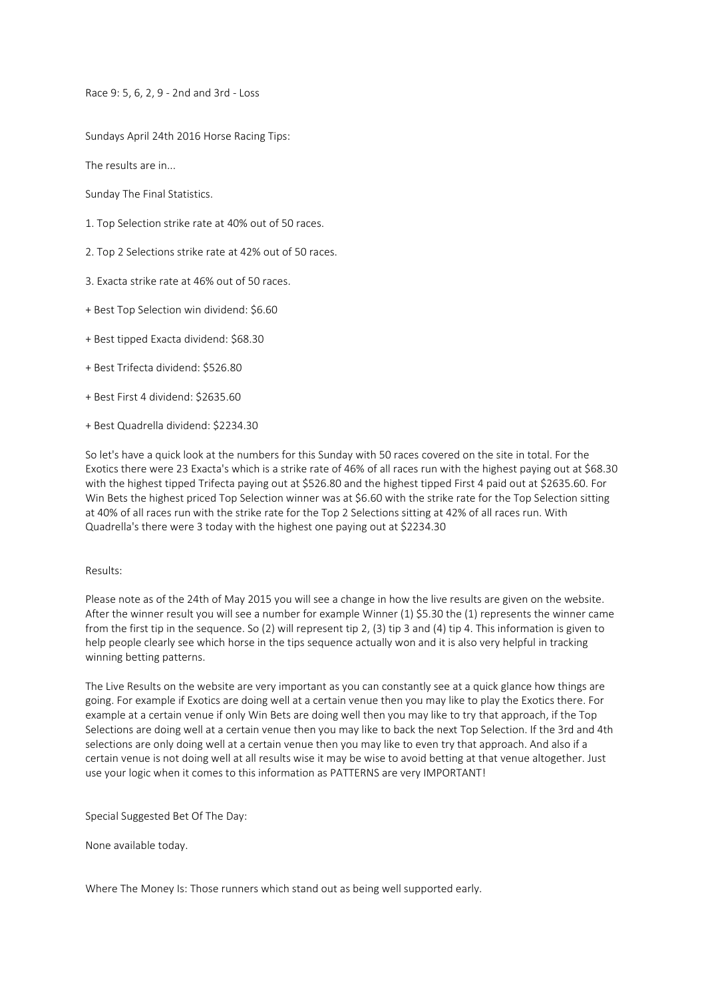Race 9: 5, 6, 2, 9 - 2nd and 3rd - Loss

Sundays April 24th 2016 Horse Racing Tips:

The results are in...

Sunday The Final Statistics.

- 1. Top Selection strike rate at 40% out of 50 races.
- 2. Top 2 Selections strike rate at 42% out of 50 races.
- 3. Exacta strike rate at 46% out of 50 races.
- + Best Top Selection win dividend: \$6.60
- + Best tipped Exacta dividend: \$68.30
- + Best Trifecta dividend: \$526.80
- + Best First 4 dividend: \$2635.60
- + Best Quadrella dividend: \$2234.30

So let's have a quick look at the numbers for this Sunday with 50 races covered on the site in total. For the Exotics there were 23 Exacta's which is a strike rate of 46% of all races run with the highest paying out at \$68.30 with the highest tipped Trifecta paying out at \$526.80 and the highest tipped First 4 paid out at \$2635.60. For Win Bets the highest priced Top Selection winner was at \$6.60 with the strike rate for the Top Selection sitting at 40% of all races run with the strike rate for the Top 2 Selections sitting at 42% of all races run. With Quadrella's there were 3 today with the highest one paying out at \$2234.30

# Results:

Please note as of the 24th of May 2015 you will see a change in how the live results are given on the website. After the winner result you will see a number for example Winner (1) \$5.30 the (1) represents the winner came from the first tip in the sequence. So (2) will represent tip 2, (3) tip 3 and (4) tip 4. This information is given to help people clearly see which horse in the tips sequence actually won and it is also very helpful in tracking winning betting patterns.

The Live Results on the website are very important as you can constantly see at a quick glance how things are going. For example if Exotics are doing well at a certain venue then you may like to play the Exotics there. For example at a certain venue if only Win Bets are doing well then you may like to try that approach, if the Top Selections are doing well at a certain venue then you may like to back the next Top Selection. If the 3rd and 4th selections are only doing well at a certain venue then you may like to even try that approach. And also if a certain venue is not doing well at all results wise it may be wise to avoid betting at that venue altogether. Just use your logic when it comes to this information as PATTERNS are very IMPORTANT!

Special Suggested Bet Of The Day:

None available today.

Where The Money Is: Those runners which stand out as being well supported early.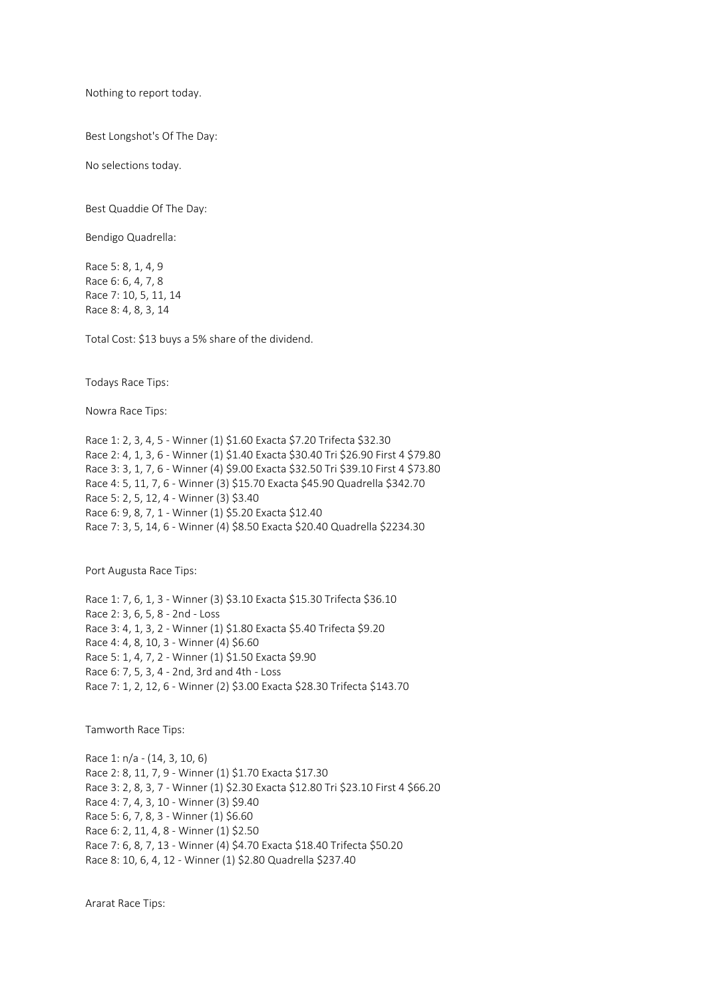Nothing to report today.

Best Longshot's Of The Day:

No selections today.

Best Quaddie Of The Day:

Bendigo Quadrella:

Race 5: 8, 1, 4, 9 Race 6: 6, 4, 7, 8 Race 7: 10, 5, 11, 14 Race 8: 4, 8, 3, 14

Total Cost: \$13 buys a 5% share of the dividend.

Todays Race Tips:

Nowra Race Tips:

Race 1: 2, 3, 4, 5 - Winner (1) \$1.60 Exacta \$7.20 Trifecta \$32.30 Race 2: 4, 1, 3, 6 - Winner (1) \$1.40 Exacta \$30.40 Tri \$26.90 First 4 \$79.80 Race 3: 3, 1, 7, 6 - Winner (4) \$9.00 Exacta \$32.50 Tri \$39.10 First 4 \$73.80 Race 4: 5, 11, 7, 6 - Winner (3) \$15.70 Exacta \$45.90 Quadrella \$342.70 Race 5: 2, 5, 12, 4 - Winner (3) \$3.40 Race 6: 9, 8, 7, 1 - Winner (1) \$5.20 Exacta \$12.40 Race 7: 3, 5, 14, 6 - Winner (4) \$8.50 Exacta \$20.40 Quadrella \$2234.30

Port Augusta Race Tips:

Race 1: 7, 6, 1, 3 - Winner (3) \$3.10 Exacta \$15.30 Trifecta \$36.10 Race 2: 3, 6, 5, 8 - 2nd - Loss Race 3: 4, 1, 3, 2 - Winner (1) \$1.80 Exacta \$5.40 Trifecta \$9.20 Race 4: 4, 8, 10, 3 - Winner (4) \$6.60 Race 5: 1, 4, 7, 2 - Winner (1) \$1.50 Exacta \$9.90 Race 6: 7, 5, 3, 4 - 2nd, 3rd and 4th - Loss Race 7: 1, 2, 12, 6 - Winner (2) \$3.00 Exacta \$28.30 Trifecta \$143.70

Tamworth Race Tips:

Race 1: n/a - (14, 3, 10, 6) Race 2: 8, 11, 7, 9 - Winner (1) \$1.70 Exacta \$17.30 Race 3: 2, 8, 3, 7 - Winner (1) \$2.30 Exacta \$12.80 Tri \$23.10 First 4 \$66.20 Race 4: 7, 4, 3, 10 - Winner (3) \$9.40 Race 5: 6, 7, 8, 3 - Winner (1) \$6.60 Race 6: 2, 11, 4, 8 - Winner (1) \$2.50 Race 7: 6, 8, 7, 13 - Winner (4) \$4.70 Exacta \$18.40 Trifecta \$50.20 Race 8: 10, 6, 4, 12 - Winner (1) \$2.80 Quadrella \$237.40

Ararat Race Tips: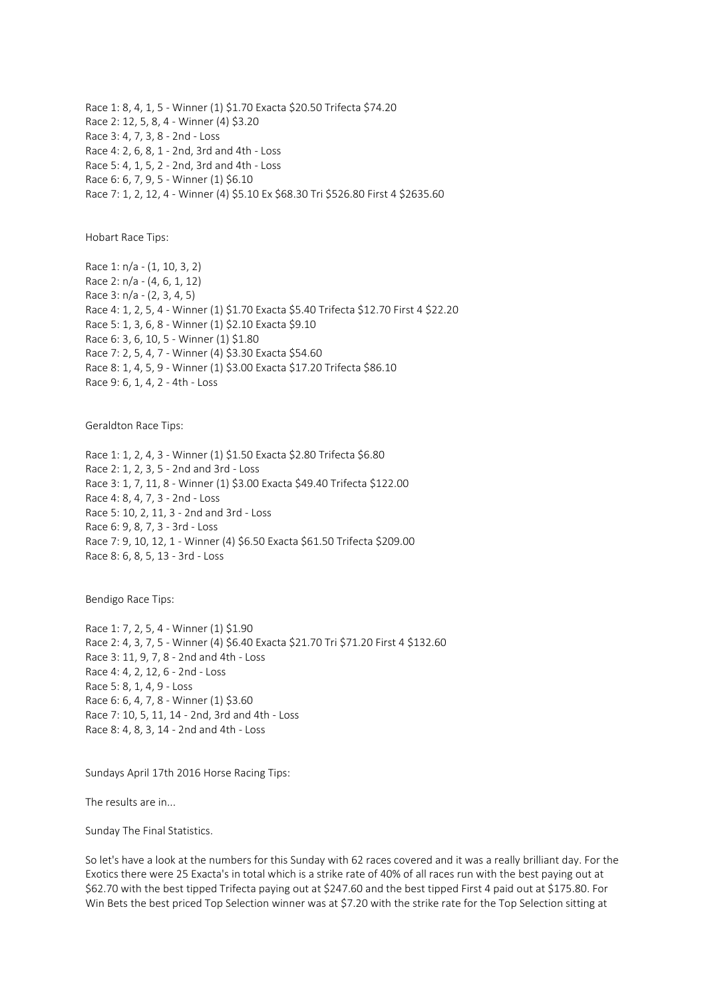Race 1: 8, 4, 1, 5 - Winner (1) \$1.70 Exacta \$20.50 Trifecta \$74.20 Race 2: 12, 5, 8, 4 - Winner (4) \$3.20 Race 3: 4, 7, 3, 8 - 2nd - Loss Race 4: 2, 6, 8, 1 - 2nd, 3rd and 4th - Loss Race 5: 4, 1, 5, 2 - 2nd, 3rd and 4th - Loss Race 6: 6, 7, 9, 5 - Winner (1) \$6.10 Race 7: 1, 2, 12, 4 - Winner (4) \$5.10 Ex \$68.30 Tri \$526.80 First 4 \$2635.60

Hobart Race Tips:

Race 1: n/a - (1, 10, 3, 2) Race 2: n/a - (4, 6, 1, 12) Race 3: n/a - (2, 3, 4, 5) Race 4: 1, 2, 5, 4 - Winner (1) \$1.70 Exacta \$5.40 Trifecta \$12.70 First 4 \$22.20 Race 5: 1, 3, 6, 8 - Winner (1) \$2.10 Exacta \$9.10 Race 6: 3, 6, 10, 5 - Winner (1) \$1.80 Race 7: 2, 5, 4, 7 - Winner (4) \$3.30 Exacta \$54.60 Race 8: 1, 4, 5, 9 - Winner (1) \$3.00 Exacta \$17.20 Trifecta \$86.10 Race 9: 6, 1, 4, 2 - 4th - Loss

Geraldton Race Tips:

Race 1: 1, 2, 4, 3 - Winner (1) \$1.50 Exacta \$2.80 Trifecta \$6.80 Race 2: 1, 2, 3, 5 - 2nd and 3rd - Loss Race 3: 1, 7, 11, 8 - Winner (1) \$3.00 Exacta \$49.40 Trifecta \$122.00 Race 4: 8, 4, 7, 3 - 2nd - Loss Race 5: 10, 2, 11, 3 - 2nd and 3rd - Loss Race 6: 9, 8, 7, 3 - 3rd - Loss Race 7: 9, 10, 12, 1 - Winner (4) \$6.50 Exacta \$61.50 Trifecta \$209.00 Race 8: 6, 8, 5, 13 - 3rd - Loss

Bendigo Race Tips:

Race 1: 7, 2, 5, 4 - Winner (1) \$1.90 Race 2: 4, 3, 7, 5 - Winner (4) \$6.40 Exacta \$21.70 Tri \$71.20 First 4 \$132.60 Race 3: 11, 9, 7, 8 - 2nd and 4th - Loss Race 4: 4, 2, 12, 6 - 2nd - Loss Race 5: 8, 1, 4, 9 - Loss Race 6: 6, 4, 7, 8 - Winner (1) \$3.60 Race 7: 10, 5, 11, 14 - 2nd, 3rd and 4th - Loss Race 8: 4, 8, 3, 14 - 2nd and 4th - Loss

Sundays April 17th 2016 Horse Racing Tips:

The results are in...

Sunday The Final Statistics.

So let's have a look at the numbers for this Sunday with 62 races covered and it was a really brilliant day. For the Exotics there were 25 Exacta's in total which is a strike rate of 40% of all races run with the best paying out at \$62.70 with the best tipped Trifecta paying out at \$247.60 and the best tipped First 4 paid out at \$175.80. For Win Bets the best priced Top Selection winner was at \$7.20 with the strike rate for the Top Selection sitting at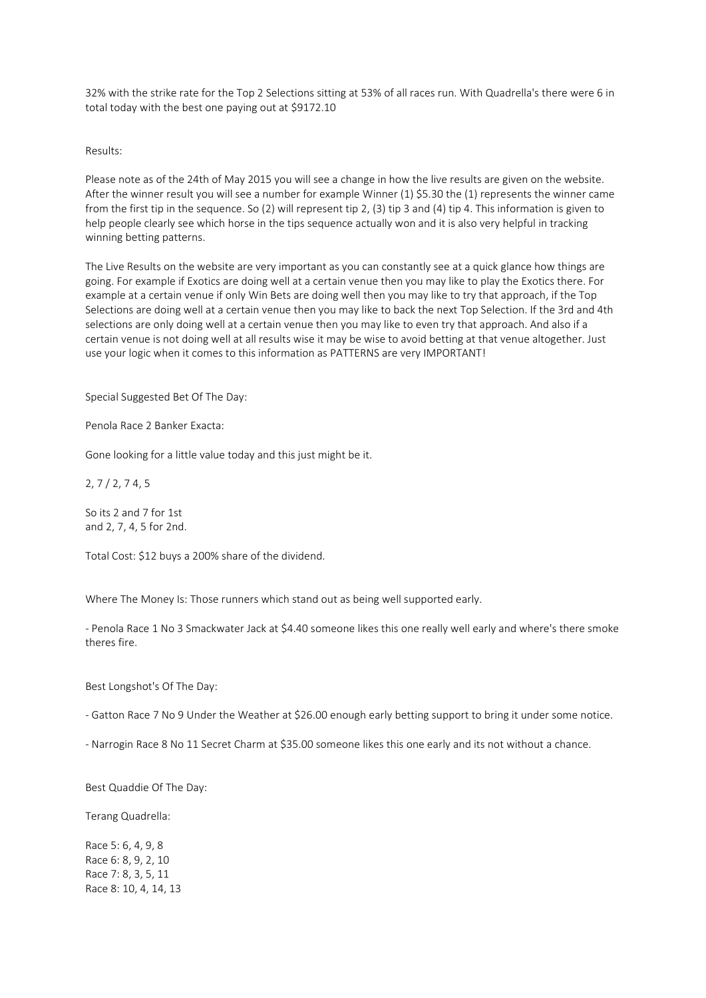32% with the strike rate for the Top 2 Selections sitting at 53% of all races run. With Quadrella's there were 6 in total today with the best one paying out at \$9172.10

Results:

Please note as of the 24th of May 2015 you will see a change in how the live results are given on the website. After the winner result you will see a number for example Winner (1) \$5.30 the (1) represents the winner came from the first tip in the sequence. So (2) will represent tip 2, (3) tip 3 and (4) tip 4. This information is given to help people clearly see which horse in the tips sequence actually won and it is also very helpful in tracking winning betting patterns.

The Live Results on the website are very important as you can constantly see at a quick glance how things are going. For example if Exotics are doing well at a certain venue then you may like to play the Exotics there. For example at a certain venue if only Win Bets are doing well then you may like to try that approach, if the Top Selections are doing well at a certain venue then you may like to back the next Top Selection. If the 3rd and 4th selections are only doing well at a certain venue then you may like to even try that approach. And also if a certain venue is not doing well at all results wise it may be wise to avoid betting at that venue altogether. Just use your logic when it comes to this information as PATTERNS are very IMPORTANT!

Special Suggested Bet Of The Day:

Penola Race 2 Banker Exacta:

Gone looking for a little value today and this just might be it.

2, 7 / 2, 7 4, 5

So its 2 and 7 for 1st and 2, 7, 4, 5 for 2nd.

Total Cost: \$12 buys a 200% share of the dividend.

Where The Money Is: Those runners which stand out as being well supported early.

- Penola Race 1 No 3 Smackwater Jack at \$4.40 someone likes this one really well early and where's there smoke theres fire.

Best Longshot's Of The Day:

- Gatton Race 7 No 9 Under the Weather at \$26.00 enough early betting support to bring it under some notice.

- Narrogin Race 8 No 11 Secret Charm at \$35.00 someone likes this one early and its not without a chance.

Best Quaddie Of The Day:

Terang Quadrella:

Race 5: 6, 4, 9, 8 Race 6: 8, 9, 2, 10 Race 7: 8, 3, 5, 11 Race 8: 10, 4, 14, 13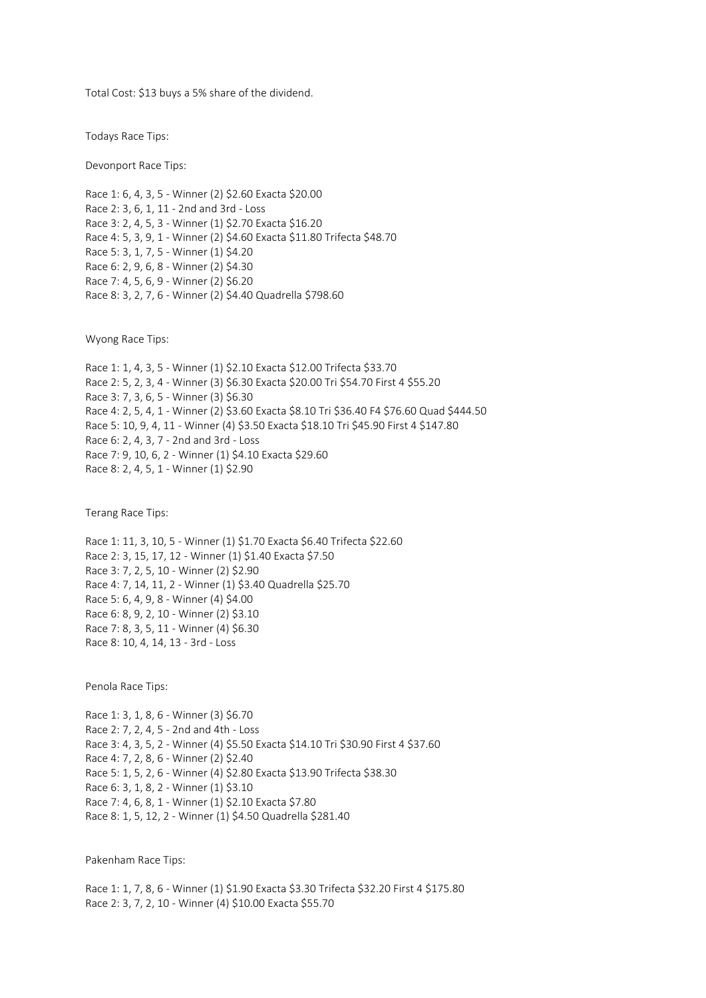Total Cost: \$13 buys a 5% share of the dividend.

Todays Race Tips:

Devonport Race Tips:

Race 1: 6, 4, 3, 5 - Winner (2) \$2.60 Exacta \$20.00 Race 2: 3, 6, 1, 11 - 2nd and 3rd - Loss Race 3: 2, 4, 5, 3 - Winner (1) \$2.70 Exacta \$16.20 Race 4: 5, 3, 9, 1 - Winner (2) \$4.60 Exacta \$11.80 Trifecta \$48.70 Race 5: 3, 1, 7, 5 - Winner (1) \$4.20 Race 6: 2, 9, 6, 8 - Winner (2) \$4.30 Race 7: 4, 5, 6, 9 - Winner (2) \$6.20 Race 8: 3, 2, 7, 6 - Winner (2) \$4.40 Quadrella \$798.60

Wyong Race Tips:

Race 1: 1, 4, 3, 5 - Winner (1) \$2.10 Exacta \$12.00 Trifecta \$33.70 Race 2: 5, 2, 3, 4 - Winner (3) \$6.30 Exacta \$20.00 Tri \$54.70 First 4 \$55.20 Race 3: 7, 3, 6, 5 - Winner (3) \$6.30 Race 4: 2, 5, 4, 1 - Winner (2) \$3.60 Exacta \$8.10 Tri \$36.40 F4 \$76.60 Quad \$444.50 Race 5: 10, 9, 4, 11 - Winner (4) \$3.50 Exacta \$18.10 Tri \$45.90 First 4 \$147.80 Race 6: 2, 4, 3, 7 - 2nd and 3rd - Loss Race 7: 9, 10, 6, 2 - Winner (1) \$4.10 Exacta \$29.60 Race 8: 2, 4, 5, 1 - Winner (1) \$2.90

Terang Race Tips:

Race 1: 11, 3, 10, 5 - Winner (1) \$1.70 Exacta \$6.40 Trifecta \$22.60 Race 2: 3, 15, 17, 12 - Winner (1) \$1.40 Exacta \$7.50 Race 3: 7, 2, 5, 10 - Winner (2) \$2.90 Race 4: 7, 14, 11, 2 - Winner (1) \$3.40 Quadrella \$25.70 Race 5: 6, 4, 9, 8 - Winner (4) \$4.00 Race 6: 8, 9, 2, 10 - Winner (2) \$3.10 Race 7: 8, 3, 5, 11 - Winner (4) \$6.30 Race 8: 10, 4, 14, 13 - 3rd - Loss

Penola Race Tips:

Race 1: 3, 1, 8, 6 - Winner (3) \$6.70 Race 2: 7, 2, 4, 5 - 2nd and 4th - Loss Race 3: 4, 3, 5, 2 - Winner (4) \$5.50 Exacta \$14.10 Tri \$30.90 First 4 \$37.60 Race 4: 7, 2, 8, 6 - Winner (2) \$2.40 Race 5: 1, 5, 2, 6 - Winner (4) \$2.80 Exacta \$13.90 Trifecta \$38.30 Race 6: 3, 1, 8, 2 - Winner (1) \$3.10 Race 7: 4, 6, 8, 1 - Winner (1) \$2.10 Exacta \$7.80 Race 8: 1, 5, 12, 2 - Winner (1) \$4.50 Quadrella \$281.40

Pakenham Race Tips:

Race 1: 1, 7, 8, 6 - Winner (1) \$1.90 Exacta \$3.30 Trifecta \$32.20 First 4 \$175.80 Race 2: 3, 7, 2, 10 - Winner (4) \$10.00 Exacta \$55.70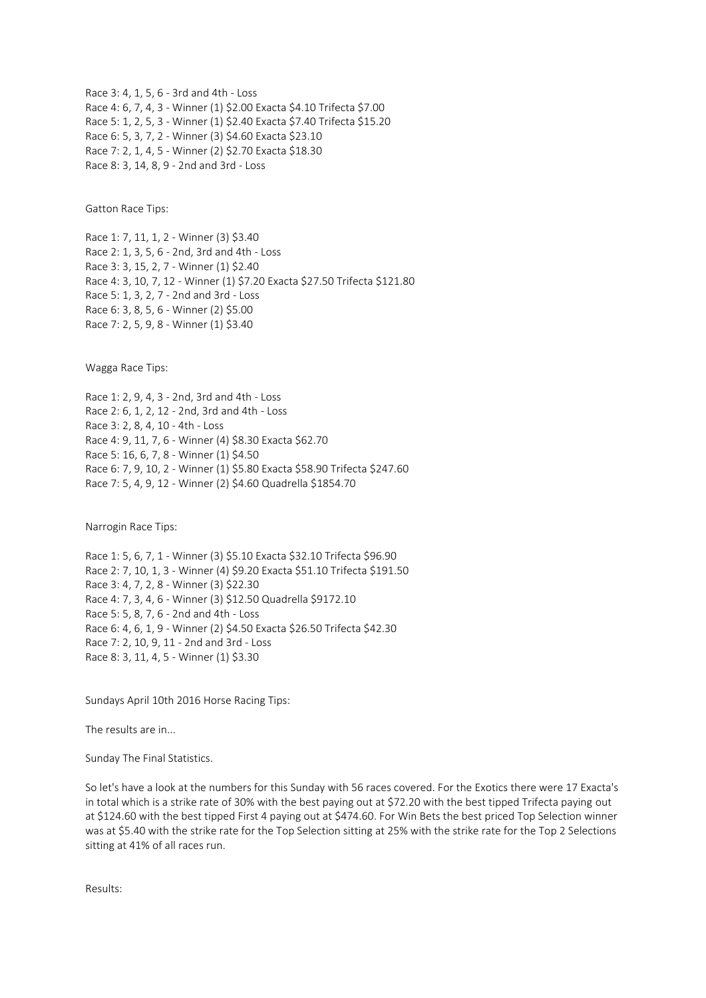Race 3: 4, 1, 5, 6 - 3rd and 4th - Loss Race 4: 6, 7, 4, 3 - Winner (1) \$2.00 Exacta \$4.10 Trifecta \$7.00 Race 5: 1, 2, 5, 3 - Winner (1) \$2.40 Exacta \$7.40 Trifecta \$15.20 Race 6: 5, 3, 7, 2 - Winner (3) \$4.60 Exacta \$23.10 Race 7: 2, 1, 4, 5 - Winner (2) \$2.70 Exacta \$18.30 Race 8: 3, 14, 8, 9 - 2nd and 3rd - Loss

Gatton Race Tips:

Race 1: 7, 11, 1, 2 - Winner (3) \$3.40 Race 2: 1, 3, 5, 6 - 2nd, 3rd and 4th - Loss Race 3: 3, 15, 2, 7 - Winner (1) \$2.40 Race 4: 3, 10, 7, 12 - Winner (1) \$7.20 Exacta \$27.50 Trifecta \$121.80 Race 5: 1, 3, 2, 7 - 2nd and 3rd - Loss Race 6: 3, 8, 5, 6 - Winner (2) \$5.00 Race 7: 2, 5, 9, 8 - Winner (1) \$3.40

Wagga Race Tips:

Race 1: 2, 9, 4, 3 - 2nd, 3rd and 4th - Loss Race 2: 6, 1, 2, 12 - 2nd, 3rd and 4th - Loss Race 3: 2, 8, 4, 10 - 4th - Loss Race 4: 9, 11, 7, 6 - Winner (4) \$8.30 Exacta \$62.70 Race 5: 16, 6, 7, 8 - Winner (1) \$4.50 Race 6: 7, 9, 10, 2 - Winner (1) \$5.80 Exacta \$58.90 Trifecta \$247.60 Race 7: 5, 4, 9, 12 - Winner (2) \$4.60 Quadrella \$1854.70

Narrogin Race Tips:

Race 1: 5, 6, 7, 1 - Winner (3) \$5.10 Exacta \$32.10 Trifecta \$96.90 Race 2: 7, 10, 1, 3 - Winner (4) \$9.20 Exacta \$51.10 Trifecta \$191.50 Race 3: 4, 7, 2, 8 - Winner (3) \$22.30 Race 4: 7, 3, 4, 6 - Winner (3) \$12.50 Quadrella \$9172.10 Race 5: 5, 8, 7, 6 - 2nd and 4th - Loss Race 6: 4, 6, 1, 9 - Winner (2) \$4.50 Exacta \$26.50 Trifecta \$42.30 Race 7: 2, 10, 9, 11 - 2nd and 3rd - Loss Race 8: 3, 11, 4, 5 - Winner (1) \$3.30

Sundays April 10th 2016 Horse Racing Tips:

The results are in...

Sunday The Final Statistics.

So let's have a look at the numbers for this Sunday with 56 races covered. For the Exotics there were 17 Exacta's in total which is a strike rate of 30% with the best paying out at \$72.20 with the best tipped Trifecta paying out at \$124.60 with the best tipped First 4 paying out at \$474.60. For Win Bets the best priced Top Selection winner was at \$5.40 with the strike rate for the Top Selection sitting at 25% with the strike rate for the Top 2 Selections sitting at 41% of all races run.

Results: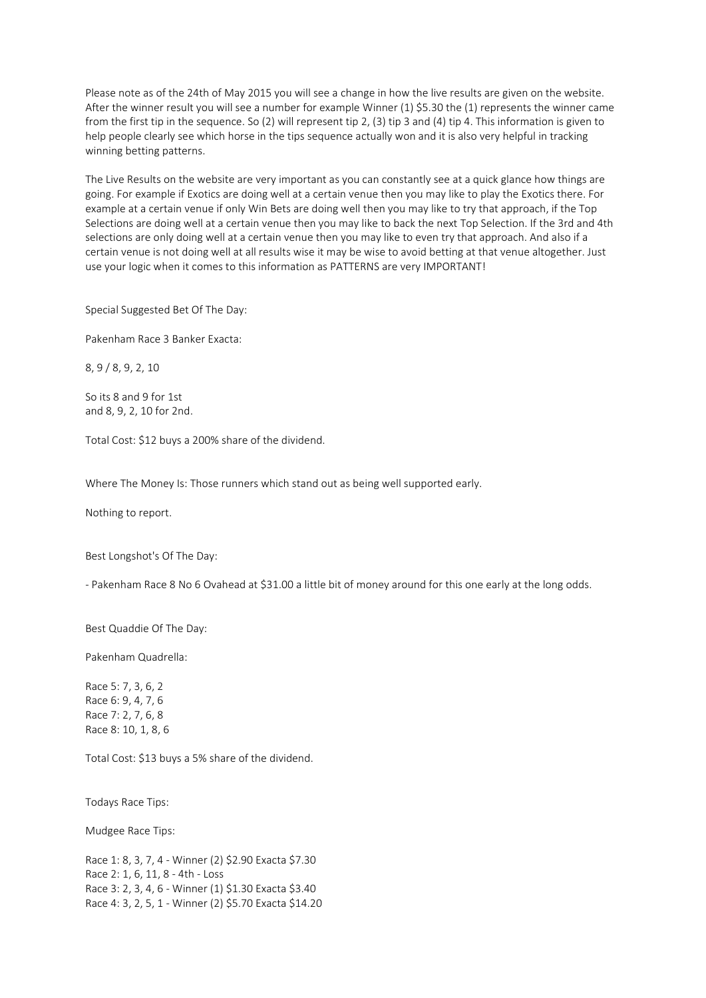Please note as of the 24th of May 2015 you will see a change in how the live results are given on the website. After the winner result you will see a number for example Winner (1) \$5.30 the (1) represents the winner came from the first tip in the sequence. So (2) will represent tip 2, (3) tip 3 and (4) tip 4. This information is given to help people clearly see which horse in the tips sequence actually won and it is also very helpful in tracking winning betting patterns.

The Live Results on the website are very important as you can constantly see at a quick glance how things are going. For example if Exotics are doing well at a certain venue then you may like to play the Exotics there. For example at a certain venue if only Win Bets are doing well then you may like to try that approach, if the Top Selections are doing well at a certain venue then you may like to back the next Top Selection. If the 3rd and 4th selections are only doing well at a certain venue then you may like to even try that approach. And also if a certain venue is not doing well at all results wise it may be wise to avoid betting at that venue altogether. Just use your logic when it comes to this information as PATTERNS are very IMPORTANT!

Special Suggested Bet Of The Day:

Pakenham Race 3 Banker Exacta:

8, 9 / 8, 9, 2, 10

So its 8 and 9 for 1st and 8, 9, 2, 10 for 2nd.

Total Cost: \$12 buys a 200% share of the dividend.

Where The Money Is: Those runners which stand out as being well supported early.

Nothing to report.

Best Longshot's Of The Day:

- Pakenham Race 8 No 6 Ovahead at \$31.00 a little bit of money around for this one early at the long odds.

Best Quaddie Of The Day:

Pakenham Quadrella:

Race 5: 7, 3, 6, 2 Race 6: 9, 4, 7, 6 Race 7: 2, 7, 6, 8 Race 8: 10, 1, 8, 6

Total Cost: \$13 buys a 5% share of the dividend.

Todays Race Tips:

Mudgee Race Tips:

Race 1: 8, 3, 7, 4 - Winner (2) \$2.90 Exacta \$7.30 Race 2: 1, 6, 11, 8 - 4th - Loss Race 3: 2, 3, 4, 6 - Winner (1) \$1.30 Exacta \$3.40 Race 4: 3, 2, 5, 1 - Winner (2) \$5.70 Exacta \$14.20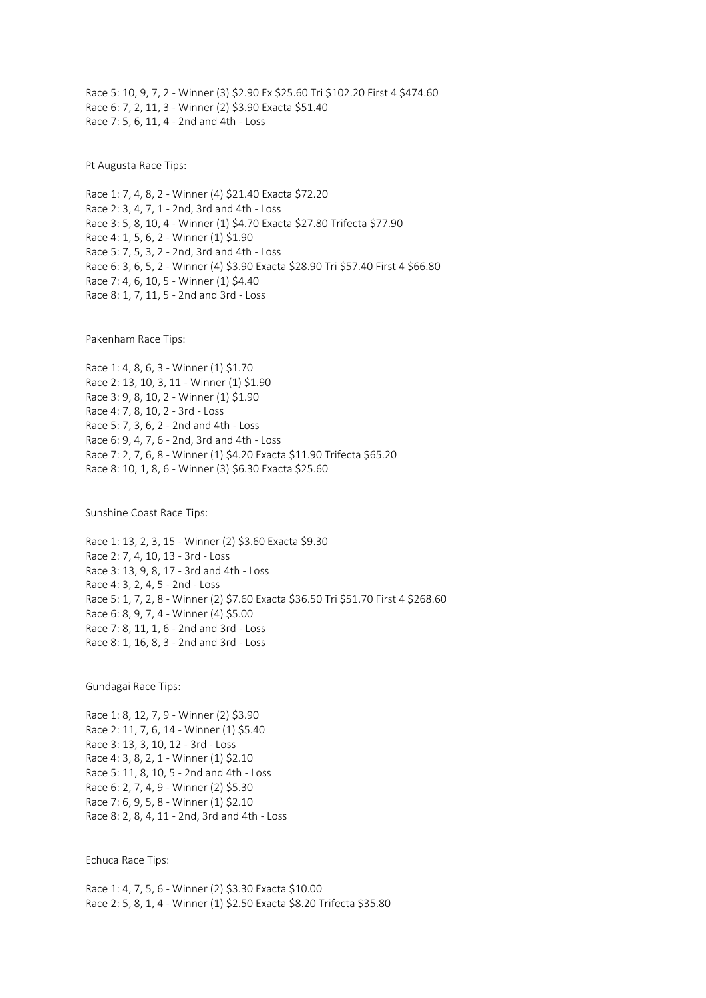Race 5: 10, 9, 7, 2 - Winner (3) \$2.90 Ex \$25.60 Tri \$102.20 First 4 \$474.60 Race 6: 7, 2, 11, 3 - Winner (2) \$3.90 Exacta \$51.40 Race 7: 5, 6, 11, 4 - 2nd and 4th - Loss

Pt Augusta Race Tips:

Race 1: 7, 4, 8, 2 - Winner (4) \$21.40 Exacta \$72.20 Race 2: 3, 4, 7, 1 - 2nd, 3rd and 4th - Loss Race 3: 5, 8, 10, 4 - Winner (1) \$4.70 Exacta \$27.80 Trifecta \$77.90 Race 4: 1, 5, 6, 2 - Winner (1) \$1.90 Race 5: 7, 5, 3, 2 - 2nd, 3rd and 4th - Loss Race 6: 3, 6, 5, 2 - Winner (4) \$3.90 Exacta \$28.90 Tri \$57.40 First 4 \$66.80 Race 7: 4, 6, 10, 5 - Winner (1) \$4.40 Race 8: 1, 7, 11, 5 - 2nd and 3rd - Loss

Pakenham Race Tips:

Race 1: 4, 8, 6, 3 - Winner (1) \$1.70 Race 2: 13, 10, 3, 11 - Winner (1) \$1.90 Race 3: 9, 8, 10, 2 - Winner (1) \$1.90 Race 4: 7, 8, 10, 2 - 3rd - Loss Race 5: 7, 3, 6, 2 - 2nd and 4th - Loss Race 6: 9, 4, 7, 6 - 2nd, 3rd and 4th - Loss Race 7: 2, 7, 6, 8 - Winner (1) \$4.20 Exacta \$11.90 Trifecta \$65.20 Race 8: 10, 1, 8, 6 - Winner (3) \$6.30 Exacta \$25.60

Sunshine Coast Race Tips:

Race 1: 13, 2, 3, 15 - Winner (2) \$3.60 Exacta \$9.30 Race 2: 7, 4, 10, 13 - 3rd - Loss Race 3: 13, 9, 8, 17 - 3rd and 4th - Loss Race 4: 3, 2, 4, 5 - 2nd - Loss Race 5: 1, 7, 2, 8 - Winner (2) \$7.60 Exacta \$36.50 Tri \$51.70 First 4 \$268.60 Race 6: 8, 9, 7, 4 - Winner (4) \$5.00 Race 7: 8, 11, 1, 6 - 2nd and 3rd - Loss Race 8: 1, 16, 8, 3 - 2nd and 3rd - Loss

Gundagai Race Tips:

Race 1: 8, 12, 7, 9 - Winner (2) \$3.90 Race 2: 11, 7, 6, 14 - Winner (1) \$5.40 Race 3: 13, 3, 10, 12 - 3rd - Loss Race 4: 3, 8, 2, 1 - Winner (1) \$2.10 Race 5: 11, 8, 10, 5 - 2nd and 4th - Loss Race 6: 2, 7, 4, 9 - Winner (2) \$5.30 Race 7: 6, 9, 5, 8 - Winner (1) \$2.10 Race 8: 2, 8, 4, 11 - 2nd, 3rd and 4th - Loss

Echuca Race Tips:

Race 1: 4, 7, 5, 6 - Winner (2) \$3.30 Exacta \$10.00 Race 2: 5, 8, 1, 4 - Winner (1) \$2.50 Exacta \$8.20 Trifecta \$35.80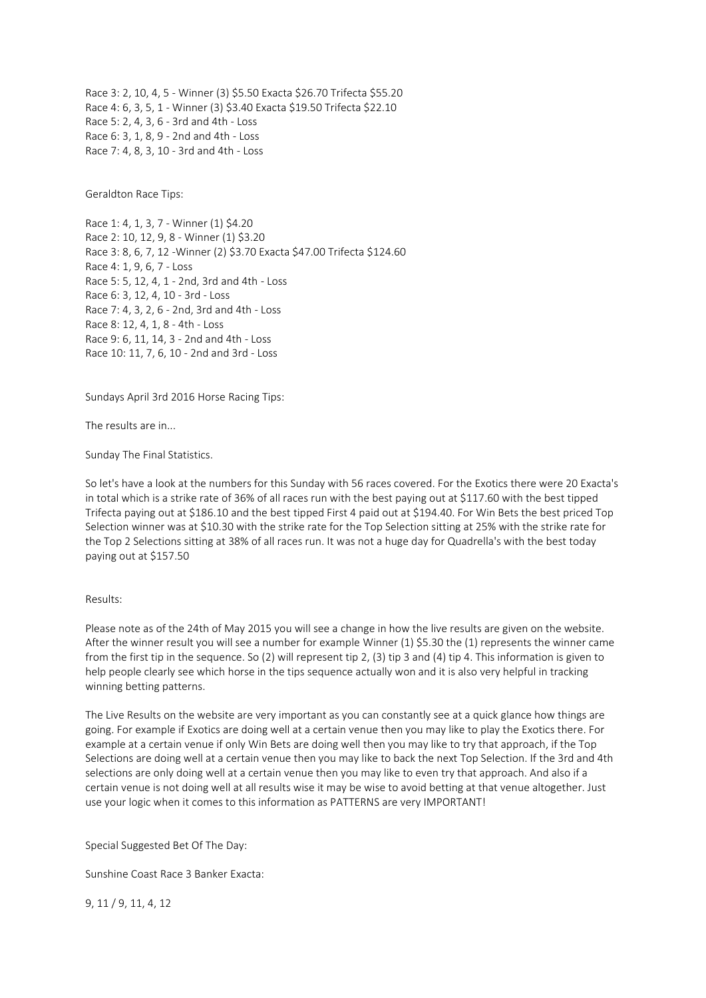Race 3: 2, 10, 4, 5 - Winner (3) \$5.50 Exacta \$26.70 Trifecta \$55.20 Race 4: 6, 3, 5, 1 - Winner (3) \$3.40 Exacta \$19.50 Trifecta \$22.10 Race 5: 2, 4, 3, 6 - 3rd and 4th - Loss Race 6: 3, 1, 8, 9 - 2nd and 4th - Loss Race 7: 4, 8, 3, 10 - 3rd and 4th - Loss

Geraldton Race Tips:

Race 1: 4, 1, 3, 7 - Winner (1) \$4.20 Race 2: 10, 12, 9, 8 - Winner (1) \$3.20 Race 3: 8, 6, 7, 12 -Winner (2) \$3.70 Exacta \$47.00 Trifecta \$124.60 Race 4: 1, 9, 6, 7 - Loss Race 5: 5, 12, 4, 1 - 2nd, 3rd and 4th - Loss Race 6: 3, 12, 4, 10 - 3rd - Loss Race 7: 4, 3, 2, 6 - 2nd, 3rd and 4th - Loss Race 8: 12, 4, 1, 8 - 4th - Loss Race 9: 6, 11, 14, 3 - 2nd and 4th - Loss Race 10: 11, 7, 6, 10 - 2nd and 3rd - Loss

Sundays April 3rd 2016 Horse Racing Tips:

The results are in...

Sunday The Final Statistics.

So let's have a look at the numbers for this Sunday with 56 races covered. For the Exotics there were 20 Exacta's in total which is a strike rate of 36% of all races run with the best paying out at \$117.60 with the best tipped Trifecta paying out at \$186.10 and the best tipped First 4 paid out at \$194.40. For Win Bets the best priced Top Selection winner was at \$10.30 with the strike rate for the Top Selection sitting at 25% with the strike rate for the Top 2 Selections sitting at 38% of all races run. It was not a huge day for Quadrella's with the best today paying out at \$157.50

## Results:

Please note as of the 24th of May 2015 you will see a change in how the live results are given on the website. After the winner result you will see a number for example Winner (1) \$5.30 the (1) represents the winner came from the first tip in the sequence. So (2) will represent tip 2, (3) tip 3 and (4) tip 4. This information is given to help people clearly see which horse in the tips sequence actually won and it is also very helpful in tracking winning betting patterns.

The Live Results on the website are very important as you can constantly see at a quick glance how things are going. For example if Exotics are doing well at a certain venue then you may like to play the Exotics there. For example at a certain venue if only Win Bets are doing well then you may like to try that approach, if the Top Selections are doing well at a certain venue then you may like to back the next Top Selection. If the 3rd and 4th selections are only doing well at a certain venue then you may like to even try that approach. And also if a certain venue is not doing well at all results wise it may be wise to avoid betting at that venue altogether. Just use your logic when it comes to this information as PATTERNS are very IMPORTANT!

Special Suggested Bet Of The Day:

Sunshine Coast Race 3 Banker Exacta:

9, 11 / 9, 11, 4, 12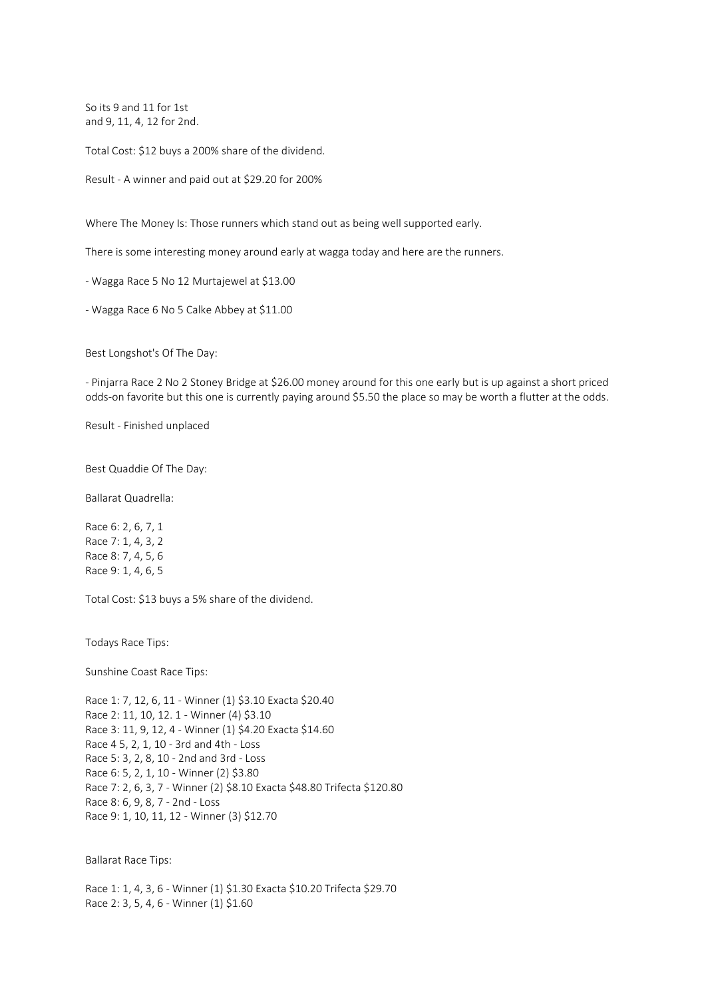So its 9 and 11 for 1st and 9, 11, 4, 12 for 2nd.

Total Cost: \$12 buys a 200% share of the dividend.

Result - A winner and paid out at \$29.20 for 200%

Where The Money Is: Those runners which stand out as being well supported early.

There is some interesting money around early at wagga today and here are the runners.

- Wagga Race 5 No 12 Murtajewel at \$13.00

- Wagga Race 6 No 5 Calke Abbey at \$11.00

Best Longshot's Of The Day:

- Pinjarra Race 2 No 2 Stoney Bridge at \$26.00 money around for this one early but is up against a short priced odds-on favorite but this one is currently paying around \$5.50 the place so may be worth a flutter at the odds.

Result - Finished unplaced

Best Quaddie Of The Day:

Ballarat Quadrella:

Race 6: 2, 6, 7, 1 Race 7: 1, 4, 3, 2 Race 8: 7, 4, 5, 6 Race 9: 1, 4, 6, 5

Total Cost: \$13 buys a 5% share of the dividend.

Todays Race Tips:

Sunshine Coast Race Tips:

Race 1: 7, 12, 6, 11 - Winner (1) \$3.10 Exacta \$20.40 Race 2: 11, 10, 12. 1 - Winner (4) \$3.10 Race 3: 11, 9, 12, 4 - Winner (1) \$4.20 Exacta \$14.60 Race 4 5, 2, 1, 10 - 3rd and 4th - Loss Race 5: 3, 2, 8, 10 - 2nd and 3rd - Loss Race 6: 5, 2, 1, 10 - Winner (2) \$3.80 Race 7: 2, 6, 3, 7 - Winner (2) \$8.10 Exacta \$48.80 Trifecta \$120.80 Race 8: 6, 9, 8, 7 - 2nd - Loss Race 9: 1, 10, 11, 12 - Winner (3) \$12.70

Ballarat Race Tips:

Race 1: 1, 4, 3, 6 - Winner (1) \$1.30 Exacta \$10.20 Trifecta \$29.70 Race 2: 3, 5, 4, 6 - Winner (1) \$1.60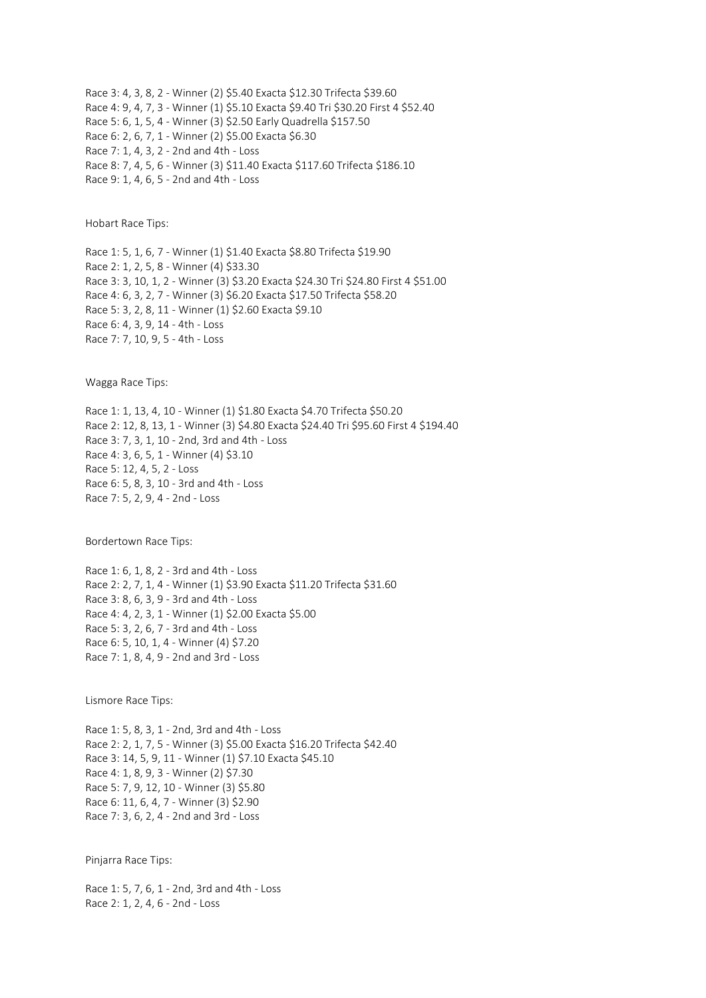Race 3: 4, 3, 8, 2 - Winner (2) \$5.40 Exacta \$12.30 Trifecta \$39.60 Race 4: 9, 4, 7, 3 - Winner (1) \$5.10 Exacta \$9.40 Tri \$30.20 First 4 \$52.40 Race 5: 6, 1, 5, 4 - Winner (3) \$2.50 Early Quadrella \$157.50 Race 6: 2, 6, 7, 1 - Winner (2) \$5.00 Exacta \$6.30 Race 7: 1, 4, 3, 2 - 2nd and 4th - Loss Race 8: 7, 4, 5, 6 - Winner (3) \$11.40 Exacta \$117.60 Trifecta \$186.10 Race 9: 1, 4, 6, 5 - 2nd and 4th - Loss

Hobart Race Tips:

Race 1: 5, 1, 6, 7 - Winner (1) \$1.40 Exacta \$8.80 Trifecta \$19.90 Race 2: 1, 2, 5, 8 - Winner (4) \$33.30 Race 3: 3, 10, 1, 2 - Winner (3) \$3.20 Exacta \$24.30 Tri \$24.80 First 4 \$51.00 Race 4: 6, 3, 2, 7 - Winner (3) \$6.20 Exacta \$17.50 Trifecta \$58.20 Race 5: 3, 2, 8, 11 - Winner (1) \$2.60 Exacta \$9.10 Race 6: 4, 3, 9, 14 - 4th - Loss Race 7: 7, 10, 9, 5 - 4th - Loss

Wagga Race Tips:

Race 1: 1, 13, 4, 10 - Winner (1) \$1.80 Exacta \$4.70 Trifecta \$50.20 Race 2: 12, 8, 13, 1 - Winner (3) \$4.80 Exacta \$24.40 Tri \$95.60 First 4 \$194.40 Race 3: 7, 3, 1, 10 - 2nd, 3rd and 4th - Loss Race 4: 3, 6, 5, 1 - Winner (4) \$3.10 Race 5: 12, 4, 5, 2 - Loss Race 6: 5, 8, 3, 10 - 3rd and 4th - Loss Race 7: 5, 2, 9, 4 - 2nd - Loss

Bordertown Race Tips:

Race 1: 6, 1, 8, 2 - 3rd and 4th - Loss Race 2: 2, 7, 1, 4 - Winner (1) \$3.90 Exacta \$11.20 Trifecta \$31.60 Race 3: 8, 6, 3, 9 - 3rd and 4th - Loss Race 4: 4, 2, 3, 1 - Winner (1) \$2.00 Exacta \$5.00 Race 5: 3, 2, 6, 7 - 3rd and 4th - Loss Race 6: 5, 10, 1, 4 - Winner (4) \$7.20 Race 7: 1, 8, 4, 9 - 2nd and 3rd - Loss

Lismore Race Tips:

Race 1: 5, 8, 3, 1 - 2nd, 3rd and 4th - Loss Race 2: 2, 1, 7, 5 - Winner (3) \$5.00 Exacta \$16.20 Trifecta \$42.40 Race 3: 14, 5, 9, 11 - Winner (1) \$7.10 Exacta \$45.10 Race 4: 1, 8, 9, 3 - Winner (2) \$7.30 Race 5: 7, 9, 12, 10 - Winner (3) \$5.80 Race 6: 11, 6, 4, 7 - Winner (3) \$2.90 Race 7: 3, 6, 2, 4 - 2nd and 3rd - Loss

Pinjarra Race Tips:

Race 1: 5, 7, 6, 1 - 2nd, 3rd and 4th - Loss Race 2: 1, 2, 4, 6 - 2nd - Loss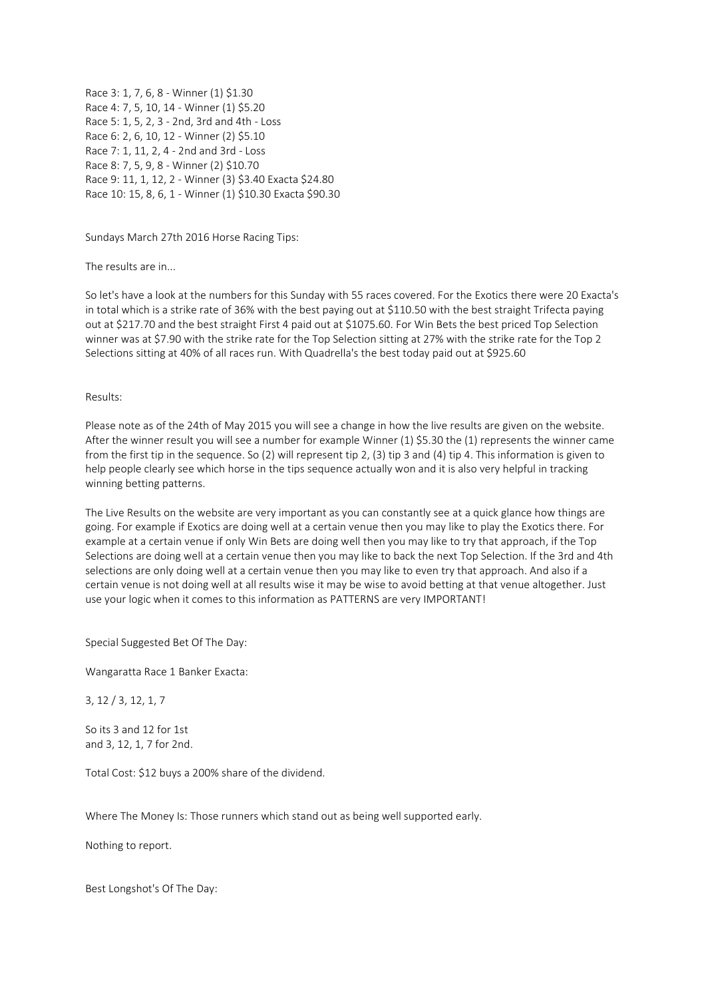Race 3: 1, 7, 6, 8 - Winner (1) \$1.30 Race 4: 7, 5, 10, 14 - Winner (1) \$5.20 Race 5: 1, 5, 2, 3 - 2nd, 3rd and 4th - Loss Race 6: 2, 6, 10, 12 - Winner (2) \$5.10 Race 7: 1, 11, 2, 4 - 2nd and 3rd - Loss Race 8: 7, 5, 9, 8 - Winner (2) \$10.70 Race 9: 11, 1, 12, 2 - Winner (3) \$3.40 Exacta \$24.80 Race 10: 15, 8, 6, 1 - Winner (1) \$10.30 Exacta \$90.30

Sundays March 27th 2016 Horse Racing Tips:

The results are in...

So let's have a look at the numbers for this Sunday with 55 races covered. For the Exotics there were 20 Exacta's in total which is a strike rate of 36% with the best paying out at \$110.50 with the best straight Trifecta paying out at \$217.70 and the best straight First 4 paid out at \$1075.60. For Win Bets the best priced Top Selection winner was at \$7.90 with the strike rate for the Top Selection sitting at 27% with the strike rate for the Top 2 Selections sitting at 40% of all races run. With Quadrella's the best today paid out at \$925.60

## Results:

Please note as of the 24th of May 2015 you will see a change in how the live results are given on the website. After the winner result you will see a number for example Winner (1) \$5.30 the (1) represents the winner came from the first tip in the sequence. So (2) will represent tip 2, (3) tip 3 and (4) tip 4. This information is given to help people clearly see which horse in the tips sequence actually won and it is also very helpful in tracking winning betting patterns.

The Live Results on the website are very important as you can constantly see at a quick glance how things are going. For example if Exotics are doing well at a certain venue then you may like to play the Exotics there. For example at a certain venue if only Win Bets are doing well then you may like to try that approach, if the Top Selections are doing well at a certain venue then you may like to back the next Top Selection. If the 3rd and 4th selections are only doing well at a certain venue then you may like to even try that approach. And also if a certain venue is not doing well at all results wise it may be wise to avoid betting at that venue altogether. Just use your logic when it comes to this information as PATTERNS are very IMPORTANT!

Special Suggested Bet Of The Day:

Wangaratta Race 1 Banker Exacta:

3, 12 / 3, 12, 1, 7

So its 3 and 12 for 1st and 3, 12, 1, 7 for 2nd.

Total Cost: \$12 buys a 200% share of the dividend.

Where The Money Is: Those runners which stand out as being well supported early.

Nothing to report.

Best Longshot's Of The Day: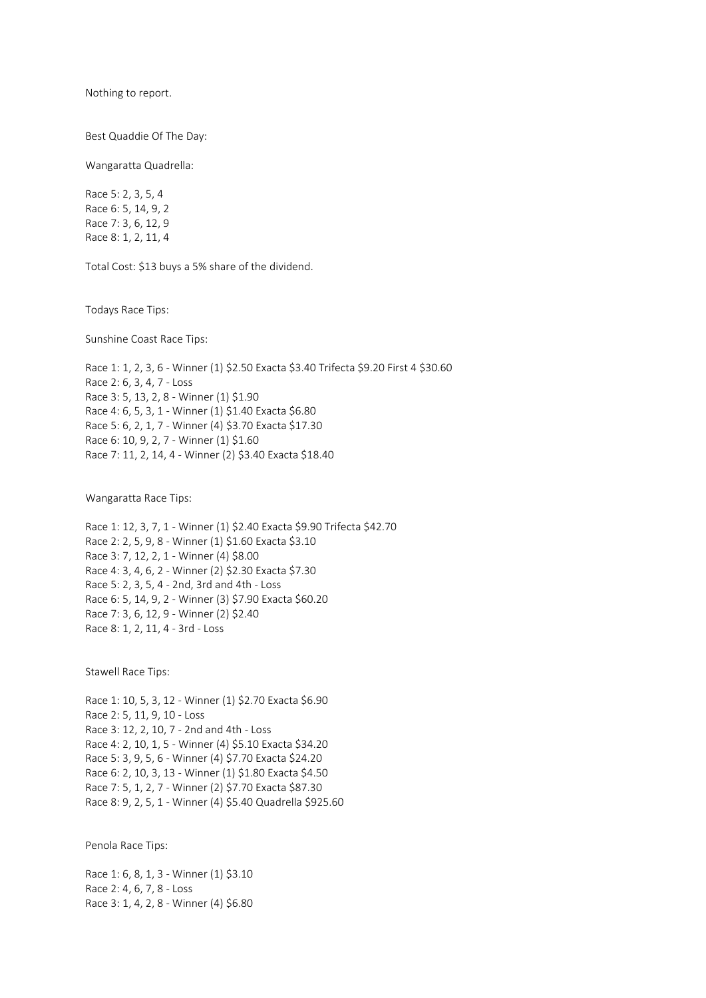Nothing to report.

Best Quaddie Of The Day:

Wangaratta Quadrella:

Race 5: 2, 3, 5, 4 Race 6: 5, 14, 9, 2 Race 7: 3, 6, 12, 9 Race 8: 1, 2, 11, 4

Total Cost: \$13 buys a 5% share of the dividend.

Todays Race Tips:

Sunshine Coast Race Tips:

Race 1: 1, 2, 3, 6 - Winner (1) \$2.50 Exacta \$3.40 Trifecta \$9.20 First 4 \$30.60 Race 2: 6, 3, 4, 7 - Loss Race 3: 5, 13, 2, 8 - Winner (1) \$1.90 Race 4: 6, 5, 3, 1 - Winner (1) \$1.40 Exacta \$6.80 Race 5: 6, 2, 1, 7 - Winner (4) \$3.70 Exacta \$17.30 Race 6: 10, 9, 2, 7 - Winner (1) \$1.60 Race 7: 11, 2, 14, 4 - Winner (2) \$3.40 Exacta \$18.40

Wangaratta Race Tips:

Race 1: 12, 3, 7, 1 - Winner (1) \$2.40 Exacta \$9.90 Trifecta \$42.70 Race 2: 2, 5, 9, 8 - Winner (1) \$1.60 Exacta \$3.10 Race 3: 7, 12, 2, 1 - Winner (4) \$8.00 Race 4: 3, 4, 6, 2 - Winner (2) \$2.30 Exacta \$7.30 Race 5: 2, 3, 5, 4 - 2nd, 3rd and 4th - Loss Race 6: 5, 14, 9, 2 - Winner (3) \$7.90 Exacta \$60.20 Race 7: 3, 6, 12, 9 - Winner (2) \$2.40 Race 8: 1, 2, 11, 4 - 3rd - Loss

Stawell Race Tips:

Race 1: 10, 5, 3, 12 - Winner (1) \$2.70 Exacta \$6.90 Race 2: 5, 11, 9, 10 - Loss Race 3: 12, 2, 10, 7 - 2nd and 4th - Loss Race 4: 2, 10, 1, 5 - Winner (4) \$5.10 Exacta \$34.20 Race 5: 3, 9, 5, 6 - Winner (4) \$7.70 Exacta \$24.20 Race 6: 2, 10, 3, 13 - Winner (1) \$1.80 Exacta \$4.50 Race 7: 5, 1, 2, 7 - Winner (2) \$7.70 Exacta \$87.30 Race 8: 9, 2, 5, 1 - Winner (4) \$5.40 Quadrella \$925.60

Penola Race Tips:

Race 1: 6, 8, 1, 3 - Winner (1) \$3.10 Race 2: 4, 6, 7, 8 - Loss Race 3: 1, 4, 2, 8 - Winner (4) \$6.80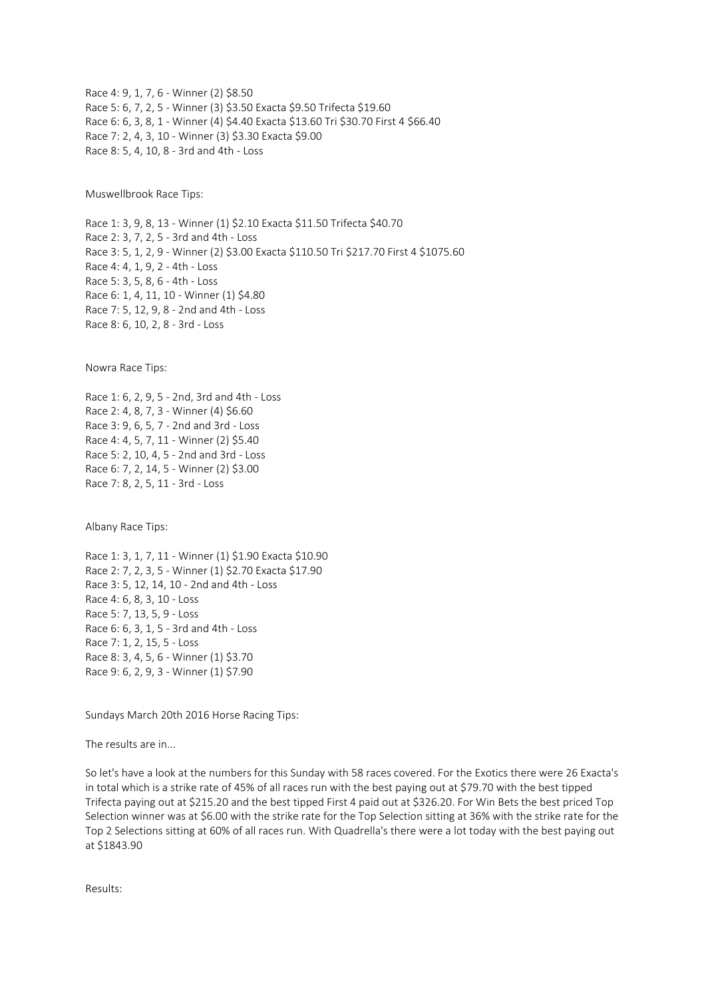Race 4: 9, 1, 7, 6 - Winner (2) \$8.50 Race 5: 6, 7, 2, 5 - Winner (3) \$3.50 Exacta \$9.50 Trifecta \$19.60 Race 6: 6, 3, 8, 1 - Winner (4) \$4.40 Exacta \$13.60 Tri \$30.70 First 4 \$66.40 Race 7: 2, 4, 3, 10 - Winner (3) \$3.30 Exacta \$9.00 Race 8: 5, 4, 10, 8 - 3rd and 4th - Loss

Muswellbrook Race Tips:

Race 1: 3, 9, 8, 13 - Winner (1) \$2.10 Exacta \$11.50 Trifecta \$40.70 Race 2: 3, 7, 2, 5 - 3rd and 4th - Loss Race 3: 5, 1, 2, 9 - Winner (2) \$3.00 Exacta \$110.50 Tri \$217.70 First 4 \$1075.60 Race 4: 4, 1, 9, 2 - 4th - Loss Race 5: 3, 5, 8, 6 - 4th - Loss Race 6: 1, 4, 11, 10 - Winner (1) \$4.80 Race 7: 5, 12, 9, 8 - 2nd and 4th - Loss Race 8: 6, 10, 2, 8 - 3rd - Loss

Nowra Race Tips:

Race 1: 6, 2, 9, 5 - 2nd, 3rd and 4th - Loss Race 2: 4, 8, 7, 3 - Winner (4) \$6.60 Race 3: 9, 6, 5, 7 - 2nd and 3rd - Loss Race 4: 4, 5, 7, 11 - Winner (2) \$5.40 Race 5: 2, 10, 4, 5 - 2nd and 3rd - Loss Race 6: 7, 2, 14, 5 - Winner (2) \$3.00 Race 7: 8, 2, 5, 11 - 3rd - Loss

Albany Race Tips:

Race 1: 3, 1, 7, 11 - Winner (1) \$1.90 Exacta \$10.90 Race 2: 7, 2, 3, 5 - Winner (1) \$2.70 Exacta \$17.90 Race 3: 5, 12, 14, 10 - 2nd and 4th - Loss Race 4: 6, 8, 3, 10 - Loss Race 5: 7, 13, 5, 9 - Loss Race 6: 6, 3, 1, 5 - 3rd and 4th - Loss Race 7: 1, 2, 15, 5 - Loss Race 8: 3, 4, 5, 6 - Winner (1) \$3.70 Race 9: 6, 2, 9, 3 - Winner (1) \$7.90

Sundays March 20th 2016 Horse Racing Tips:

The results are in...

So let's have a look at the numbers for this Sunday with 58 races covered. For the Exotics there were 26 Exacta's in total which is a strike rate of 45% of all races run with the best paying out at \$79.70 with the best tipped Trifecta paying out at \$215.20 and the best tipped First 4 paid out at \$326.20. For Win Bets the best priced Top Selection winner was at \$6.00 with the strike rate for the Top Selection sitting at 36% with the strike rate for the Top 2 Selections sitting at 60% of all races run. With Quadrella's there were a lot today with the best paying out at \$1843.90

Results: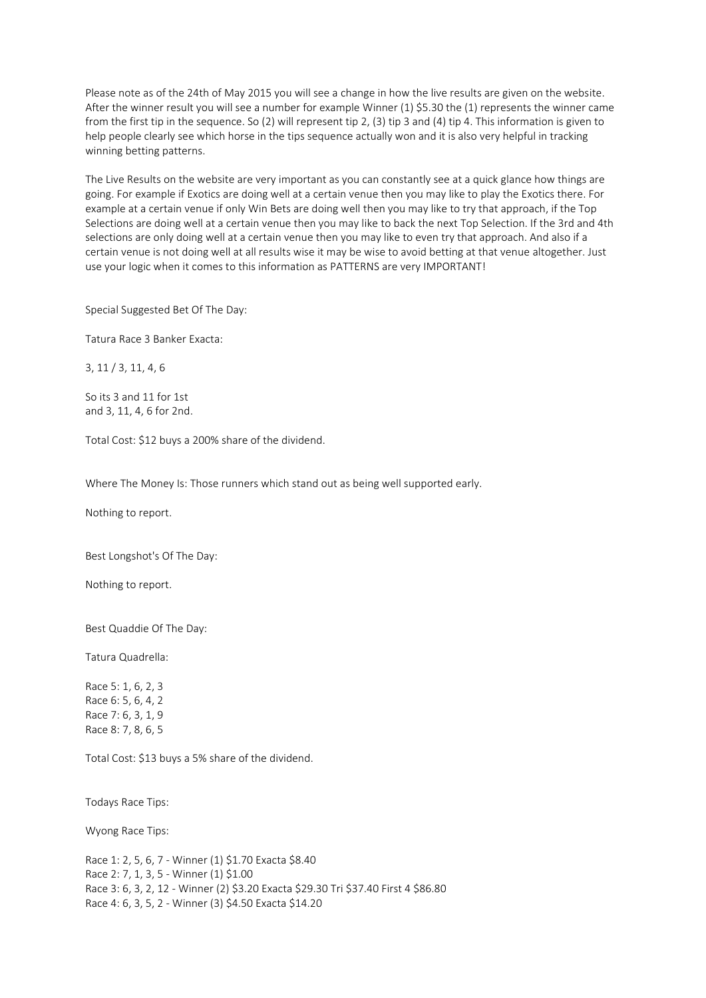Please note as of the 24th of May 2015 you will see a change in how the live results are given on the website. After the winner result you will see a number for example Winner (1) \$5.30 the (1) represents the winner came from the first tip in the sequence. So (2) will represent tip 2, (3) tip 3 and (4) tip 4. This information is given to help people clearly see which horse in the tips sequence actually won and it is also very helpful in tracking winning betting patterns.

The Live Results on the website are very important as you can constantly see at a quick glance how things are going. For example if Exotics are doing well at a certain venue then you may like to play the Exotics there. For example at a certain venue if only Win Bets are doing well then you may like to try that approach, if the Top Selections are doing well at a certain venue then you may like to back the next Top Selection. If the 3rd and 4th selections are only doing well at a certain venue then you may like to even try that approach. And also if a certain venue is not doing well at all results wise it may be wise to avoid betting at that venue altogether. Just use your logic when it comes to this information as PATTERNS are very IMPORTANT!

Special Suggested Bet Of The Day:

Tatura Race 3 Banker Exacta:

3, 11 / 3, 11, 4, 6

So its 3 and 11 for 1st and 3, 11, 4, 6 for 2nd.

Total Cost: \$12 buys a 200% share of the dividend.

Where The Money Is: Those runners which stand out as being well supported early.

Nothing to report.

Best Longshot's Of The Day:

Nothing to report.

Best Quaddie Of The Day:

Tatura Quadrella:

Race 5: 1, 6, 2, 3 Race 6: 5, 6, 4, 2 Race 7: 6, 3, 1, 9 Race 8: 7, 8, 6, 5

Total Cost: \$13 buys a 5% share of the dividend.

Todays Race Tips:

Wyong Race Tips:

Race 1: 2, 5, 6, 7 - Winner (1) \$1.70 Exacta \$8.40 Race 2: 7, 1, 3, 5 - Winner (1) \$1.00 Race 3: 6, 3, 2, 12 - Winner (2) \$3.20 Exacta \$29.30 Tri \$37.40 First 4 \$86.80 Race 4: 6, 3, 5, 2 - Winner (3) \$4.50 Exacta \$14.20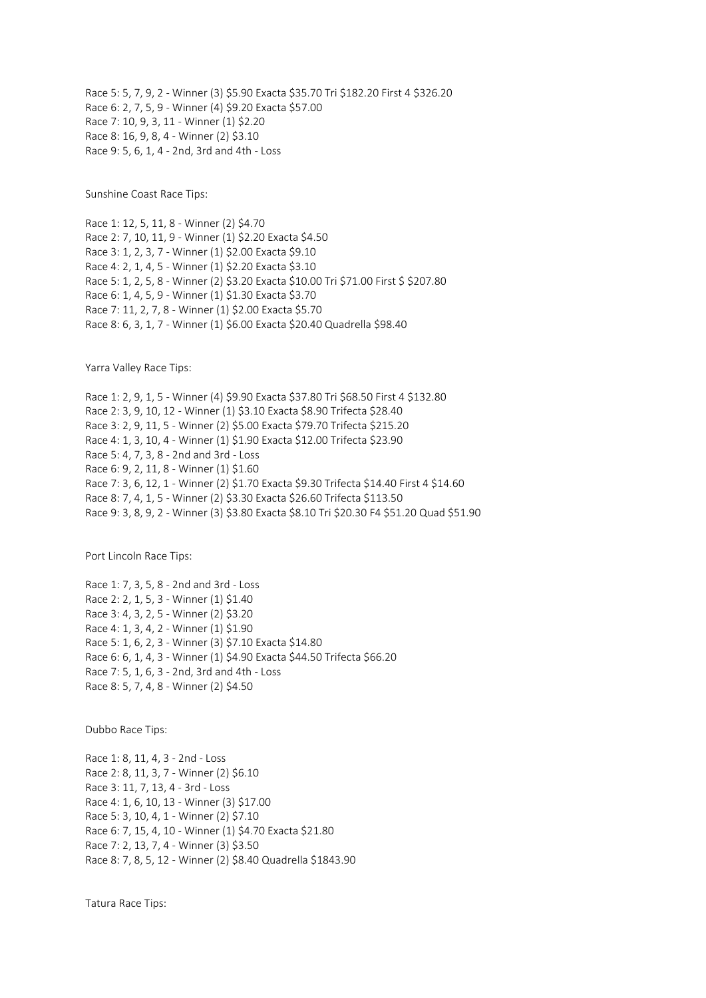Race 5: 5, 7, 9, 2 - Winner (3) \$5.90 Exacta \$35.70 Tri \$182.20 First 4 \$326.20 Race 6: 2, 7, 5, 9 - Winner (4) \$9.20 Exacta \$57.00 Race 7: 10, 9, 3, 11 - Winner (1) \$2.20 Race 8: 16, 9, 8, 4 - Winner (2) \$3.10 Race 9: 5, 6, 1, 4 - 2nd, 3rd and 4th - Loss

Sunshine Coast Race Tips:

Race 1: 12, 5, 11, 8 - Winner (2) \$4.70 Race 2: 7, 10, 11, 9 - Winner (1) \$2.20 Exacta \$4.50 Race 3: 1, 2, 3, 7 - Winner (1) \$2.00 Exacta \$9.10 Race 4: 2, 1, 4, 5 - Winner (1) \$2.20 Exacta \$3.10 Race 5: 1, 2, 5, 8 - Winner (2) \$3.20 Exacta \$10.00 Tri \$71.00 First \$ \$207.80 Race 6: 1, 4, 5, 9 - Winner (1) \$1.30 Exacta \$3.70 Race 7: 11, 2, 7, 8 - Winner (1) \$2.00 Exacta \$5.70 Race 8: 6, 3, 1, 7 - Winner (1) \$6.00 Exacta \$20.40 Quadrella \$98.40

Yarra Valley Race Tips:

Race 1: 2, 9, 1, 5 - Winner (4) \$9.90 Exacta \$37.80 Tri \$68.50 First 4 \$132.80 Race 2: 3, 9, 10, 12 - Winner (1) \$3.10 Exacta \$8.90 Trifecta \$28.40 Race 3: 2, 9, 11, 5 - Winner (2) \$5.00 Exacta \$79.70 Trifecta \$215.20 Race 4: 1, 3, 10, 4 - Winner (1) \$1.90 Exacta \$12.00 Trifecta \$23.90 Race 5: 4, 7, 3, 8 - 2nd and 3rd - Loss Race 6: 9, 2, 11, 8 - Winner (1) \$1.60 Race 7: 3, 6, 12, 1 - Winner (2) \$1.70 Exacta \$9.30 Trifecta \$14.40 First 4 \$14.60 Race 8: 7, 4, 1, 5 - Winner (2) \$3.30 Exacta \$26.60 Trifecta \$113.50 Race 9: 3, 8, 9, 2 - Winner (3) \$3.80 Exacta \$8.10 Tri \$20.30 F4 \$51.20 Quad \$51.90

Port Lincoln Race Tips:

Race 1: 7, 3, 5, 8 - 2nd and 3rd - Loss Race 2: 2, 1, 5, 3 - Winner (1) \$1.40 Race 3: 4, 3, 2, 5 - Winner (2) \$3.20 Race 4: 1, 3, 4, 2 - Winner (1) \$1.90 Race 5: 1, 6, 2, 3 - Winner (3) \$7.10 Exacta \$14.80 Race 6: 6, 1, 4, 3 - Winner (1) \$4.90 Exacta \$44.50 Trifecta \$66.20 Race 7: 5, 1, 6, 3 - 2nd, 3rd and 4th - Loss Race 8: 5, 7, 4, 8 - Winner (2) \$4.50

Dubbo Race Tips:

Race 1: 8, 11, 4, 3 - 2nd - Loss Race 2: 8, 11, 3, 7 - Winner (2) \$6.10 Race 3: 11, 7, 13, 4 - 3rd - Loss Race 4: 1, 6, 10, 13 - Winner (3) \$17.00 Race 5: 3, 10, 4, 1 - Winner (2) \$7.10 Race 6: 7, 15, 4, 10 - Winner (1) \$4.70 Exacta \$21.80 Race 7: 2, 13, 7, 4 - Winner (3) \$3.50 Race 8: 7, 8, 5, 12 - Winner (2) \$8.40 Quadrella \$1843.90

Tatura Race Tips: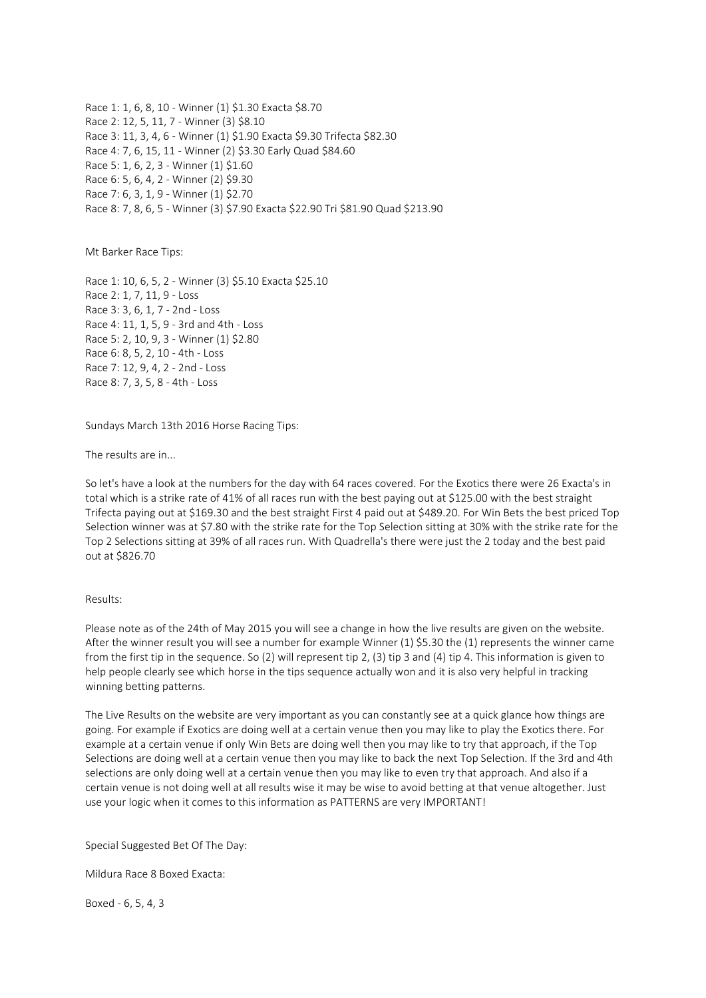Race 1: 1, 6, 8, 10 - Winner (1) \$1.30 Exacta \$8.70 Race 2: 12, 5, 11, 7 - Winner (3) \$8.10 Race 3: 11, 3, 4, 6 - Winner (1) \$1.90 Exacta \$9.30 Trifecta \$82.30 Race 4: 7, 6, 15, 11 - Winner (2) \$3.30 Early Quad \$84.60 Race 5: 1, 6, 2, 3 - Winner (1) \$1.60 Race 6: 5, 6, 4, 2 - Winner (2) \$9.30 Race 7: 6, 3, 1, 9 - Winner (1) \$2.70 Race 8: 7, 8, 6, 5 - Winner (3) \$7.90 Exacta \$22.90 Tri \$81.90 Quad \$213.90

Mt Barker Race Tips:

Race 1: 10, 6, 5, 2 - Winner (3) \$5.10 Exacta \$25.10 Race 2: 1, 7, 11, 9 - Loss Race 3: 3, 6, 1, 7 - 2nd - Loss Race 4: 11, 1, 5, 9 - 3rd and 4th - Loss Race 5: 2, 10, 9, 3 - Winner (1) \$2.80 Race 6: 8, 5, 2, 10 - 4th - Loss Race 7: 12, 9, 4, 2 - 2nd - Loss Race 8: 7, 3, 5, 8 - 4th - Loss

Sundays March 13th 2016 Horse Racing Tips:

The results are in...

So let's have a look at the numbers for the day with 64 races covered. For the Exotics there were 26 Exacta's in total which is a strike rate of 41% of all races run with the best paying out at \$125.00 with the best straight Trifecta paying out at \$169.30 and the best straight First 4 paid out at \$489.20. For Win Bets the best priced Top Selection winner was at \$7.80 with the strike rate for the Top Selection sitting at 30% with the strike rate for the Top 2 Selections sitting at 39% of all races run. With Quadrella's there were just the 2 today and the best paid out at \$826.70

Results:

Please note as of the 24th of May 2015 you will see a change in how the live results are given on the website. After the winner result you will see a number for example Winner (1) \$5.30 the (1) represents the winner came from the first tip in the sequence. So (2) will represent tip 2, (3) tip 3 and (4) tip 4. This information is given to help people clearly see which horse in the tips sequence actually won and it is also very helpful in tracking winning betting patterns.

The Live Results on the website are very important as you can constantly see at a quick glance how things are going. For example if Exotics are doing well at a certain venue then you may like to play the Exotics there. For example at a certain venue if only Win Bets are doing well then you may like to try that approach, if the Top Selections are doing well at a certain venue then you may like to back the next Top Selection. If the 3rd and 4th selections are only doing well at a certain venue then you may like to even try that approach. And also if a certain venue is not doing well at all results wise it may be wise to avoid betting at that venue altogether. Just use your logic when it comes to this information as PATTERNS are very IMPORTANT!

Special Suggested Bet Of The Day:

Mildura Race 8 Boxed Exacta:

Boxed - 6, 5, 4, 3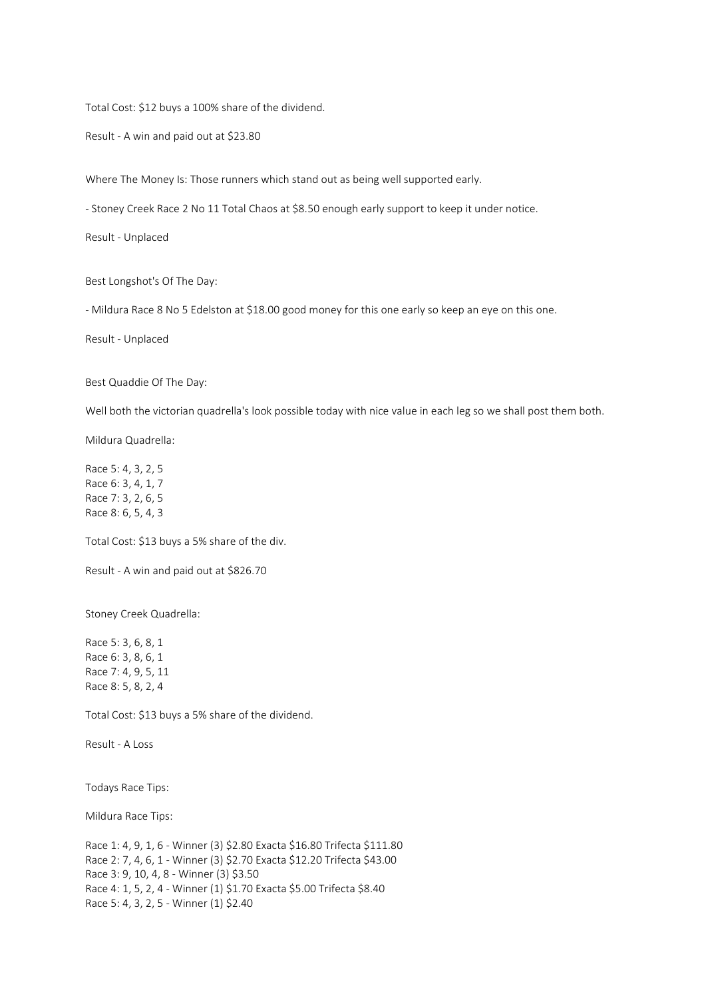Total Cost: \$12 buys a 100% share of the dividend.

Result - A win and paid out at \$23.80

Where The Money Is: Those runners which stand out as being well supported early.

- Stoney Creek Race 2 No 11 Total Chaos at \$8.50 enough early support to keep it under notice.

Result - Unplaced

Best Longshot's Of The Day:

- Mildura Race 8 No 5 Edelston at \$18.00 good money for this one early so keep an eye on this one.

Result - Unplaced

Best Quaddie Of The Day:

Well both the victorian quadrella's look possible today with nice value in each leg so we shall post them both.

Mildura Quadrella:

Race 5: 4, 3, 2, 5 Race 6: 3, 4, 1, 7 Race 7: 3, 2, 6, 5 Race 8: 6, 5, 4, 3

Total Cost: \$13 buys a 5% share of the div.

Result - A win and paid out at \$826.70

Stoney Creek Quadrella:

Race 5: 3, 6, 8, 1 Race 6: 3, 8, 6, 1 Race 7: 4, 9, 5, 11 Race 8: 5, 8, 2, 4

Total Cost: \$13 buys a 5% share of the dividend.

Result - A Loss

Todays Race Tips:

Mildura Race Tips:

Race 1: 4, 9, 1, 6 - Winner (3) \$2.80 Exacta \$16.80 Trifecta \$111.80 Race 2: 7, 4, 6, 1 - Winner (3) \$2.70 Exacta \$12.20 Trifecta \$43.00 Race 3: 9, 10, 4, 8 - Winner (3) \$3.50 Race 4: 1, 5, 2, 4 - Winner (1) \$1.70 Exacta \$5.00 Trifecta \$8.40 Race 5: 4, 3, 2, 5 - Winner (1) \$2.40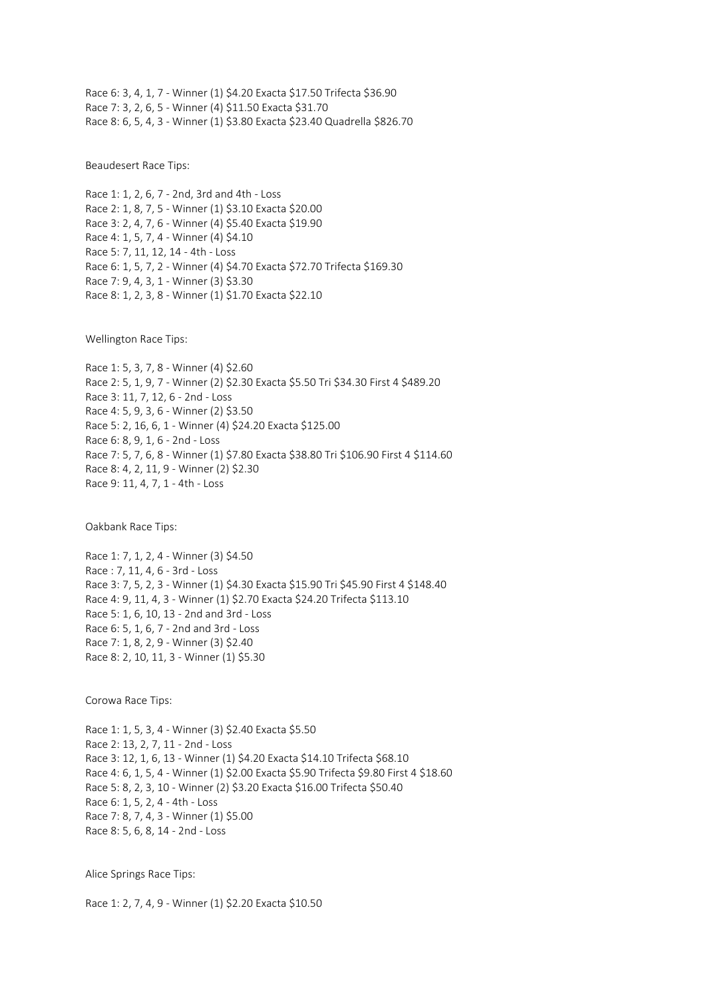Race 6: 3, 4, 1, 7 - Winner (1) \$4.20 Exacta \$17.50 Trifecta \$36.90 Race 7: 3, 2, 6, 5 - Winner (4) \$11.50 Exacta \$31.70 Race 8: 6, 5, 4, 3 - Winner (1) \$3.80 Exacta \$23.40 Quadrella \$826.70

Beaudesert Race Tips:

Race 1: 1, 2, 6, 7 - 2nd, 3rd and 4th - Loss Race 2: 1, 8, 7, 5 - Winner (1) \$3.10 Exacta \$20.00 Race 3: 2, 4, 7, 6 - Winner (4) \$5.40 Exacta \$19.90 Race 4: 1, 5, 7, 4 - Winner (4) \$4.10 Race 5: 7, 11, 12, 14 - 4th - Loss Race 6: 1, 5, 7, 2 - Winner (4) \$4.70 Exacta \$72.70 Trifecta \$169.30 Race 7: 9, 4, 3, 1 - Winner (3) \$3.30 Race 8: 1, 2, 3, 8 - Winner (1) \$1.70 Exacta \$22.10

Wellington Race Tips:

Race 1: 5, 3, 7, 8 - Winner (4) \$2.60 Race 2: 5, 1, 9, 7 - Winner (2) \$2.30 Exacta \$5.50 Tri \$34.30 First 4 \$489.20 Race 3: 11, 7, 12, 6 - 2nd - Loss Race 4: 5, 9, 3, 6 - Winner (2) \$3.50 Race 5: 2, 16, 6, 1 - Winner (4) \$24.20 Exacta \$125.00 Race 6: 8, 9, 1, 6 - 2nd - Loss Race 7: 5, 7, 6, 8 - Winner (1) \$7.80 Exacta \$38.80 Tri \$106.90 First 4 \$114.60 Race 8: 4, 2, 11, 9 - Winner (2) \$2.30 Race 9: 11, 4, 7, 1 - 4th - Loss

Oakbank Race Tips:

Race 1: 7, 1, 2, 4 - Winner (3) \$4.50 Race : 7, 11, 4, 6 - 3rd - Loss Race 3: 7, 5, 2, 3 - Winner (1) \$4.30 Exacta \$15.90 Tri \$45.90 First 4 \$148.40 Race 4: 9, 11, 4, 3 - Winner (1) \$2.70 Exacta \$24.20 Trifecta \$113.10 Race 5: 1, 6, 10, 13 - 2nd and 3rd - Loss Race 6: 5, 1, 6, 7 - 2nd and 3rd - Loss Race 7: 1, 8, 2, 9 - Winner (3) \$2.40 Race 8: 2, 10, 11, 3 - Winner (1) \$5.30

Corowa Race Tips:

Race 1: 1, 5, 3, 4 - Winner (3) \$2.40 Exacta \$5.50 Race 2: 13, 2, 7, 11 - 2nd - Loss Race 3: 12, 1, 6, 13 - Winner (1) \$4.20 Exacta \$14.10 Trifecta \$68.10 Race 4: 6, 1, 5, 4 - Winner (1) \$2.00 Exacta \$5.90 Trifecta \$9.80 First 4 \$18.60 Race 5: 8, 2, 3, 10 - Winner (2) \$3.20 Exacta \$16.00 Trifecta \$50.40 Race 6: 1, 5, 2, 4 - 4th - Loss Race 7: 8, 7, 4, 3 - Winner (1) \$5.00 Race 8: 5, 6, 8, 14 - 2nd - Loss

Alice Springs Race Tips:

Race 1: 2, 7, 4, 9 - Winner (1) \$2.20 Exacta \$10.50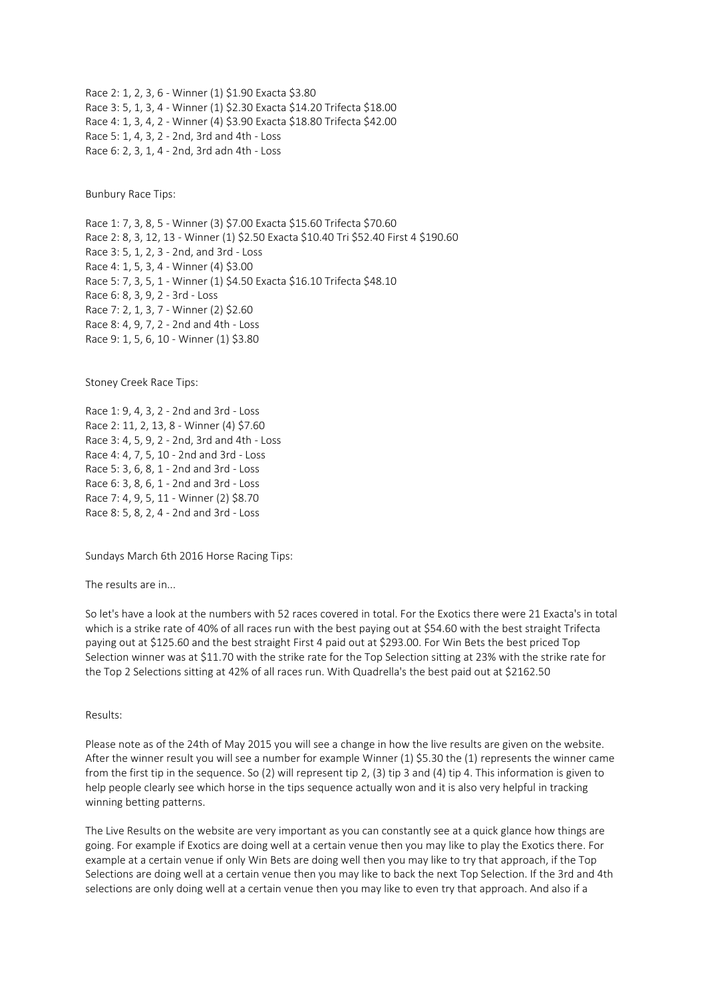Race 2: 1, 2, 3, 6 - Winner (1) \$1.90 Exacta \$3.80 Race 3: 5, 1, 3, 4 - Winner (1) \$2.30 Exacta \$14.20 Trifecta \$18.00 Race 4: 1, 3, 4, 2 - Winner (4) \$3.90 Exacta \$18.80 Trifecta \$42.00 Race 5: 1, 4, 3, 2 - 2nd, 3rd and 4th - Loss Race 6: 2, 3, 1, 4 - 2nd, 3rd adn 4th - Loss

Bunbury Race Tips:

Race 1: 7, 3, 8, 5 - Winner (3) \$7.00 Exacta \$15.60 Trifecta \$70.60 Race 2: 8, 3, 12, 13 - Winner (1) \$2.50 Exacta \$10.40 Tri \$52.40 First 4 \$190.60 Race 3: 5, 1, 2, 3 - 2nd, and 3rd - Loss Race 4: 1, 5, 3, 4 - Winner (4) \$3.00 Race 5: 7, 3, 5, 1 - Winner (1) \$4.50 Exacta \$16.10 Trifecta \$48.10 Race 6: 8, 3, 9, 2 - 3rd - Loss Race 7: 2, 1, 3, 7 - Winner (2) \$2.60 Race 8: 4, 9, 7, 2 - 2nd and 4th - Loss Race 9: 1, 5, 6, 10 - Winner (1) \$3.80

Stoney Creek Race Tips:

Race 1: 9, 4, 3, 2 - 2nd and 3rd - Loss Race 2: 11, 2, 13, 8 - Winner (4) \$7.60 Race 3: 4, 5, 9, 2 - 2nd, 3rd and 4th - Loss Race 4: 4, 7, 5, 10 - 2nd and 3rd - Loss Race 5: 3, 6, 8, 1 - 2nd and 3rd - Loss Race 6: 3, 8, 6, 1 - 2nd and 3rd - Loss Race 7: 4, 9, 5, 11 - Winner (2) \$8.70 Race 8: 5, 8, 2, 4 - 2nd and 3rd - Loss

Sundays March 6th 2016 Horse Racing Tips:

The results are in...

So let's have a look at the numbers with 52 races covered in total. For the Exotics there were 21 Exacta's in total which is a strike rate of 40% of all races run with the best paying out at \$54.60 with the best straight Trifecta paying out at \$125.60 and the best straight First 4 paid out at \$293.00. For Win Bets the best priced Top Selection winner was at \$11.70 with the strike rate for the Top Selection sitting at 23% with the strike rate for the Top 2 Selections sitting at 42% of all races run. With Quadrella's the best paid out at \$2162.50

Results:

Please note as of the 24th of May 2015 you will see a change in how the live results are given on the website. After the winner result you will see a number for example Winner (1) \$5.30 the (1) represents the winner came from the first tip in the sequence. So (2) will represent tip 2, (3) tip 3 and (4) tip 4. This information is given to help people clearly see which horse in the tips sequence actually won and it is also very helpful in tracking winning betting patterns.

The Live Results on the website are very important as you can constantly see at a quick glance how things are going. For example if Exotics are doing well at a certain venue then you may like to play the Exotics there. For example at a certain venue if only Win Bets are doing well then you may like to try that approach, if the Top Selections are doing well at a certain venue then you may like to back the next Top Selection. If the 3rd and 4th selections are only doing well at a certain venue then you may like to even try that approach. And also if a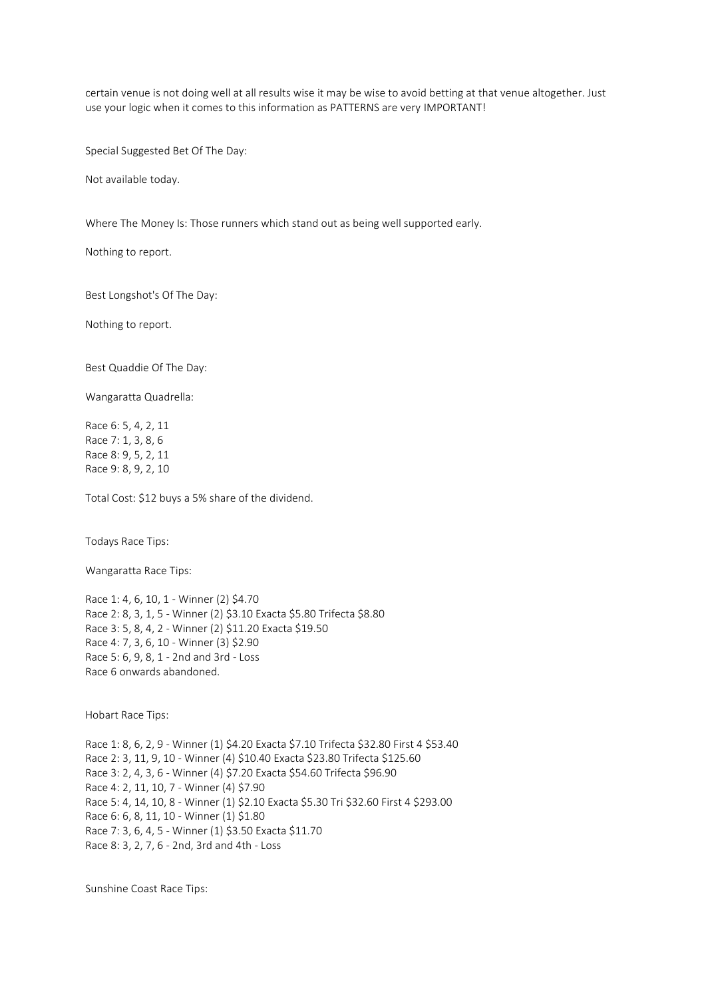certain venue is not doing well at all results wise it may be wise to avoid betting at that venue altogether. Just use your logic when it comes to this information as PATTERNS are very IMPORTANT!

Special Suggested Bet Of The Day:

Not available today.

Where The Money Is: Those runners which stand out as being well supported early.

Nothing to report.

Best Longshot's Of The Day:

Nothing to report.

Best Quaddie Of The Day:

Wangaratta Quadrella:

Race 6: 5, 4, 2, 11 Race 7: 1, 3, 8, 6 Race 8: 9, 5, 2, 11 Race 9: 8, 9, 2, 10

Total Cost: \$12 buys a 5% share of the dividend.

Todays Race Tips:

Wangaratta Race Tips:

Race 1: 4, 6, 10, 1 - Winner (2) \$4.70 Race 2: 8, 3, 1, 5 - Winner (2) \$3.10 Exacta \$5.80 Trifecta \$8.80 Race 3: 5, 8, 4, 2 - Winner (2) \$11.20 Exacta \$19.50 Race 4: 7, 3, 6, 10 - Winner (3) \$2.90 Race 5: 6, 9, 8, 1 - 2nd and 3rd - Loss Race 6 onwards abandoned.

Hobart Race Tips:

Race 1: 8, 6, 2, 9 - Winner (1) \$4.20 Exacta \$7.10 Trifecta \$32.80 First 4 \$53.40 Race 2: 3, 11, 9, 10 - Winner (4) \$10.40 Exacta \$23.80 Trifecta \$125.60 Race 3: 2, 4, 3, 6 - Winner (4) \$7.20 Exacta \$54.60 Trifecta \$96.90 Race 4: 2, 11, 10, 7 - Winner (4) \$7.90 Race 5: 4, 14, 10, 8 - Winner (1) \$2.10 Exacta \$5.30 Tri \$32.60 First 4 \$293.00 Race 6: 6, 8, 11, 10 - Winner (1) \$1.80 Race 7: 3, 6, 4, 5 - Winner (1) \$3.50 Exacta \$11.70 Race 8: 3, 2, 7, 6 - 2nd, 3rd and 4th - Loss

Sunshine Coast Race Tips: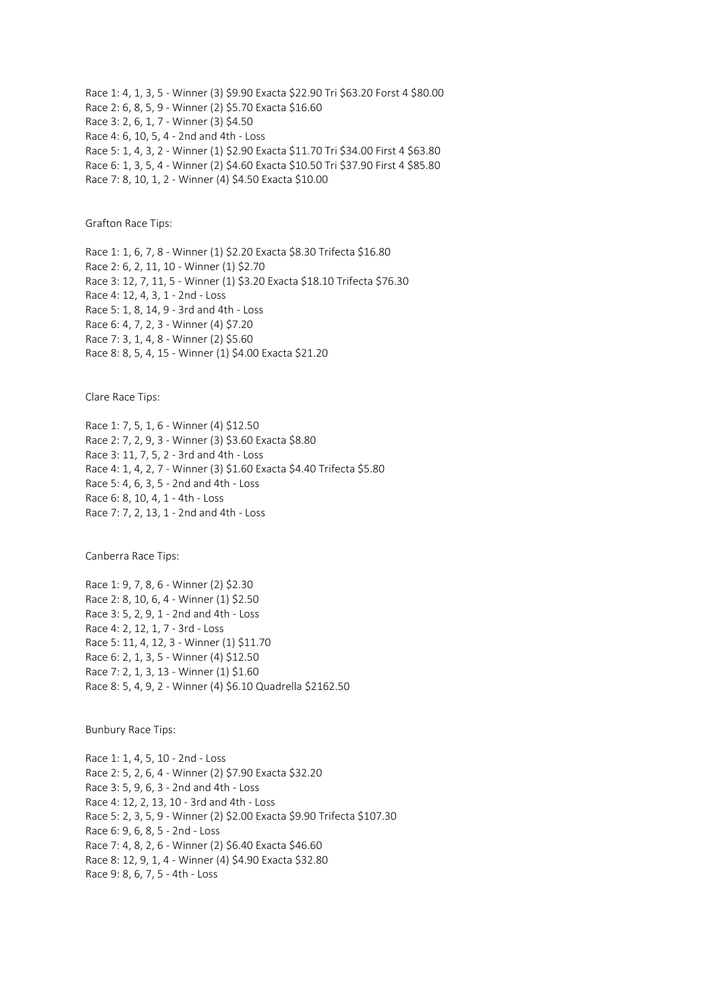Race 1: 4, 1, 3, 5 - Winner (3) \$9.90 Exacta \$22.90 Tri \$63.20 Forst 4 \$80.00 Race 2: 6, 8, 5, 9 - Winner (2) \$5.70 Exacta \$16.60 Race 3: 2, 6, 1, 7 - Winner (3) \$4.50 Race 4: 6, 10, 5, 4 - 2nd and 4th - Loss Race 5: 1, 4, 3, 2 - Winner (1) \$2.90 Exacta \$11.70 Tri \$34.00 First 4 \$63.80 Race 6: 1, 3, 5, 4 - Winner (2) \$4.60 Exacta \$10.50 Tri \$37.90 First 4 \$85.80 Race 7: 8, 10, 1, 2 - Winner (4) \$4.50 Exacta \$10.00

Grafton Race Tips:

Race 1: 1, 6, 7, 8 - Winner (1) \$2.20 Exacta \$8.30 Trifecta \$16.80 Race 2: 6, 2, 11, 10 - Winner (1) \$2.70 Race 3: 12, 7, 11, 5 - Winner (1) \$3.20 Exacta \$18.10 Trifecta \$76.30 Race 4: 12, 4, 3, 1 - 2nd - Loss Race 5: 1, 8, 14, 9 - 3rd and 4th - Loss Race 6: 4, 7, 2, 3 - Winner (4) \$7.20 Race 7: 3, 1, 4, 8 - Winner (2) \$5.60 Race 8: 8, 5, 4, 15 - Winner (1) \$4.00 Exacta \$21.20

Clare Race Tips:

Race 1: 7, 5, 1, 6 - Winner (4) \$12.50 Race 2: 7, 2, 9, 3 - Winner (3) \$3.60 Exacta \$8.80 Race 3: 11, 7, 5, 2 - 3rd and 4th - Loss Race 4: 1, 4, 2, 7 - Winner (3) \$1.60 Exacta \$4.40 Trifecta \$5.80 Race 5: 4, 6, 3, 5 - 2nd and 4th - Loss Race 6: 8, 10, 4, 1 - 4th - Loss Race 7: 7, 2, 13, 1 - 2nd and 4th - Loss

Canberra Race Tips:

Race 1: 9, 7, 8, 6 - Winner (2) \$2.30 Race 2: 8, 10, 6, 4 - Winner (1) \$2.50 Race 3: 5, 2, 9, 1 - 2nd and 4th - Loss Race 4: 2, 12, 1, 7 - 3rd - Loss Race 5: 11, 4, 12, 3 - Winner (1) \$11.70 Race 6: 2, 1, 3, 5 - Winner (4) \$12.50 Race 7: 2, 1, 3, 13 - Winner (1) \$1.60 Race 8: 5, 4, 9, 2 - Winner (4) \$6.10 Quadrella \$2162.50

Bunbury Race Tips:

Race 1: 1, 4, 5, 10 - 2nd - Loss Race 2: 5, 2, 6, 4 - Winner (2) \$7.90 Exacta \$32.20 Race 3: 5, 9, 6, 3 - 2nd and 4th - Loss Race 4: 12, 2, 13, 10 - 3rd and 4th - Loss Race 5: 2, 3, 5, 9 - Winner (2) \$2.00 Exacta \$9.90 Trifecta \$107.30 Race 6: 9, 6, 8, 5 - 2nd - Loss Race 7: 4, 8, 2, 6 - Winner (2) \$6.40 Exacta \$46.60 Race 8: 12, 9, 1, 4 - Winner (4) \$4.90 Exacta \$32.80 Race 9: 8, 6, 7, 5 - 4th - Loss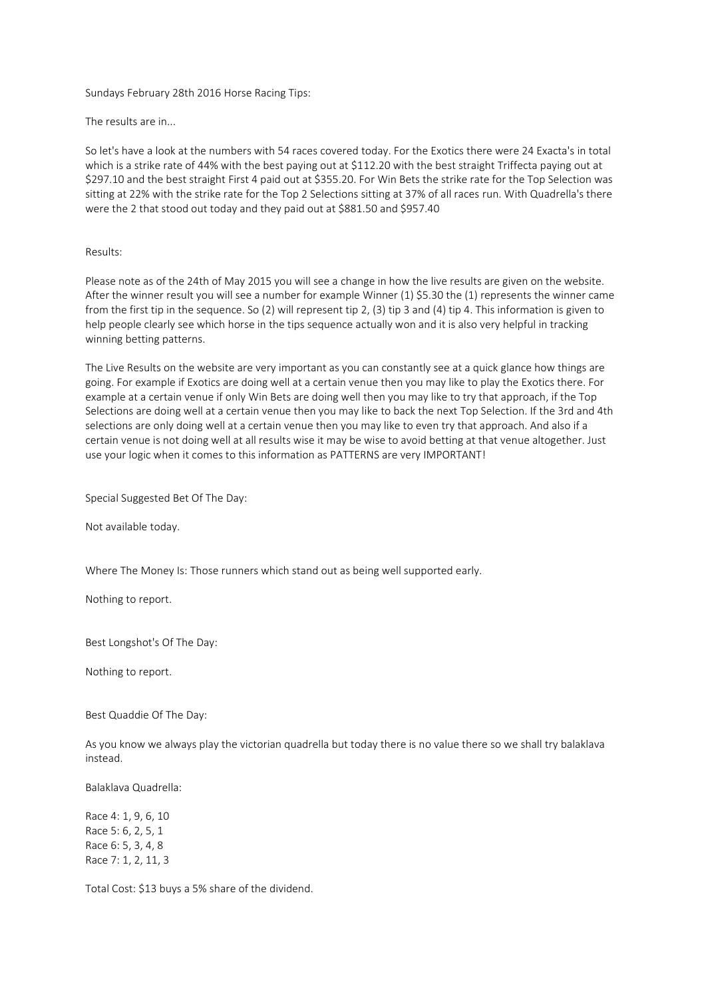Sundays February 28th 2016 Horse Racing Tips:

The results are in...

So let's have a look at the numbers with 54 races covered today. For the Exotics there were 24 Exacta's in total which is a strike rate of 44% with the best paying out at \$112.20 with the best straight Triffecta paying out at \$297.10 and the best straight First 4 paid out at \$355.20. For Win Bets the strike rate for the Top Selection was sitting at 22% with the strike rate for the Top 2 Selections sitting at 37% of all races run. With Quadrella's there were the 2 that stood out today and they paid out at \$881.50 and \$957.40

## Results:

Please note as of the 24th of May 2015 you will see a change in how the live results are given on the website. After the winner result you will see a number for example Winner (1) \$5.30 the (1) represents the winner came from the first tip in the sequence. So (2) will represent tip 2, (3) tip 3 and (4) tip 4. This information is given to help people clearly see which horse in the tips sequence actually won and it is also very helpful in tracking winning betting patterns.

The Live Results on the website are very important as you can constantly see at a quick glance how things are going. For example if Exotics are doing well at a certain venue then you may like to play the Exotics there. For example at a certain venue if only Win Bets are doing well then you may like to try that approach, if the Top Selections are doing well at a certain venue then you may like to back the next Top Selection. If the 3rd and 4th selections are only doing well at a certain venue then you may like to even try that approach. And also if a certain venue is not doing well at all results wise it may be wise to avoid betting at that venue altogether. Just use your logic when it comes to this information as PATTERNS are very IMPORTANT!

Special Suggested Bet Of The Day:

Not available today.

Where The Money Is: Those runners which stand out as being well supported early.

Nothing to report.

Best Longshot's Of The Day:

Nothing to report.

Best Quaddie Of The Day:

As you know we always play the victorian quadrella but today there is no value there so we shall try balaklava instead.

Balaklava Quadrella:

Race 4: 1, 9, 6, 10 Race 5: 6, 2, 5, 1 Race 6: 5, 3, 4, 8 Race 7: 1, 2, 11, 3

Total Cost: \$13 buys a 5% share of the dividend.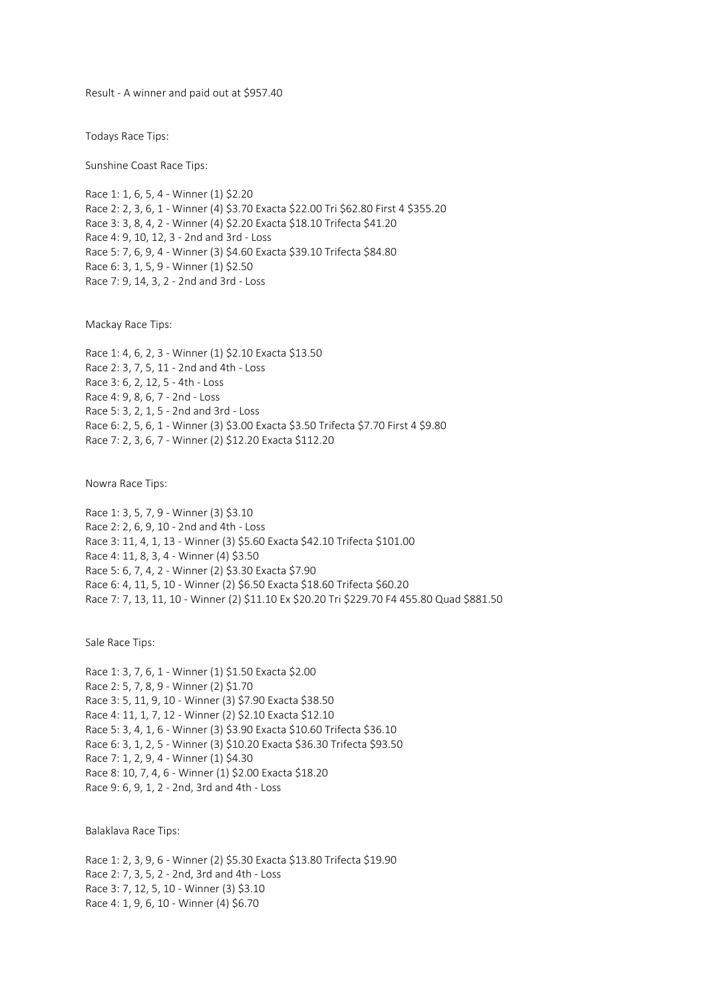Result - A winner and paid out at \$957.40

Todays Race Tips:

Sunshine Coast Race Tips:

Race 1: 1, 6, 5, 4 - Winner (1) \$2.20 Race 2: 2, 3, 6, 1 - Winner (4) \$3.70 Exacta \$22.00 Tri \$62.80 First 4 \$355.20 Race 3: 3, 8, 4, 2 - Winner (4) \$2.20 Exacta \$18.10 Trifecta \$41.20 Race 4: 9, 10, 12, 3 - 2nd and 3rd - Loss Race 5: 7, 6, 9, 4 - Winner (3) \$4.60 Exacta \$39.10 Trifecta \$84.80 Race 6: 3, 1, 5, 9 - Winner (1) \$2.50 Race 7: 9, 14, 3, 2 - 2nd and 3rd - Loss

Mackay Race Tips:

Race 1: 4, 6, 2, 3 - Winner (1) \$2.10 Exacta \$13.50 Race 2: 3, 7, 5, 11 - 2nd and 4th - Loss Race 3: 6, 2, 12, 5 - 4th - Loss Race 4: 9, 8, 6, 7 - 2nd - Loss Race 5: 3, 2, 1, 5 - 2nd and 3rd - Loss Race 6: 2, 5, 6, 1 - Winner (3) \$3.00 Exacta \$3.50 Trifecta \$7.70 First 4 \$9.80 Race 7: 2, 3, 6, 7 - Winner (2) \$12.20 Exacta \$112.20

Nowra Race Tips:

Race 1: 3, 5, 7, 9 - Winner (3) \$3.10 Race 2: 2, 6, 9, 10 - 2nd and 4th - Loss Race 3: 11, 4, 1, 13 - Winner (3) \$5.60 Exacta \$42.10 Trifecta \$101.00 Race 4: 11, 8, 3, 4 - Winner (4) \$3.50 Race 5: 6, 7, 4, 2 - Winner (2) \$3.30 Exacta \$7.90 Race 6: 4, 11, 5, 10 - Winner (2) \$6.50 Exacta \$18.60 Trifecta \$60.20 Race 7: 7, 13, 11, 10 - Winner (2) \$11.10 Ex \$20.20 Tri \$229.70 F4 455.80 Quad \$881.50

Sale Race Tips:

Race 1: 3, 7, 6, 1 - Winner (1) \$1.50 Exacta \$2.00 Race 2: 5, 7, 8, 9 - Winner (2) \$1.70 Race 3: 5, 11, 9, 10 - Winner (3) \$7.90 Exacta \$38.50 Race 4: 11, 1, 7, 12 - Winner (2) \$2.10 Exacta \$12.10 Race 5: 3, 4, 1, 6 - Winner (3) \$3.90 Exacta \$10.60 Trifecta \$36.10 Race 6: 3, 1, 2, 5 - Winner (3) \$10.20 Exacta \$36.30 Trifecta \$93.50 Race 7: 1, 2, 9, 4 - Winner (1) \$4.30 Race 8: 10, 7, 4, 6 - Winner (1) \$2.00 Exacta \$18.20 Race 9: 6, 9, 1, 2 - 2nd, 3rd and 4th - Loss

Balaklava Race Tips:

Race 1: 2, 3, 9, 6 - Winner (2) \$5.30 Exacta \$13.80 Trifecta \$19.90 Race 2: 7, 3, 5, 2 - 2nd, 3rd and 4th - Loss Race 3: 7, 12, 5, 10 - Winner (3) \$3.10 Race 4: 1, 9, 6, 10 - Winner (4) \$6.70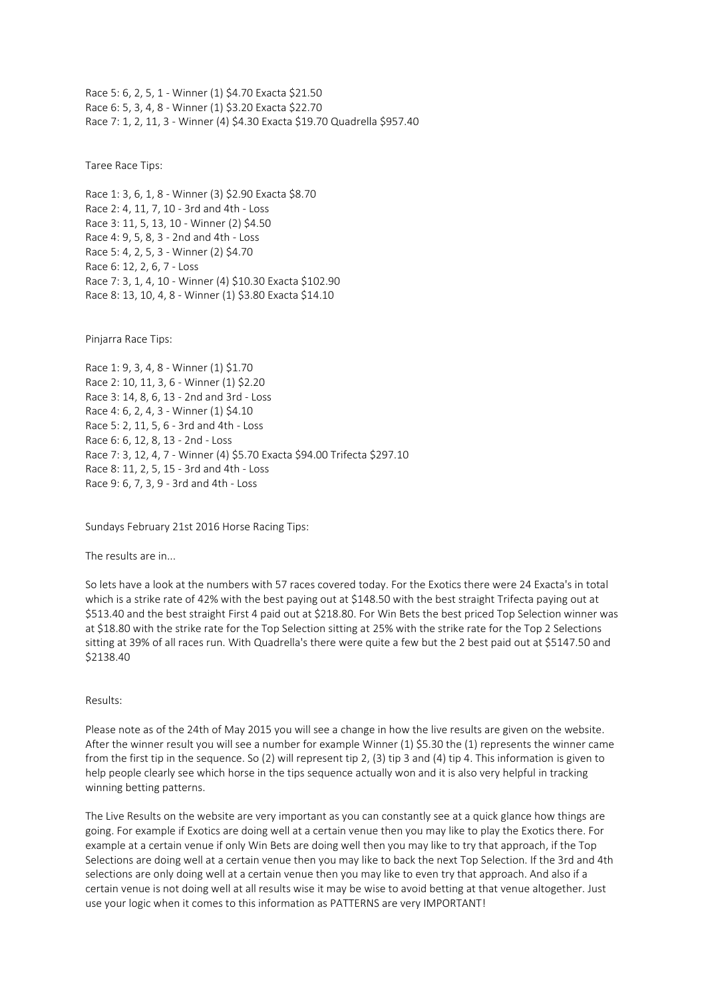Race 5: 6, 2, 5, 1 - Winner (1) \$4.70 Exacta \$21.50 Race 6: 5, 3, 4, 8 - Winner (1) \$3.20 Exacta \$22.70 Race 7: 1, 2, 11, 3 - Winner (4) \$4.30 Exacta \$19.70 Quadrella \$957.40

Taree Race Tips:

Race 1: 3, 6, 1, 8 - Winner (3) \$2.90 Exacta \$8.70 Race 2: 4, 11, 7, 10 - 3rd and 4th - Loss Race 3: 11, 5, 13, 10 - Winner (2) \$4.50 Race 4: 9, 5, 8, 3 - 2nd and 4th - Loss Race 5: 4, 2, 5, 3 - Winner (2) \$4.70 Race 6: 12, 2, 6, 7 - Loss Race 7: 3, 1, 4, 10 - Winner (4) \$10.30 Exacta \$102.90 Race 8: 13, 10, 4, 8 - Winner (1) \$3.80 Exacta \$14.10

Pinjarra Race Tips:

Race 1: 9, 3, 4, 8 - Winner (1) \$1.70 Race 2: 10, 11, 3, 6 - Winner (1) \$2.20 Race 3: 14, 8, 6, 13 - 2nd and 3rd - Loss Race 4: 6, 2, 4, 3 - Winner (1) \$4.10 Race 5: 2, 11, 5, 6 - 3rd and 4th - Loss Race 6: 6, 12, 8, 13 - 2nd - Loss Race 7: 3, 12, 4, 7 - Winner (4) \$5.70 Exacta \$94.00 Trifecta \$297.10 Race 8: 11, 2, 5, 15 - 3rd and 4th - Loss Race 9: 6, 7, 3, 9 - 3rd and 4th - Loss

Sundays February 21st 2016 Horse Racing Tips:

The results are in...

So lets have a look at the numbers with 57 races covered today. For the Exotics there were 24 Exacta's in total which is a strike rate of 42% with the best paying out at \$148.50 with the best straight Trifecta paying out at \$513.40 and the best straight First 4 paid out at \$218.80. For Win Bets the best priced Top Selection winner was at \$18.80 with the strike rate for the Top Selection sitting at 25% with the strike rate for the Top 2 Selections sitting at 39% of all races run. With Quadrella's there were quite a few but the 2 best paid out at \$5147.50 and \$2138.40

Results:

Please note as of the 24th of May 2015 you will see a change in how the live results are given on the website. After the winner result you will see a number for example Winner (1) \$5.30 the (1) represents the winner came from the first tip in the sequence. So (2) will represent tip 2, (3) tip 3 and (4) tip 4. This information is given to help people clearly see which horse in the tips sequence actually won and it is also very helpful in tracking winning betting patterns.

The Live Results on the website are very important as you can constantly see at a quick glance how things are going. For example if Exotics are doing well at a certain venue then you may like to play the Exotics there. For example at a certain venue if only Win Bets are doing well then you may like to try that approach, if the Top Selections are doing well at a certain venue then you may like to back the next Top Selection. If the 3rd and 4th selections are only doing well at a certain venue then you may like to even try that approach. And also if a certain venue is not doing well at all results wise it may be wise to avoid betting at that venue altogether. Just use your logic when it comes to this information as PATTERNS are very IMPORTANT!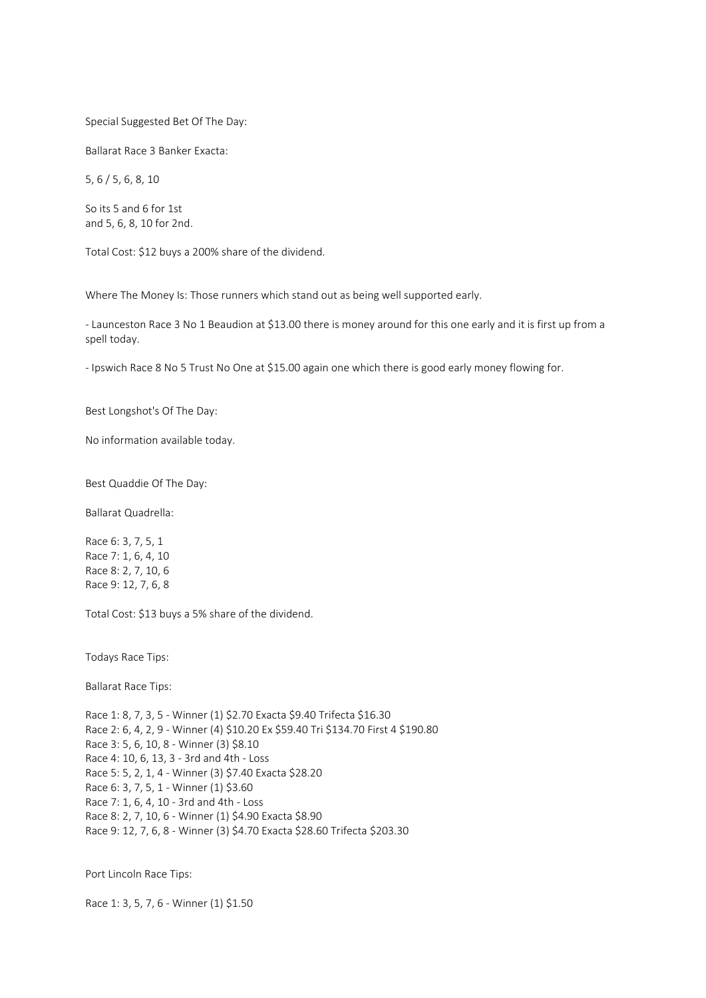#### Special Suggested Bet Of The Day:

Ballarat Race 3 Banker Exacta:

5, 6 / 5, 6, 8, 10

So its 5 and 6 for 1st and 5, 6, 8, 10 for 2nd.

Total Cost: \$12 buys a 200% share of the dividend.

Where The Money Is: Those runners which stand out as being well supported early.

- Launceston Race 3 No 1 Beaudion at \$13.00 there is money around for this one early and it is first up from a spell today.

- Ipswich Race 8 No 5 Trust No One at \$15.00 again one which there is good early money flowing for.

Best Longshot's Of The Day:

No information available today.

Best Quaddie Of The Day:

Ballarat Quadrella:

Race 6: 3, 7, 5, 1 Race 7: 1, 6, 4, 10 Race 8: 2, 7, 10, 6 Race 9: 12, 7, 6, 8

Total Cost: \$13 buys a 5% share of the dividend.

Todays Race Tips:

Ballarat Race Tips:

Race 1: 8, 7, 3, 5 - Winner (1) \$2.70 Exacta \$9.40 Trifecta \$16.30 Race 2: 6, 4, 2, 9 - Winner (4) \$10.20 Ex \$59.40 Tri \$134.70 First 4 \$190.80 Race 3: 5, 6, 10, 8 - Winner (3) \$8.10 Race 4: 10, 6, 13, 3 - 3rd and 4th - Loss Race 5: 5, 2, 1, 4 - Winner (3) \$7.40 Exacta \$28.20 Race 6: 3, 7, 5, 1 - Winner (1) \$3.60 Race 7: 1, 6, 4, 10 - 3rd and 4th - Loss Race 8: 2, 7, 10, 6 - Winner (1) \$4.90 Exacta \$8.90 Race 9: 12, 7, 6, 8 - Winner (3) \$4.70 Exacta \$28.60 Trifecta \$203.30

Port Lincoln Race Tips:

Race 1: 3, 5, 7, 6 - Winner (1) \$1.50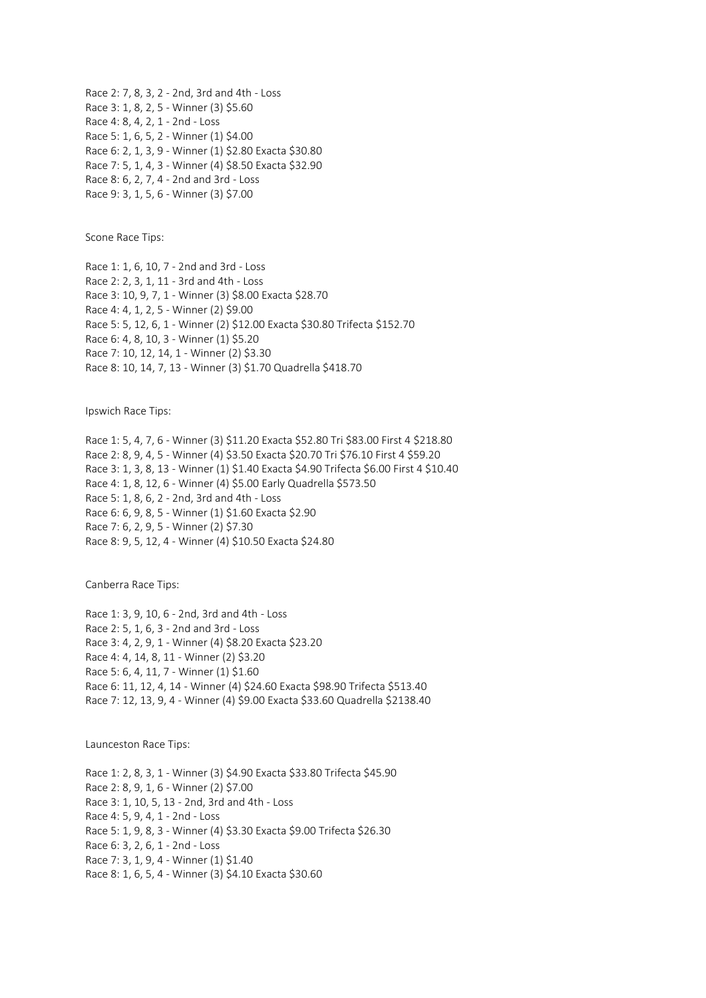Race 2: 7, 8, 3, 2 - 2nd, 3rd and 4th - Loss Race 3: 1, 8, 2, 5 - Winner (3) \$5.60 Race 4: 8, 4, 2, 1 - 2nd - Loss Race 5: 1, 6, 5, 2 - Winner (1) \$4.00 Race 6: 2, 1, 3, 9 - Winner (1) \$2.80 Exacta \$30.80 Race 7: 5, 1, 4, 3 - Winner (4) \$8.50 Exacta \$32.90 Race 8: 6, 2, 7, 4 - 2nd and 3rd - Loss Race 9: 3, 1, 5, 6 - Winner (3) \$7.00

Scone Race Tips:

Race 1: 1, 6, 10, 7 - 2nd and 3rd - Loss Race 2: 2, 3, 1, 11 - 3rd and 4th - Loss Race 3: 10, 9, 7, 1 - Winner (3) \$8.00 Exacta \$28.70 Race 4: 4, 1, 2, 5 - Winner (2) \$9.00 Race 5: 5, 12, 6, 1 - Winner (2) \$12.00 Exacta \$30.80 Trifecta \$152.70 Race 6: 4, 8, 10, 3 - Winner (1) \$5.20 Race 7: 10, 12, 14, 1 - Winner (2) \$3.30 Race 8: 10, 14, 7, 13 - Winner (3) \$1.70 Quadrella \$418.70

Ipswich Race Tips:

Race 1: 5, 4, 7, 6 - Winner (3) \$11.20 Exacta \$52.80 Tri \$83.00 First 4 \$218.80 Race 2: 8, 9, 4, 5 - Winner (4) \$3.50 Exacta \$20.70 Tri \$76.10 First 4 \$59.20 Race 3: 1, 3, 8, 13 - Winner (1) \$1.40 Exacta \$4.90 Trifecta \$6.00 First 4 \$10.40 Race 4: 1, 8, 12, 6 - Winner (4) \$5.00 Early Quadrella \$573.50 Race 5: 1, 8, 6, 2 - 2nd, 3rd and 4th - Loss Race 6: 6, 9, 8, 5 - Winner (1) \$1.60 Exacta \$2.90 Race 7: 6, 2, 9, 5 - Winner (2) \$7.30 Race 8: 9, 5, 12, 4 - Winner (4) \$10.50 Exacta \$24.80

Canberra Race Tips:

Race 1: 3, 9, 10, 6 - 2nd, 3rd and 4th - Loss Race 2: 5, 1, 6, 3 - 2nd and 3rd - Loss Race 3: 4, 2, 9, 1 - Winner (4) \$8.20 Exacta \$23.20 Race 4: 4, 14, 8, 11 - Winner (2) \$3.20 Race 5: 6, 4, 11, 7 - Winner (1) \$1.60 Race 6: 11, 12, 4, 14 - Winner (4) \$24.60 Exacta \$98.90 Trifecta \$513.40 Race 7: 12, 13, 9, 4 - Winner (4) \$9.00 Exacta \$33.60 Quadrella \$2138.40

Launceston Race Tips:

Race 1: 2, 8, 3, 1 - Winner (3) \$4.90 Exacta \$33.80 Trifecta \$45.90 Race 2: 8, 9, 1, 6 - Winner (2) \$7.00 Race 3: 1, 10, 5, 13 - 2nd, 3rd and 4th - Loss Race 4: 5, 9, 4, 1 - 2nd - Loss Race 5: 1, 9, 8, 3 - Winner (4) \$3.30 Exacta \$9.00 Trifecta \$26.30 Race 6: 3, 2, 6, 1 - 2nd - Loss Race 7: 3, 1, 9, 4 - Winner (1) \$1.40 Race 8: 1, 6, 5, 4 - Winner (3) \$4.10 Exacta \$30.60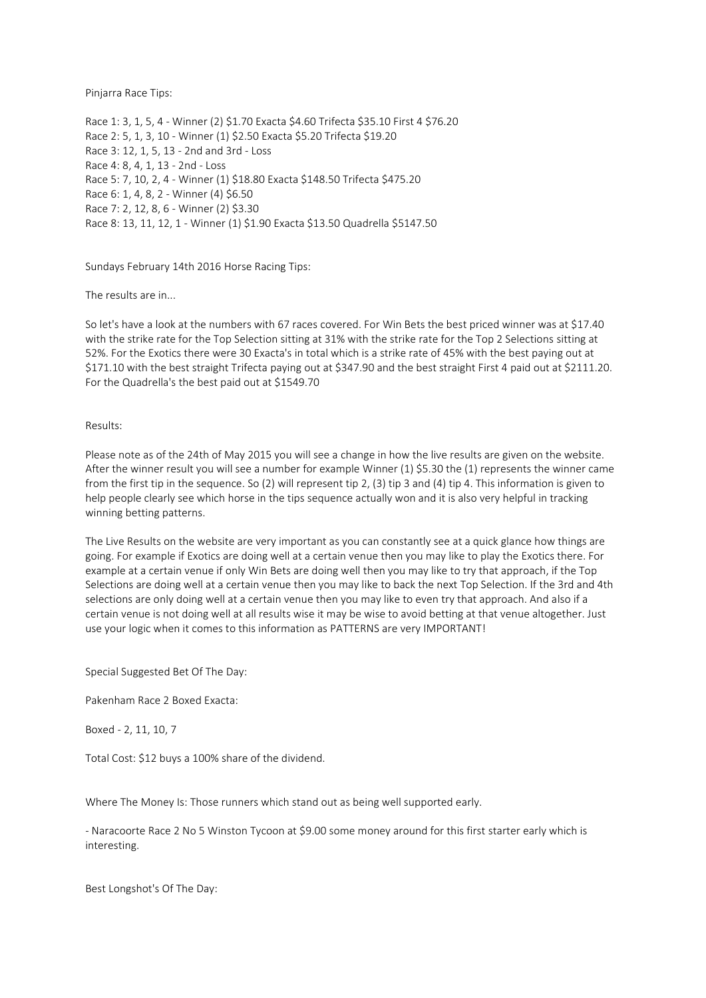Pinjarra Race Tips:

Race 1: 3, 1, 5, 4 - Winner (2) \$1.70 Exacta \$4.60 Trifecta \$35.10 First 4 \$76.20 Race 2: 5, 1, 3, 10 - Winner (1) \$2.50 Exacta \$5.20 Trifecta \$19.20 Race 3: 12, 1, 5, 13 - 2nd and 3rd - Loss Race 4: 8, 4, 1, 13 - 2nd - Loss Race 5: 7, 10, 2, 4 - Winner (1) \$18.80 Exacta \$148.50 Trifecta \$475.20 Race 6: 1, 4, 8, 2 - Winner (4) \$6.50 Race 7: 2, 12, 8, 6 - Winner (2) \$3.30 Race 8: 13, 11, 12, 1 - Winner (1) \$1.90 Exacta \$13.50 Quadrella \$5147.50

Sundays February 14th 2016 Horse Racing Tips:

The results are in...

So let's have a look at the numbers with 67 races covered. For Win Bets the best priced winner was at \$17.40 with the strike rate for the Top Selection sitting at 31% with the strike rate for the Top 2 Selections sitting at 52%. For the Exotics there were 30 Exacta's in total which is a strike rate of 45% with the best paying out at \$171.10 with the best straight Trifecta paying out at \$347.90 and the best straight First 4 paid out at \$2111.20. For the Quadrella's the best paid out at \$1549.70

Results:

Please note as of the 24th of May 2015 you will see a change in how the live results are given on the website. After the winner result you will see a number for example Winner (1) \$5.30 the (1) represents the winner came from the first tip in the sequence. So (2) will represent tip 2, (3) tip 3 and (4) tip 4. This information is given to help people clearly see which horse in the tips sequence actually won and it is also very helpful in tracking winning betting patterns.

The Live Results on the website are very important as you can constantly see at a quick glance how things are going. For example if Exotics are doing well at a certain venue then you may like to play the Exotics there. For example at a certain venue if only Win Bets are doing well then you may like to try that approach, if the Top Selections are doing well at a certain venue then you may like to back the next Top Selection. If the 3rd and 4th selections are only doing well at a certain venue then you may like to even try that approach. And also if a certain venue is not doing well at all results wise it may be wise to avoid betting at that venue altogether. Just use your logic when it comes to this information as PATTERNS are very IMPORTANT!

Special Suggested Bet Of The Day:

Pakenham Race 2 Boxed Exacta:

Boxed - 2, 11, 10, 7

Total Cost: \$12 buys a 100% share of the dividend.

Where The Money Is: Those runners which stand out as being well supported early.

- Naracoorte Race 2 No 5 Winston Tycoon at \$9.00 some money around for this first starter early which is interesting.

Best Longshot's Of The Day: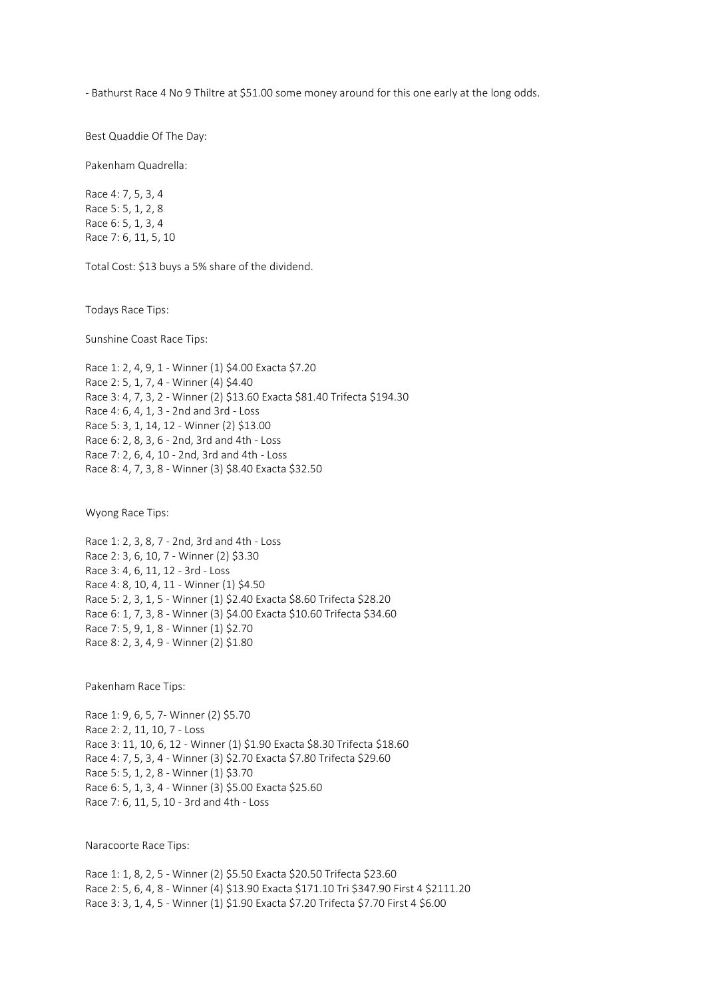- Bathurst Race 4 No 9 Thiltre at \$51.00 some money around for this one early at the long odds.

Best Quaddie Of The Day:

Pakenham Quadrella:

Race 4: 7, 5, 3, 4 Race 5: 5, 1, 2, 8 Race 6: 5, 1, 3, 4 Race 7: 6, 11, 5, 10

Total Cost: \$13 buys a 5% share of the dividend.

Todays Race Tips:

Sunshine Coast Race Tips:

Race 1: 2, 4, 9, 1 - Winner (1) \$4.00 Exacta \$7.20 Race 2: 5, 1, 7, 4 - Winner (4) \$4.40 Race 3: 4, 7, 3, 2 - Winner (2) \$13.60 Exacta \$81.40 Trifecta \$194.30 Race 4: 6, 4, 1, 3 - 2nd and 3rd - Loss Race 5: 3, 1, 14, 12 - Winner (2) \$13.00 Race 6: 2, 8, 3, 6 - 2nd, 3rd and 4th - Loss Race 7: 2, 6, 4, 10 - 2nd, 3rd and 4th - Loss Race 8: 4, 7, 3, 8 - Winner (3) \$8.40 Exacta \$32.50

Wyong Race Tips:

Race 1: 2, 3, 8, 7 - 2nd, 3rd and 4th - Loss Race 2: 3, 6, 10, 7 - Winner (2) \$3.30 Race 3: 4, 6, 11, 12 - 3rd - Loss Race 4: 8, 10, 4, 11 - Winner (1) \$4.50 Race 5: 2, 3, 1, 5 - Winner (1) \$2.40 Exacta \$8.60 Trifecta \$28.20 Race 6: 1, 7, 3, 8 - Winner (3) \$4.00 Exacta \$10.60 Trifecta \$34.60 Race 7: 5, 9, 1, 8 - Winner (1) \$2.70 Race 8: 2, 3, 4, 9 - Winner (2) \$1.80

Pakenham Race Tips:

Race 1: 9, 6, 5, 7- Winner (2) \$5.70 Race 2: 2, 11, 10, 7 - Loss Race 3: 11, 10, 6, 12 - Winner (1) \$1.90 Exacta \$8.30 Trifecta \$18.60 Race 4: 7, 5, 3, 4 - Winner (3) \$2.70 Exacta \$7.80 Trifecta \$29.60 Race 5: 5, 1, 2, 8 - Winner (1) \$3.70 Race 6: 5, 1, 3, 4 - Winner (3) \$5.00 Exacta \$25.60 Race 7: 6, 11, 5, 10 - 3rd and 4th - Loss

Naracoorte Race Tips:

Race 1: 1, 8, 2, 5 - Winner (2) \$5.50 Exacta \$20.50 Trifecta \$23.60 Race 2: 5, 6, 4, 8 - Winner (4) \$13.90 Exacta \$171.10 Tri \$347.90 First 4 \$2111.20 Race 3: 3, 1, 4, 5 - Winner (1) \$1.90 Exacta \$7.20 Trifecta \$7.70 First 4 \$6.00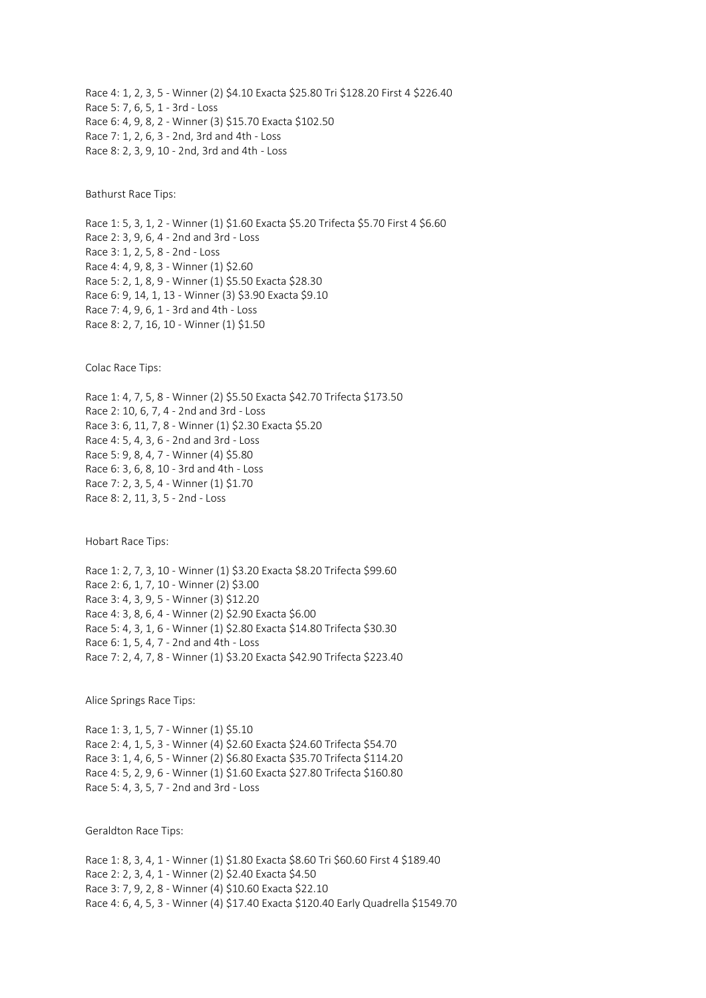Race 4: 1, 2, 3, 5 - Winner (2) \$4.10 Exacta \$25.80 Tri \$128.20 First 4 \$226.40 Race 5: 7, 6, 5, 1 - 3rd - Loss Race 6: 4, 9, 8, 2 - Winner (3) \$15.70 Exacta \$102.50 Race 7: 1, 2, 6, 3 - 2nd, 3rd and 4th - Loss Race 8: 2, 3, 9, 10 - 2nd, 3rd and 4th - Loss

Bathurst Race Tips:

Race 1: 5, 3, 1, 2 - Winner (1) \$1.60 Exacta \$5.20 Trifecta \$5.70 First 4 \$6.60 Race 2: 3, 9, 6, 4 - 2nd and 3rd - Loss Race 3: 1, 2, 5, 8 - 2nd - Loss Race 4: 4, 9, 8, 3 - Winner (1) \$2.60 Race 5: 2, 1, 8, 9 - Winner (1) \$5.50 Exacta \$28.30 Race 6: 9, 14, 1, 13 - Winner (3) \$3.90 Exacta \$9.10 Race 7: 4, 9, 6, 1 - 3rd and 4th - Loss Race 8: 2, 7, 16, 10 - Winner (1) \$1.50

Colac Race Tips:

Race 1: 4, 7, 5, 8 - Winner (2) \$5.50 Exacta \$42.70 Trifecta \$173.50 Race 2: 10, 6, 7, 4 - 2nd and 3rd - Loss Race 3: 6, 11, 7, 8 - Winner (1) \$2.30 Exacta \$5.20 Race 4: 5, 4, 3, 6 - 2nd and 3rd - Loss Race 5: 9, 8, 4, 7 - Winner (4) \$5.80 Race 6: 3, 6, 8, 10 - 3rd and 4th - Loss Race 7: 2, 3, 5, 4 - Winner (1) \$1.70 Race 8: 2, 11, 3, 5 - 2nd - Loss

Hobart Race Tips:

Race 1: 2, 7, 3, 10 - Winner (1) \$3.20 Exacta \$8.20 Trifecta \$99.60 Race 2: 6, 1, 7, 10 - Winner (2) \$3.00 Race 3: 4, 3, 9, 5 - Winner (3) \$12.20 Race 4: 3, 8, 6, 4 - Winner (2) \$2.90 Exacta \$6.00 Race 5: 4, 3, 1, 6 - Winner (1) \$2.80 Exacta \$14.80 Trifecta \$30.30 Race 6: 1, 5, 4, 7 - 2nd and 4th - Loss Race 7: 2, 4, 7, 8 - Winner (1) \$3.20 Exacta \$42.90 Trifecta \$223.40

Alice Springs Race Tips:

Race 1: 3, 1, 5, 7 - Winner (1) \$5.10 Race 2: 4, 1, 5, 3 - Winner (4) \$2.60 Exacta \$24.60 Trifecta \$54.70 Race 3: 1, 4, 6, 5 - Winner (2) \$6.80 Exacta \$35.70 Trifecta \$114.20 Race 4: 5, 2, 9, 6 - Winner (1) \$1.60 Exacta \$27.80 Trifecta \$160.80 Race 5: 4, 3, 5, 7 - 2nd and 3rd - Loss

Geraldton Race Tips:

Race 1: 8, 3, 4, 1 - Winner (1) \$1.80 Exacta \$8.60 Tri \$60.60 First 4 \$189.40 Race 2: 2, 3, 4, 1 - Winner (2) \$2.40 Exacta \$4.50 Race 3: 7, 9, 2, 8 - Winner (4) \$10.60 Exacta \$22.10 Race 4: 6, 4, 5, 3 - Winner (4) \$17.40 Exacta \$120.40 Early Quadrella \$1549.70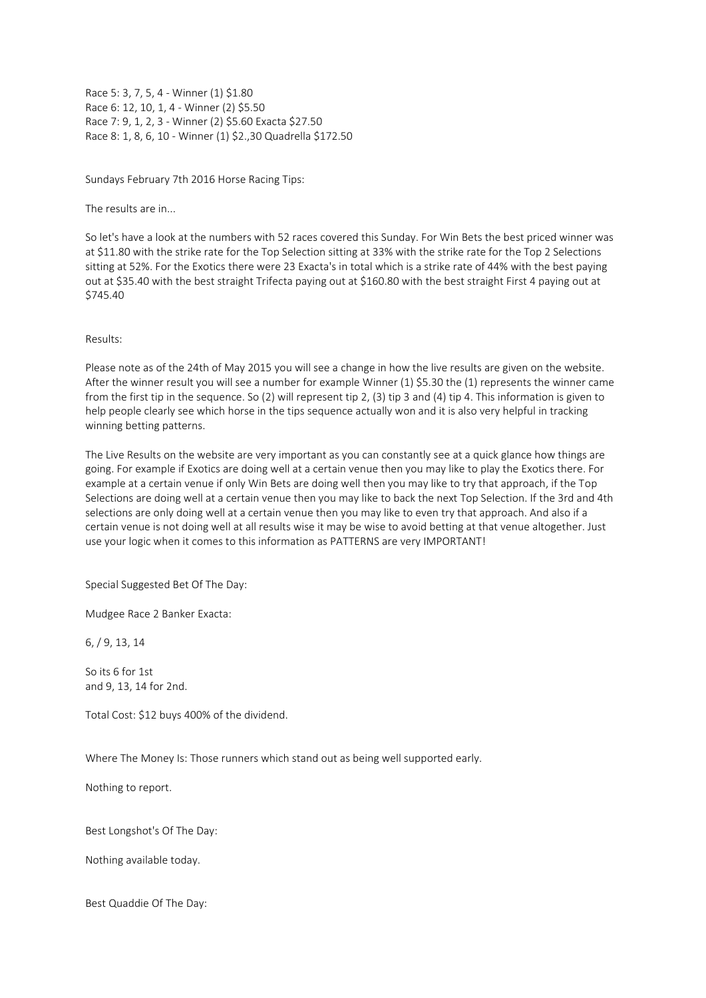Race 5: 3, 7, 5, 4 - Winner (1) \$1.80 Race 6: 12, 10, 1, 4 - Winner (2) \$5.50 Race 7: 9, 1, 2, 3 - Winner (2) \$5.60 Exacta \$27.50 Race 8: 1, 8, 6, 10 - Winner (1) \$2.,30 Quadrella \$172.50

Sundays February 7th 2016 Horse Racing Tips:

The results are in...

So let's have a look at the numbers with 52 races covered this Sunday. For Win Bets the best priced winner was at \$11.80 with the strike rate for the Top Selection sitting at 33% with the strike rate for the Top 2 Selections sitting at 52%. For the Exotics there were 23 Exacta's in total which is a strike rate of 44% with the best paying out at \$35.40 with the best straight Trifecta paying out at \$160.80 with the best straight First 4 paying out at \$745.40

Results:

Please note as of the 24th of May 2015 you will see a change in how the live results are given on the website. After the winner result you will see a number for example Winner (1) \$5.30 the (1) represents the winner came from the first tip in the sequence. So (2) will represent tip 2, (3) tip 3 and (4) tip 4. This information is given to help people clearly see which horse in the tips sequence actually won and it is also very helpful in tracking winning betting patterns.

The Live Results on the website are very important as you can constantly see at a quick glance how things are going. For example if Exotics are doing well at a certain venue then you may like to play the Exotics there. For example at a certain venue if only Win Bets are doing well then you may like to try that approach, if the Top Selections are doing well at a certain venue then you may like to back the next Top Selection. If the 3rd and 4th selections are only doing well at a certain venue then you may like to even try that approach. And also if a certain venue is not doing well at all results wise it may be wise to avoid betting at that venue altogether. Just use your logic when it comes to this information as PATTERNS are very IMPORTANT!

Special Suggested Bet Of The Day:

Mudgee Race 2 Banker Exacta:

6, / 9, 13, 14

So its 6 for 1st and 9, 13, 14 for 2nd.

Total Cost: \$12 buys 400% of the dividend.

Where The Money Is: Those runners which stand out as being well supported early.

Nothing to report.

Best Longshot's Of The Day:

Nothing available today.

Best Quaddie Of The Day: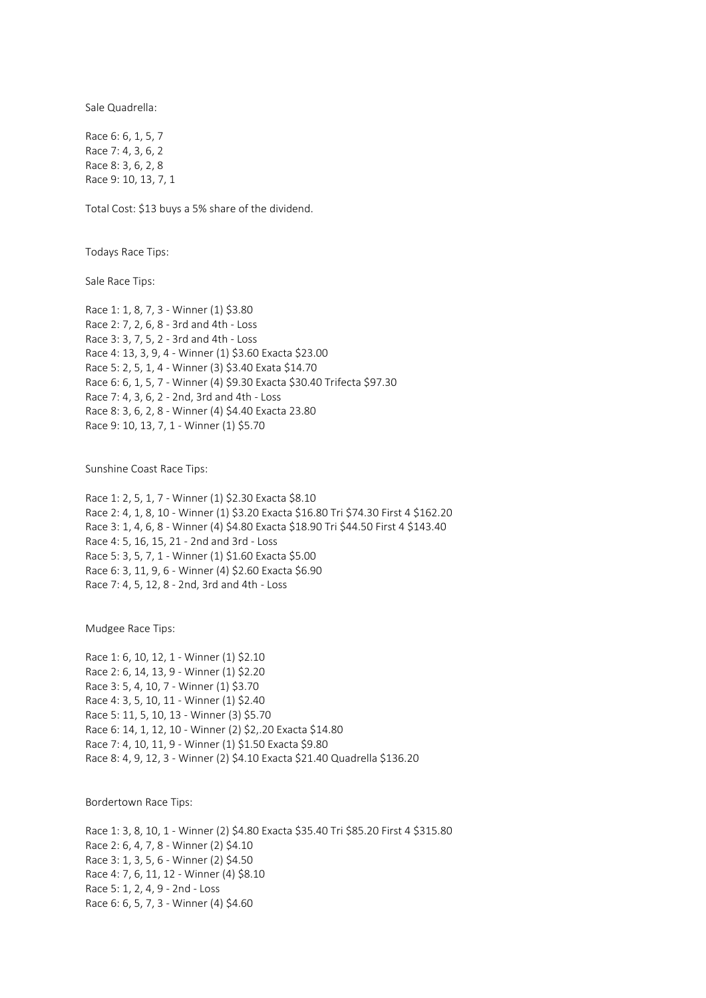Sale Quadrella:

Race 6: 6, 1, 5, 7 Race 7: 4, 3, 6, 2 Race 8: 3, 6, 2, 8 Race 9: 10, 13, 7, 1

Total Cost: \$13 buys a 5% share of the dividend.

Todays Race Tips:

Sale Race Tips:

Race 1: 1, 8, 7, 3 - Winner (1) \$3.80 Race 2: 7, 2, 6, 8 - 3rd and 4th - Loss Race 3: 3, 7, 5, 2 - 3rd and 4th - Loss Race 4: 13, 3, 9, 4 - Winner (1) \$3.60 Exacta \$23.00 Race 5: 2, 5, 1, 4 - Winner (3) \$3.40 Exata \$14.70 Race 6: 6, 1, 5, 7 - Winner (4) \$9.30 Exacta \$30.40 Trifecta \$97.30 Race 7: 4, 3, 6, 2 - 2nd, 3rd and 4th - Loss Race 8: 3, 6, 2, 8 - Winner (4) \$4.40 Exacta 23.80 Race 9: 10, 13, 7, 1 - Winner (1) \$5.70

Sunshine Coast Race Tips:

Race 1: 2, 5, 1, 7 - Winner (1) \$2.30 Exacta \$8.10 Race 2: 4, 1, 8, 10 - Winner (1) \$3.20 Exacta \$16.80 Tri \$74.30 First 4 \$162.20 Race 3: 1, 4, 6, 8 - Winner (4) \$4.80 Exacta \$18.90 Tri \$44.50 First 4 \$143.40 Race 4: 5, 16, 15, 21 - 2nd and 3rd - Loss Race 5: 3, 5, 7, 1 - Winner (1) \$1.60 Exacta \$5.00 Race 6: 3, 11, 9, 6 - Winner (4) \$2.60 Exacta \$6.90 Race 7: 4, 5, 12, 8 - 2nd, 3rd and 4th - Loss

Mudgee Race Tips:

Race 1: 6, 10, 12, 1 - Winner (1) \$2.10 Race 2: 6, 14, 13, 9 - Winner (1) \$2.20 Race 3: 5, 4, 10, 7 - Winner (1) \$3.70 Race 4: 3, 5, 10, 11 - Winner (1) \$2.40 Race 5: 11, 5, 10, 13 - Winner (3) \$5.70 Race 6: 14, 1, 12, 10 - Winner (2) \$2,.20 Exacta \$14.80 Race 7: 4, 10, 11, 9 - Winner (1) \$1.50 Exacta \$9.80 Race 8: 4, 9, 12, 3 - Winner (2) \$4.10 Exacta \$21.40 Quadrella \$136.20

Bordertown Race Tips:

Race 1: 3, 8, 10, 1 - Winner (2) \$4.80 Exacta \$35.40 Tri \$85.20 First 4 \$315.80 Race 2: 6, 4, 7, 8 - Winner (2) \$4.10 Race 3: 1, 3, 5, 6 - Winner (2) \$4.50 Race 4: 7, 6, 11, 12 - Winner (4) \$8.10 Race 5: 1, 2, 4, 9 - 2nd - Loss Race 6: 6, 5, 7, 3 - Winner (4) \$4.60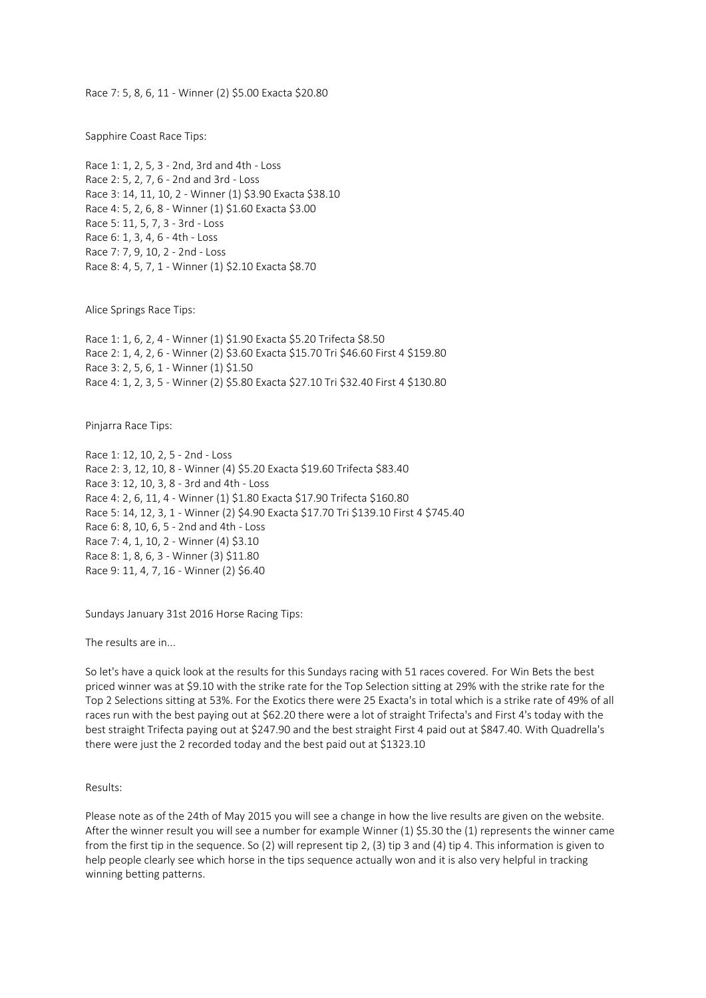Race 7: 5, 8, 6, 11 - Winner (2) \$5.00 Exacta \$20.80

Sapphire Coast Race Tips:

Race 1: 1, 2, 5, 3 - 2nd, 3rd and 4th - Loss Race 2: 5, 2, 7, 6 - 2nd and 3rd - Loss Race 3: 14, 11, 10, 2 - Winner (1) \$3.90 Exacta \$38.10 Race 4: 5, 2, 6, 8 - Winner (1) \$1.60 Exacta \$3.00 Race 5: 11, 5, 7, 3 - 3rd - Loss Race 6: 1, 3, 4, 6 - 4th - Loss Race 7: 7, 9, 10, 2 - 2nd - Loss Race 8: 4, 5, 7, 1 - Winner (1) \$2.10 Exacta \$8.70

Alice Springs Race Tips:

Race 1: 1, 6, 2, 4 - Winner (1) \$1.90 Exacta \$5.20 Trifecta \$8.50 Race 2: 1, 4, 2, 6 - Winner (2) \$3.60 Exacta \$15.70 Tri \$46.60 First 4 \$159.80 Race 3: 2, 5, 6, 1 - Winner (1) \$1.50 Race 4: 1, 2, 3, 5 - Winner (2) \$5.80 Exacta \$27.10 Tri \$32.40 First 4 \$130.80

Pinjarra Race Tips:

Race 1: 12, 10, 2, 5 - 2nd - Loss Race 2: 3, 12, 10, 8 - Winner (4) \$5.20 Exacta \$19.60 Trifecta \$83.40 Race 3: 12, 10, 3, 8 - 3rd and 4th - Loss Race 4: 2, 6, 11, 4 - Winner (1) \$1.80 Exacta \$17.90 Trifecta \$160.80 Race 5: 14, 12, 3, 1 - Winner (2) \$4.90 Exacta \$17.70 Tri \$139.10 First 4 \$745.40 Race 6: 8, 10, 6, 5 - 2nd and 4th - Loss Race 7: 4, 1, 10, 2 - Winner (4) \$3.10 Race 8: 1, 8, 6, 3 - Winner (3) \$11.80 Race 9: 11, 4, 7, 16 - Winner (2) \$6.40

Sundays January 31st 2016 Horse Racing Tips:

The results are in...

So let's have a quick look at the results for this Sundays racing with 51 races covered. For Win Bets the best priced winner was at \$9.10 with the strike rate for the Top Selection sitting at 29% with the strike rate for the Top 2 Selections sitting at 53%. For the Exotics there were 25 Exacta's in total which is a strike rate of 49% of all races run with the best paying out at \$62.20 there were a lot of straight Trifecta's and First 4's today with the best straight Trifecta paying out at \$247.90 and the best straight First 4 paid out at \$847.40. With Quadrella's there were just the 2 recorded today and the best paid out at \$1323.10

Results:

Please note as of the 24th of May 2015 you will see a change in how the live results are given on the website. After the winner result you will see a number for example Winner (1) \$5.30 the (1) represents the winner came from the first tip in the sequence. So (2) will represent tip 2, (3) tip 3 and (4) tip 4. This information is given to help people clearly see which horse in the tips sequence actually won and it is also very helpful in tracking winning betting patterns.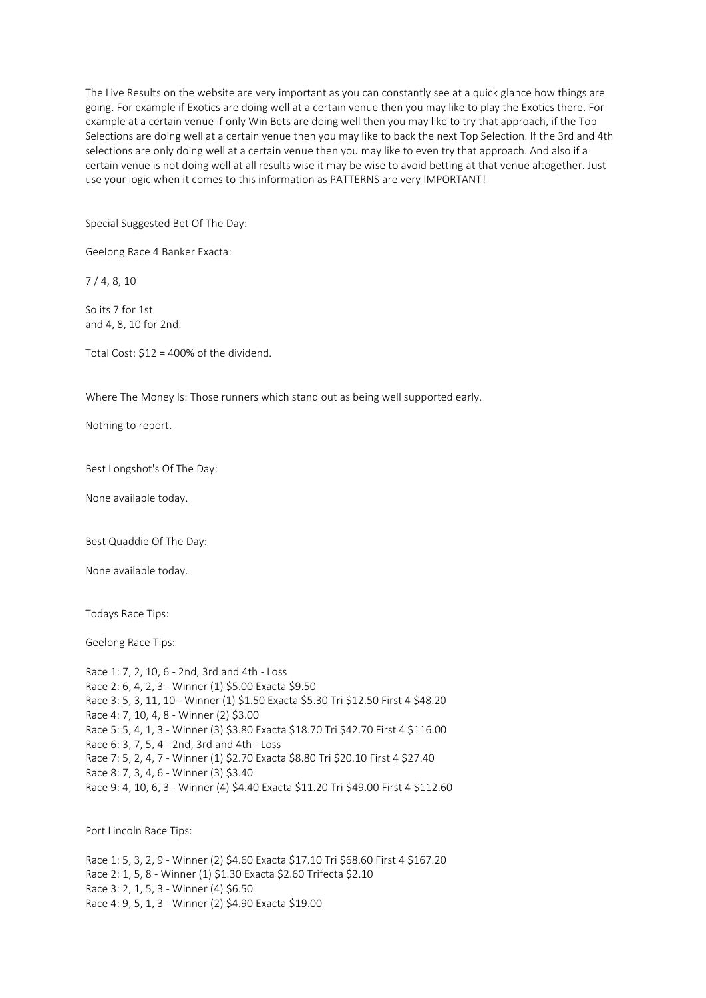The Live Results on the website are very important as you can constantly see at a quick glance how things are going. For example if Exotics are doing well at a certain venue then you may like to play the Exotics there. For example at a certain venue if only Win Bets are doing well then you may like to try that approach, if the Top Selections are doing well at a certain venue then you may like to back the next Top Selection. If the 3rd and 4th selections are only doing well at a certain venue then you may like to even try that approach. And also if a certain venue is not doing well at all results wise it may be wise to avoid betting at that venue altogether. Just use your logic when it comes to this information as PATTERNS are very IMPORTANT!

Special Suggested Bet Of The Day:

Geelong Race 4 Banker Exacta:

7 / 4, 8, 10

So its 7 for 1st and 4, 8, 10 for 2nd.

Total Cost: \$12 = 400% of the dividend.

Where The Money Is: Those runners which stand out as being well supported early.

Nothing to report.

Best Longshot's Of The Day:

None available today.

Best Quaddie Of The Day:

None available today.

Todays Race Tips:

Geelong Race Tips:

Race 1: 7, 2, 10, 6 - 2nd, 3rd and 4th - Loss Race 2: 6, 4, 2, 3 - Winner (1) \$5.00 Exacta \$9.50 Race 3: 5, 3, 11, 10 - Winner (1) \$1.50 Exacta \$5.30 Tri \$12.50 First 4 \$48.20 Race 4: 7, 10, 4, 8 - Winner (2) \$3.00 Race 5: 5, 4, 1, 3 - Winner (3) \$3.80 Exacta \$18.70 Tri \$42.70 First 4 \$116.00 Race 6: 3, 7, 5, 4 - 2nd, 3rd and 4th - Loss Race 7: 5, 2, 4, 7 - Winner (1) \$2.70 Exacta \$8.80 Tri \$20.10 First 4 \$27.40 Race 8: 7, 3, 4, 6 - Winner (3) \$3.40 Race 9: 4, 10, 6, 3 - Winner (4) \$4.40 Exacta \$11.20 Tri \$49.00 First 4 \$112.60

Port Lincoln Race Tips:

Race 1: 5, 3, 2, 9 - Winner (2) \$4.60 Exacta \$17.10 Tri \$68.60 First 4 \$167.20 Race 2: 1, 5, 8 - Winner (1) \$1.30 Exacta \$2.60 Trifecta \$2.10 Race 3: 2, 1, 5, 3 - Winner (4) \$6.50 Race 4: 9, 5, 1, 3 - Winner (2) \$4.90 Exacta \$19.00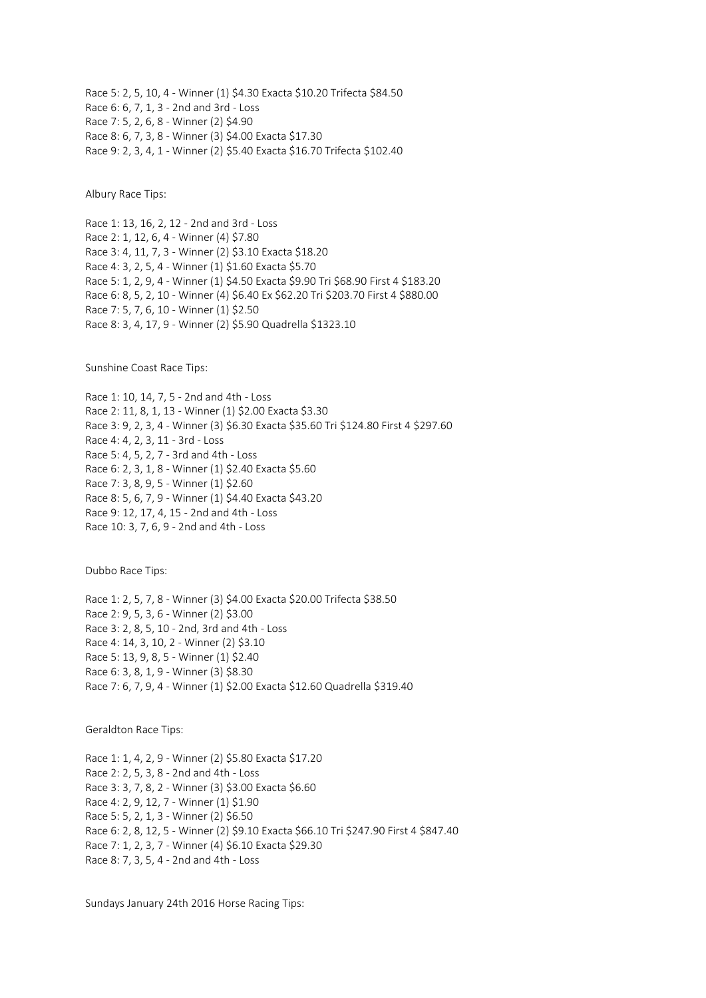Race 5: 2, 5, 10, 4 - Winner (1) \$4.30 Exacta \$10.20 Trifecta \$84.50 Race 6: 6, 7, 1, 3 - 2nd and 3rd - Loss Race 7: 5, 2, 6, 8 - Winner (2) \$4.90 Race 8: 6, 7, 3, 8 - Winner (3) \$4.00 Exacta \$17.30 Race 9: 2, 3, 4, 1 - Winner (2) \$5.40 Exacta \$16.70 Trifecta \$102.40

Albury Race Tips:

Race 1: 13, 16, 2, 12 - 2nd and 3rd - Loss Race 2: 1, 12, 6, 4 - Winner (4) \$7.80 Race 3: 4, 11, 7, 3 - Winner (2) \$3.10 Exacta \$18.20 Race 4: 3, 2, 5, 4 - Winner (1) \$1.60 Exacta \$5.70 Race 5: 1, 2, 9, 4 - Winner (1) \$4.50 Exacta \$9.90 Tri \$68.90 First 4 \$183.20 Race 6: 8, 5, 2, 10 - Winner (4) \$6.40 Ex \$62.20 Tri \$203.70 First 4 \$880.00 Race 7: 5, 7, 6, 10 - Winner (1) \$2.50 Race 8: 3, 4, 17, 9 - Winner (2) \$5.90 Quadrella \$1323.10

Sunshine Coast Race Tips:

Race 1: 10, 14, 7, 5 - 2nd and 4th - Loss Race 2: 11, 8, 1, 13 - Winner (1) \$2.00 Exacta \$3.30 Race 3: 9, 2, 3, 4 - Winner (3) \$6.30 Exacta \$35.60 Tri \$124.80 First 4 \$297.60 Race 4: 4, 2, 3, 11 - 3rd - Loss Race 5: 4, 5, 2, 7 - 3rd and 4th - Loss Race 6: 2, 3, 1, 8 - Winner (1) \$2.40 Exacta \$5.60 Race 7: 3, 8, 9, 5 - Winner (1) \$2.60 Race 8: 5, 6, 7, 9 - Winner (1) \$4.40 Exacta \$43.20 Race 9: 12, 17, 4, 15 - 2nd and 4th - Loss Race 10: 3, 7, 6, 9 - 2nd and 4th - Loss

Dubbo Race Tips:

Race 1: 2, 5, 7, 8 - Winner (3) \$4.00 Exacta \$20.00 Trifecta \$38.50 Race 2: 9, 5, 3, 6 - Winner (2) \$3.00 Race 3: 2, 8, 5, 10 - 2nd, 3rd and 4th - Loss Race 4: 14, 3, 10, 2 - Winner (2) \$3.10 Race 5: 13, 9, 8, 5 - Winner (1) \$2.40 Race 6: 3, 8, 1, 9 - Winner (3) \$8.30 Race 7: 6, 7, 9, 4 - Winner (1) \$2.00 Exacta \$12.60 Quadrella \$319.40

Geraldton Race Tips:

Race 1: 1, 4, 2, 9 - Winner (2) \$5.80 Exacta \$17.20 Race 2: 2, 5, 3, 8 - 2nd and 4th - Loss Race 3: 3, 7, 8, 2 - Winner (3) \$3.00 Exacta \$6.60 Race 4: 2, 9, 12, 7 - Winner (1) \$1.90 Race 5: 5, 2, 1, 3 - Winner (2) \$6.50 Race 6: 2, 8, 12, 5 - Winner (2) \$9.10 Exacta \$66.10 Tri \$247.90 First 4 \$847.40 Race 7: 1, 2, 3, 7 - Winner (4) \$6.10 Exacta \$29.30 Race 8: 7, 3, 5, 4 - 2nd and 4th - Loss

Sundays January 24th 2016 Horse Racing Tips: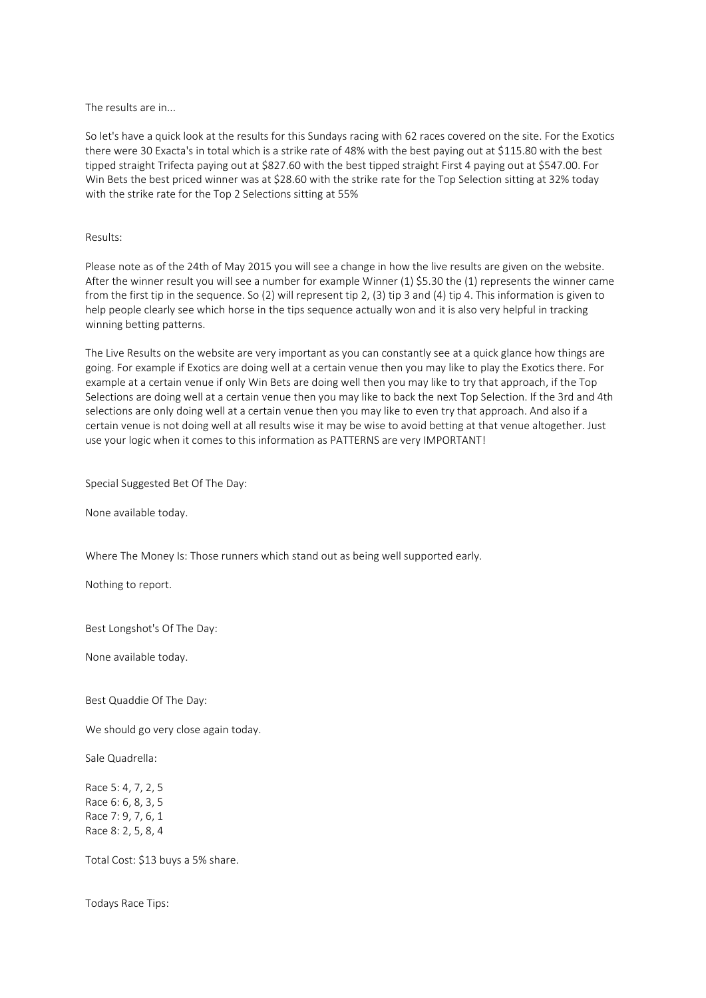The results are in...

So let's have a quick look at the results for this Sundays racing with 62 races covered on the site. For the Exotics there were 30 Exacta's in total which is a strike rate of 48% with the best paying out at \$115.80 with the best tipped straight Trifecta paying out at \$827.60 with the best tipped straight First 4 paying out at \$547.00. For Win Bets the best priced winner was at \$28.60 with the strike rate for the Top Selection sitting at 32% today with the strike rate for the Top 2 Selections sitting at 55%

## Results:

Please note as of the 24th of May 2015 you will see a change in how the live results are given on the website. After the winner result you will see a number for example Winner (1) \$5.30 the (1) represents the winner came from the first tip in the sequence. So (2) will represent tip 2, (3) tip 3 and (4) tip 4. This information is given to help people clearly see which horse in the tips sequence actually won and it is also very helpful in tracking winning betting patterns.

The Live Results on the website are very important as you can constantly see at a quick glance how things are going. For example if Exotics are doing well at a certain venue then you may like to play the Exotics there. For example at a certain venue if only Win Bets are doing well then you may like to try that approach, if the Top Selections are doing well at a certain venue then you may like to back the next Top Selection. If the 3rd and 4th selections are only doing well at a certain venue then you may like to even try that approach. And also if a certain venue is not doing well at all results wise it may be wise to avoid betting at that venue altogether. Just use your logic when it comes to this information as PATTERNS are very IMPORTANT!

Special Suggested Bet Of The Day:

None available today.

Where The Money Is: Those runners which stand out as being well supported early.

Nothing to report.

Best Longshot's Of The Day:

None available today.

Best Quaddie Of The Day:

We should go very close again today.

Sale Quadrella:

Race 5: 4, 7, 2, 5 Race 6: 6, 8, 3, 5 Race 7: 9, 7, 6, 1 Race 8: 2, 5, 8, 4

Total Cost: \$13 buys a 5% share.

Todays Race Tips: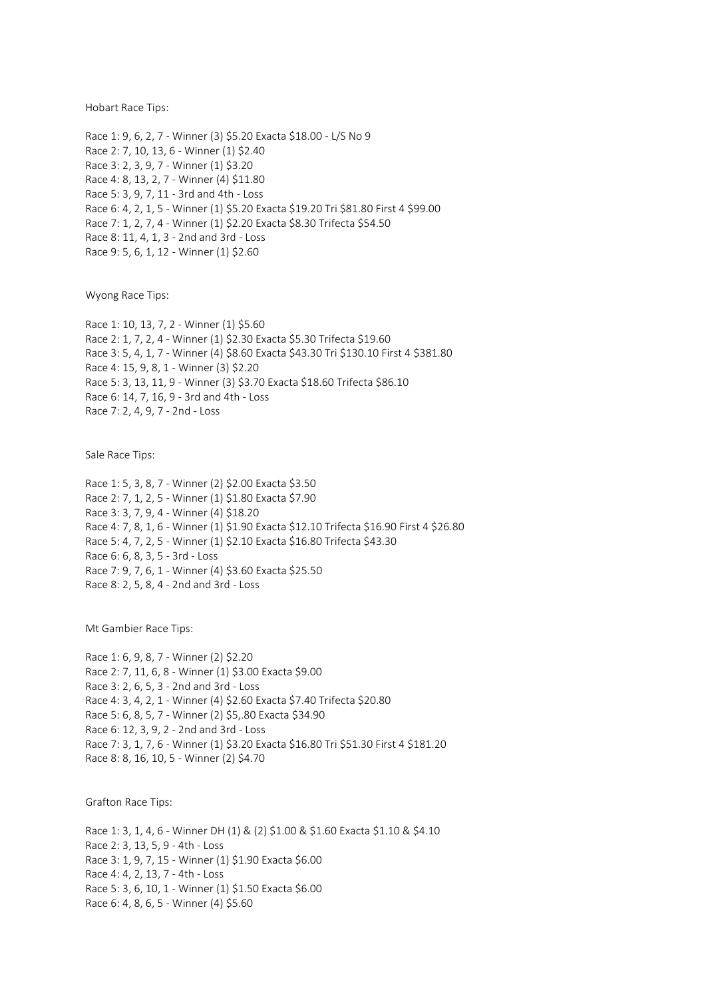Hobart Race Tips:

Race 1: 9, 6, 2, 7 - Winner (3) \$5.20 Exacta \$18.00 - L/S No 9 Race 2: 7, 10, 13, 6 - Winner (1) \$2.40 Race 3: 2, 3, 9, 7 - Winner (1) \$3.20 Race 4: 8, 13, 2, 7 - Winner (4) \$11.80 Race 5: 3, 9, 7, 11 - 3rd and 4th - Loss Race 6: 4, 2, 1, 5 - Winner (1) \$5.20 Exacta \$19.20 Tri \$81.80 First 4 \$99.00 Race 7: 1, 2, 7, 4 - Winner (1) \$2.20 Exacta \$8.30 Trifecta \$54.50 Race 8: 11, 4, 1, 3 - 2nd and 3rd - Loss Race 9: 5, 6, 1, 12 - Winner (1) \$2.60

Wyong Race Tips:

Race 1: 10, 13, 7, 2 - Winner (1) \$5.60 Race 2: 1, 7, 2, 4 - Winner (1) \$2.30 Exacta \$5.30 Trifecta \$19.60 Race 3: 5, 4, 1, 7 - Winner (4) \$8.60 Exacta \$43.30 Tri \$130.10 First 4 \$381.80 Race 4: 15, 9, 8, 1 - Winner (3) \$2.20 Race 5: 3, 13, 11, 9 - Winner (3) \$3.70 Exacta \$18.60 Trifecta \$86.10 Race 6: 14, 7, 16, 9 - 3rd and 4th - Loss Race 7: 2, 4, 9, 7 - 2nd - Loss

Sale Race Tips:

Race 1: 5, 3, 8, 7 - Winner (2) \$2.00 Exacta \$3.50 Race 2: 7, 1, 2, 5 - Winner (1) \$1.80 Exacta \$7.90 Race 3: 3, 7, 9, 4 - Winner (4) \$18.20 Race 4: 7, 8, 1, 6 - Winner (1) \$1.90 Exacta \$12.10 Trifecta \$16.90 First 4 \$26.80 Race 5: 4, 7, 2, 5 - Winner (1) \$2.10 Exacta \$16.80 Trifecta \$43.30 Race 6: 6, 8, 3, 5 - 3rd - Loss Race 7: 9, 7, 6, 1 - Winner (4) \$3.60 Exacta \$25.50 Race 8: 2, 5, 8, 4 - 2nd and 3rd - Loss

Mt Gambier Race Tips:

Race 1: 6, 9, 8, 7 - Winner (2) \$2.20 Race 2: 7, 11, 6, 8 - Winner (1) \$3.00 Exacta \$9.00 Race 3: 2, 6, 5, 3 - 2nd and 3rd - Loss Race 4: 3, 4, 2, 1 - Winner (4) \$2.60 Exacta \$7.40 Trifecta \$20.80 Race 5: 6, 8, 5, 7 - Winner (2) \$5,.80 Exacta \$34.90 Race 6: 12, 3, 9, 2 - 2nd and 3rd - Loss Race 7: 3, 1, 7, 6 - Winner (1) \$3.20 Exacta \$16.80 Tri \$51.30 First 4 \$181.20 Race 8: 8, 16, 10, 5 - Winner (2) \$4.70

Grafton Race Tips:

Race 1: 3, 1, 4, 6 - Winner DH (1) & (2) \$1.00 & \$1.60 Exacta \$1.10 & \$4.10 Race 2: 3, 13, 5, 9 - 4th - Loss Race 3: 1, 9, 7, 15 - Winner (1) \$1.90 Exacta \$6.00 Race 4: 4, 2, 13, 7 - 4th - Loss Race 5: 3, 6, 10, 1 - Winner (1) \$1.50 Exacta \$6.00 Race 6: 4, 8, 6, 5 - Winner (4) \$5.60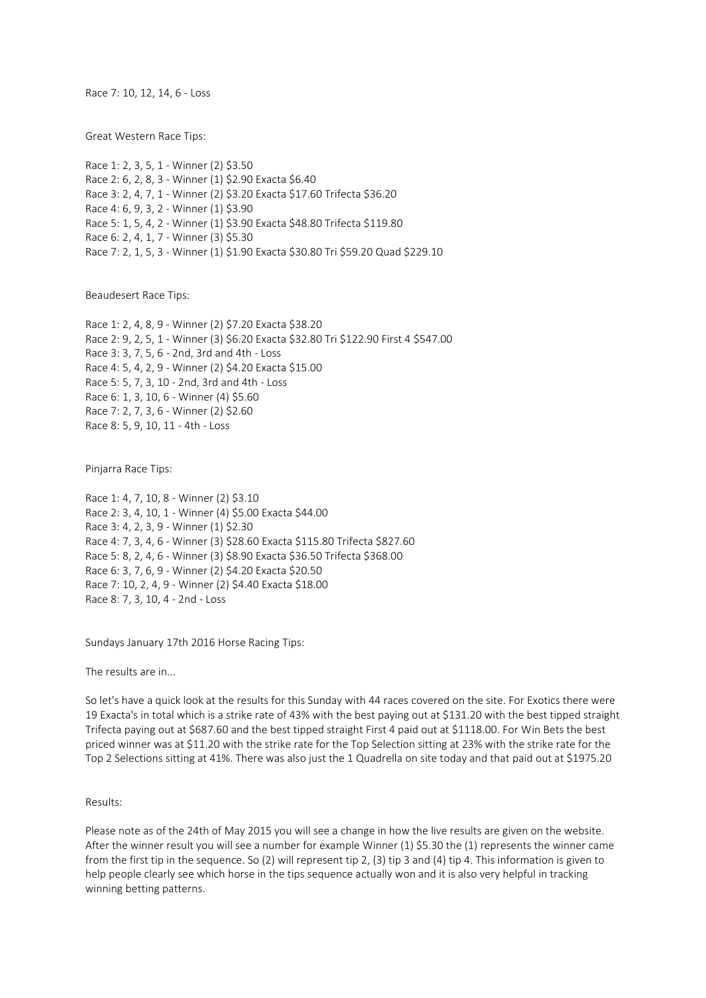Race 7: 10, 12, 14, 6 - Loss

Great Western Race Tips:

Race 1: 2, 3, 5, 1 - Winner (2) \$3.50 Race 2: 6, 2, 8, 3 - Winner (1) \$2.90 Exacta \$6.40 Race 3: 2, 4, 7, 1 - Winner (2) \$3.20 Exacta \$17.60 Trifecta \$36.20 Race 4: 6, 9, 3, 2 - Winner (1) \$3.90 Race 5: 1, 5, 4, 2 - Winner (1) \$3.90 Exacta \$48.80 Trifecta \$119.80 Race 6: 2, 4, 1, 7 - Winner (3) \$5.30 Race 7: 2, 1, 5, 3 - Winner (1) \$1.90 Exacta \$30.80 Tri \$59.20 Quad \$229.10

Beaudesert Race Tips:

Race 1: 2, 4, 8, 9 - Winner (2) \$7.20 Exacta \$38.20 Race 2: 9, 2, 5, 1 - Winner (3) \$6.20 Exacta \$32.80 Tri \$122.90 First 4 \$547.00 Race 3: 3, 7, 5, 6 - 2nd, 3rd and 4th - Loss Race 4: 5, 4, 2, 9 - Winner (2) \$4.20 Exacta \$15.00 Race 5: 5, 7, 3, 10 - 2nd, 3rd and 4th - Loss Race 6: 1, 3, 10, 6 - Winner (4) \$5.60 Race 7: 2, 7, 3, 6 - Winner (2) \$2.60 Race 8: 5, 9, 10, 11 - 4th - Loss

Pinjarra Race Tips:

Race 1: 4, 7, 10, 8 - Winner (2) \$3.10 Race 2: 3, 4, 10, 1 - Winner (4) \$5.00 Exacta \$44.00 Race 3: 4, 2, 3, 9 - Winner (1) \$2.30 Race 4: 7, 3, 4, 6 - Winner (3) \$28.60 Exacta \$115.80 Trifecta \$827.60 Race 5: 8, 2, 4, 6 - Winner (3) \$8.90 Exacta \$36.50 Trifecta \$368.00 Race 6: 3, 7, 6, 9 - Winner (2) \$4.20 Exacta \$20.50 Race 7: 10, 2, 4, 9 - Winner (2) \$4.40 Exacta \$18.00 Race 8: 7, 3, 10, 4 - 2nd - Loss

Sundays January 17th 2016 Horse Racing Tips:

The results are in...

So let's have a quick look at the results for this Sunday with 44 races covered on the site. For Exotics there were 19 Exacta's in total which is a strike rate of 43% with the best paying out at \$131.20 with the best tipped straight Trifecta paying out at \$687.60 and the best tipped straight First 4 paid out at \$1118.00. For Win Bets the best priced winner was at \$11.20 with the strike rate for the Top Selection sitting at 23% with the strike rate for the Top 2 Selections sitting at 41%. There was also just the 1 Quadrella on site today and that paid out at \$1975.20

Results:

Please note as of the 24th of May 2015 you will see a change in how the live results are given on the website. After the winner result you will see a number for example Winner (1) \$5.30 the (1) represents the winner came from the first tip in the sequence. So (2) will represent tip 2, (3) tip 3 and (4) tip 4. This information is given to help people clearly see which horse in the tips sequence actually won and it is also very helpful in tracking winning betting patterns.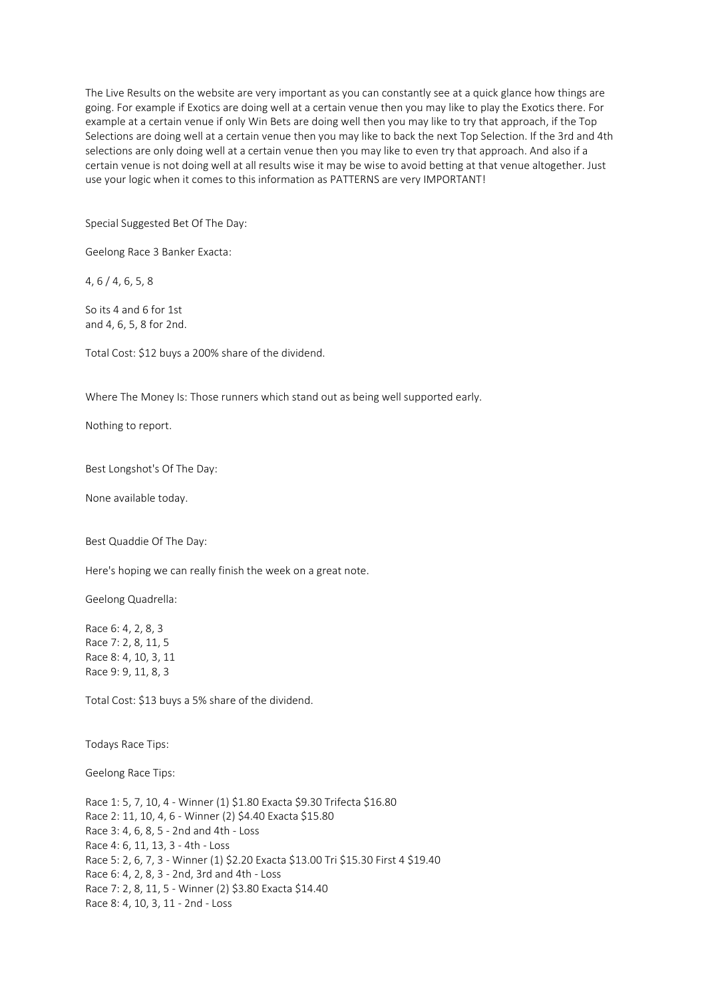The Live Results on the website are very important as you can constantly see at a quick glance how things are going. For example if Exotics are doing well at a certain venue then you may like to play the Exotics there. For example at a certain venue if only Win Bets are doing well then you may like to try that approach, if the Top Selections are doing well at a certain venue then you may like to back the next Top Selection. If the 3rd and 4th selections are only doing well at a certain venue then you may like to even try that approach. And also if a certain venue is not doing well at all results wise it may be wise to avoid betting at that venue altogether. Just use your logic when it comes to this information as PATTERNS are very IMPORTANT!

Special Suggested Bet Of The Day:

Geelong Race 3 Banker Exacta:

4, 6 / 4, 6, 5, 8

So its 4 and 6 for 1st and 4, 6, 5, 8 for 2nd.

Total Cost: \$12 buys a 200% share of the dividend.

Where The Money Is: Those runners which stand out as being well supported early.

Nothing to report.

Best Longshot's Of The Day:

None available today.

Best Quaddie Of The Day:

Here's hoping we can really finish the week on a great note.

Geelong Quadrella:

Race 6: 4, 2, 8, 3 Race 7: 2, 8, 11, 5 Race 8: 4, 10, 3, 11 Race 9: 9, 11, 8, 3

Total Cost: \$13 buys a 5% share of the dividend.

Todays Race Tips:

Geelong Race Tips:

Race 1: 5, 7, 10, 4 - Winner (1) \$1.80 Exacta \$9.30 Trifecta \$16.80 Race 2: 11, 10, 4, 6 - Winner (2) \$4.40 Exacta \$15.80 Race 3: 4, 6, 8, 5 - 2nd and 4th - Loss Race 4: 6, 11, 13, 3 - 4th - Loss Race 5: 2, 6, 7, 3 - Winner (1) \$2.20 Exacta \$13.00 Tri \$15.30 First 4 \$19.40 Race 6: 4, 2, 8, 3 - 2nd, 3rd and 4th - Loss Race 7: 2, 8, 11, 5 - Winner (2) \$3.80 Exacta \$14.40 Race 8: 4, 10, 3, 11 - 2nd - Loss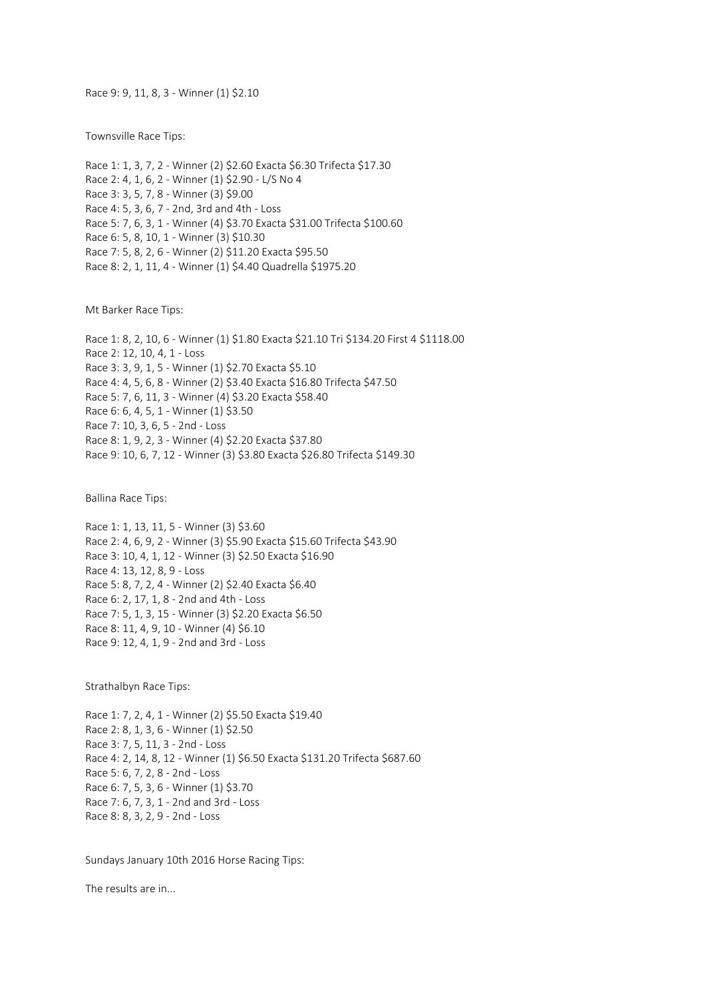Race 9: 9, 11, 8, 3 - Winner (1) \$2.10

Townsville Race Tips:

Race 1: 1, 3, 7, 2 - Winner (2) \$2.60 Exacta \$6.30 Trifecta \$17.30 Race 2: 4, 1, 6, 2 - Winner (1) \$2.90 - L/S No 4 Race 3: 3, 5, 7, 8 - Winner (3) \$9.00 Race 4: 5, 3, 6, 7 - 2nd, 3rd and 4th - Loss Race 5: 7, 6, 3, 1 - Winner (4) \$3.70 Exacta \$31.00 Trifecta \$100.60 Race 6: 5, 8, 10, 1 - Winner (3) \$10.30 Race 7: 5, 8, 2, 6 - Winner (2) \$11.20 Exacta \$95.50 Race 8: 2, 1, 11, 4 - Winner (1) \$4.40 Quadrella \$1975.20

Mt Barker Race Tips:

Race 1: 8, 2, 10, 6 - Winner (1) \$1.80 Exacta \$21.10 Tri \$134.20 First 4 \$1118.00 Race 2: 12, 10, 4, 1 - Loss Race 3: 3, 9, 1, 5 - Winner (1) \$2.70 Exacta \$5.10 Race 4: 4, 5, 6, 8 - Winner (2) \$3.40 Exacta \$16.80 Trifecta \$47.50 Race 5: 7, 6, 11, 3 - Winner (4) \$3.20 Exacta \$58.40 Race 6: 6, 4, 5, 1 - Winner (1) \$3.50 Race 7: 10, 3, 6, 5 - 2nd - Loss Race 8: 1, 9, 2, 3 - Winner (4) \$2.20 Exacta \$37.80 Race 9: 10, 6, 7, 12 - Winner (3) \$3.80 Exacta \$26.80 Trifecta \$149.30

Ballina Race Tips:

Race 1: 1, 13, 11, 5 - Winner (3) \$3.60 Race 2: 4, 6, 9, 2 - Winner (3) \$5.90 Exacta \$15.60 Trifecta \$43.90 Race 3: 10, 4, 1, 12 - Winner (3) \$2.50 Exacta \$16.90 Race 4: 13, 12, 8, 9 - Loss Race 5: 8, 7, 2, 4 - Winner (2) \$2.40 Exacta \$6.40 Race 6: 2, 17, 1, 8 - 2nd and 4th - Loss Race 7: 5, 1, 3, 15 - Winner (3) \$2.20 Exacta \$6.50 Race 8: 11, 4, 9, 10 - Winner (4) \$6.10 Race 9: 12, 4, 1, 9 - 2nd and 3rd - Loss

Strathalbyn Race Tips:

Race 1: 7, 2, 4, 1 - Winner (2) \$5.50 Exacta \$19.40 Race 2: 8, 1, 3, 6 - Winner (1) \$2.50 Race 3: 7, 5, 11, 3 - 2nd - Loss Race 4: 2, 14, 8, 12 - Winner (1) \$6.50 Exacta \$131.20 Trifecta \$687.60 Race 5: 6, 7, 2, 8 - 2nd - Loss Race 6: 7, 5, 3, 6 - Winner (1) \$3.70 Race 7: 6, 7, 3, 1 - 2nd and 3rd - Loss Race 8: 8, 3, 2, 9 - 2nd - Loss

Sundays January 10th 2016 Horse Racing Tips:

The results are in...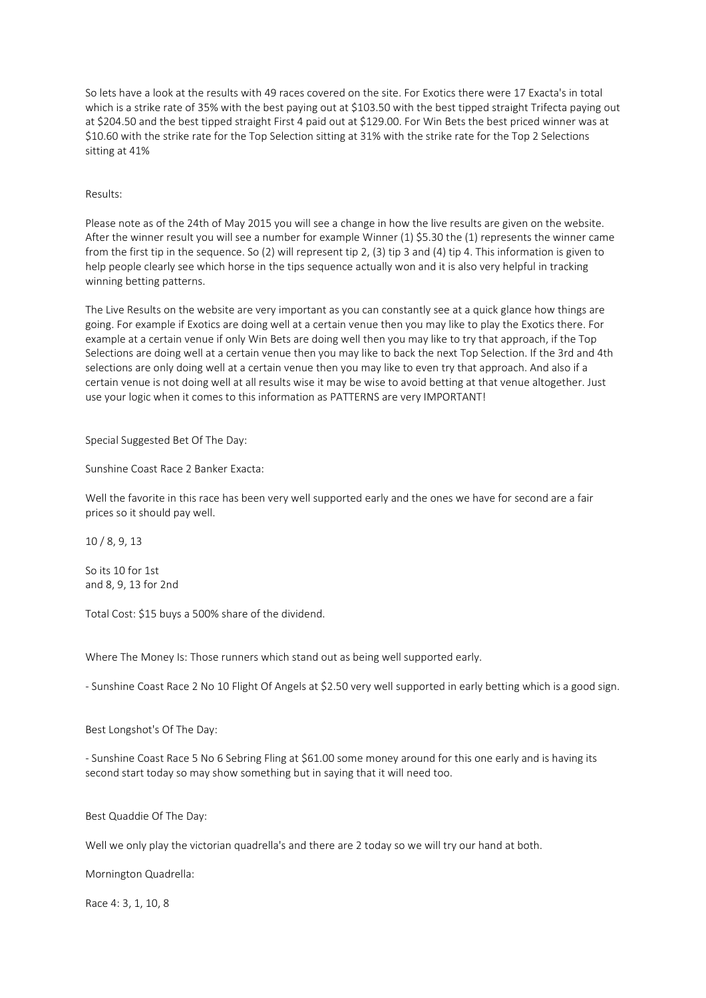So lets have a look at the results with 49 races covered on the site. For Exotics there were 17 Exacta's in total which is a strike rate of 35% with the best paying out at \$103.50 with the best tipped straight Trifecta paying out at \$204.50 and the best tipped straight First 4 paid out at \$129.00. For Win Bets the best priced winner was at \$10.60 with the strike rate for the Top Selection sitting at 31% with the strike rate for the Top 2 Selections sitting at 41%

# Results:

Please note as of the 24th of May 2015 you will see a change in how the live results are given on the website. After the winner result you will see a number for example Winner (1) \$5.30 the (1) represents the winner came from the first tip in the sequence. So (2) will represent tip 2, (3) tip 3 and (4) tip 4. This information is given to help people clearly see which horse in the tips sequence actually won and it is also very helpful in tracking winning betting patterns.

The Live Results on the website are very important as you can constantly see at a quick glance how things are going. For example if Exotics are doing well at a certain venue then you may like to play the Exotics there. For example at a certain venue if only Win Bets are doing well then you may like to try that approach, if the Top Selections are doing well at a certain venue then you may like to back the next Top Selection. If the 3rd and 4th selections are only doing well at a certain venue then you may like to even try that approach. And also if a certain venue is not doing well at all results wise it may be wise to avoid betting at that venue altogether. Just use your logic when it comes to this information as PATTERNS are very IMPORTANT!

## Special Suggested Bet Of The Day:

Sunshine Coast Race 2 Banker Exacta:

Well the favorite in this race has been very well supported early and the ones we have for second are a fair prices so it should pay well.

10 / 8, 9, 13

So its 10 for 1st and 8, 9, 13 for 2nd

Total Cost: \$15 buys a 500% share of the dividend.

Where The Money Is: Those runners which stand out as being well supported early.

- Sunshine Coast Race 2 No 10 Flight Of Angels at \$2.50 very well supported in early betting which is a good sign.

Best Longshot's Of The Day:

- Sunshine Coast Race 5 No 6 Sebring Fling at \$61.00 some money around for this one early and is having its second start today so may show something but in saying that it will need too.

Best Quaddie Of The Day:

Well we only play the victorian quadrella's and there are 2 today so we will try our hand at both.

Mornington Quadrella:

Race 4: 3, 1, 10, 8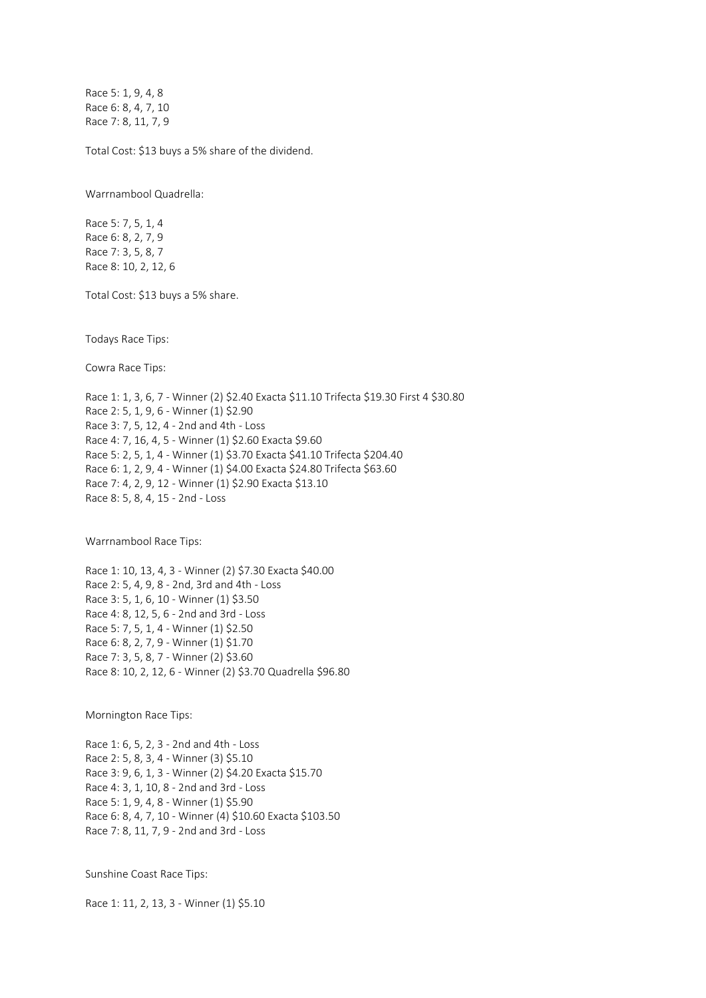Race 5: 1, 9, 4, 8 Race 6: 8, 4, 7, 10 Race 7: 8, 11, 7, 9

Total Cost: \$13 buys a 5% share of the dividend.

Warrnambool Quadrella:

Race 5: 7, 5, 1, 4 Race 6: 8, 2, 7, 9 Race 7: 3, 5, 8, 7 Race 8: 10, 2, 12, 6

Total Cost: \$13 buys a 5% share.

Todays Race Tips:

Cowra Race Tips:

Race 1: 1, 3, 6, 7 - Winner (2) \$2.40 Exacta \$11.10 Trifecta \$19.30 First 4 \$30.80 Race 2: 5, 1, 9, 6 - Winner (1) \$2.90 Race 3: 7, 5, 12, 4 - 2nd and 4th - Loss Race 4: 7, 16, 4, 5 - Winner (1) \$2.60 Exacta \$9.60 Race 5: 2, 5, 1, 4 - Winner (1) \$3.70 Exacta \$41.10 Trifecta \$204.40 Race 6: 1, 2, 9, 4 - Winner (1) \$4.00 Exacta \$24.80 Trifecta \$63.60 Race 7: 4, 2, 9, 12 - Winner (1) \$2.90 Exacta \$13.10 Race 8: 5, 8, 4, 15 - 2nd - Loss

Warrnambool Race Tips:

Race 1: 10, 13, 4, 3 - Winner (2) \$7.30 Exacta \$40.00 Race 2: 5, 4, 9, 8 - 2nd, 3rd and 4th - Loss Race 3: 5, 1, 6, 10 - Winner (1) \$3.50 Race 4: 8, 12, 5, 6 - 2nd and 3rd - Loss Race 5: 7, 5, 1, 4 - Winner (1) \$2.50 Race 6: 8, 2, 7, 9 - Winner (1) \$1.70 Race 7: 3, 5, 8, 7 - Winner (2) \$3.60 Race 8: 10, 2, 12, 6 - Winner (2) \$3.70 Quadrella \$96.80

Mornington Race Tips:

Race 1: 6, 5, 2, 3 - 2nd and 4th - Loss Race 2: 5, 8, 3, 4 - Winner (3) \$5.10 Race 3: 9, 6, 1, 3 - Winner (2) \$4.20 Exacta \$15.70 Race 4: 3, 1, 10, 8 - 2nd and 3rd - Loss Race 5: 1, 9, 4, 8 - Winner (1) \$5.90 Race 6: 8, 4, 7, 10 - Winner (4) \$10.60 Exacta \$103.50 Race 7: 8, 11, 7, 9 - 2nd and 3rd - Loss

Sunshine Coast Race Tips:

Race 1: 11, 2, 13, 3 - Winner (1) \$5.10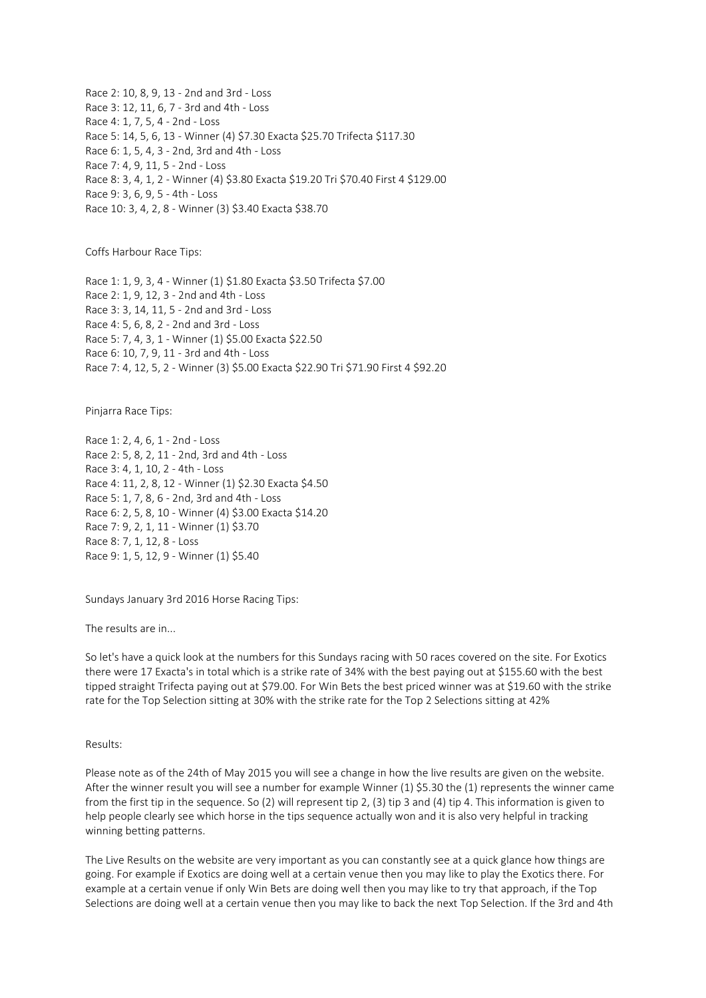Race 2: 10, 8, 9, 13 - 2nd and 3rd - Loss Race 3: 12, 11, 6, 7 - 3rd and 4th - Loss Race 4: 1, 7, 5, 4 - 2nd - Loss Race 5: 14, 5, 6, 13 - Winner (4) \$7.30 Exacta \$25.70 Trifecta \$117.30 Race 6: 1, 5, 4, 3 - 2nd, 3rd and 4th - Loss Race 7: 4, 9, 11, 5 - 2nd - Loss Race 8: 3, 4, 1, 2 - Winner (4) \$3.80 Exacta \$19.20 Tri \$70.40 First 4 \$129.00 Race 9: 3, 6, 9, 5 - 4th - Loss Race 10: 3, 4, 2, 8 - Winner (3) \$3.40 Exacta \$38.70

Coffs Harbour Race Tips:

Race 1: 1, 9, 3, 4 - Winner (1) \$1.80 Exacta \$3.50 Trifecta \$7.00 Race 2: 1, 9, 12, 3 - 2nd and 4th - Loss Race 3: 3, 14, 11, 5 - 2nd and 3rd - Loss Race 4: 5, 6, 8, 2 - 2nd and 3rd - Loss Race 5: 7, 4, 3, 1 - Winner (1) \$5.00 Exacta \$22.50 Race 6: 10, 7, 9, 11 - 3rd and 4th - Loss Race 7: 4, 12, 5, 2 - Winner (3) \$5.00 Exacta \$22.90 Tri \$71.90 First 4 \$92.20

Pinjarra Race Tips:

Race 1: 2, 4, 6, 1 - 2nd - Loss Race 2: 5, 8, 2, 11 - 2nd, 3rd and 4th - Loss Race 3: 4, 1, 10, 2 - 4th - Loss Race 4: 11, 2, 8, 12 - Winner (1) \$2.30 Exacta \$4.50 Race 5: 1, 7, 8, 6 - 2nd, 3rd and 4th - Loss Race 6: 2, 5, 8, 10 - Winner (4) \$3.00 Exacta \$14.20 Race 7: 9, 2, 1, 11 - Winner (1) \$3.70 Race 8: 7, 1, 12, 8 - Loss Race 9: 1, 5, 12, 9 - Winner (1) \$5.40

Sundays January 3rd 2016 Horse Racing Tips:

The results are in...

So let's have a quick look at the numbers for this Sundays racing with 50 races covered on the site. For Exotics there were 17 Exacta's in total which is a strike rate of 34% with the best paying out at \$155.60 with the best tipped straight Trifecta paying out at \$79.00. For Win Bets the best priced winner was at \$19.60 with the strike rate for the Top Selection sitting at 30% with the strike rate for the Top 2 Selections sitting at 42%

Results:

Please note as of the 24th of May 2015 you will see a change in how the live results are given on the website. After the winner result you will see a number for example Winner (1) \$5.30 the (1) represents the winner came from the first tip in the sequence. So (2) will represent tip 2, (3) tip 3 and (4) tip 4. This information is given to help people clearly see which horse in the tips sequence actually won and it is also very helpful in tracking winning betting patterns.

The Live Results on the website are very important as you can constantly see at a quick glance how things are going. For example if Exotics are doing well at a certain venue then you may like to play the Exotics there. For example at a certain venue if only Win Bets are doing well then you may like to try that approach, if the Top Selections are doing well at a certain venue then you may like to back the next Top Selection. If the 3rd and 4th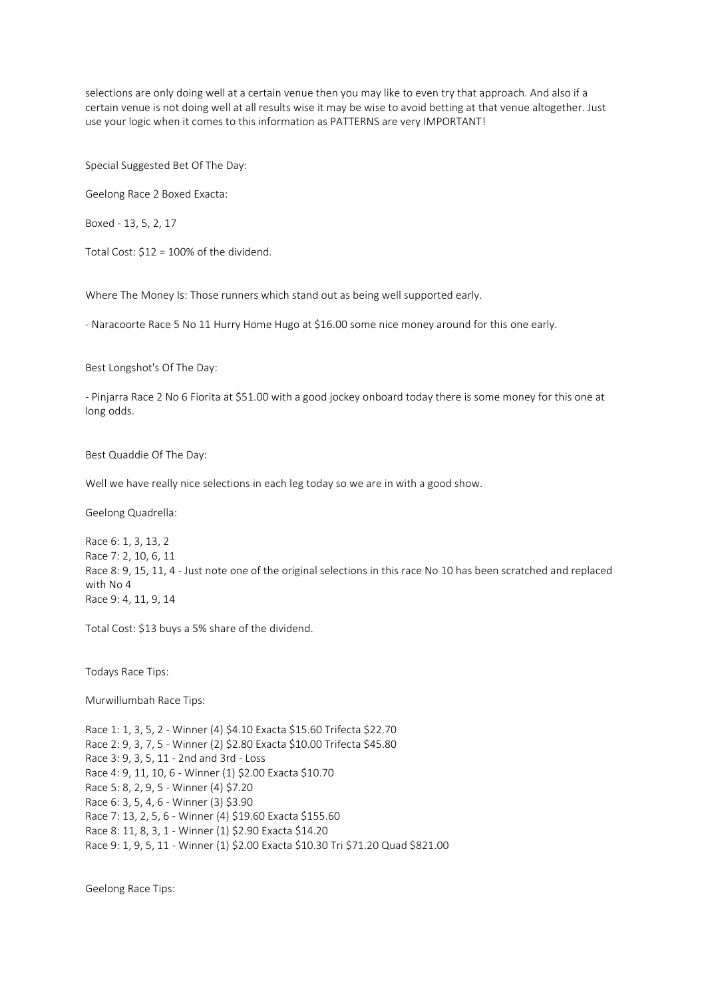selections are only doing well at a certain venue then you may like to even try that approach. And also if a certain venue is not doing well at all results wise it may be wise to avoid betting at that venue altogether. Just use your logic when it comes to this information as PATTERNS are very IMPORTANT!

Special Suggested Bet Of The Day:

Geelong Race 2 Boxed Exacta:

Boxed - 13, 5, 2, 17

Total Cost: \$12 = 100% of the dividend.

Where The Money Is: Those runners which stand out as being well supported early.

- Naracoorte Race 5 No 11 Hurry Home Hugo at \$16.00 some nice money around for this one early.

Best Longshot's Of The Day:

- Pinjarra Race 2 No 6 Fiorita at \$51.00 with a good jockey onboard today there is some money for this one at long odds.

Best Quaddie Of The Day:

Well we have really nice selections in each leg today so we are in with a good show.

Geelong Quadrella:

Race 6: 1, 3, 13, 2 Race 7: 2, 10, 6, 11 Race 8: 9, 15, 11, 4 - Just note one of the original selections in this race No 10 has been scratched and replaced with No 4 Race 9: 4, 11, 9, 14

Total Cost: \$13 buys a 5% share of the dividend.

Todays Race Tips:

Murwillumbah Race Tips:

Race 1: 1, 3, 5, 2 - Winner (4) \$4.10 Exacta \$15.60 Trifecta \$22.70 Race 2: 9, 3, 7, 5 - Winner (2) \$2.80 Exacta \$10.00 Trifecta \$45.80 Race 3: 9, 3, 5, 11 - 2nd and 3rd - Loss Race 4: 9, 11, 10, 6 - Winner (1) \$2.00 Exacta \$10.70 Race 5: 8, 2, 9, 5 - Winner (4) \$7.20 Race 6: 3, 5, 4, 6 - Winner (3) \$3.90 Race 7: 13, 2, 5, 6 - Winner (4) \$19.60 Exacta \$155.60 Race 8: 11, 8, 3, 1 - Winner (1) \$2.90 Exacta \$14.20 Race 9: 1, 9, 5, 11 - Winner (1) \$2.00 Exacta \$10.30 Tri \$71.20 Quad \$821.00

Geelong Race Tips: